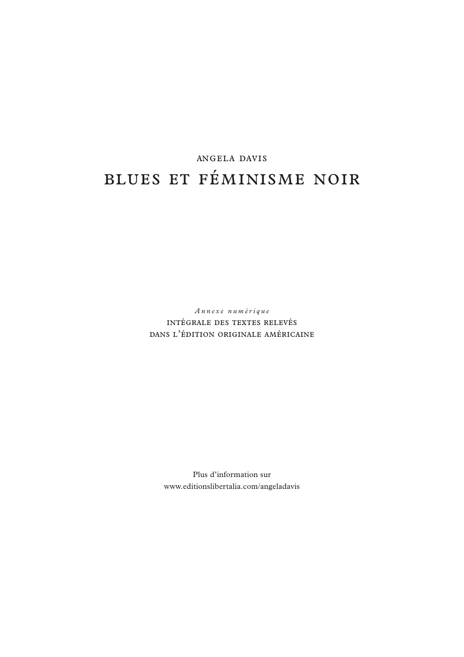# Angela Davis Blues et féminisme noir

*Annexe numérique* Intégrale des textes relevés dans l'édition originale américaine

Plus d'information sur www.editionslibertalia.com/angeladavis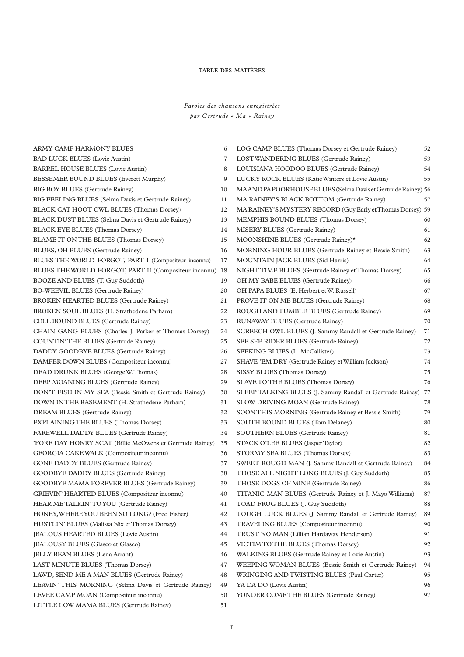#### Table des matières

*[Paroles des chansons enregistrées](#page-6-0)  [par Gertrude « Ma » Rainey](#page-6-0)*

| ARMY CAMP HARMONY BLUES                                  | 6  |
|----------------------------------------------------------|----|
| <b>BAD LUCK BLUES (Lovie Austin)</b>                     | 7  |
| <b>BARREL HOUSE BLUES (Lovie Austin)</b>                 | 8  |
| <b>BESSEMER BOUND BLUES (Everett Murphy)</b>             | 9  |
| <b>BIG BOY BLUES (Gertrude Rainey)</b>                   | 10 |
| BIG FEELING BLUES (Selma Davis et Gertrude Rainey)       | 11 |
| BLACK CAT HOOT OWL BLUES (Thomas Dorsey)                 | 12 |
| BLACK DUST BLUES (Selma Davis et Gertrude Rainey)        | 13 |
| <b>BLACK EYE BLUES (Thomas Dorsey)</b>                   | 14 |
| <b>BLAME IT ON THE BLUES (Thomas Dorsey)</b>             | 15 |
| BLUES, OH BLUES (Gertrude Rainey)                        | 16 |
| BLUES THE WORLD FORGOT, PART I (Compositeur inconnu)     | 17 |
| BLUES THE WORLD FORGOT, PART II (Compositeur inconnu)    | 18 |
| BOOZE AND BLUES (T. Guy Suddoth)                         | 19 |
| BO-WEEVIL BLUES (Gertrude Rainey)                        | 20 |
| <b>BROKEN HEARTED BLUES (Gertrude Rainey)</b>            | 21 |
| BROKEN SOUL BLUES (H. Strathedene Parham)                | 22 |
| CELL BOUND BLUES (Gertrude Rainey)                       | 23 |
| CHAIN GANG BLUES (Charles J. Parker et Thomas Dorsey)    | 24 |
| <b>COUNTIN'THE BLUES (Gertrude Rainey)</b>               | 25 |
| DADDY GOODBYE BLUES (Gertrude Rainey)                    | 26 |
| DAMPER DOWN BLUES (Compositeur inconnu)                  | 27 |
| DEAD DRUNK BLUES (George W. Thomas)                      | 28 |
| DEEP MOANING BLUES (Gertrude Rainey)                     | 29 |
| DON'T FISH IN MY SEA (Bessie Smith et Gertrude Rainey)   | 30 |
| DOWN IN THE BASEMENT (H. Strathedene Parham)             | 31 |
| DREAM BLUES (Gertrude Rainey)                            | 32 |
| <b>EXPLAINING THE BLUES (Thomas Dorsey)</b>              | 33 |
| FAREWELL DADDY BLUES (Gertrude Rainey)                   | 34 |
| 'FORE DAY HONRY SCAT (Billie McOwens et Gertrude Rainey) | 35 |
| GEORGIA CAKEWALK (Compositeur inconnu)                   | 36 |
| <b>GONE DADDY BLUES (Gertrude Rainey)</b>                | 37 |
| <b>GOODBYE DADDY BLUES (Gertrude Rainey)</b>             | 38 |
| GOODBYE MAMA FOREVER BLUES (Gertrude Rainey)             | 39 |
| GRIEVIN' HEARTED BLUES (Compositeur inconnu)             | 40 |
| HEAR METALKIN'TOYOU (Gertrude Rainey)                    | 41 |
| HONEY, WHERE YOU BEEN SO LONG? (Fred Fisher)             | 42 |
| HUSTLIN' BLUES (Malissa Nix et Thomas Dorsey)            | 43 |
| JEALOUS HEARTED BLUES (Lovie Austin)                     | 44 |
| JEALOUSY BLUES (Glasco et Glasco)                        | 45 |
| <b>JELLY BEAN BLUES (Lena Arrant)</b>                    | 46 |
| LAST MINUTE BLUES (Thomas Dorsey)                        | 47 |
| LAWD, SEND ME A MAN BLUES (Gertrude Rainey)              | 48 |
| LEAVIN' THIS MORNING (Selma Davis et Gertrude Rainey)    | 49 |
| LEVEE CAMP MOAN (Compositeur inconnu)                    | 50 |
| LITTLE LOW MAMA BLUES (Gertrude Rainey)                  | 51 |
|                                                          |    |

| 5                       | LOG CAMP BLUES (Thomas Dorsey et Gertrude Rainey)            | 52 |
|-------------------------|--------------------------------------------------------------|----|
| 7                       | LOST WANDERING BLUES (Gertrude Rainey)                       | 53 |
| 3                       | LOUISIANA HOODOO BLUES (Gertrude Rainey)                     | 54 |
| €                       | LUCKY ROCK BLUES (Katie Winters et Lovie Austin)             | 55 |
| J                       | MAAND PA POORHOUSE BLUES (Selma Davis et Gertrude Rainey) 56 |    |
| l                       | MA RAINEY'S BLACK BOTTOM (Gertrude Rainey)                   | 57 |
| $\overline{\mathbf{c}}$ | MA RAINEY'S MYSTERY RECORD (Guy Early et Thomas Dorsey) 59   |    |
| 3                       | MEMPHIS BOUND BLUES (Thomas Dorsey)                          | 60 |
| 4                       | <b>MISERY BLUES (Gertrude Rainey)</b>                        | 61 |
| 5                       | MOONSHINE BLUES (Gertrude Rainey)*                           | 62 |
| 5                       | MORNING HOUR BLUES (Gertrude Rainey et Bessie Smith)         | 63 |
| 7                       | MOUNTAIN JACK BLUES (Sid Harris)                             | 64 |
| 3                       | NIGHT TIME BLUES (Gertrude Rainey et Thomas Dorsey)          | 65 |
| €                       | OH MY BABE BLUES (Gertrude Rainey)                           | 66 |
| C                       | OH PAPA BLUES (E. Herbert et W. Russell)                     | 67 |
| $\mathbf{I}$            | PROVE IT ON ME BLUES (Gertrude Rainey)                       | 68 |
| 2                       | ROUGH AND TUMBLE BLUES (Gertrude Rainey)                     | 69 |
| 3                       | <b>RUNAWAY BLUES (Gertrude Rainey)</b>                       | 70 |
| $\pmb{\mathfrak{t}}$    | SCREECH OWL BLUES (J. Sammy Randall et Gertrude Rainey)      | 71 |
| 5                       | SEE SEE RIDER BLUES (Gertrude Rainey)                        | 72 |
| 5                       | SEEKING BLUES (L. McCallister)                               | 73 |
| 7                       | SHAVE 'EM DRY (Gertrude Rainey et William Jackson)           | 74 |
| 3                       | SISSY BLUES (Thomas Dorsey)                                  | 75 |
| €                       | SLAVE TO THE BLUES (Thomas Dorsey)                           | 76 |
| C                       | SLEEP TALKING BLUES (J. Sammy Randall et Gertrude Rainey)    | 77 |
| $\mathbf{I}$            | <b>SLOW DRIVING MOAN (Gertrude Rainey)</b>                   | 78 |
| $\overline{c}$          | SOON THIS MORNING (Gertrude Rainey et Bessie Smith)          | 79 |
| 3                       | SOUTH BOUND BLUES (Tom Delaney)                              | 80 |
| $\pmb{\mathfrak{t}}$    | SOUTHERN BLUES (Gertrude Rainey)                             | 81 |
| 5                       | STACK O'LEE BLUES (Jasper Taylor)                            | 82 |
| 5                       | STORMY SEA BLUES (Thomas Dorsey)                             | 83 |
| 7                       | SWEET ROUGH MAN (J. Sammy Randall et Gertrude Rainey)        | 84 |
| 3                       | THOSE ALL NIGHT LONG BLUES (J. Guy Suddoth)                  | 85 |
| J                       | THOSE DOGS OF MINE (Gertrude Rainey)                         | 86 |
| $\mathfrak{g}$          | TITANIC MAN BLUES (Gertrude Rainey et J. Mayo Williams)      | 87 |
| $\mathbf{I}$            | TOAD FROG BLUES (J. Guy Suddoth)                             | 88 |
| $\overline{\mathbf{c}}$ | TOUGH LUCK BLUES (J. Sammy Randall et Gertrude Rainey)       | 89 |
| 3                       | TRAVELING BLUES (Compositeur inconnu)                        | 90 |
| $\pmb{\mathfrak{t}}$    | TRUST NO MAN (Lillian Hardaway Henderson)                    | 91 |
| 5                       | VICTIM TO THE BLUES (Thomas Dorsey)                          | 92 |
| 5                       | WALKING BLUES (Gertrude Rainey et Lovie Austin)              | 93 |
| 7                       | WEEPING WOMAN BLUES (Bessie Smith et Gertrude Rainey)        | 94 |
| 3                       | WRINGING AND TWISTING BLUES (Paul Carter)                    | 95 |
| €                       | YA DA DO (Lovie Austin)                                      | 96 |
| J                       | YONDER COME THE BLUES (Gertrude Rainey)                      | 97 |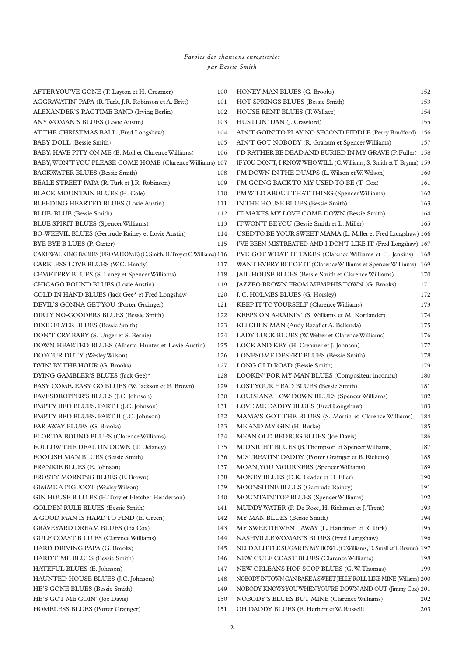#### *Paroles des chansons enregistrées par Bessie Smith*

| AFTER YOU'VE GONE (T. Layton et H. Creamer)                           | 100 |
|-----------------------------------------------------------------------|-----|
| AGGRAVATIN' PAPA (R. Turk, J.R. Robinson et A. Britt)                 | 101 |
| ALEXANDER'S RAGTIME BAND (Irving Berlin)                              | 102 |
| ANY WOMAN'S BLUES (Lovie Austin)                                      | 103 |
| AT THE CHRISTMAS BALL (Fred Longshaw)                                 | 104 |
| <b>BABY DOLL (Bessie Smith)</b>                                       | 105 |
| BABY, HAVE PITY ON ME (B. Moll et Clarence Williams)                  | 106 |
| BABY, WON'T YOU PLEASE COME HOME (Clarence Williams) 107              |     |
| <b>BACKWATER BLUES (Bessie Smith)</b>                                 | 108 |
| BEALE STREET PAPA (R. Turk et J.R. Robinson)                          | 109 |
| <b>BLACK MOUNTAIN BLUES (H. Cole)</b>                                 | 110 |
| <b>BLEEDING HEARTED BLUES (Lovie Austin)</b>                          | 111 |
| BLUE, BLUE (Bessie Smith)                                             | 112 |
| <b>BLUE SPIRIT BLUES (Spencer Williams)</b>                           | 113 |
| BO-WEEVIL BLUES (Gertrude Rainey et Lovie Austin)                     | 114 |
| BYE BYE B LUES (P. Carter)                                            | 115 |
| CAKEWALKING BABIES (FROM HOME) (C. Smith, H. Troy et C. Williams) 116 |     |
| CARELESS LOVE BLUES (W.C. Handy)                                      | 117 |
| CEMETERY BLUES (S. Laney et Spencer Williams)                         | 118 |
| CHICAGO BOUND BLUES (Lovie Austin)                                    | 119 |
| COLD IN HAND BLUES (Jack Gee <sup>*</sup> et Fred Longshaw)           | 120 |
| DEVIL'S GONNA GETYOU (Porter Grainger)                                | 121 |
| DIRTY NO-GOODERS BLUES (Bessie Smith)                                 | 122 |
| DIXIE FLYER BLUES (Bessie Smith)                                      | 123 |
| DON'T CRY BABY (S. Unger et S. Bernie)                                | 124 |
| DOWN HEARTED BLUES (Alberta Hunter et Lovie Austin)                   | 125 |
| DOYOUR DUTY (Wesley Wilson)                                           | 126 |
| DYIN' BY THE HOUR (G. Brooks)                                         | 127 |
| DYING GAMBLER'S BLUES (Jack Gee)*                                     | 128 |
| EASY COME, EASY GO BLUES (W. Jackson et E. Brown)                     | 129 |
| EAVESDROPPER'S BLUES (J.C. Johnson)                                   | 130 |
| EMPTY BED BLUES, PART I (J.C. Johnson)                                | 131 |
| EMPTY BED BLUES, PART II (J.C. Johnson)                               | 132 |
| FAR AWAY BLUES (G. Brooks)                                            | 133 |
| FLORIDA BOUND BLUES (Clarence Williams)                               | 134 |
| FOLLOW THE DEAL ON DOWN (T. Delaney)                                  | 135 |
| FOOLISH MAN BLUES (Bessie Smith)                                      | 136 |
| FRANKIE BLUES (E. Johnson)                                            | 137 |
| FROSTY MORNING BLUES (E. Brown)                                       | 138 |
| GIMME A PIGFOOT (Wesley Wilson)                                       | 139 |
| GIN HOUSE B LU ES (H. Troy et Fletcher Henderson)                     | 140 |
| <b>GOLDEN RULE BLUES (Bessie Smith)</b>                               | 141 |
| A GOOD MAN IS HARD TO FIND (E. Green)                                 | 142 |
| GRAVEYARD DREAM BLUES (Ida Cox)                                       | 143 |
| GULF COAST B LU ES (Clarence Williams)                                | 144 |
| HARD DRIVING PAPA (G. Brooks)                                         | 145 |
| <b>HARD TIME BLUES (Bessie Smith)</b>                                 | 146 |
| HATEFUL BLUES (E. Johnson)                                            | 147 |
| HAUNTED HOUSE BLUES (J.C. Johnson)                                    | 148 |
| HE'S GONE BLUES (Bessie Smith)                                        | 149 |
| HE'S GOT ME GOIN' (Joe Davis)                                         | 150 |
| <b>HOMELESS BLUES (Porter Grainger)</b>                               | 151 |
|                                                                       |     |

| 0      | <b>HONEY MAN BLUES (G. Brooks)</b>                                     | 152 |
|--------|------------------------------------------------------------------------|-----|
| 1      | <b>HOT SPRINGS BLUES (Bessie Smith)</b>                                | 153 |
| 2      | <b>HOUSE RENT BLUES (T. Wallace)</b>                                   | 154 |
| 3      | HUSTLIN' DAN (J. Crawford)                                             | 155 |
| 4      | AIN'T GOIN'TO PLAY NO SECOND FIDDLE (Perry Bradford) 156               |     |
| 5      | AIN'T GOT NOBODY (R. Graham et Spencer Williams)                       | 157 |
| 6      | I'D RATHER BE DEAD AND BURIED IN MY GRAVE (P. Fuller) 158              |     |
| 7      | IF YOU DON'T, I KNOW WHO WILL (C. Williams, S. Smith et T. Brymn) 159  |     |
| 8      | I'M DOWN IN THE DUMPS (L. Wilson et W. Wilson)                         | 160 |
| 9      | I'M GOING BACK TO MY USED TO BE (T. Cox)                               | 161 |
| 0      | I'M WILD ABOUT THAT THING (Spencer Williams)                           | 162 |
| 1      | IN THE HOUSE BLUES (Bessie Smith)                                      | 163 |
| 2      | IT MAKES MY LOVE COME DOWN (Bessie Smith)                              | 164 |
| 3      | IT WON'T BEYOU (Bessie Smith et L. Miller)                             | 165 |
| 4      | USED TO BE YOUR SWEET MAMA (L. Miller et Fred Longshaw) 166            |     |
| 5      | I'VE BEEN MISTREATED AND I DON'T LIKE IT (Fred Longshaw) 167           |     |
| 6      | I'VE GOT WHAT IT TAKES (Clarence Williams et H. Jenkins)               | 168 |
| 7      | WANT EVERY BIT OF IT (Clarence Williams et Spencer Williams) 169       |     |
| 8      | JAIL HOUSE BLUES (Bessie Smith et Clarence Williams)                   | 170 |
| 9      | JAZZBO BROWN FROM MEMPHIS TOWN (G. Brooks)                             | 171 |
| 0      | J. C. HOLMES BLUES (G. Horsley)                                        | 172 |
| 1      | KEEP IT TO YOURSELF (Clarence Williams)                                | 173 |
| 2      | KEEPS ON A-RAININ' (S. Williams et M. Kortlander)                      | 174 |
| 3      | KITCHEN MAN (Andy Razaf et A. Bellenda)                                | 175 |
| 4      | LADY LUCK BLUES (W. Weber et Clarence Williams)                        | 176 |
| 5      | LOCK AND KEY (H. Creamer et J. Johnson)                                | 177 |
| 6      | LONESOME DESERT BLUES (Bessie Smith)                                   | 178 |
| 7      | LONG OLD ROAD (Bessie Smith)                                           | 179 |
| 8      | LOOKIN' FOR MY MAN BLUES (Compositeur inconnu)                         | 180 |
| 9      | <b>LOSTYOUR HEAD BLUES (Bessie Smith)</b>                              | 181 |
| 0      | LOUISIANA LOW DOWN BLUES (Spencer Williams)                            | 182 |
| 1      | LOVE ME DADDY BLUES (Fred Longshaw)                                    | 183 |
| 2      | MAMA'S GOT THE BLUES (S. Martin et Clarence Williams)                  | 184 |
| 3      | ME AND MY GIN (H. Burke)                                               | 185 |
| 4      | MEAN OLD BEDBUG BLUES (Joe Davis)                                      | 186 |
| 5      | <b>MIDNIGHT BLUES (B. Thompson et Spencer Williams)</b>                | 187 |
| 6      | MISTREATIN' DADDY (Porter Grainger et B. Ricketts)                     | 188 |
| 7      | MOAN, YOU MOURNERS (Spencer Williams)                                  | 189 |
| 8      | MONEY BLUES (D.K. Leader et H. Eller)                                  | 190 |
| 9      | <b>MOONSHINE BLUES (Gertrude Rainey)</b>                               | 191 |
| 0      | <b>MOUNTAIN TOP BLUES (Spencer Williams)</b>                           | 192 |
| 1      | MUDDY WATER (P. De Rose, H. Richman et J. Trent)                       | 193 |
| 2      | MY MAN BLUES (Bessie Smith)                                            | 194 |
| 3      | MY SWEETIE WENT AWAY (L. Handman et R. Turk)                           | 195 |
| 4      | NASHVILLE WOMAN'S BLUES (Fred Longshaw)                                | 196 |
| 5      | NEED A LITTLE SUGAR IN MY BOWL (C. Williams, D. Small et T. Brymn) 197 |     |
| 6      | NEW GULF COAST BLUES (Clarence Williams)                               | 198 |
| 7      | NEW ORLEANS HOP SCOP BLUES (G.W. Thomas)                               | 199 |
|        | NOBODY INTOWN CAN BAKE A SWEET JELLY ROLL LIKE MINE (Williams) 200     |     |
| 8<br>9 | NOBODY KNOWSYOU WHEN YOU'RE DOWN AND OUT (Jimmy Cox) 201               |     |
| 0      | NOBODY'S BLUES BUT MINE (Clarence Williams)                            | 202 |
| 1      | OH DADDY BLUES (E. Herbert et W. Russell)                              | 203 |
|        |                                                                        |     |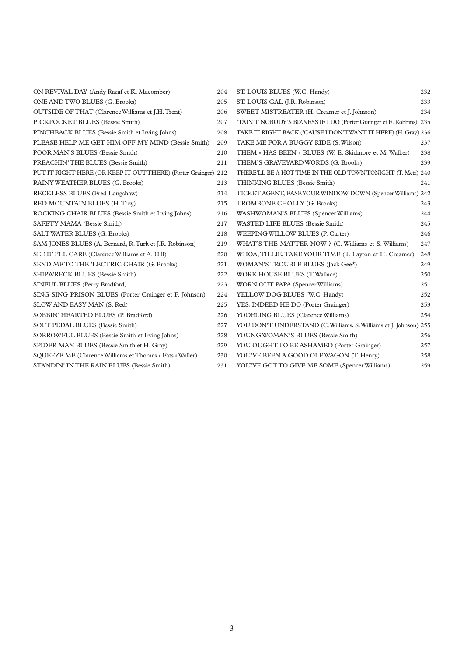| ON REVIVAL DAY (Andy Razaf et K. Macomber)                     | 204 | S  |
|----------------------------------------------------------------|-----|----|
| ONE AND TWO BLUES (G. Brooks)                                  | 205 | S  |
| OUTSIDE OF THAT (Clarence Williams et J.H. Trent)              | 206 | S  |
| PICKPOCKET BLUES (Bessie Smith)                                | 207 | רי |
| PINCHBACK BLUES (Bessie Smith et Irving Johns)                 | 208 | T  |
| PLEASE HELP ME GET HIM OFF MY MIND (Bessie Smith)              | 209 | T  |
| POOR MAN'S BLUES (Bessie Smith)                                | 210 | T  |
| PREACHIN' THE BLUES (Bessie Smith)                             | 211 | T  |
| PUT IT RIGHT HERE (OR KEEP IT OUT THERE) (Porter Grainger) 212 |     | T  |
| RAINY WEATHER BLUES (G. Brooks)                                | 213 | Τ  |
| RECKLESS BLUES (Fred Longshaw)                                 | 214 | T  |
| RED MOUNTAIN BLUES (H. Troy)                                   | 215 | T  |
| ROCKING CHAIR BLUES (Bessie Smith et Irving Johns)             | 216 | W  |
| SAFETY MAMA (Bessie Smith)                                     | 217 | W  |
| SALT WATER BLUES (G. Brooks)                                   | 218 | V  |
| SAM JONES BLUES (A. Bernard, R. Turk et J.R. Robinson)         | 219 | W  |
| SEE IF I'LL CARE (Clarence Williams et A. Hill)                | 220 | W  |
| SEND METO THE 'LECTRIC CHAIR (G. Brooks)                       | 221 | V  |
| <b>SHIPWRECK BLUES (Bessie Smith)</b>                          | 222 | W  |
| SINFUL BLUES (Perry Bradford)                                  | 223 | W  |
| SING SING PRISON BLUES (Porter Crainger et F. Johnson)         | 224 | Y  |
| SLOW AND EASY MAN (S. Red)                                     | 225 | Y  |
| SOBBIN' HEARTED BLUES (P. Bradford)                            | 226 | Y  |
| SOFT PEDAL BLUES (Bessie Smith)                                | 227 | Y  |
| SORROWFUL BLUES (Bessie Smith et Irving Johns)                 | 228 | Y  |
| SPIDER MAN BLUES (Bessie Smith et H. Gray)                     | 229 | Y  |
| SQUEEZE ME (Clarence Williams et Thomas « Fats » Waller)       | 230 | Y  |
| STANDIN' IN THE RAIN BLUES (Bessie Smith)                      | 231 | Y  |
|                                                                |     |    |

| ŀ  | ST. LOUIS BLUES (W.C. Handy)                                         | 232 |
|----|----------------------------------------------------------------------|-----|
| 5. | ST. LOUIS GAL (J.R. Robinson)                                        | 233 |
| ć  | SWEET MISTREATER (H. Creamer et J. Johnson)                          | 234 |
| 7  | "TAIN"T NOBODY'S BIZNESS IF I DO (Porter Grainger et E. Robbins) 235 |     |
| š  | TAKE IT RIGHT BACK ('CAUSE I DON'T WANT IT HERE) (H. Gray) 236       |     |
| )  | TAKE ME FOR A BUGGY RIDE (S. Wilson)                                 | 237 |
| )  | THEM « HAS BEEN » BLUES (W. E. Skidmore et M. Walker)                | 238 |
|    | THEM'S GRAVEYARD WORDS (G. Brooks)                                   | 239 |
| 2  | THERE'LL BE A HOT TIME IN THE OLD TOWN TONIGHT (T. Metz) 240         |     |
| 3  | THINKING BLUES (Bessie Smith)                                        | 241 |
| ł  | TICKET AGENT, EASE YOUR WINDOW DOWN (Spencer Williams) 242           |     |
| 5  | TROMBONE CHOLLY (G. Brooks)                                          | 243 |
| ć  | WASHWOMAN'S BLUES (Spencer Williams)                                 | 244 |
| 7  | WASTED LIFE BLUES (Bessie Smith)                                     | 245 |
| š  | WEEPING WILLOW BLUES (P. Carter)                                     | 246 |
| )  | WHAT'S THE MATTER NOW ? (C. Williams et S. Williams)                 | 247 |
| )  | WHOA, TILLIE, TAKE YOUR TIME (T. Layton et H. Creamer)               | 248 |
|    | WOMAN'S TROUBLE BLUES (Jack Gee*)                                    | 249 |
|    | WORK HOUSE BLUES (T. Wallace)                                        | 250 |
| š  | WORN OUT PAPA (Spencer Williams)                                     | 251 |
| ł  | YELLOW DOG BLUES (W.C. Handy)                                        | 252 |
| 5  | YES, INDEED HE DO (Porter Grainger)                                  | 253 |
| 5  | YODELING BLUES (Clarence Williams)                                   | 254 |
| 7  | YOU DON'T UNDERSTAND (C. Williams, S. Williams et J. Johnson) 255    |     |
| 3  | YOUNG WOMAN'S BLUES (Bessie Smith)                                   | 256 |
| €  | YOU OUGHT TO BE ASHAMED (Porter Grainger)                            | 257 |
| )  | YOU'VE BEEN A GOOD OLE WAGON (T. Henry)                              | 258 |
|    | YOU'VE GOT TO GIVE ME SOME (Spencer Williams)                        | 259 |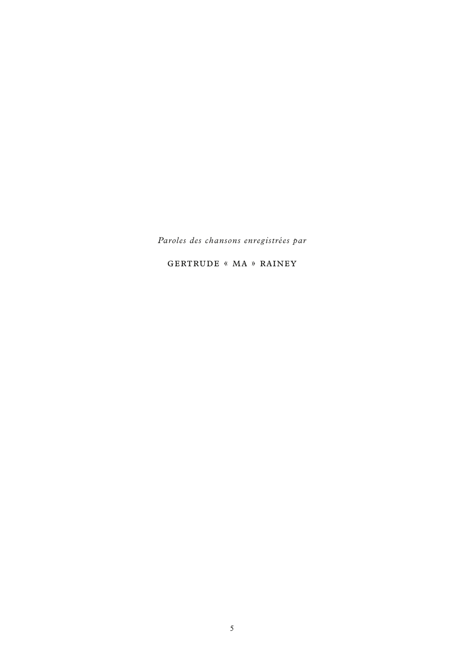<span id="page-6-0"></span>*Paroles des chansons enregistrées par*

Gertrude « Ma » Rainey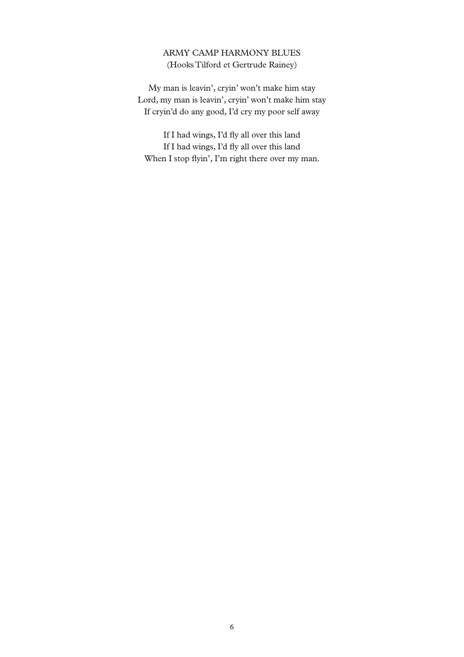#### ARMY CAMP HARMONY BLUES (Hooks Tilford et Gertrude Rainey)

<span id="page-7-0"></span>My man is leavin', cryin' won't make him stay Lord, my man is leavin', cryin' won't make him stay If cryin'd do any good, I'd cry my poor self away

If I had wings, I'd fly all over this land If I had wings, I'd fly all over this land When I stop flyin', I'm right there over my man.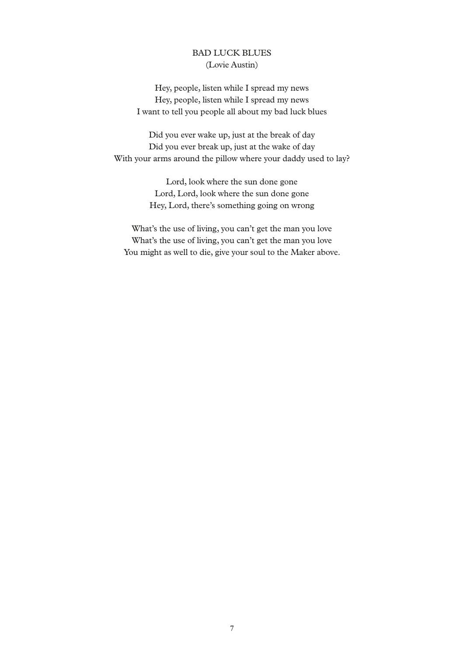#### BAD LUCK BLUES (Lovie Austin)

<span id="page-8-0"></span>Hey, people, listen while I spread my news Hey, people, listen while I spread my news I want to tell you people all about my bad luck blues

Did you ever wake up, just at the break of day Did you ever break up, just at the wake of day With your arms around the pillow where your daddy used to lay?

> Lord, look where the sun done gone Lord, Lord, look where the sun done gone Hey, Lord, there's something going on wrong

What's the use of living, you can't get the man you love What's the use of living, you can't get the man you love You might as well to die, give your soul to the Maker above.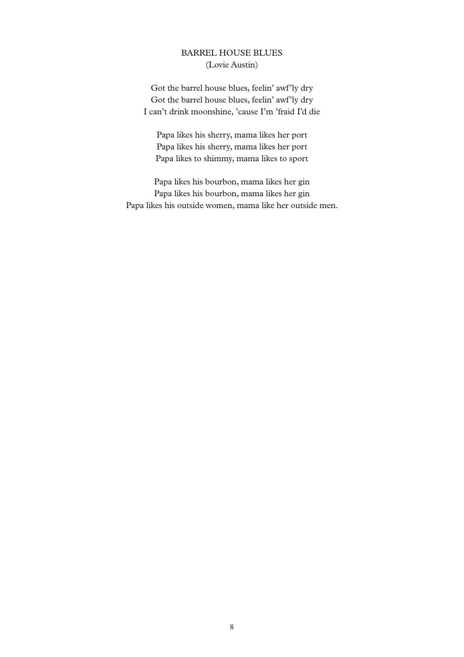#### BARREL HOUSE BLUES (Lovie Austin)

<span id="page-9-0"></span>Got the barrel house blues, feelin' awf'ly dry Got the barrel house blues, feelin' awf'ly dry I can't drink moonshine, 'cause I'm 'fraid I'd die

Papa likes his sherry, mama likes her port Papa likes his sherry, mama likes her port Papa likes to shimmy, mama likes to sport

Papa likes his bourbon, mama likes her gin Papa likes his bourbon, mama likes her gin Papa likes his outside women, mama like her outside men.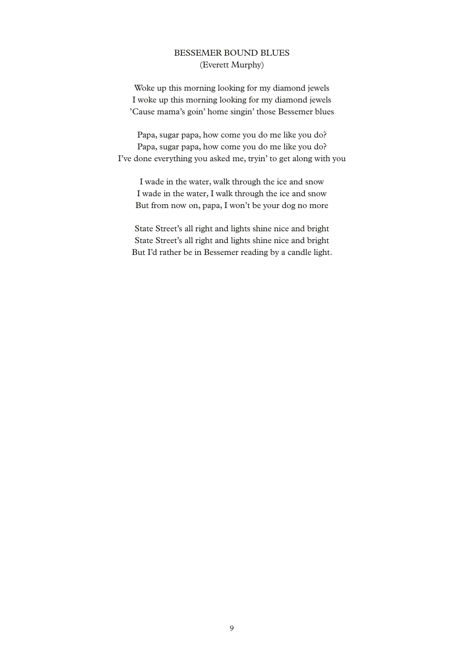## BESSEMER BOUND BLUES (Everett Murphy)

<span id="page-10-0"></span>Woke up this morning looking for my diamond jewels I woke up this morning looking for my diamond jewels 'Cause mama's goin' home singin' those Bessemer blues

Papa, sugar papa, how come you do me like you do? Papa, sugar papa, how come you do me like you do? I've done everything you asked me, tryin' to get along with you

I wade in the water, walk through the ice and snow I wade in the water, I walk through the ice and snow But from now on, papa, I won't be your dog no more

State Street's all right and lights shine nice and bright State Street's all right and lights shine nice and bright But I'd rather be in Bessemer reading by a candle light.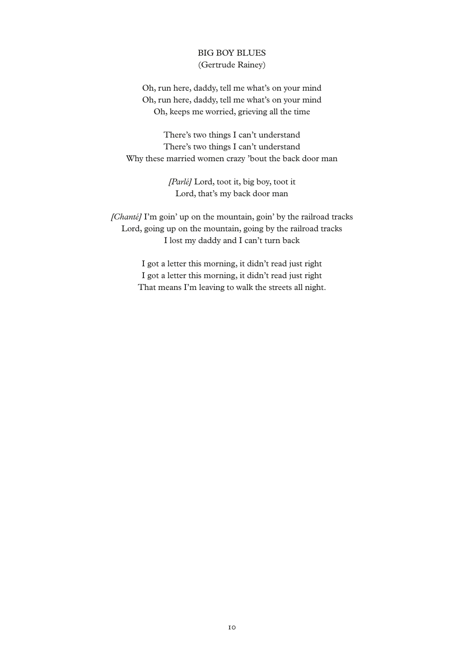#### BIG BOY BLUES (Gertrude Rainey)

<span id="page-11-0"></span>Oh, run here, daddy, tell me what's on your mind Oh, run here, daddy, tell me what's on your mind Oh, keeps me worried, grieving all the time

There's two things I can't understand There's two things I can't understand Why these married women crazy 'bout the back door man

> *[Parlé]* Lord, toot it, big boy, toot it Lord, that's my back door man

*[Chanté]* I'm goin' up on the mountain, goin' by the railroad tracks Lord, going up on the mountain, going by the railroad tracks I lost my daddy and I can't turn back

> I got a letter this morning, it didn't read just right I got a letter this morning, it didn't read just right That means I'm leaving to walk the streets all night.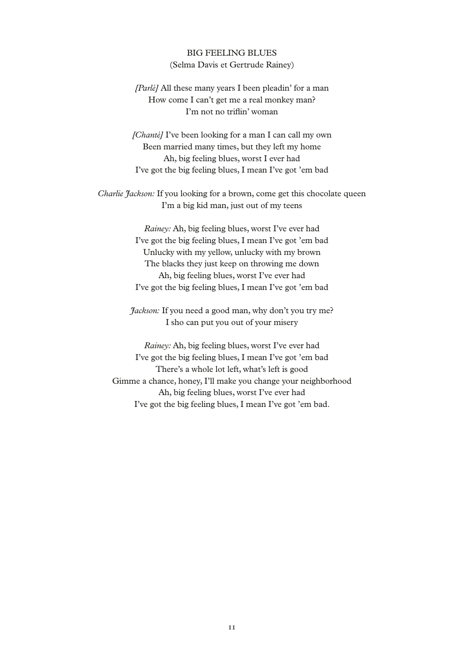#### BIG FEELING BLUES

#### (Selma Davis et Gertrude Rainey)

<span id="page-12-0"></span>*[Parlé]* All these many years I been pleadin' for a man How come I can't get me a real monkey man? I'm not no triflin' woman

*[Chanté]* I've been looking for a man I can call my own Been married many times, but they left my home Ah, big feeling blues, worst I ever had I've got the big feeling blues, I mean I've got 'em bad

*Charlie Jackson:* If you looking for a brown, come get this chocolate queen I'm a big kid man, just out of my teens

> *Rainey:* Ah, big feeling blues, worst I've ever had I've got the big feeling blues, I mean I've got 'em bad Unlucky with my yellow, unlucky with my brown The blacks they just keep on throwing me down Ah, big feeling blues, worst I've ever had I've got the big feeling blues, I mean I've got 'em bad

*Jackson:* If you need a good man, why don't you try me? I sho can put you out of your misery

*Rainey:* Ah, big feeling blues, worst I've ever had I've got the big feeling blues, I mean I've got 'em bad There's a whole lot left, what's left is good Gimme a chance, honey, I'll make you change your neighborhood Ah, big feeling blues, worst I've ever had I've got the big feeling blues, I mean I've got 'em bad.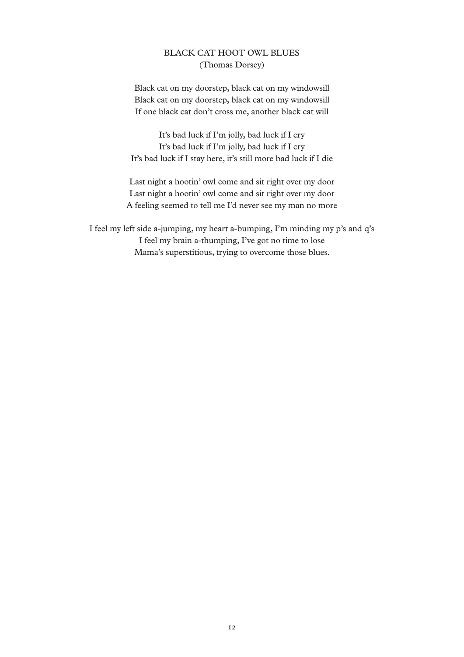### BLACK CAT HOOT OWL BLUES (Thomas Dorsey)

<span id="page-13-0"></span>Black cat on my doorstep, black cat on my windowsill Black cat on my doorstep, black cat on my windowsill If one black cat don't cross me, another black cat will

It's bad luck if I'm jolly, bad luck if I cry It's bad luck if I'm jolly, bad luck if I cry It's bad luck if I stay here, it's still more bad luck if I die

Last night a hootin' owl come and sit right over my door Last night a hootin' owl come and sit right over my door A feeling seemed to tell me I'd never see my man no more

I feel my left side a-jumping, my heart a-bumping, I'm minding my p's and q's I feel my brain a-thumping, I've got no time to lose Mama's superstitious, trying to overcome those blues.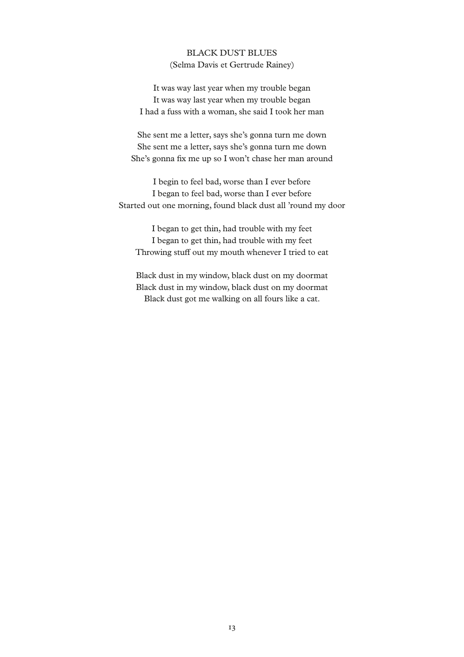# BLACK DUST BLUES

(Selma Davis et Gertrude Rainey)

<span id="page-14-0"></span>It was way last year when my trouble began It was way last year when my trouble began I had a fuss with a woman, she said I took her man

She sent me a letter, says she's gonna turn me down She sent me a letter, says she's gonna turn me down She's gonna fix me up so I won't chase her man around

I begin to feel bad, worse than I ever before I began to feel bad, worse than I ever before Started out one morning, found black dust all 'round my door

I began to get thin, had trouble with my feet I began to get thin, had trouble with my feet Throwing stuff out my mouth whenever I tried to eat

Black dust in my window, black dust on my doormat Black dust in my window, black dust on my doormat Black dust got me walking on all fours like a cat.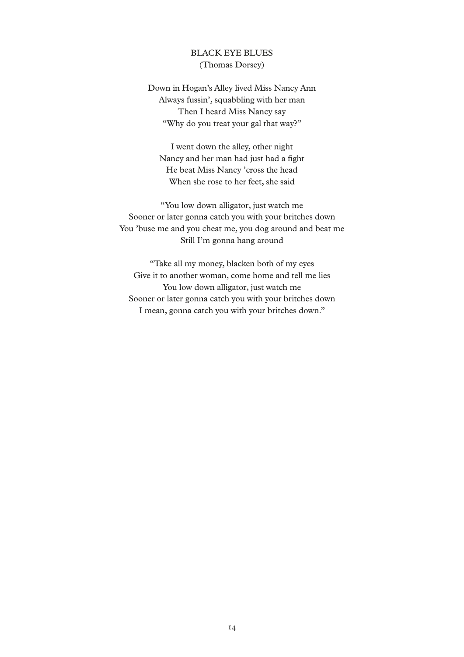#### BLACK EYE BLUES (Thomas Dorsey)

<span id="page-15-0"></span>Down in Hogan's Alley lived Miss Nancy Ann Always fussin', squabbling with her man Then I heard Miss Nancy say "Why do you treat your gal that way?"

I went down the alley, other night Nancy and her man had just had a fight He beat Miss Nancy 'cross the head When she rose to her feet, she said

"You low down alligator, just watch me Sooner or later gonna catch you with your britches down You 'buse me and you cheat me, you dog around and beat me Still I'm gonna hang around

"Take all my money, blacken both of my eyes Give it to another woman, come home and tell me lies You low down alligator, just watch me Sooner or later gonna catch you with your britches down I mean, gonna catch you with your britches down."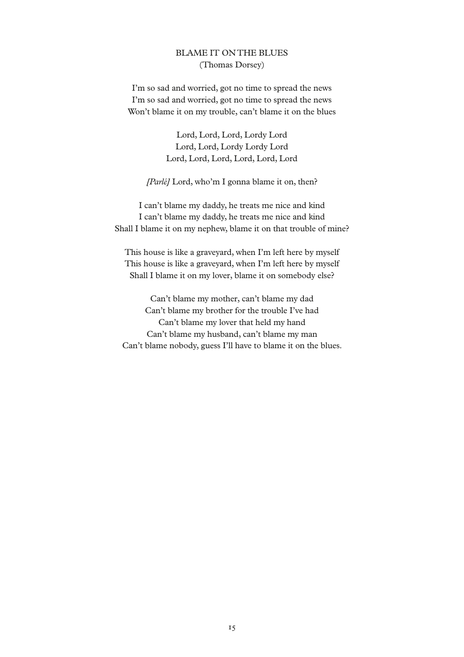## BLAME IT ON THE BLUES (Thomas Dorsey)

<span id="page-16-0"></span>I'm so sad and worried, got no time to spread the news I'm so sad and worried, got no time to spread the news Won't blame it on my trouble, can't blame it on the blues

> Lord, Lord, Lord, Lordy Lord Lord, Lord, Lordy Lordy Lord Lord, Lord, Lord, Lord, Lord, Lord

*[Parlé]* Lord, who'm I gonna blame it on, then?

I can't blame my daddy, he treats me nice and kind I can't blame my daddy, he treats me nice and kind Shall I blame it on my nephew, blame it on that trouble of mine?

This house is like a graveyard, when I'm left here by myself This house is like a graveyard, when I'm left here by myself Shall I blame it on my lover, blame it on somebody else?

Can't blame my mother, can't blame my dad Can't blame my brother for the trouble I've had Can't blame my lover that held my hand Can't blame my husband, can't blame my man Can't blame nobody, guess I'll have to blame it on the blues.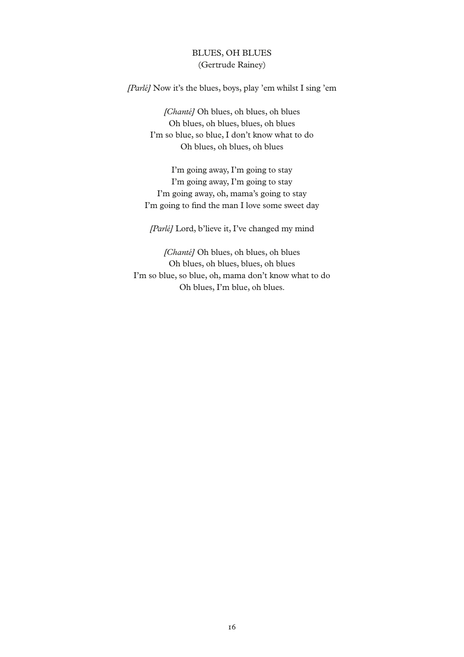## BLUES, OH BLUES (Gertrude Rainey)

<span id="page-17-0"></span>*[Parlé]* Now it's the blues, boys, play 'em whilst I sing 'em

*[Chanté]* Oh blues, oh blues, oh blues Oh blues, oh blues, blues, oh blues I'm so blue, so blue, I don't know what to do Oh blues, oh blues, oh blues

I'm going away, I'm going to stay I'm going away, I'm going to stay I'm going away, oh, mama's going to stay I'm going to find the man I love some sweet day

*[Parlé]* Lord, b'lieve it, I've changed my mind

*[Chanté]* Oh blues, oh blues, oh blues Oh blues, oh blues, blues, oh blues I'm so blue, so blue, oh, mama don't know what to do Oh blues, I'm blue, oh blues.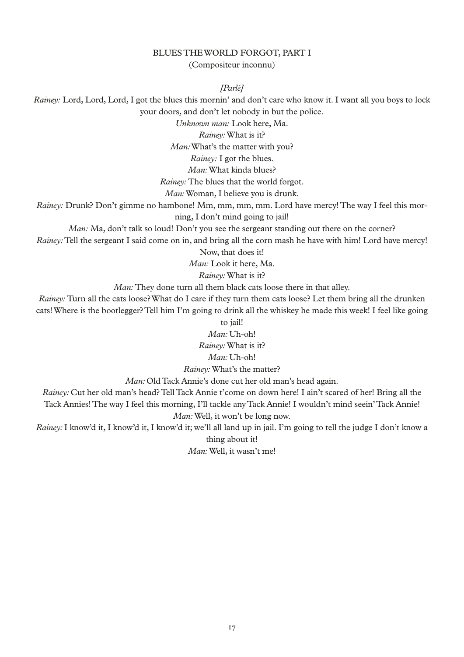#### BLUES THE WORLD FORGOT, PART I

(Compositeur inconnu)

*[Parlé]*

<span id="page-18-0"></span>*Rainey:* Lord, Lord, Lord, I got the blues this mornin' and don't care who know it. I want all you boys to lock your doors, and don't let nobody in but the police.

*Unknown man:* Look here, Ma.

*Rainey:* What is it?

*Man:* What's the matter with you?

*Rainey:* I got the blues.

*Man:* What kinda blues?

*Rainey:* The blues that the world forgot.

*Man:* Woman, I believe you is drunk.

*Rainey:* Drunk? Don't gimme no hambone! Mm, mm, mm, mm. Lord have mercy! The way I feel this morning, I don't mind going to jail!

*Man:* Ma, don't talk so loud! Don't you see the sergeant standing out there on the corner?

*Rainey:* Tell the sergeant I said come on in, and bring all the corn mash he have with him! Lord have mercy!

Now, that does it!

*Man:* Look it here, Ma.

*Rainey:* What is it?

*Man:* They done turn all them black cats loose there in that alley.

*Rainey:* Turn all the cats loose? What do I care if they turn them cats loose? Let them bring all the drunken cats! Where is the bootlegger? Tell him I'm going to drink all the whiskey he made this week! I feel like going

to jail!

*Man:* Uh-oh!

*Rainey:* What is it?

*Man:* Uh-oh!

#### *Rainey:* What's the matter?

*Man:* Old Tack Annie's done cut her old man's head again.

*Rainey:* Cut her old man's head? Tell Tack Annie t'come on down here! I ain't scared of her! Bring all the Tack Annies! The way I feel this morning, I'll tackle any Tack Annie! I wouldn't mind seein' Tack Annie! *Man:* Well, it won't be long now.

*Rainey:* I know'd it, I know'd it, I know'd it; we'll all land up in jail. I'm going to tell the judge I don't know a thing about it!

*Man:* Well, it wasn't me!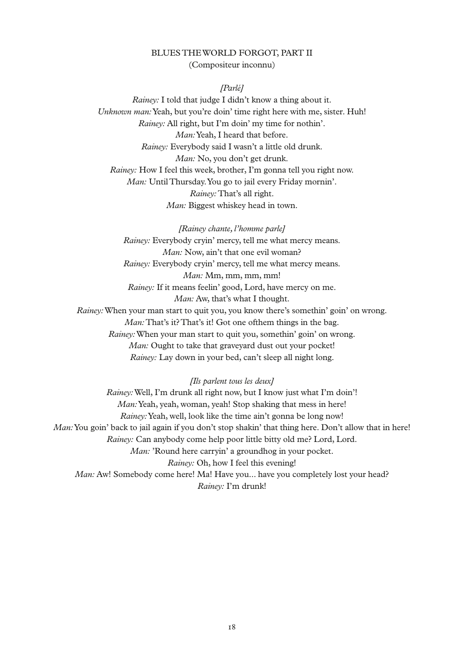#### BLUES THE WORLD FORGOT, PART II

(Compositeur inconnu)

#### *[Parlé]*

<span id="page-19-0"></span>*Rainey:* I told that judge I didn't know a thing about it. *Unknown man:* Yeah, but you're doin' time right here with me, sister. Huh! *Rainey:* All right, but I'm doin' my time for nothin'. *Man:* Yeah, I heard that before. *Rainey:* Everybody said I wasn't a little old drunk. *Man:* No, you don't get drunk. *Rainey:* How I feel this week, brother, I'm gonna tell you right now. *Man:* Until Thursday. You go to jail every Friday mornin'. *Rainey:* That's all right. *Man:* Biggest whiskey head in town.

*[Rainey chante, l'homme parle] Rainey:* Everybody cryin' mercy, tell me what mercy means. *Man:* Now, ain't that one evil woman? *Rainey:* Everybody cryin' mercy, tell me what mercy means. *Man:* Mm, mm, mm, mm! *Rainey:* If it means feelin' good, Lord, have mercy on me. *Man:* Aw, that's what I thought. *Rainey:* When your man start to quit you, you know there's somethin' goin' on wrong. *Man:* That's it? That's it! Got one of them things in the bag. *Rainey:* When your man start to quit you, somethin' goin' on wrong. *Man:* Ought to take that graveyard dust out your pocket! *Rainey:* Lay down in your bed, can't sleep all night long.

#### *[Ils parlent tous les deux]*

*Rainey:* Well, I'm drunk all right now, but I know just what I'm doin'! *Man:* Yeah, yeah, woman, yeah! Stop shaking that mess in here! *Rainey:* Yeah, well, look like the time ain't gonna be long now! *Man:* You goin' back to jail again if you don't stop shakin' that thing here. Don't allow that in here! *Rainey:* Can anybody come help poor little bitty old me? Lord, Lord. *Man:* 'Round here carryin' a groundhog in your pocket. *Rainey:* Oh, how I feel this evening! *Man:* Aw! Somebody come here! Ma! Have you... have you completely lost your head? *Rainey:* I'm drunk!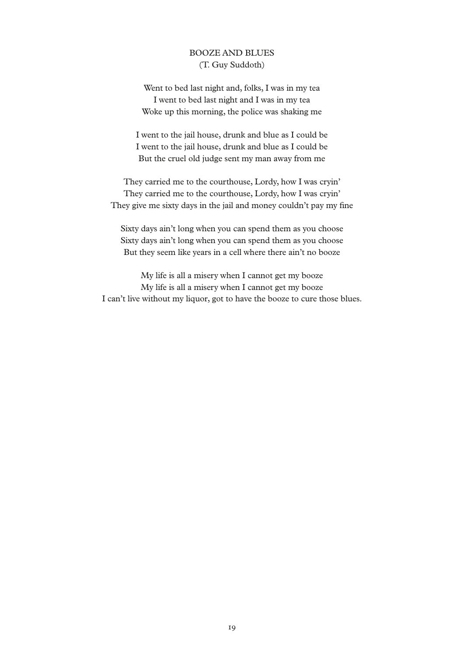## BOOZE AND BLUES (T. Guy Suddoth)

<span id="page-20-0"></span>Went to bed last night and, folks, I was in my tea I went to bed last night and I was in my tea Woke up this morning, the police was shaking me

I went to the jail house, drunk and blue as I could be I went to the jail house, drunk and blue as I could be But the cruel old judge sent my man away from me

They carried me to the courthouse, Lordy, how I was cryin' They carried me to the courthouse, Lordy, how I was cryin' They give me sixty days in the jail and money couldn't pay my fine

Sixty days ain't long when you can spend them as you choose Sixty days ain't long when you can spend them as you choose But they seem like years in a cell where there ain't no booze

My life is all a misery when I cannot get my booze My life is all a misery when I cannot get my booze I can't live without my liquor, got to have the booze to cure those blues.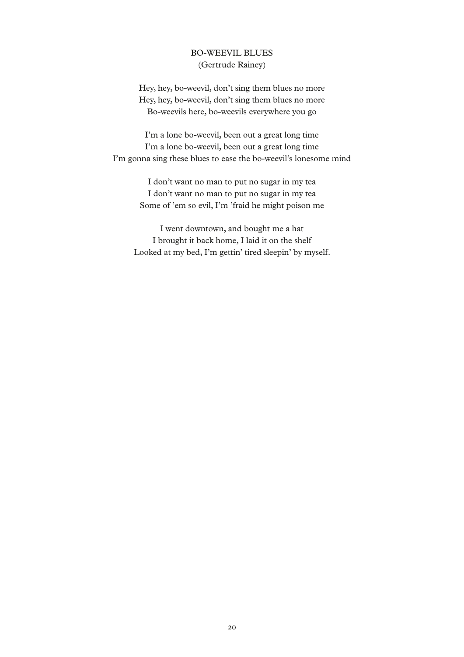## BO-WEEVIL BLUES (Gertrude Rainey)

<span id="page-21-0"></span>Hey, hey, bo-weevil, don't sing them blues no more Hey, hey, bo-weevil, don't sing them blues no more Bo-weevils here, bo-weevils everywhere you go

I'm a lone bo-weevil, been out a great long time I'm a lone bo-weevil, been out a great long time I'm gonna sing these blues to ease the bo-weevil's lonesome mind

> I don't want no man to put no sugar in my tea I don't want no man to put no sugar in my tea Some of 'em so evil, I'm 'fraid he might poison me

I went downtown, and bought me a hat I brought it back home, I laid it on the shelf Looked at my bed, I'm gettin' tired sleepin' by myself.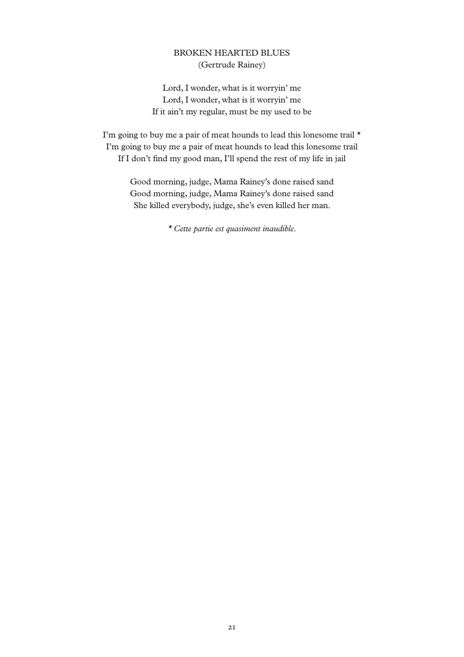## BROKEN HEARTED BLUES (Gertrude Rainey)

Lord, I wonder, what is it worryin' me Lord, I wonder, what is it worryin' me If it ain't my regular, must be my used to be

<span id="page-22-0"></span>I'm going to buy me a pair of meat hounds to lead this lonesome trail  $\star$ I'm going to buy me a pair of meat hounds to lead this lonesome trail If I don't find my good man, I'll spend the rest of my life in jail

> Good morning, judge, Mama Rainey's done raised sand Good morning, judge, Mama Rainey's done raised sand She killed everybody, judge, she's even killed her man.

> > *\* Cette partie est quasiment inaudible.*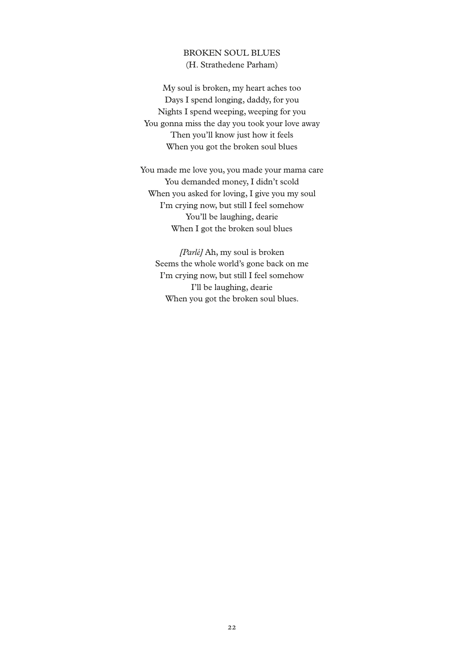## BROKEN SOUL BLUES (H. Strathedene Parham)

<span id="page-23-0"></span>My soul is broken, my heart aches too Days I spend longing, daddy, for you Nights I spend weeping, weeping for you You gonna miss the day you took your love away Then you'll know just how it feels When you got the broken soul blues

You made me love you, you made your mama care You demanded money, I didn't scold When you asked for loving, I give you my soul I'm crying now, but still I feel somehow You'll be laughing, dearie When I got the broken soul blues

*[Parlé]* Ah, my soul is broken Seems the whole world's gone back on me I'm crying now, but still I feel somehow I'll be laughing, dearie When you got the broken soul blues.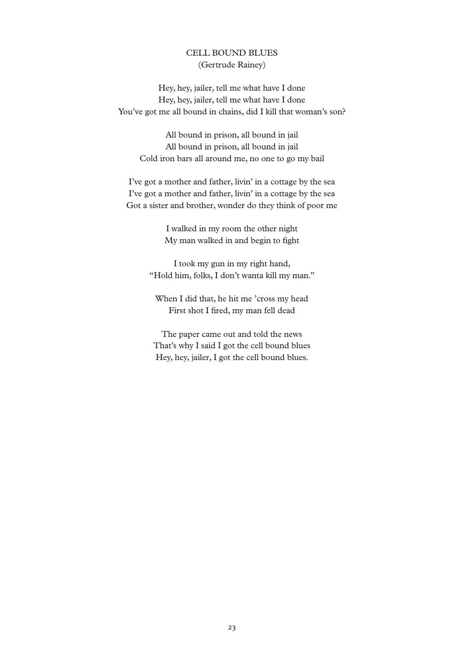## CELL BOUND BLUES (Gertrude Rainey)

<span id="page-24-0"></span>Hey, hey, jailer, tell me what have I done Hey, hey, jailer, tell me what have I done You've got me all bound in chains, did I kill that woman's son?

All bound in prison, all bound in jail All bound in prison, all bound in jail Cold iron bars all around me, no one to go my bail

I've got a mother and father, livin' in a cottage by the sea I've got a mother and father, livin' in a cottage by the sea Got a sister and brother, wonder do they think of poor me

> I walked in my room the other night My man walked in and begin to fight

I took my gun in my right hand, "Hold him, folks, I don't wanta kill my man."

When I did that, he hit me 'cross my head First shot I fired, my man fell dead

The paper came out and told the news That's why I said I got the cell bound blues Hey, hey, jailer, I got the cell bound blues.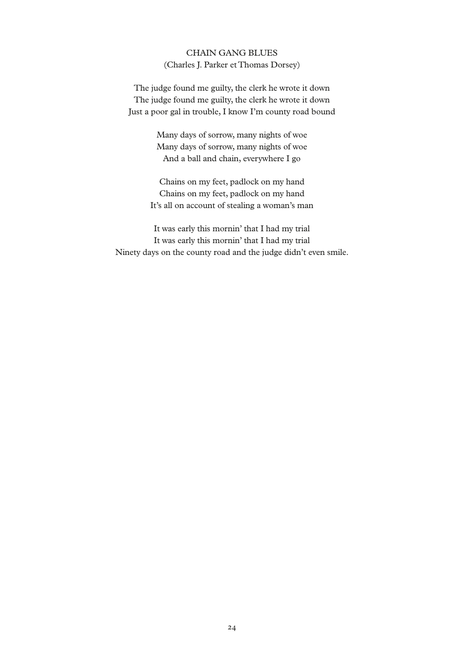## CHAIN GANG BLUES (Charles J. Parker et Thomas Dorsey)

<span id="page-25-0"></span>The judge found me guilty, the clerk he wrote it down The judge found me guilty, the clerk he wrote it down Just a poor gal in trouble, I know I'm county road bound

> Many days of sorrow, many nights of woe Many days of sorrow, many nights of woe And a ball and chain, everywhere I go

Chains on my feet, padlock on my hand Chains on my feet, padlock on my hand It's all on account of stealing a woman's man

It was early this mornin' that I had my trial It was early this mornin' that I had my trial Ninety days on the county road and the judge didn't even smile.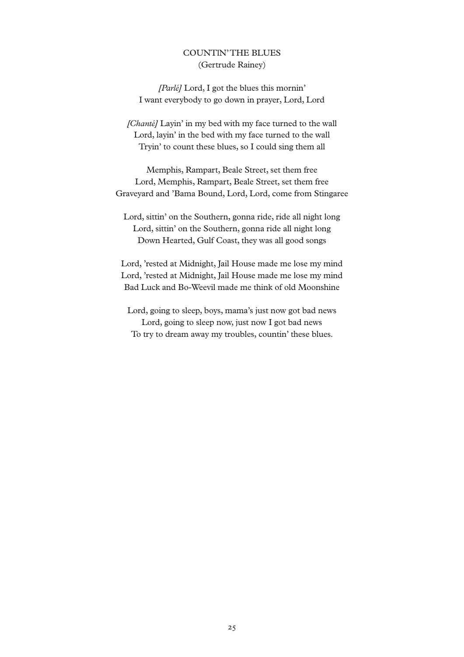## COUNTlN' THE BLUES (Gertrude Rainey)

<span id="page-26-0"></span>*[Parlé]* Lord, I got the blues this mornin' I want everybody to go down in prayer, Lord, Lord

*[Chanté]* Layin' in my bed with my face turned to the wall Lord, layin' in the bed with my face turned to the wall Tryin' to count these blues, so I could sing them all

Memphis, Rampart, Beale Street, set them free Lord, Memphis, Rampart, Beale Street, set them free Graveyard and 'Bama Bound, Lord, Lord, come from Stingaree

Lord, sittin' on the Southern, gonna ride, ride all night long Lord, sittin' on the Southern, gonna ride all night long Down Hearted, Gulf Coast, they was all good songs

Lord, 'rested at Midnight, Jail House made me lose my mind Lord, 'rested at Midnight, Jail House made me lose my mind Bad Luck and Bo-Weevil made me think of old Moonshine

Lord, going to sleep, boys, mama's just now got bad news Lord, going to sleep now, just now I got bad news To try to dream away my troubles, countin' these blues.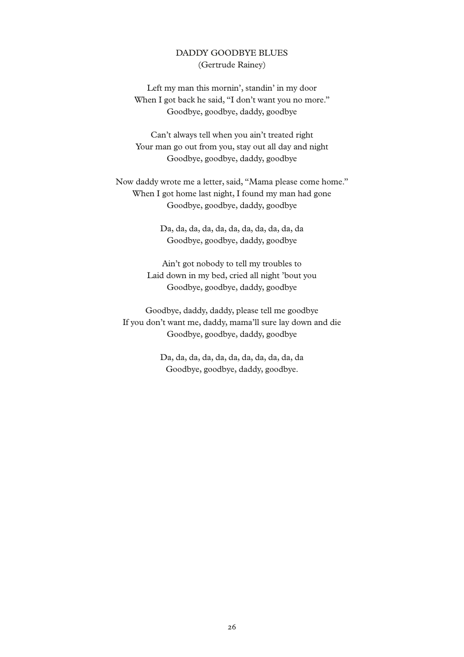#### DADDY GOODBYE BLUES (Gertrude Rainey)

<span id="page-27-0"></span>Left my man this mornin', standin' in my door When I got back he said, "I don't want you no more." Goodbye, goodbye, daddy, goodbye

Can't always tell when you ain't treated right Your man go out from you, stay out all day and night Goodbye, goodbye, daddy, goodbye

Now daddy wrote me a letter, said, "Mama please come home." When I got home last night, I found my man had gone Goodbye, goodbye, daddy, goodbye

> Da, da, da, da, da, da, da, da, da, da, da Goodbye, goodbye, daddy, goodbye

Ain't got nobody to tell my troubles to Laid down in my bed, cried all night 'bout you Goodbye, goodbye, daddy, goodbye

Goodbye, daddy, daddy, please tell me goodbye If you don't want me, daddy, mama'll sure lay down and die Goodbye, goodbye, daddy, goodbye

> Da, da, da, da, da, da, da, da, da, da, da Goodbye, goodbye, daddy, goodbye.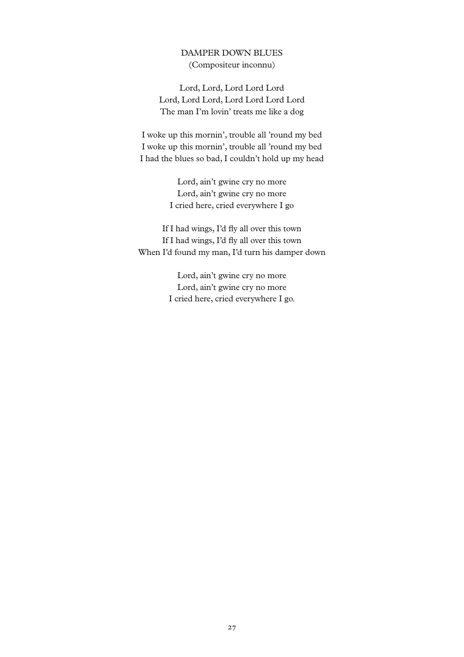## DAMPER DOWN BLUES

(Compositeur inconnu)

<span id="page-28-0"></span>Lord, Lord, Lord Lord Lord Lord, Lord Lord, Lord Lord Lord Lord The man I'm lovin' treats me like a dog

I woke up this mornin', trouble all 'round my bed I woke up this mornin', trouble all 'round my bed I had the blues so bad, I couldn't hold up my head

> Lord, ain't gwine cry no more Lord, ain't gwine cry no more I cried here, cried everywhere I go

If I had wings, I'd fly all over this town If I had wings, I'd fly all over this town When I'd found my man, I'd turn his damper down

> Lord, ain't gwine cry no more Lord, ain't gwine cry no more I cried here, cried everywhere I go.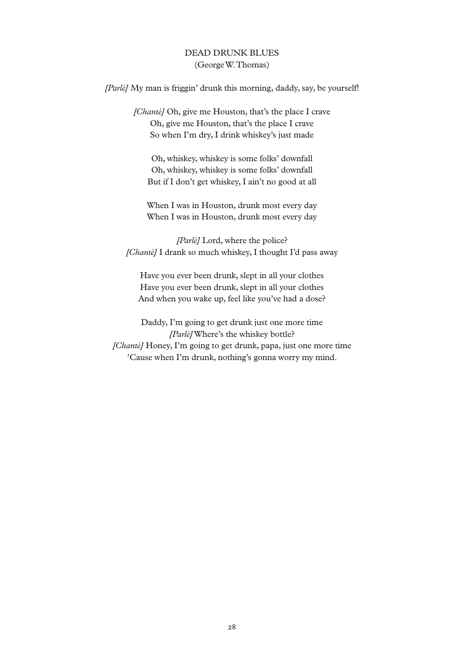#### DEAD DRUNK BLUES (George W. Thomas)

<span id="page-29-0"></span>*[Parlé]* My man is friggin' drunk this morning, daddy, say, be yourself!

*[Chanté]* Oh, give me Houston, that's the place I crave Oh, give me Houston, that's the place I crave So when I'm dry, I drink whiskey's just made

Oh, whiskey, whiskey is some folks' downfall Oh, whiskey, whiskey is some folks' downfall But if I don't get whiskey, I ain't no good at all

When I was in Houston, drunk most every day When I was in Houston, drunk most every day

*[Parlé]* Lord, where the police? *[Chanté]* I drank so much whiskey, I thought I'd pass away

Have you ever been drunk, slept in all your clothes Have you ever been drunk, slept in all your clothes And when you wake up, feel like you've had a dose?

Daddy, I'm going to get drunk just one more time *[Parlé]* Where's the whiskey bottle? *[Chanté]* Honey, I'm going to get drunk, papa, just one more time 'Cause when I'm drunk, nothing's gonna worry my mind.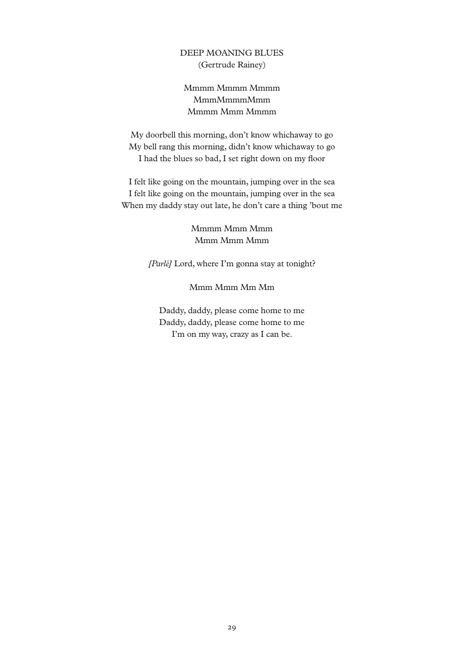## DEEP MOANING BLUES (Gertrude Rainey)

## Mmmm Mmmm Mmmm MmmMmmmMmm Mmmm Mmm Mmmm

<span id="page-30-0"></span>My doorbell this morning, don't know whichaway to go My bell rang this morning, didn't know whichaway to go I had the blues so bad, I set right down on my floor

I felt like going on the mountain, jumping over in the sea I felt like going on the mountain, jumping over in the sea When my daddy stay out late, he don't care a thing 'bout me

> Mmmm Mmm Mmm Mmm Mmm Mmm

*[Parlé]* Lord, where I'm gonna stay at tonight?

Mmm Mmm Mm Mm

Daddy, daddy, please come home to me Daddy, daddy, please come home to me I'm on my way, crazy as I can be.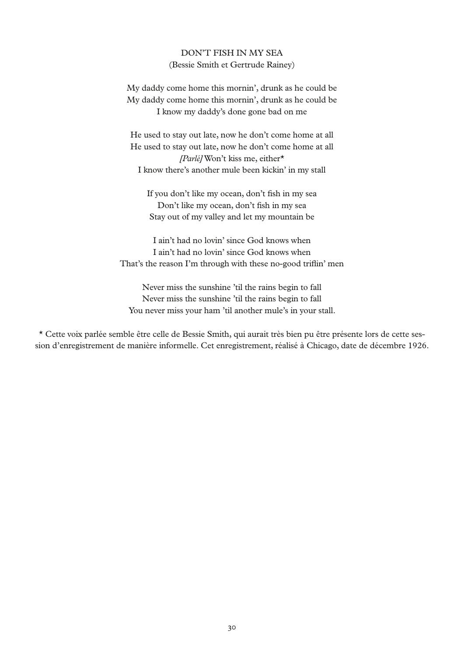#### DON'T FISH IN MY SEA (Bessie Smith et Gertrude Rainey)

<span id="page-31-0"></span>My daddy come home this mornin', drunk as he could be My daddy come home this mornin', drunk as he could be I know my daddy's done gone bad on me

He used to stay out late, now he don't come home at all He used to stay out late, now he don't come home at all *[Parlé]* Won't kiss me, either\* I know there's another mule been kickin' in my stall

If you don't like my ocean, don't fish in my sea Don't like my ocean, don't fish in my sea Stay out of my valley and let my mountain be

I ain't had no lovin' since God knows when I ain't had no lovin' since God knows when That's the reason I'm through with these no-good triflin' men

Never miss the sunshine 'til the rains begin to fall Never miss the sunshine 'til the rains begin to fall You never miss your ham 'til another mule's in your stall.

\* Cette voix parlée semble être celle de Bessie Smith, qui aurait très bien pu être présente lors de cette session d'enregistrement de manière informelle. Cet enregistrement, réalisé à Chicago, date de décembre 1926.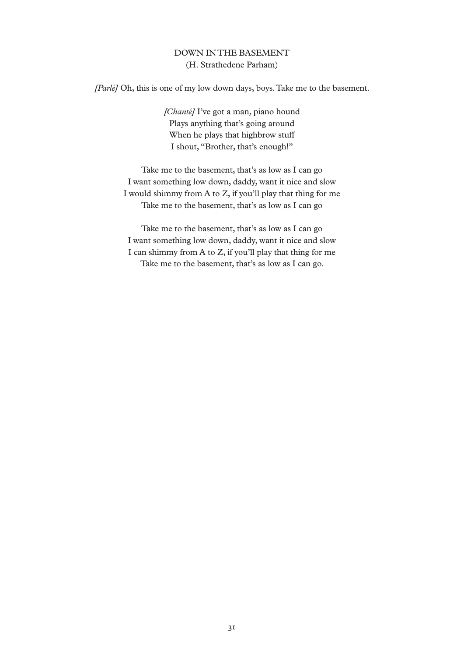## DOWN IN THE BASEMENT (H. Strathedene Parham)

<span id="page-32-0"></span>*[Parlé]* Oh, this is one of my low down days, boys. Take me to the basement.

*[Chanté]* I've got a man, piano hound Plays anything that's going around When he plays that highbrow stuff I shout, "Brother, that's enough!"

Take me to the basement, that's as low as I can go I want something low down, daddy, want it nice and slow I would shimmy from A to Z, if you'll play that thing for me Take me to the basement, that's as low as I can go

Take me to the basement, that's as low as I can go I want something low down, daddy, want it nice and slow I can shimmy from A to Z, if you'll play that thing for me Take me to the basement, that's as low as I can go.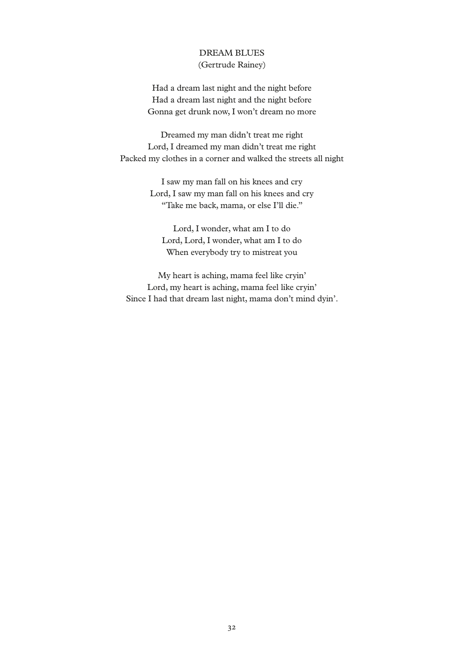#### DREAM BLUES (Gertrude Rainey)

<span id="page-33-0"></span>Had a dream last night and the night before Had a dream last night and the night before Gonna get drunk now, I won't dream no more

Dreamed my man didn't treat me right Lord, I dreamed my man didn't treat me right Packed my clothes in a corner and walked the streets all night

> I saw my man fall on his knees and cry Lord, I saw my man fall on his knees and cry "Take me back, mama, or else I'll die."

Lord, I wonder, what am I to do Lord, Lord, I wonder, what am I to do When everybody try to mistreat you

My heart is aching, mama feel like cryin' Lord, my heart is aching, mama feel like cryin' Since I had that dream last night, mama don't mind dyin'.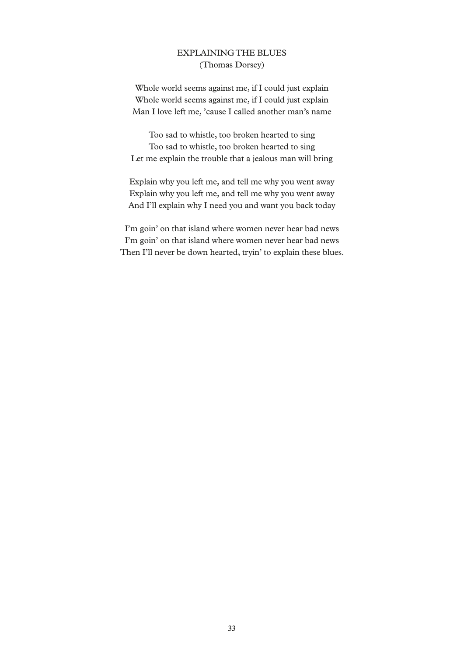## EXPLAINING THE BLUES (Thomas Dorsey)

<span id="page-34-0"></span>Whole world seems against me, if I could just explain Whole world seems against me, if I could just explain Man I love left me, 'cause I called another man's name

Too sad to whistle, too broken hearted to sing Too sad to whistle, too broken hearted to sing Let me explain the trouble that a jealous man will bring

Explain why you left me, and tell me why you went away Explain why you left me, and tell me why you went away And I'll explain why I need you and want you back today

I'm goin' on that island where women never hear bad news I'm goin' on that island where women never hear bad news Then I'll never be down hearted, tryin' to explain these blues.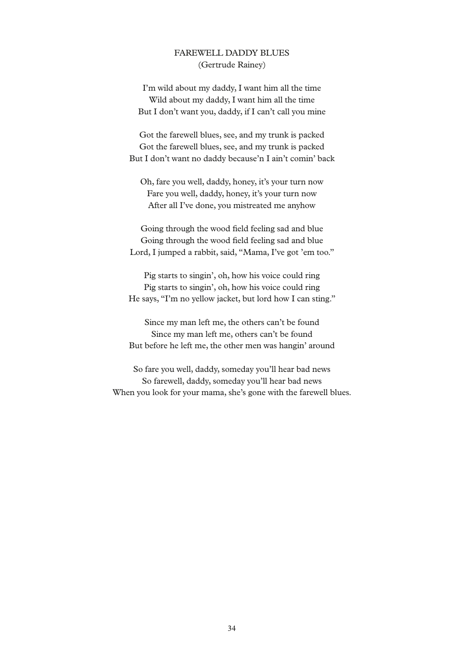#### FAREWELL DADDY BLUES (Gertrude Rainey)

<span id="page-35-0"></span>I'm wild about my daddy, I want him all the time Wild about my daddy, I want him all the time But I don't want you, daddy, if I can't call you mine

Got the farewell blues, see, and my trunk is packed Got the farewell blues, see, and my trunk is packed But I don't want no daddy because'n I ain't comin' back

Oh, fare you well, daddy, honey, it's your turn now Fare you well, daddy, honey, it's your turn now After all I've done, you mistreated me anyhow

Going through the wood field feeling sad and blue Going through the wood field feeling sad and blue Lord, I jumped a rabbit, said, "Mama, I've got 'em too."

Pig starts to singin', oh, how his voice could ring Pig starts to singin', oh, how his voice could ring He says, "I'm no yellow jacket, but lord how I can sting."

Since my man left me, the others can't be found Since my man left me, others can't be found But before he left me, the other men was hangin' around

So fare you well, daddy, someday you'll hear bad news So farewell, daddy, someday you'll hear bad news When you look for your mama, she's gone with the farewell blues.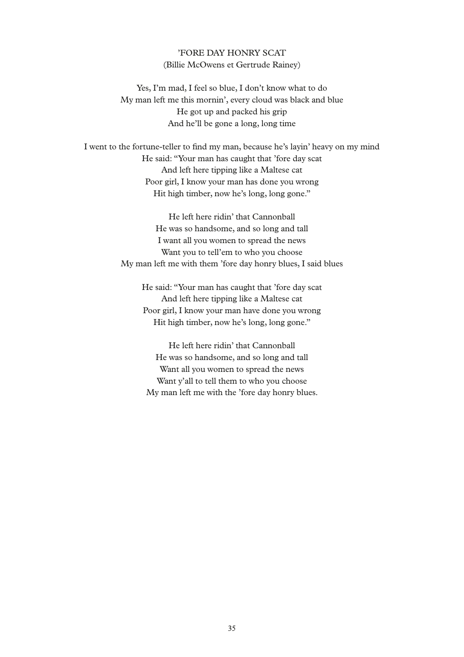# 'FORE DAY HONRY SCAT (Billie McOwens et Gertrude Rainey)

Yes, I'm mad, I feel so blue, I don't know what to do My man left me this mornin', every cloud was black and blue He got up and packed his grip And he'll be gone a long, long time

I went to the fortune-teller to find my man, because he's layin' heavy on my mind He said: "Your man has caught that 'fore day scat And left here tipping like a Maltese cat Poor girl, I know your man has done you wrong Hit high timber, now he's long, long gone."

> He left here ridin' that Cannonball He was so handsome, and so long and tall I want all you women to spread the news Want you to tell'em to who you choose My man left me with them 'fore day honry blues, I said blues

He said: "Your man has caught that 'fore day scat And left here tipping like a Maltese cat Poor girl, I know your man have done you wrong Hit high timber, now he's long, long gone."

He left here ridin' that Cannonball He was so handsome, and so long and tall Want all you women to spread the news Want y'all to tell them to who you choose My man left me with the 'fore day honry blues.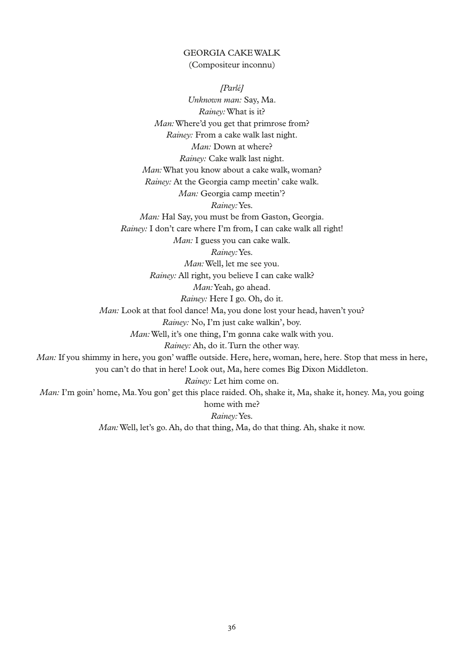### GEORGIA CAKE WALK

(Compositeur inconnu)

*[Parlé] Unknown man:* Say, Ma. *Rainey:* What is it? *Man:* Where'd you get that primrose from? *Rainey:* From a cake walk last night. *Man:* Down at where? *Rainey:* Cake walk last night. *Man:* What you know about a cake walk, woman? *Rainey:* At the Georgia camp meetin' cake walk. *Man:* Georgia camp meetin'? *Rainey:* Yes. *Man:* Hal Say, you must be from Gaston, Georgia. *Rainey:* I don't care where I'm from, I can cake walk all right! *Man:* I guess you can cake walk. *Rainey:* Yes. *Man:* Well, let me see you. *Rainey:* All right, you believe I can cake walk? *Man:* Yeah, go ahead. *Rainey:* Here I go. Oh, do it. *Man:* Look at that fool dance! Ma, you done lost your head, haven't you? *Rainey:* No, I'm just cake walkin', boy. *Man:* Well, it's one thing, I'm gonna cake walk with you. *Rainey:* Ah, do it. Turn the other way. *Man:* If you shimmy in here, you gon' waffle outside. Here, here, woman, here, here. Stop that mess in here, you can't do that in here! Look out, Ma, here comes Big Dixon Middleton. *Rainey:* Let him come on. *Man:* I'm goin' home, Ma. You gon' get this place raided. Oh, shake it, Ma, shake it, honey. Ma, you going home with me? *Rainey:* Yes. *Man:* Well, let's go. Ah, do that thing, Ma, do that thing. Ah, shake it now.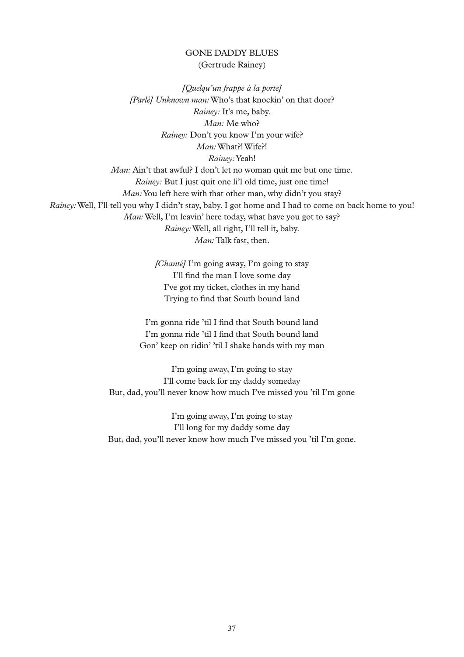## GONE DADDY BLUES

(Gertrude Rainey)

*[Quelqu'un frappe à la porte] [Parlé] Unknown man:* Who's that knockin' on that door? *Rainey:* It's me, baby. *Man:* Me who? *Rainey:* Don't you know I'm your wife? *Man:* What?! Wife?! *Rainey:* Yeah! *Man:* Ain't that awful? I don't let no woman quit me but one time. *Rainey:* But I just quit one li'l old time, just one time! *Man:* You left here with that other man, why didn't you stay? *Rainey:* Well, I'll tell you why I didn't stay, baby. I got home and I had to come on back home to you! *Man:* Well, I'm leavin' here today, what have you got to say? *Rainey:* Well, all right, I'll tell it, baby. *Man:* Talk fast, then.

> *[Chanté]* I'm going away, I'm going to stay I'll find the man I love some day I've got my ticket, clothes in my hand Trying to find that South bound land

I'm gonna ride 'til I find that South bound land I'm gonna ride 'til I find that South bound land Gon' keep on ridin' 'til I shake hands with my man

I'm going away, I'm going to stay I'll come back for my daddy someday But, dad, you'll never know how much I've missed you 'til I'm gone

I'm going away, I'm going to stay I'll long for my daddy some day But, dad, you'll never know how much I've missed you 'til I'm gone.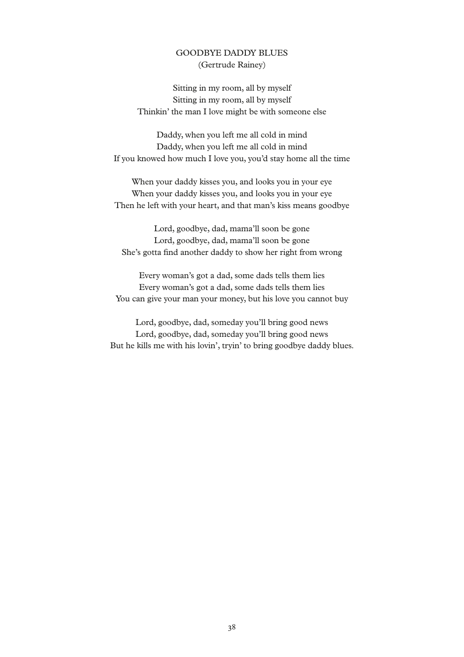### GOODBYE DADDY BLUES (Gertrude Rainey)

Sitting in my room, all by myself Sitting in my room, all by myself Thinkin' the man I love might be with someone else

Daddy, when you left me all cold in mind Daddy, when you left me all cold in mind If you knowed how much I love you, you'd stay home all the time

When your daddy kisses you, and looks you in your eye When your daddy kisses you, and looks you in your eye Then he left with your heart, and that man's kiss means goodbye

Lord, goodbye, dad, mama'll soon be gone Lord, goodbye, dad, mama'll soon be gone She's gotta find another daddy to show her right from wrong

Every woman's got a dad, some dads tells them lies Every woman's got a dad, some dads tells them lies You can give your man your money, but his love you cannot buy

Lord, goodbye, dad, someday you'll bring good news Lord, goodbye, dad, someday you'll bring good news But he kills me with his lovin', tryin' to bring goodbye daddy blues.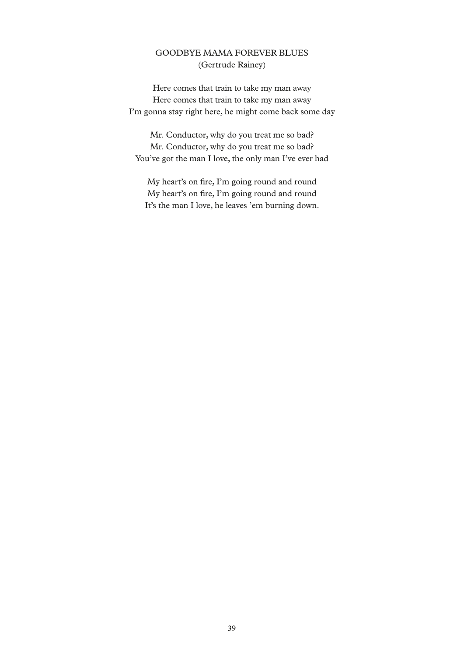# GOODBYE MAMA FOREVER BLUES (Gertrude Rainey)

Here comes that train to take my man away Here comes that train to take my man away I'm gonna stay right here, he might come back some day

Mr. Conductor, why do you treat me so bad? Mr. Conductor, why do you treat me so bad? You've got the man I love, the only man I've ever had

My heart's on fire, I'm going round and round My heart's on fire, I'm going round and round It's the man I love, he leaves 'em burning down.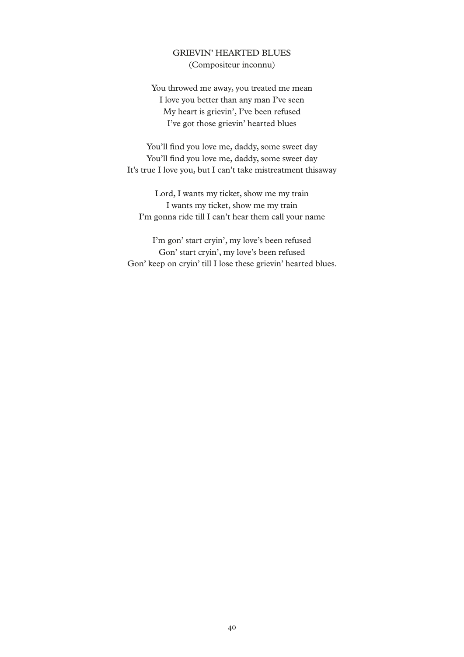### GRIEVIN' HEARTED BLUES

(Compositeur inconnu)

You throwed me away, you treated me mean I love you better than any man I've seen My heart is grievin', I've been refused I've got those grievin' hearted blues

You'll find you love me, daddy, some sweet day You'll find you love me, daddy, some sweet day It's true I love you, but I can't take mistreatment thisaway

Lord, I wants my ticket, show me my train I wants my ticket, show me my train I'm gonna ride till I can't hear them call your name

I'm gon' start cryin', my love's been refused Gon' start cryin', my love's been refused Gon' keep on cryin' till I lose these grievin' hearted blues.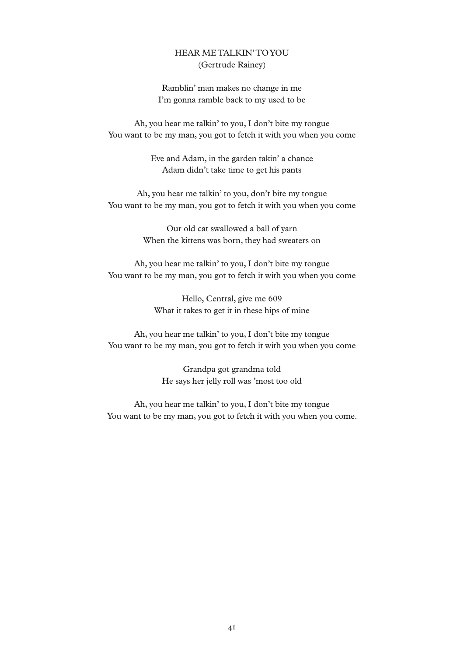# HEAR ME TALKIN' TO YOU (Gertrude Rainey)

Ramblin' man makes no change in me I'm gonna ramble back to my used to be

Ah, you hear me talkin' to you, I don't bite my tongue You want to be my man, you got to fetch it with you when you come

> Eve and Adam, in the garden takin' a chance Adam didn't take time to get his pants

Ah, you hear me talkin' to you, don't bite my tongue You want to be my man, you got to fetch it with you when you come

> Our old cat swallowed a ball of yarn When the kittens was born, they had sweaters on

Ah, you hear me talkin' to you, I don't bite my tongue You want to be my man, you got to fetch it with you when you come

> Hello, Central, give me 609 What it takes to get it in these hips of mine

Ah, you hear me talkin' to you, I don't bite my tongue You want to be my man, you got to fetch it with you when you come

> Grandpa got grandma told He says her jelly roll was 'most too old

Ah, you hear me talkin' to you, I don't bite my tongue You want to be my man, you got to fetch it with you when you come.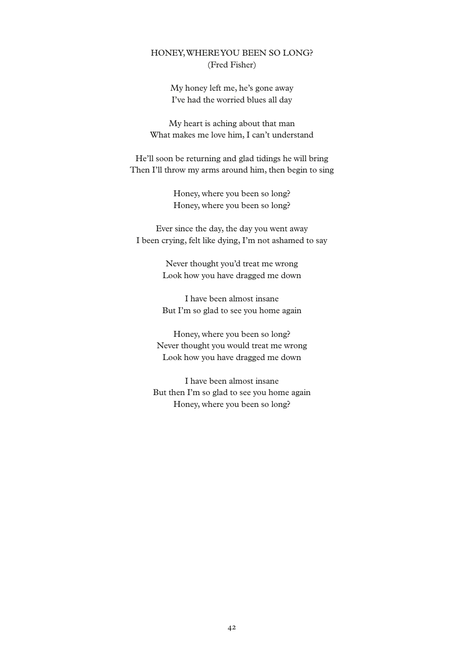# HONEY, WHERE YOU BEEN SO LONG? (Fred Fisher)

My honey left me, he's gone away I've had the worried blues all day

My heart is aching about that man What makes me love him, I can't understand

He'll soon be returning and glad tidings he will bring Then I'll throw my arms around him, then begin to sing

> Honey, where you been so long? Honey, where you been so long?

Ever since the day, the day you went away I been crying, felt like dying, I'm not ashamed to say

> Never thought you'd treat me wrong Look how you have dragged me down

> I have been almost insane But I'm so glad to see you home again

Honey, where you been so long? Never thought you would treat me wrong Look how you have dragged me down

I have been almost insane But then I'm so glad to see you home again Honey, where you been so long?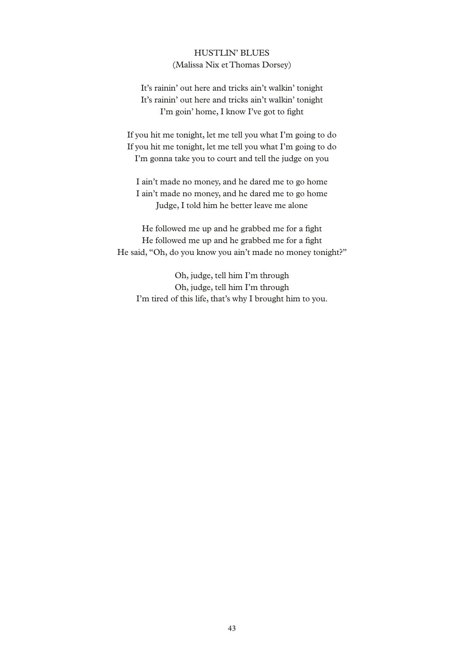# HUSTLIN' BLUES (Malissa Nix et Thomas Dorsey)

It's rainin' out here and tricks ain't walkin' tonight It's rainin' out here and tricks ain't walkin' tonight I'm goin' home, I know I've got to fight

If you hit me tonight, let me tell you what I'm going to do If you hit me tonight, let me tell you what I'm going to do I'm gonna take you to court and tell the judge on you

I ain't made no money, and he dared me to go home I ain't made no money, and he dared me to go home Judge, I told him he better leave me alone

He followed me up and he grabbed me for a fight He followed me up and he grabbed me for a fight He said, "Oh, do you know you ain't made no money tonight?"

Oh, judge, tell him I'm through Oh, judge, tell him I'm through I'm tired of this life, that's why I brought him to you.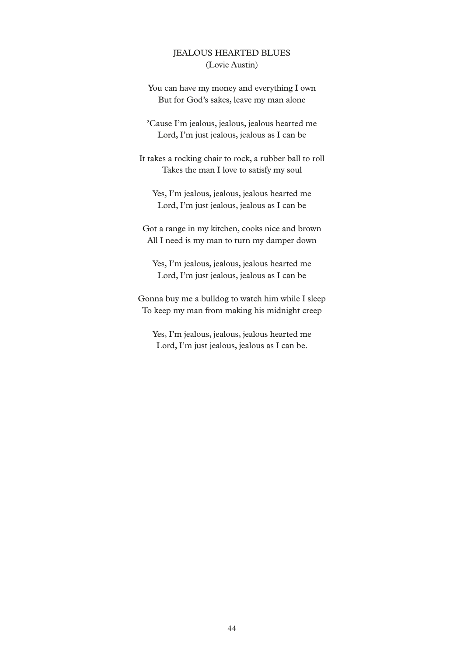### JEALOUS HEARTED BLUES (Lovie Austin)

You can have my money and everything I own But for God's sakes, leave my man alone

'Cause I'm jealous, jealous, jealous hearted me Lord, I'm just jealous, jealous as I can be

It takes a rocking chair to rock, a rubber ball to roll Takes the man I love to satisfy my soul

Yes, I'm jealous, jealous, jealous hearted me Lord, I'm just jealous, jealous as I can be

Got a range in my kitchen, cooks nice and brown All I need is my man to turn my damper down

Yes, I'm jealous, jealous, jealous hearted me Lord, I'm just jealous, jealous as I can be

Gonna buy me a bulldog to watch him while I sleep To keep my man from making his midnight creep

Yes, I'm jealous, jealous, jealous hearted me Lord, I'm just jealous, jealous as I can be.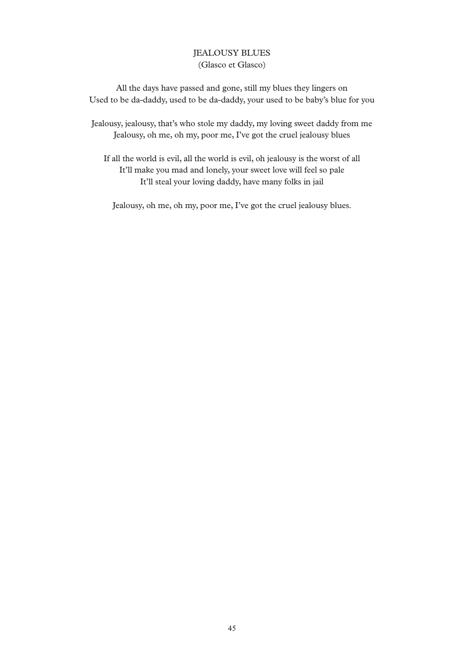### JEALOUSY BLUES (Glasco et Glasco)

All the days have passed and gone, still my blues they lingers on Used to be da-daddy, used to be da-daddy, your used to be baby's blue for you

Jealousy, jealousy, that's who stole my daddy, my loving sweet daddy from me Jealousy, oh me, oh my, poor me, I've got the cruel jealousy blues

If all the world is evil, all the world is evil, oh jealousy is the worst of all It'll make you mad and lonely, your sweet love will feel so pale It'll steal your loving daddy, have many folks in jail

Jealousy, oh me, oh my, poor me, I've got the cruel jealousy blues.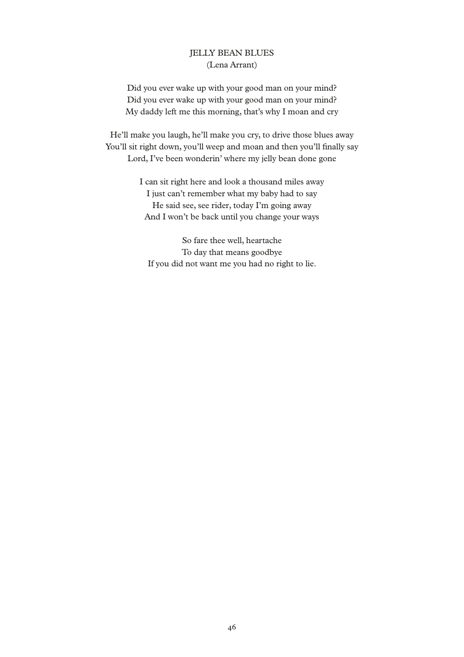# JELLY BEAN BLUES (Lena Arrant)

Did you ever wake up with your good man on your mind? Did you ever wake up with your good man on your mind? My daddy left me this morning, that's why I moan and cry

He'll make you laugh, he'll make you cry, to drive those blues away You'll sit right down, you'll weep and moan and then you'll finally say Lord, I've been wonderin' where my jelly bean done gone

> I can sit right here and look a thousand miles away I just can't remember what my baby had to say He said see, see rider, today I'm going away And I won't be back until you change your ways

So fare thee well, heartache To day that means goodbye If you did not want me you had no right to lie.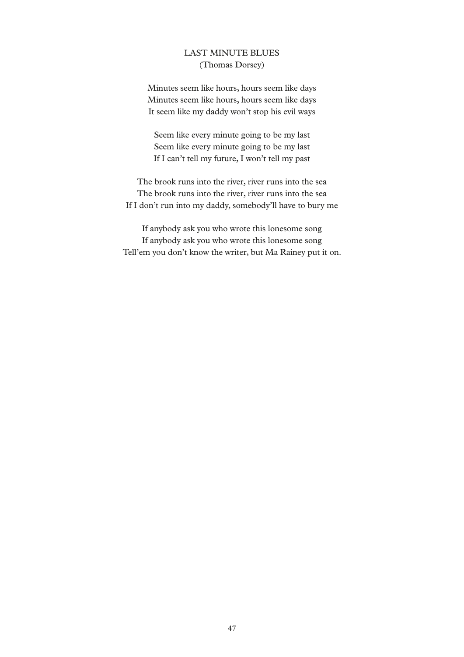# LAST MINUTE BLUES (Thomas Dorsey)

Minutes seem like hours, hours seem like days Minutes seem like hours, hours seem like days It seem like my daddy won't stop his evil ways

Seem like every minute going to be my last Seem like every minute going to be my last If I can't tell my future, I won't tell my past

The brook runs into the river, river runs into the sea The brook runs into the river, river runs into the sea If I don't run into my daddy, somebody'll have to bury me

If anybody ask you who wrote this lonesome song If anybody ask you who wrote this lonesome song Tell'em you don't know the writer, but Ma Rainey put it on.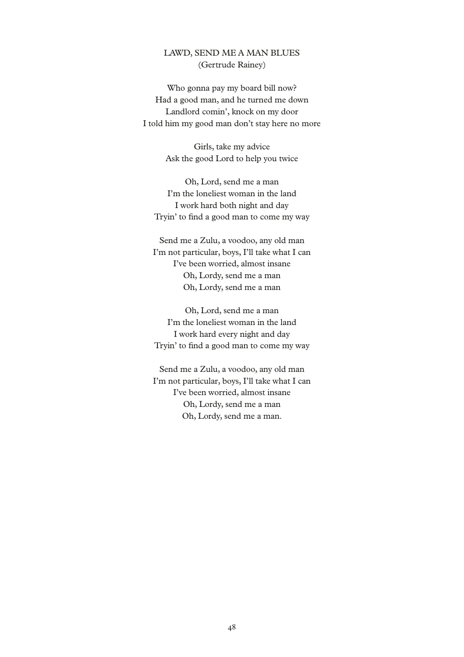## LAWD, SEND ME A MAN BLUES (Gertrude Rainey)

Who gonna pay my board bill now? Had a good man, and he turned me down Landlord comin', knock on my door I told him my good man don't stay here no more

> Girls, take my advice Ask the good Lord to help you twice

Oh, Lord, send me a man I'm the loneliest woman in the land I work hard both night and day Tryin' to find a good man to come my way

Send me a Zulu, a voodoo, any old man I'm not particular, boys, I'll take what I can I've been worried, almost insane Oh, Lordy, send me a man Oh, Lordy, send me a man

Oh, Lord, send me a man I'm the loneliest woman in the land I work hard every night and day Tryin' to find a good man to come my way

Send me a Zulu, a voodoo, any old man I'm not particular, boys, I'll take what I can I've been worried, almost insane Oh, Lordy, send me a man Oh, Lordy, send me a man.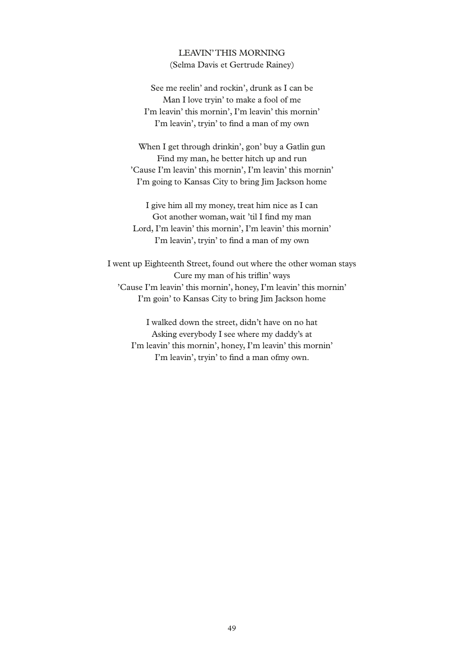# LEAVIN' THIS MORNING

(Selma Davis et Gertrude Rainey)

See me reelin' and rockin', drunk as I can be Man I love tryin' to make a fool of me I'm leavin' this mornin', I'm leavin' this mornin' I'm leavin', tryin' to find a man of my own

When I get through drinkin', gon' buy a Gatlin gun Find my man, he better hitch up and run 'Cause I'm leavin' this mornin', I'm leavin' this mornin' I'm going to Kansas City to bring Jim Jackson home

I give him all my money, treat him nice as I can Got another woman, wait 'til I find my man Lord, I'm leavin' this mornin', I'm leavin' this mornin' I'm leavin', tryin' to find a man of my own

I went up Eighteenth Street, found out where the other woman stays Cure my man of his triflin' ways 'Cause I'm leavin' this mornin', honey, I'm leavin' this mornin' I'm goin' to Kansas City to bring Jim Jackson home

I walked down the street, didn't have on no hat Asking everybody I see where my daddy's at I'm leavin' this mornin', honey, I'm leavin' this mornin' I'm leavin', tryin' to find a man ofmy own.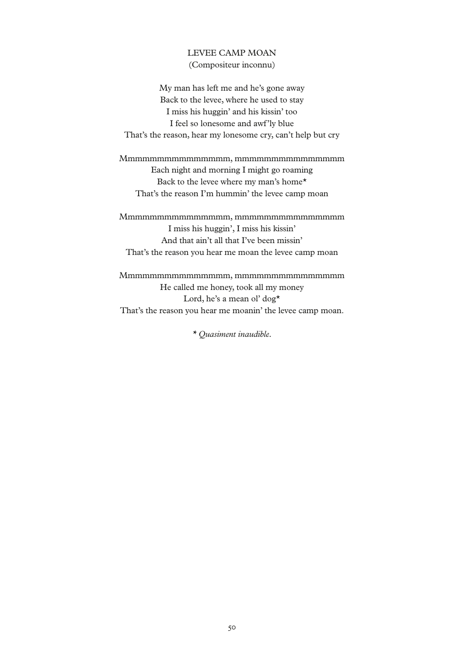### LEVEE CAMP MOAN

(Compositeur inconnu)

My man has left me and he's gone away Back to the levee, where he used to stay I miss his huggin' and his kissin' too I feel so lonesome and awf'ly blue That's the reason, hear my lonesome cry, can't help but cry

Mmmmmmmmmmmmmmm, mmmmmmmmmmmmmmm Each night and morning I might go roaming Back to the levee where my man's home\* That's the reason I'm hummin' the levee camp moan

Mmmmmmmmmmmmmmm, mmmmmmmmmmmmmmm I miss his huggin', I miss his kissin' And that ain't all that I've been missin' That's the reason you hear me moan the levee camp moan

Mmmmmmmmmmmmmmm, mmmmmmmmmmmmmmm He called me honey, took all my money Lord, he's a mean ol' dog\* That's the reason you hear me moanin' the levee camp moan.

*\* Quasiment inaudible.*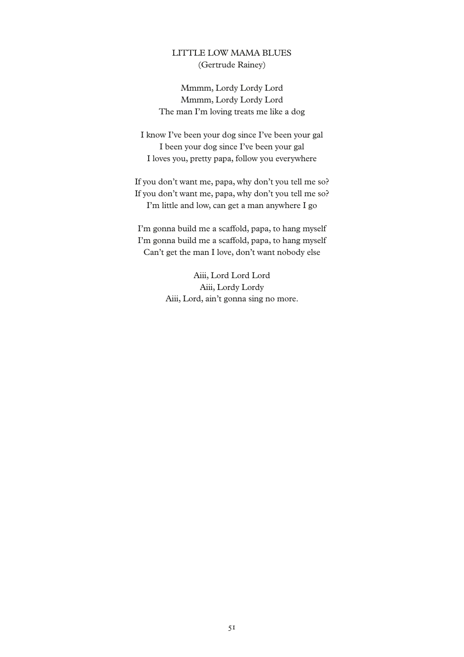# LITTLE LOW MAMA BLUES (Gertrude Rainey)

Mmmm, Lordy Lordy Lord Mmmm, Lordy Lordy Lord The man I'm loving treats me like a dog

I know I've been your dog since I've been your gal I been your dog since I've been your gal I loves you, pretty papa, follow you everywhere

If you don't want me, papa, why don't you tell me so? If you don't want me, papa, why don't you tell me so? I'm little and low, can get a man anywhere I go

I'm gonna build me a scaffold, papa, to hang myself I'm gonna build me a scaffold, papa, to hang myself Can't get the man I love, don't want nobody else

> Aiii, Lord Lord Lord Aiii, Lordy Lordy Aiii, Lord, ain't gonna sing no more.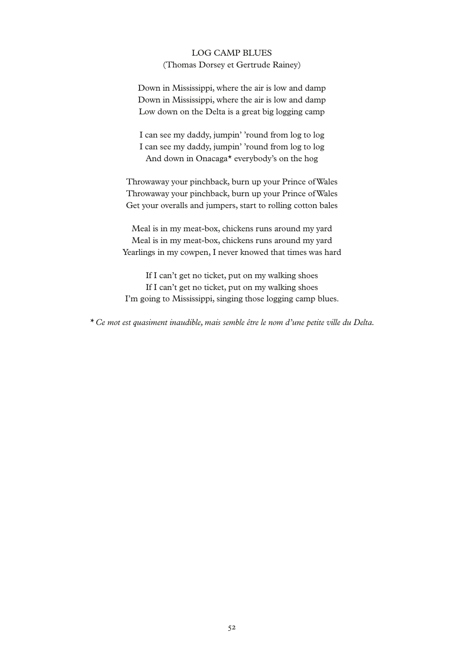# LOG CAMP BLUES (Thomas Dorsey et Gertrude Rainey)

Down in Mississippi, where the air is low and damp Down in Mississippi, where the air is low and damp Low down on the Delta is a great big logging camp

I can see my daddy, jumpin' 'round from log to log I can see my daddy, jumpin' 'round from log to log And down in Onacaga\* everybody's on the hog

Throwaway your pinchback, burn up your Prince of Wales Throwaway your pinchback, burn up your Prince of Wales Get your overalls and jumpers, start to rolling cotton bales

Meal is in my meat-box, chickens runs around my yard Meal is in my meat-box, chickens runs around my yard Yearlings in my cowpen, I never knowed that times was hard

If I can't get no ticket, put on my walking shoes If I can't get no ticket, put on my walking shoes I'm going to Mississippi, singing those logging camp blues.

*\* Ce mot est quasiment inaudible, mais semble être le nom d'une petite ville du Delta.*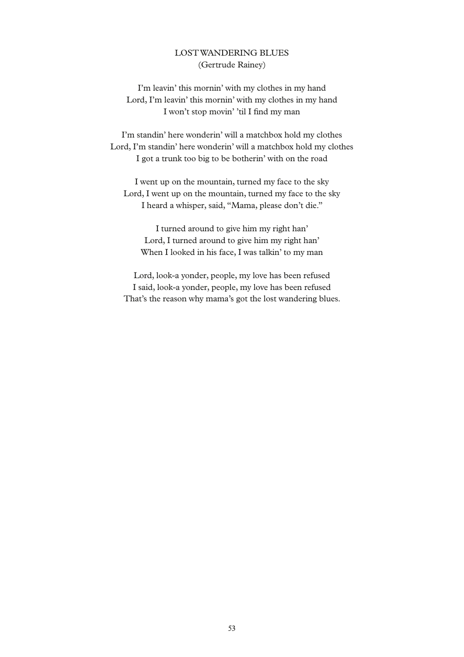# LOST WANDERING BLUES (Gertrude Rainey)

I'm leavin' this mornin' with my clothes in my hand Lord, I'm leavin' this mornin' with my clothes in my hand I won't stop movin' 'til I find my man

I'm standin' here wonderin' will a matchbox hold my clothes Lord, I'm standin' here wonderin' will a matchbox hold my clothes I got a trunk too big to be botherin' with on the road

I went up on the mountain, turned my face to the sky Lord, I went up on the mountain, turned my face to the sky I heard a whisper, said, "Mama, please don't die."

I turned around to give him my right han' Lord, I turned around to give him my right han' When I looked in his face, I was talkin' to my man

Lord, look-a yonder, people, my love has been refused I said, look-a yonder, people, my love has been refused That's the reason why mama's got the lost wandering blues.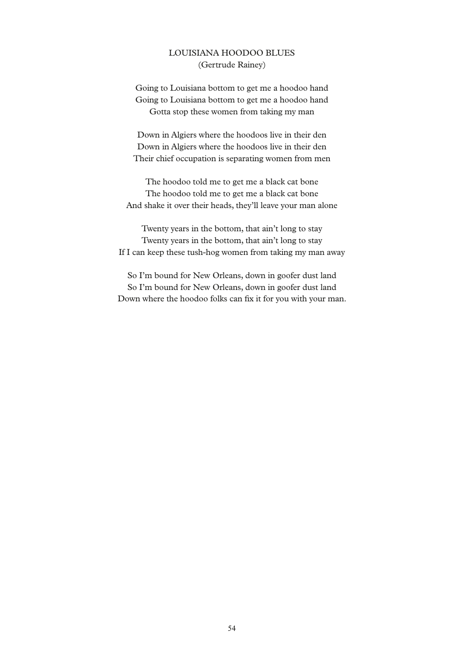# LOUISIANA HOODOO BLUES (Gertrude Rainey)

Going to Louisiana bottom to get me a hoodoo hand Going to Louisiana bottom to get me a hoodoo hand Gotta stop these women from taking my man

Down in Algiers where the hoodoos live in their den Down in Algiers where the hoodoos live in their den Their chief occupation is separating women from men

The hoodoo told me to get me a black cat bone The hoodoo told me to get me a black cat bone And shake it over their heads, they'll leave your man alone

Twenty years in the bottom, that ain't long to stay Twenty years in the bottom, that ain't long to stay If I can keep these tush-hog women from taking my man away

So I'm bound for New Orleans, down in goofer dust land So I'm bound for New Orleans, down in goofer dust land Down where the hoodoo folks can fix it for you with your man.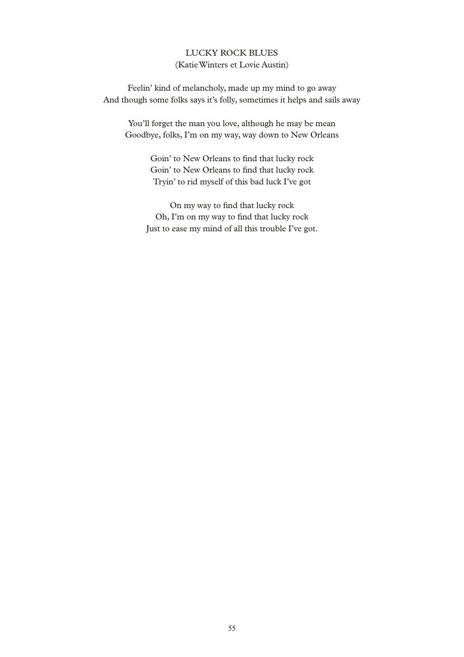# LUCKY ROCK BLUES

### (Katie Winters et Lovie Austin)

Feelin' kind of melancholy, made up my mind to go away And though some folks says it's folly, sometimes it helps and sails away

You'll forget the man you love, although he may be mean Goodbye, folks, I'm on my way, way down to New Orleans

> Goin' to New Orleans to find that lucky rock Goin' to New Orleans to find that lucky rock Tryin' to rid myself of this bad luck I've got

On my way to find that lucky rock Oh, I'm on my way to find that lucky rock Just to ease my mind of all this trouble I've got.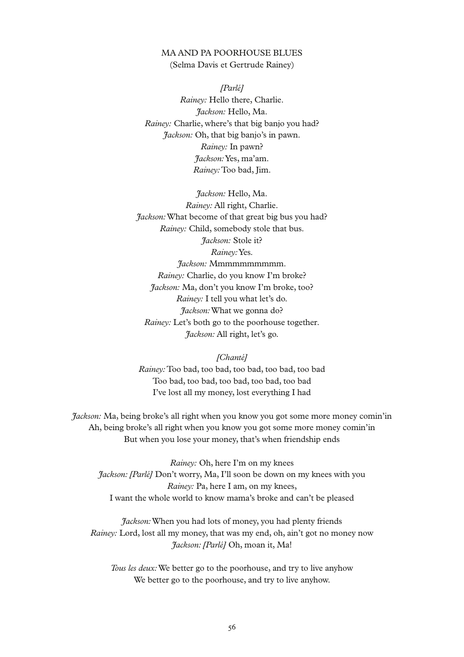#### MA AND PA POORHOUSE BLUES

(Selma Davis et Gertrude Rainey)

*[Parlé] Rainey:* Hello there, Charlie. *Jackson:* Hello, Ma. *Rainey:* Charlie, where's that big banjo you had? *Jackson:* Oh, that big banjo's in pawn. *Rainey:* In pawn? *Jackson:* Yes, ma'am. *Rainey:* Too bad, Jim.

*Jackson:* Hello, Ma. *Rainey:* All right, Charlie. *Jackson:* What become of that great big bus you had? *Rainey:* Child, somebody stole that bus. *Jackson:* Stole it? *Rainey:* Yes. *Jackson:* Mmmmmmmmmm. *Rainey:* Charlie, do you know I'm broke? *Jackson:* Ma, don't you know I'm broke, too? *Rainey:* I tell you what let's do. *Jackson:* What we gonna do? *Rainey:* Let's both go to the poorhouse together. *Jackson:* All right, let's go.

*[Chanté] Rainey:* Too bad, too bad, too bad, too bad, too bad Too bad, too bad, too bad, too bad, too bad I've lost all my money, lost everything I had

*Jackson:* Ma, being broke's all right when you know you got some more money comin'in Ah, being broke's all right when you know you got some more money comin'in But when you lose your money, that's when friendship ends

*Rainey:* Oh, here I'm on my knees *Jackson: [Parlé]* Don't worry, Ma, I'll soon be down on my knees with you *Rainey:* Pa, here I am, on my knees, I want the whole world to know mama's broke and can't be pleased

*Jackson:* When you had lots of money, you had plenty friends *Rainey:* Lord, lost all my money, that was my end, oh, ain't got no money now *Jackson: [Parlé]* Oh, moan it, Ma!

*Tous les deux:* We better go to the poorhouse, and try to live anyhow We better go to the poorhouse, and try to live anyhow.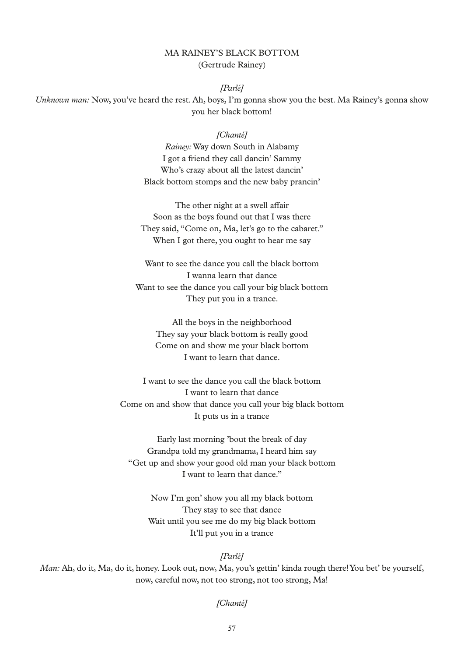# MA RAINEY'S BLACK BOTTOM

(Gertrude Rainey)

#### *[Parlé]*

*Unknown man:* Now, you've heard the rest. Ah, boys, I'm gonna show you the best. Ma Rainey's gonna show you her black bottom!

#### *[Chanté]*

*Rainey:* Way down South in Alabamy I got a friend they call dancin' Sammy Who's crazy about all the latest dancin' Black bottom stomps and the new baby prancin'

The other night at a swell affair Soon as the boys found out that I was there They said, "Come on, Ma, let's go to the cabaret." When I got there, you ought to hear me say

Want to see the dance you call the black bottom I wanna learn that dance Want to see the dance you call your big black bottom They put you in a trance.

All the boys in the neighborhood They say your black bottom is really good Come on and show me your black bottom I want to learn that dance.

I want to see the dance you call the black bottom I want to learn that dance Come on and show that dance you call your big black bottom It puts us in a trance

Early last morning 'bout the break of day Grandpa told my grandmama, I heard him say "Get up and show your good old man your black bottom I want to learn that dance."

Now I'm gon' show you all my black bottom They stay to see that dance Wait until you see me do my big black bottom It'll put you in a trance

#### *[Parlé]*

*Man:* Ah, do it, Ma, do it, honey. Look out, now, Ma, you's gettin' kinda rough there! You bet' be yourself, now, careful now, not too strong, not too strong, Ma!

#### *[Chanté]*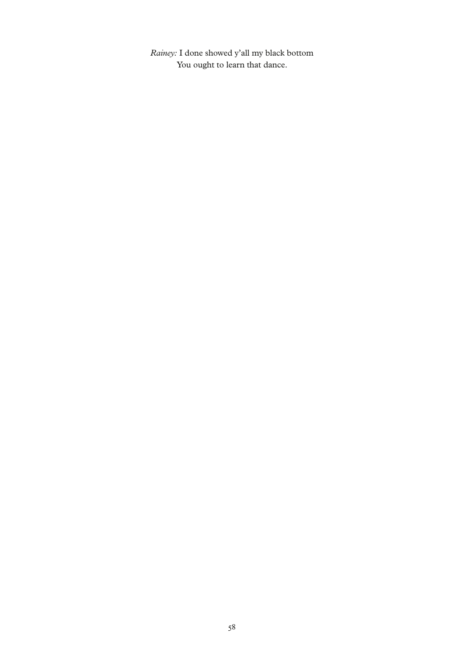*Rainey:* I done showed y'all my black bottom You ought to learn that dance.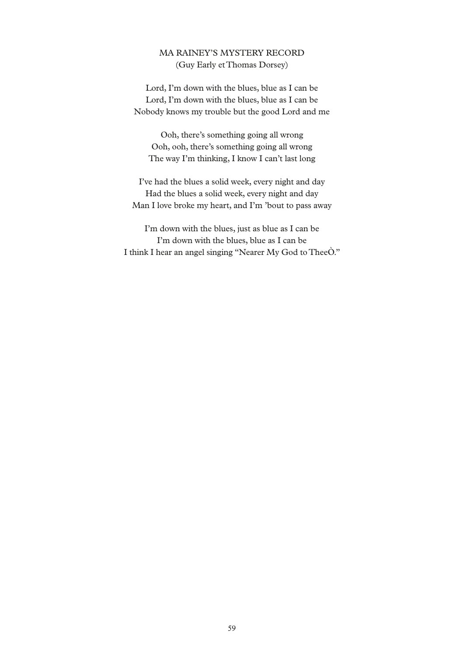### MA RAINEY'S MYSTERY RECORD (Guy Early et Thomas Dorsey)

Lord, I'm down with the blues, blue as I can be Lord, I'm down with the blues, blue as I can be Nobody knows my trouble but the good Lord and me

Ooh, there's something going all wrong Ooh, ooh, there's something going all wrong The way I'm thinking, I know I can't last long

I've had the blues a solid week, every night and day Had the blues a solid week, every night and day Man I love broke my heart, and I'm 'bout to pass away

I'm down with the blues, just as blue as I can be I'm down with the blues, blue as I can be I think I hear an angel singing "Nearer My God to TheeÒ."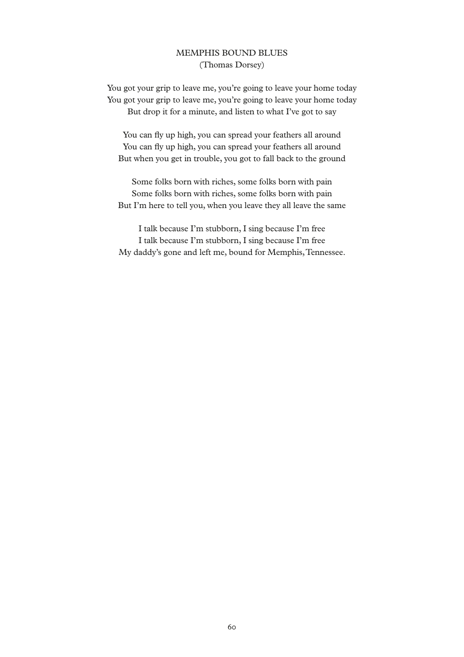# MEMPHIS BOUND BLUES (Thomas Dorsey)

You got your grip to leave me, you're going to leave your home today You got your grip to leave me, you're going to leave your home today But drop it for a minute, and listen to what I've got to say

You can fly up high, you can spread your feathers all around You can fly up high, you can spread your feathers all around But when you get in trouble, you got to fall back to the ground

Some folks born with riches, some folks born with pain Some folks born with riches, some folks born with pain But I'm here to tell you, when you leave they all leave the same

I talk because I'm stubborn, I sing because I'm free I talk because I'm stubborn, I sing because I'm free My daddy's gone and left me, bound for Memphis, Tennessee.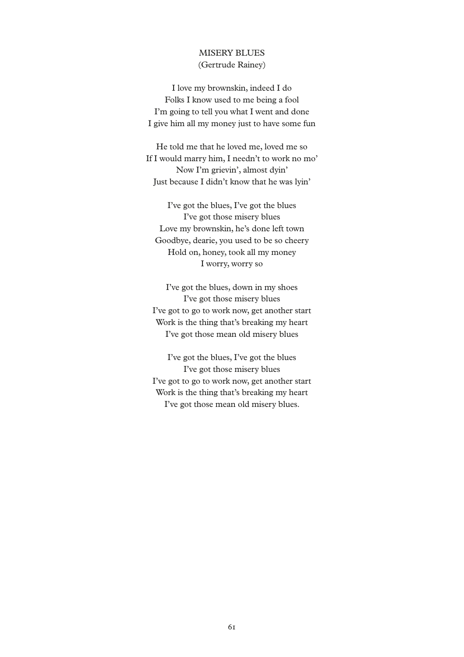## MISERY BLUES (Gertrude Rainey)

I love my brownskin, indeed I do Folks I know used to me being a fool I'm going to tell you what I went and done I give him all my money just to have some fun

He told me that he loved me, loved me so If I would marry him, I needn't to work no mo' Now I'm grievin', almost dyin' Just because I didn't know that he was lyin'

I've got the blues, I've got the blues I've got those misery blues Love my brownskin, he's done left town Goodbye, dearie, you used to be so cheery Hold on, honey, took all my money I worry, worry so

I've got the blues, down in my shoes I've got those misery blues I've got to go to work now, get another start Work is the thing that's breaking my heart I've got those mean old misery blues

I've got the blues, I've got the blues I've got those misery blues I've got to go to work now, get another start Work is the thing that's breaking my heart I've got those mean old misery blues.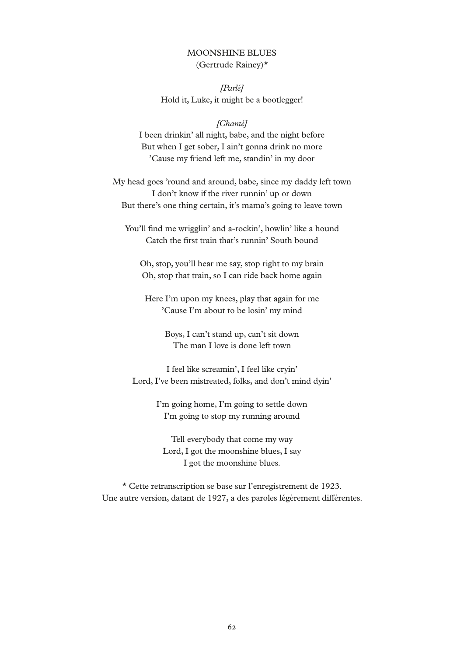# MOONSHINE BLUES

(Gertrude Rainey)\*

*[Parlé]* Hold it, Luke, it might be a bootlegger!

### *[Chanté]*

I been drinkin' all night, babe, and the night before But when I get sober, I ain't gonna drink no more 'Cause my friend left me, standin' in my door

My head goes 'round and around, babe, since my daddy left town I don't know if the river runnin' up or down But there's one thing certain, it's mama's going to leave town

You'll find me wrigglin' and a-rockin', howlin' like a hound Catch the first train that's runnin' South bound

Oh, stop, you'll hear me say, stop right to my brain Oh, stop that train, so I can ride back home again

Here I'm upon my knees, play that again for me 'Cause I'm about to be losin' my mind

> Boys, I can't stand up, can't sit down The man I love is done left town

I feel like screamin', I feel like cryin' Lord, I've been mistreated, folks, and don't mind dyin'

> I'm going home, I'm going to settle down I'm going to stop my running around

Tell everybody that come my way Lord, I got the moonshine blues, I say I got the moonshine blues.

\* Cette retranscription se base sur l'enregistrement de 1923. Une autre version, datant de 1927, a des paroles légèrement différentes.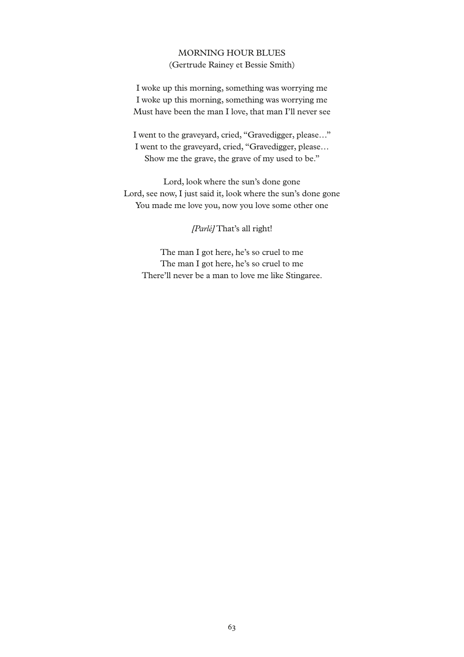# MORNING HOUR BLUES

(Gertrude Rainey et Bessie Smith)

I woke up this morning, something was worrying me I woke up this morning, something was worrying me Must have been the man I love, that man I'll never see

I went to the graveyard, cried, "Gravedigger, please…" I went to the graveyard, cried, "Gravedigger, please… Show me the grave, the grave of my used to be."

Lord, look where the sun's done gone Lord, see now, I just said it, look where the sun's done gone You made me love you, now you love some other one

*[Parlé]* That's all right!

The man I got here, he's so cruel to me The man I got here, he's so cruel to me There'll never be a man to love me like Stingaree.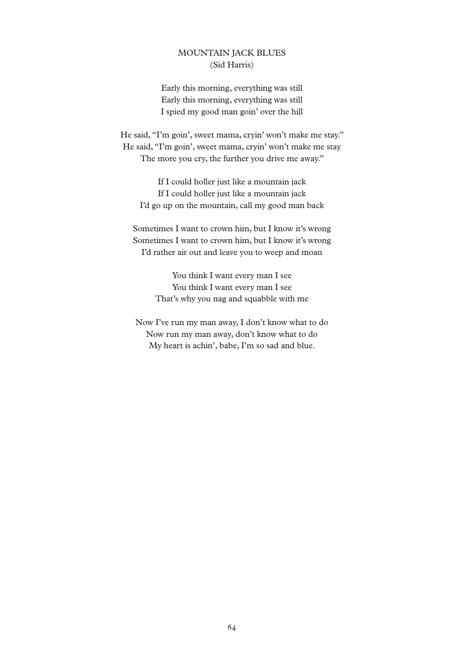# MOUNTAIN JACK BLUES (Sid Harris)

Early this morning, everything was still Early this morning, everything was still I spied my good man goin' over the hill

He said, "I'm goin', sweet mama, cryin' won't make me stay." He said, "I'm goin', sweet mama, cryin' won't make me stay The more you cry, the further you drive me away."

If I could holler just like a mountain jack If I could holler just like a mountain jack I'd go up on the mountain, call my good man back

Sometimes I want to crown him, but I know it's wrong Sometimes I want to crown him, but I know it's wrong I'd rather air out and leave you to weep and moan

> You think I want every man I see You think I want every man I see That's why you nag and squabble with me

Now I've run my man away, I don't know what to do Now run my man away, don't know what to do My heart is achin', babe, I'm so sad and blue.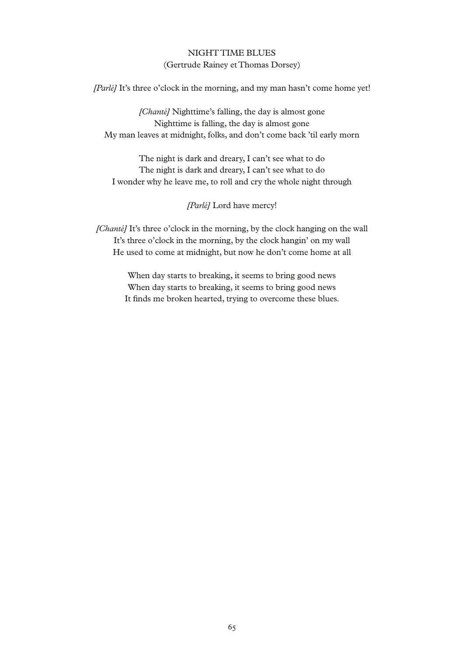# NIGHT TIME BLUES

(Gertrude Rainey et Thomas Dorsey)

*[Parlé]* It's three o'clock in the morning, and my man hasn't come home yet!

*[Chanté]* Nighttime's falling, the day is almost gone Nighttime is falling, the day is almost gone My man leaves at midnight, folks, and don't come back 'til early morn

The night is dark and dreary, I can't see what to do The night is dark and dreary, I can't see what to do I wonder why he leave me, to roll and cry the whole night through

*[Parlé]* Lord have mercy!

*[Chanté]* It's three o'clock in the morning, by the clock hanging on the wall It's three o'clock in the morning, by the clock hangin' on my wall He used to come at midnight, but now he don't come home at all

> When day starts to breaking, it seems to bring good news When day starts to breaking, it seems to bring good news It finds me broken hearted, trying to overcome these blues.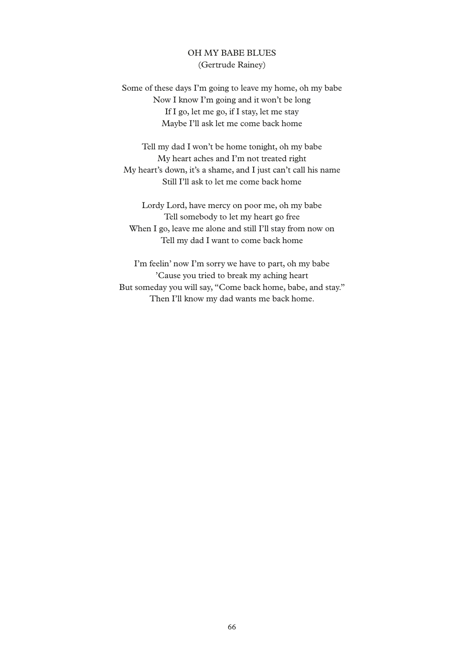# OH MY BABE BLUES (Gertrude Rainey)

Some of these days I'm going to leave my home, oh my babe Now I know I'm going and it won't be long If I go, let me go, if I stay, let me stay Maybe I'll ask let me come back home

Tell my dad I won't be home tonight, oh my babe My heart aches and I'm not treated right My heart's down, it's a shame, and I just can't call his name Still I'll ask to let me come back home

Lordy Lord, have mercy on poor me, oh my babe Tell somebody to let my heart go free When I go, leave me alone and still I'll stay from now on Tell my dad I want to come back home

I'm feelin' now I'm sorry we have to part, oh my babe 'Cause you tried to break my aching heart But someday you will say, "Come back home, babe, and stay." Then I'll know my dad wants me back home.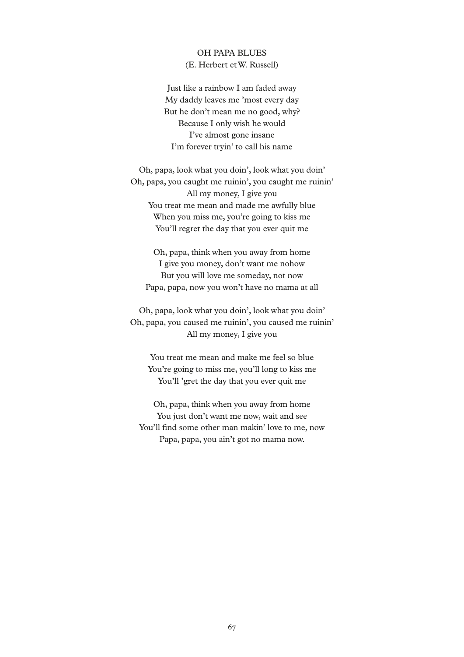## OH PAPA BLUES (E. Herbert et W. Russell)

Just like a rainbow I am faded away My daddy leaves me 'most every day But he don't mean me no good, why? Because I only wish he would I've almost gone insane I'm forever tryin' to call his name

Oh, papa, look what you doin', look what you doin' Oh, papa, you caught me ruinin', you caught me ruinin' All my money, I give you You treat me mean and made me awfully blue When you miss me, you're going to kiss me You'll regret the day that you ever quit me

Oh, papa, think when you away from home I give you money, don't want me nohow But you will love me someday, not now Papa, papa, now you won't have no mama at all

Oh, papa, look what you doin', look what you doin' Oh, papa, you caused me ruinin', you caused me ruinin' All my money, I give you

You treat me mean and make me feel so blue You're going to miss me, you'll long to kiss me You'll 'gret the day that you ever quit me

Oh, papa, think when you away from home You just don't want me now, wait and see You'll find some other man makin' love to me, now Papa, papa, you ain't got no mama now.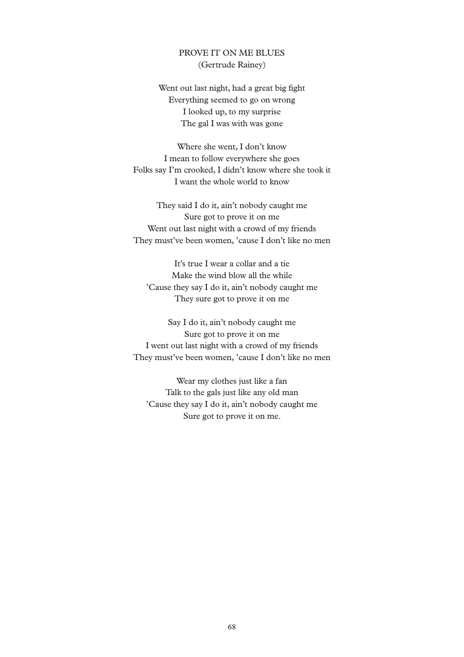# PROVE IT ON ME BLUES (Gertrude Rainey)

Went out last night, had a great big fight Everything seemed to go on wrong I looked up, to my surprise The gal I was with was gone

Where she went, I don't know I mean to follow everywhere she goes Folks say I'm crooked, I didn't know where she took it I want the whole world to know

They said I do it, ain't nobody caught me Sure got to prove it on me Went out last night with a crowd of my friends They must've been women, 'cause I don't like no men

It's true I wear a collar and a tie Make the wind blow all the while 'Cause they say I do it, ain't nobody caught me They sure got to prove it on me

Say I do it, ain't nobody caught me Sure got to prove it on me I went out last night with a crowd of my friends They must've been women, 'cause I don't like no men

Wear my clothes just like a fan Talk to the gals just like any old man 'Cause they say I do it, ain't nobody caught me Sure got to prove it on me.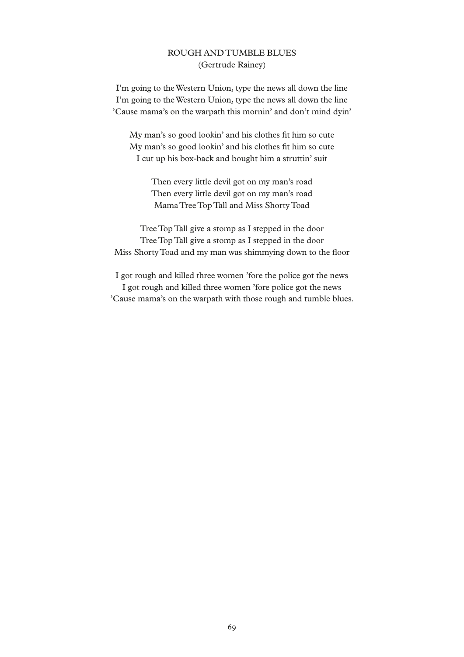# ROUGH AND TUMBLE BLUES (Gertrude Rainey)

I'm going to the Western Union, type the news all down the line I'm going to the Western Union, type the news all down the line 'Cause mama's on the warpath this mornin' and don't mind dyin'

My man's so good lookin' and his clothes fit him so cute My man's so good lookin' and his clothes fit him so cute I cut up his box-back and bought him a struttin' suit

> Then every little devil got on my man's road Then every little devil got on my man's road Mama Tree Top Tall and Miss Shorty Toad

Tree Top Tall give a stomp as I stepped in the door Tree Top Tall give a stomp as I stepped in the door Miss Shorty Toad and my man was shimmying down to the floor

I got rough and killed three women 'fore the police got the news I got rough and killed three women 'fore police got the news 'Cause mama's on the warpath with those rough and tumble blues.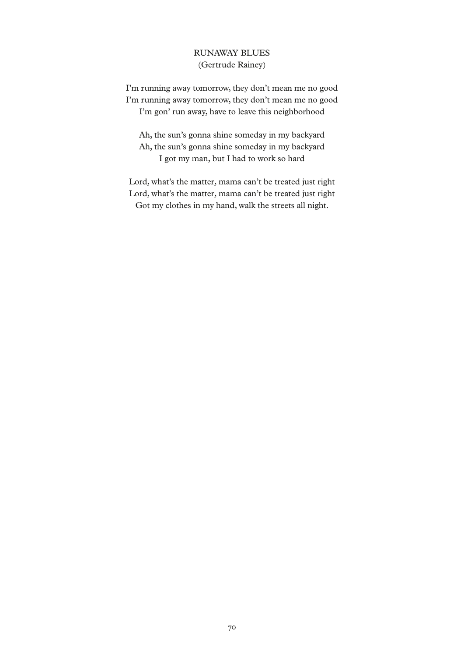# RUNAWAY BLUES (Gertrude Rainey)

I'm running away tomorrow, they don't mean me no good I'm running away tomorrow, they don't mean me no good I'm gon' run away, have to leave this neighborhood

Ah, the sun's gonna shine someday in my backyard Ah, the sun's gonna shine someday in my backyard I got my man, but I had to work so hard

Lord, what's the matter, mama can't be treated just right Lord, what's the matter, mama can't be treated just right Got my clothes in my hand, walk the streets all night.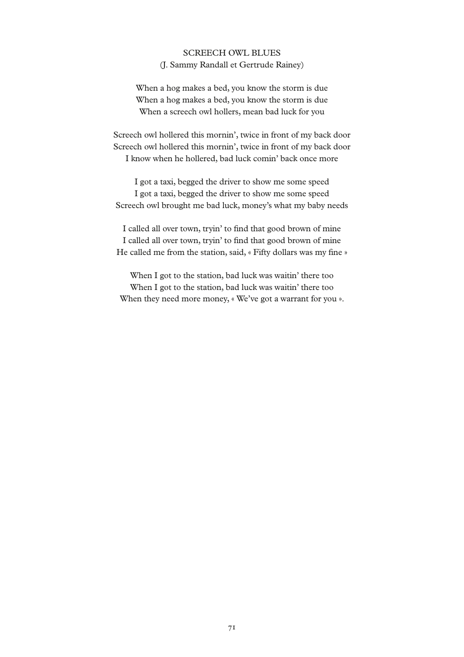### SCREECH OWL BLUES (J. Sammy Randall et Gertrude Rainey)

When a hog makes a bed, you know the storm is due When a hog makes a bed, you know the storm is due When a screech owl hollers, mean bad luck for you

Screech owl hollered this mornin', twice in front of my back door Screech owl hollered this mornin', twice in front of my back door I know when he hollered, bad luck comin' back once more

I got a taxi, begged the driver to show me some speed I got a taxi, begged the driver to show me some speed Screech owl brought me bad luck, money's what my baby needs

I called all over town, tryin' to find that good brown of mine I called all over town, tryin' to find that good brown of mine He called me from the station, said, « Fifty dollars was my fine »

When I got to the station, bad luck was waitin' there too When I got to the station, bad luck was waitin' there too When they need more money, « We've got a warrant for you ».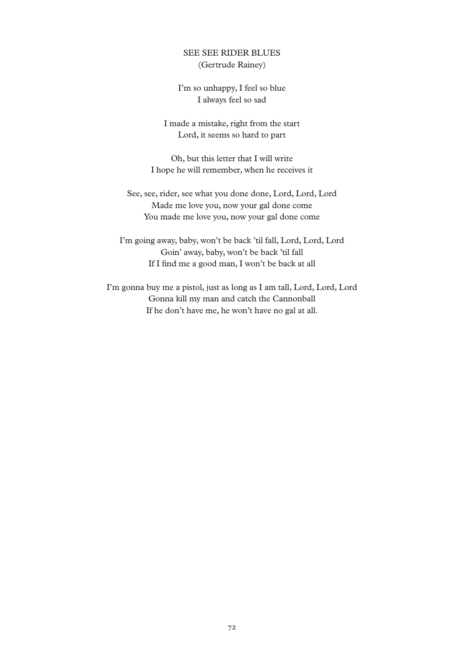### SEE SEE RIDER BLUES (Gertrude Rainey)

I'm so unhappy, I feel so blue I always feel so sad

I made a mistake, right from the start Lord, it seems so hard to part

Oh, but this letter that I will write I hope he will remember, when he receives it

See, see, rider, see what you done done, Lord, Lord, Lord Made me love you, now your gal done come You made me love you, now your gal done come

I'm going away, baby, won't be back 'til fall, Lord, Lord, Lord Goin' away, baby, won't be back 'til fall If I find me a good man, I won't be back at all

I'm gonna buy me a pistol, just as long as I am tall, Lord, Lord, Lord Gonna kill my man and catch the Cannonball If he don't have me, he won't have no gal at all.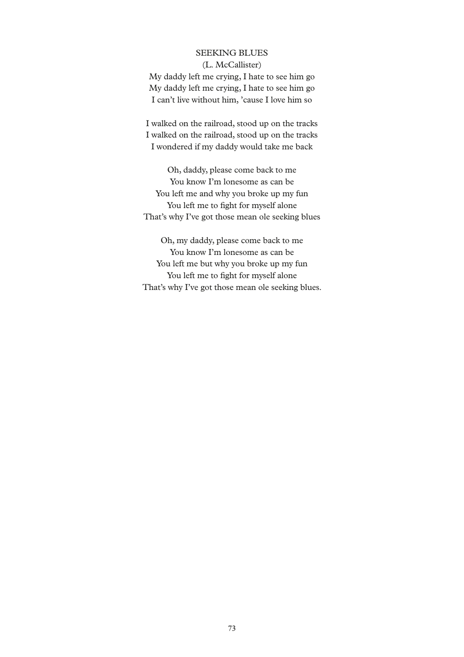## SEEKING BLUES (L. McCallister) My daddy left me crying, I hate to see him go My daddy left me crying, I hate to see him go I can't live without him, 'cause I love him so

I walked on the railroad, stood up on the tracks I walked on the railroad, stood up on the tracks I wondered if my daddy would take me back

Oh, daddy, please come back to me You know I'm lonesome as can be You left me and why you broke up my fun You left me to fight for myself alone That's why I've got those mean ole seeking blues

Oh, my daddy, please come back to me You know I'm lonesome as can be You left me but why you broke up my fun You left me to fight for myself alone That's why I've got those mean ole seeking blues.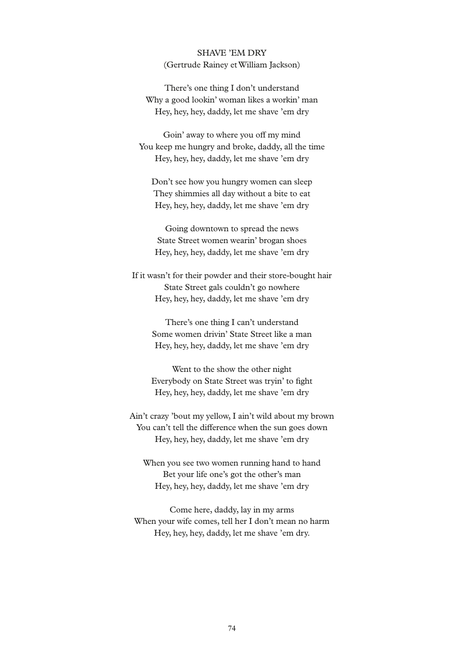### SHAVE 'EM DRY (Gertrude Rainey et William Jackson)

There's one thing I don't understand Why a good lookin' woman likes a workin' man Hey, hey, hey, daddy, let me shave 'em dry

Goin' away to where you off my mind You keep me hungry and broke, daddy, all the time Hey, hey, hey, daddy, let me shave 'em dry

Don't see how you hungry women can sleep They shimmies all day without a bite to eat Hey, hey, hey, daddy, let me shave 'em dry

Going downtown to spread the news State Street women wearin' brogan shoes Hey, hey, hey, daddy, let me shave 'em dry

If it wasn't for their powder and their store-bought hair State Street gals couldn't go nowhere Hey, hey, hey, daddy, let me shave 'em dry

There's one thing I can't understand Some women drivin' State Street like a man Hey, hey, hey, daddy, let me shave 'em dry

Went to the show the other night Everybody on State Street was tryin' to fight Hey, hey, hey, daddy, let me shave 'em dry

Ain't crazy 'bout my yellow, I ain't wild about my brown You can't tell the difference when the sun goes down Hey, hey, hey, daddy, let me shave 'em dry

When you see two women running hand to hand Bet your life one's got the other's man Hey, hey, hey, daddy, let me shave 'em dry

Come here, daddy, lay in my arms When your wife comes, tell her I don't mean no harm Hey, hey, hey, daddy, let me shave 'em dry.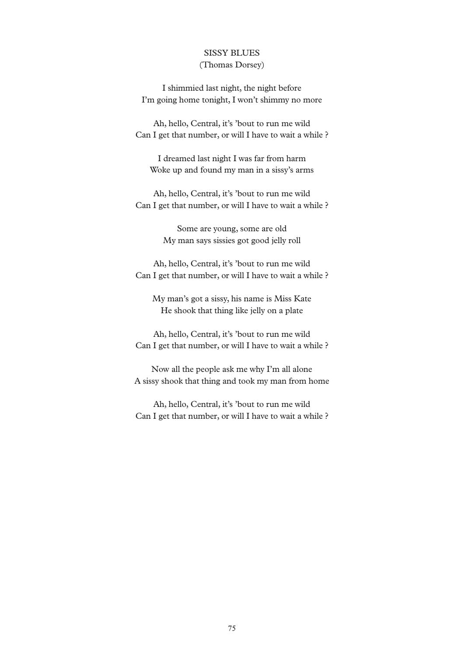#### SISSY BLUES

#### (Thomas Dorsey)

I shimmied last night, the night before I'm going home tonight, I won't shimmy no more

Ah, hello, Central, it's 'bout to run me wild Can I get that number, or will I have to wait a while ?

I dreamed last night I was far from harm Woke up and found my man in a sissy's arms

Ah, hello, Central, it's 'bout to run me wild Can I get that number, or will I have to wait a while ?

> Some are young, some are old My man says sissies got good jelly roll

Ah, hello, Central, it's 'bout to run me wild Can I get that number, or will I have to wait a while ?

My man's got a sissy, his name is Miss Kate He shook that thing like jelly on a plate

Ah, hello, Central, it's 'bout to run me wild Can I get that number, or will I have to wait a while ?

Now all the people ask me why I'm all alone A sissy shook that thing and took my man from home

Ah, hello, Central, it's 'bout to run me wild Can I get that number, or will I have to wait a while ?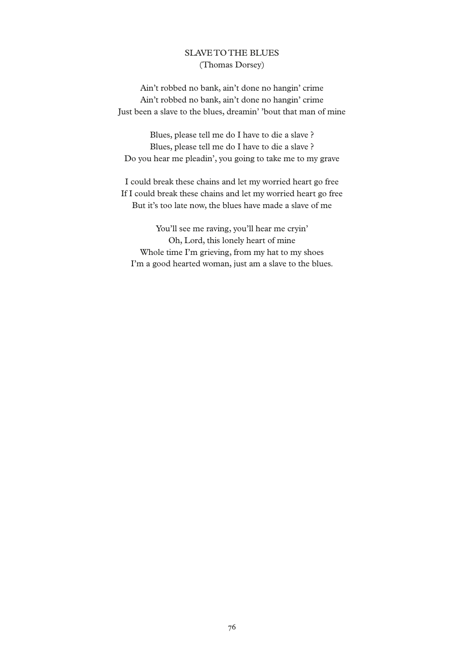## SLAVE TO THE BLUES (Thomas Dorsey)

Ain't robbed no bank, ain't done no hangin' crime Ain't robbed no bank, ain't done no hangin' crime Just been a slave to the blues, dreamin' 'bout that man of mine

Blues, please tell me do I have to die a slave ? Blues, please tell me do I have to die a slave ? Do you hear me pleadin', you going to take me to my grave

I could break these chains and let my worried heart go free If I could break these chains and let my worried heart go free But it's too late now, the blues have made a slave of me

You'll see me raving, you'll hear me cryin' Oh, Lord, this lonely heart of mine Whole time I'm grieving, from my hat to my shoes I'm a good hearted woman, just am a slave to the blues.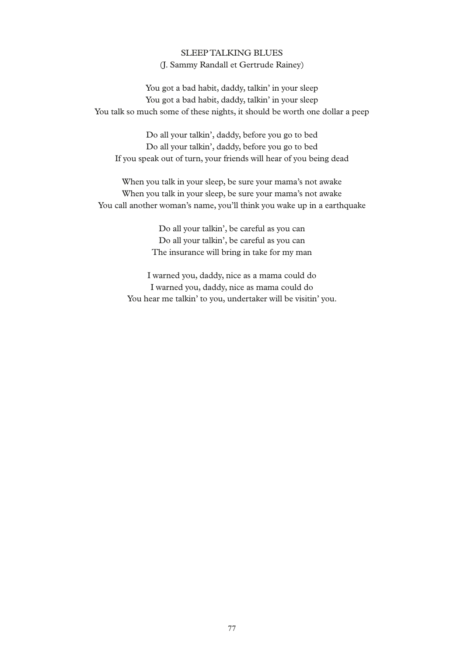## SLEEP TALKING BLUES

(J. Sammy Randall et Gertrude Rainey)

You got a bad habit, daddy, talkin' in your sleep You got a bad habit, daddy, talkin' in your sleep You talk so much some of these nights, it should be worth one dollar a peep

Do all your talkin', daddy, before you go to bed Do all your talkin', daddy, before you go to bed If you speak out of turn, your friends will hear of you being dead

When you talk in your sleep, be sure your mama's not awake When you talk in your sleep, be sure your mama's not awake You call another woman's name, you'll think you wake up in a earthquake

> Do all your talkin', be careful as you can Do all your talkin', be careful as you can The insurance will bring in take for my man

I warned you, daddy, nice as a mama could do I warned you, daddy, nice as mama could do You hear me talkin' to you, undertaker will be visitin' you.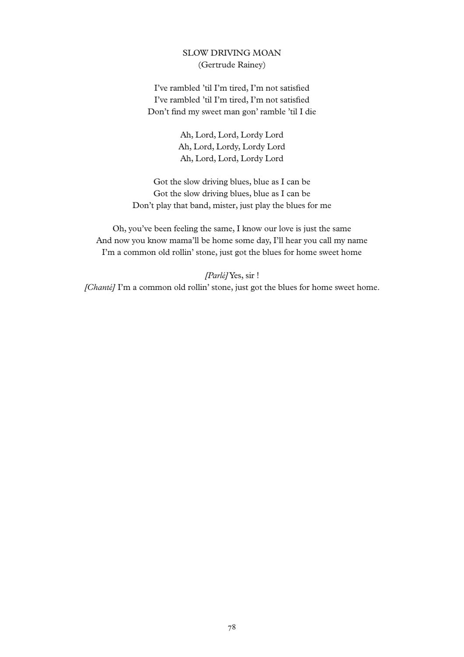## SLOW DRIVING MOAN (Gertrude Rainey)

I've rambled 'til I'm tired, I'm not satisfied I've rambled 'til I'm tired, I'm not satisfied Don't find my sweet man gon' ramble 'til I die

> Ah, Lord, Lord, Lordy Lord Ah, Lord, Lordy, Lordy Lord Ah, Lord, Lord, Lordy Lord

Got the slow driving blues, blue as I can be Got the slow driving blues, blue as I can be Don't play that band, mister, just play the blues for me

Oh, you've been feeling the same, I know our love is just the same And now you know mama'll be home some day, I'll hear you call my name I'm a common old rollin' stone, just got the blues for home sweet home

*[Parlé]* Yes, sir ! *[Chanté]* I'm a common old rollin' stone, just got the blues for home sweet home.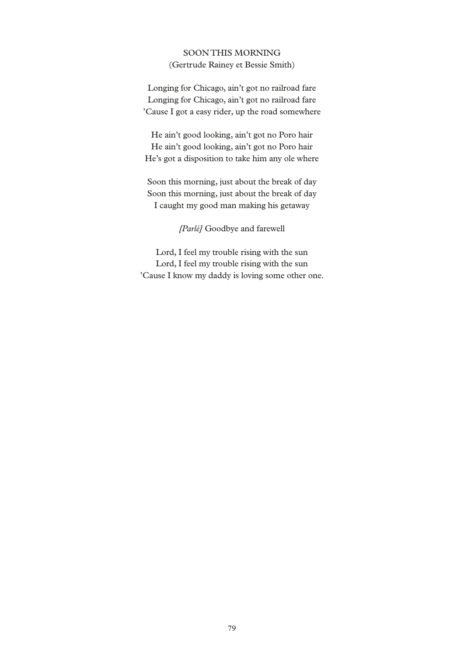# SOON THIS MORNING

(Gertrude Rainey et Bessie Smith)

Longing for Chicago, ain't got no railroad fare Longing for Chicago, ain't got no railroad fare 'Cause I got a easy rider, up the road somewhere

He ain't good looking, ain't got no Poro hair He ain't good looking, ain't got no Poro hair He's got a disposition to take him any ole where

Soon this morning, just about the break of day Soon this morning, just about the break of day I caught my good man making his getaway

*[Parlé]* Goodbye and farewell

Lord, I feel my trouble rising with the sun Lord, I feel my trouble rising with the sun 'Cause I know my daddy is loving some other one.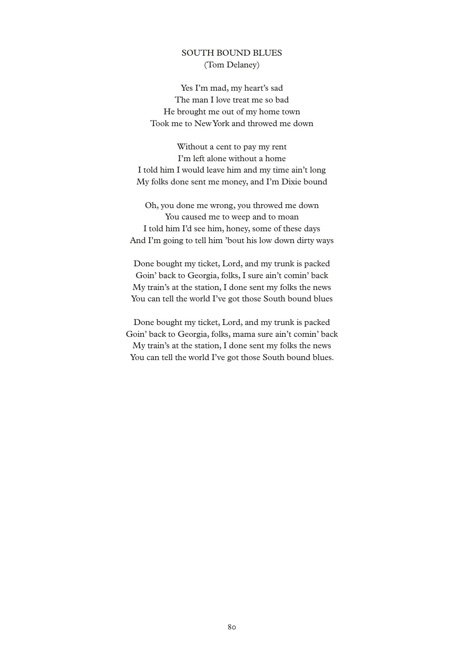## SOUTH BOUND BLUES (Tom Delaney)

Yes I'm mad, my heart's sad The man I love treat me so bad He brought me out of my home town Took me to New York and throwed me down

Without a cent to pay my rent I'm left alone without a home I told him I would leave him and my time ain't long My folks done sent me money, and I'm Dixie bound

Oh, you done me wrong, you throwed me down You caused me to weep and to moan I told him I'd see him, honey, some of these days And I'm going to tell him 'bout his low down dirty ways

Done bought my ticket, Lord, and my trunk is packed Goin' back to Georgia, folks, I sure ain't comin' back My train's at the station, I done sent my folks the news You can tell the world I've got those South bound blues

Done bought my ticket, Lord, and my trunk is packed Goin' back to Georgia, folks, mama sure ain't comin' back My train's at the station, I done sent my folks the news You can tell the world I've got those South bound blues.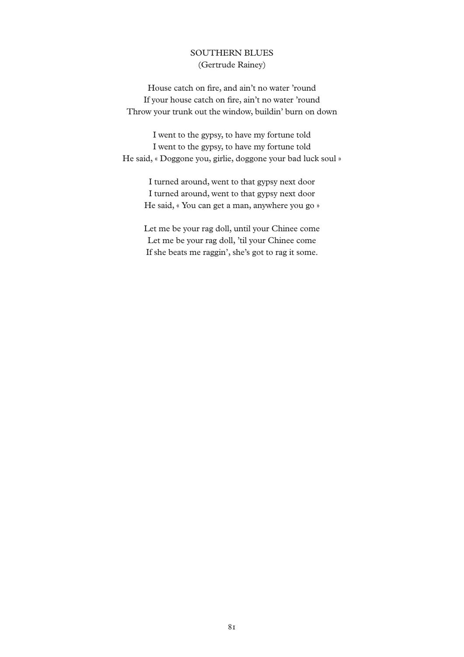### SOUTHERN BLUES (Gertrude Rainey)

House catch on fire, and ain't no water 'round If your house catch on fire, ain't no water 'round Throw your trunk out the window, buildin' burn on down

I went to the gypsy, to have my fortune told I went to the gypsy, to have my fortune told He said, « Doggone you, girlie, doggone your bad luck soul »

I turned around, went to that gypsy next door I turned around, went to that gypsy next door He said, « You can get a man, anywhere you go »

Let me be your rag doll, until your Chinee come Let me be your rag doll, 'til your Chinee come If she beats me raggin', she's got to rag it some.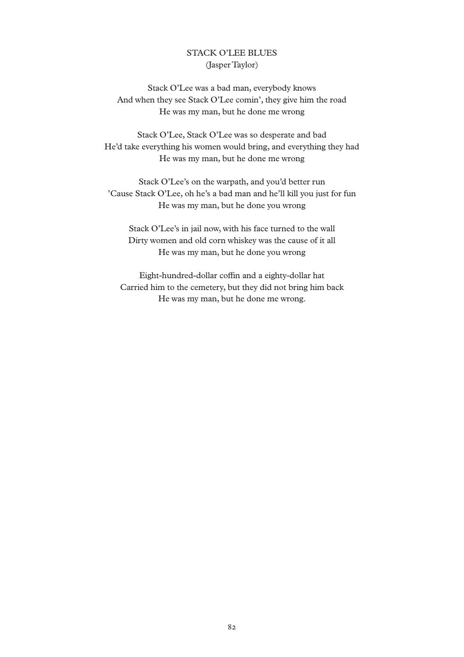### STACK O'LEE BLUES (Jasper Taylor)

Stack O'Lee was a bad man, everybody knows And when they see Stack O'Lee comin', they give him the road He was my man, but he done me wrong

Stack O'Lee, Stack O'Lee was so desperate and bad He'd take everything his women would bring, and everything they had He was my man, but he done me wrong

Stack O'Lee's on the warpath, and you'd better run 'Cause Stack O'Lee, oh he's a bad man and he'll kill you just for fun He was my man, but he done you wrong

Stack O'Lee's in jail now, with his face turned to the wall Dirty women and old corn whiskey was the cause of it all He was my man, but he done you wrong

Eight-hundred-dollar coffin and a eighty-dollar hat Carried him to the cemetery, but they did not bring him back He was my man, but he done me wrong.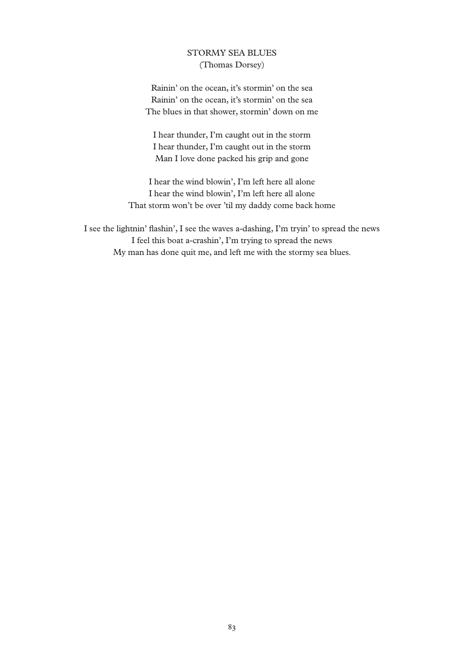### STORMY SEA BLUES (Thomas Dorsey)

Rainin' on the ocean, it's stormin' on the sea Rainin' on the ocean, it's stormin' on the sea The blues in that shower, stormin' down on me

I hear thunder, I'm caught out in the storm I hear thunder, I'm caught out in the storm Man I love done packed his grip and gone

I hear the wind blowin', I'm left here all alone I hear the wind blowin', I'm left here all alone That storm won't be over 'til my daddy come back home

I see the lightnin' flashin', I see the waves a-dashing, I'm tryin' to spread the news I feel this boat a-crashin', I'm trying to spread the news My man has done quit me, and left me with the stormy sea blues.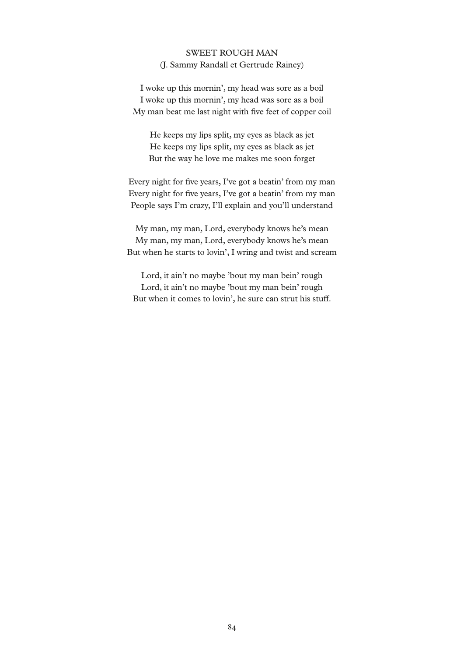### SWEET ROUGH MAN (J. Sammy Randall et Gertrude Rainey)

I woke up this mornin', my head was sore as a boil I woke up this mornin', my head was sore as a boil My man beat me last night with five feet of copper coil

He keeps my lips split, my eyes as black as jet He keeps my lips split, my eyes as black as jet But the way he love me makes me soon forget

Every night for five years, I've got a beatin' from my man Every night for five years, I've got a beatin' from my man People says I'm crazy, I'll explain and you'll understand

My man, my man, Lord, everybody knows he's mean My man, my man, Lord, everybody knows he's mean But when he starts to lovin', I wring and twist and scream

Lord, it ain't no maybe 'bout my man bein' rough Lord, it ain't no maybe 'bout my man bein' rough But when it comes to lovin', he sure can strut his stuff.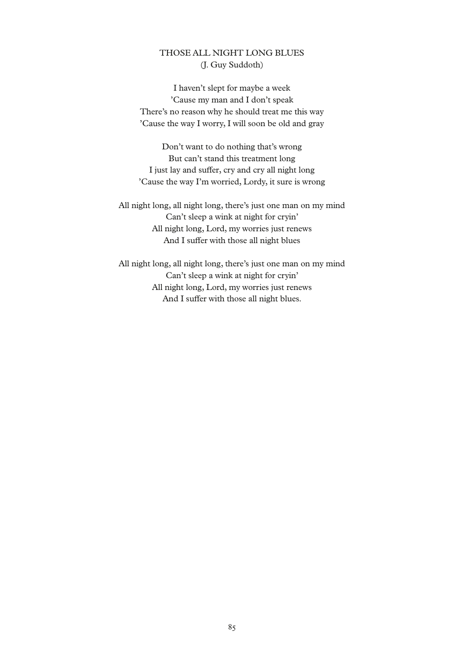## THOSE ALL NIGHT LONG BLUES (J. Guy Suddoth)

I haven't slept for maybe a week 'Cause my man and I don't speak There's no reason why he should treat me this way 'Cause the way I worry, I will soon be old and gray

Don't want to do nothing that's wrong But can't stand this treatment long I just lay and suffer, cry and cry all night long 'Cause the way I'm worried, Lordy, it sure is wrong

All night long, all night long, there's just one man on my mind Can't sleep a wink at night for cryin' All night long, Lord, my worries just renews And I suffer with those all night blues

All night long, all night long, there's just one man on my mind Can't sleep a wink at night for cryin' All night long, Lord, my worries just renews And I suffer with those all night blues.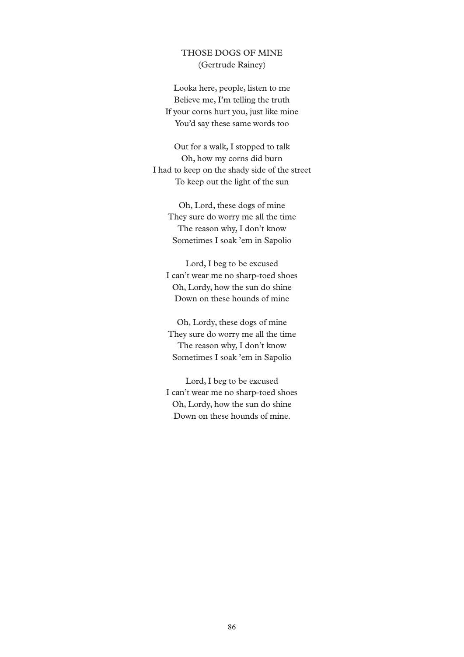## THOSE DOGS OF MINE (Gertrude Rainey)

Looka here, people, listen to me Believe me, I'm telling the truth If your corns hurt you, just like mine You'd say these same words too

Out for a walk, I stopped to talk Oh, how my corns did burn I had to keep on the shady side of the street To keep out the light of the sun

Oh, Lord, these dogs of mine They sure do worry me all the time The reason why, I don't know Sometimes I soak 'em in Sapolio

Lord, I beg to be excused I can't wear me no sharp-toed shoes Oh, Lordy, how the sun do shine Down on these hounds of mine

Oh, Lordy, these dogs of mine They sure do worry me all the time The reason why, I don't know Sometimes I soak 'em in Sapolio

Lord, I beg to be excused I can't wear me no sharp-toed shoes Oh, Lordy, how the sun do shine Down on these hounds of mine.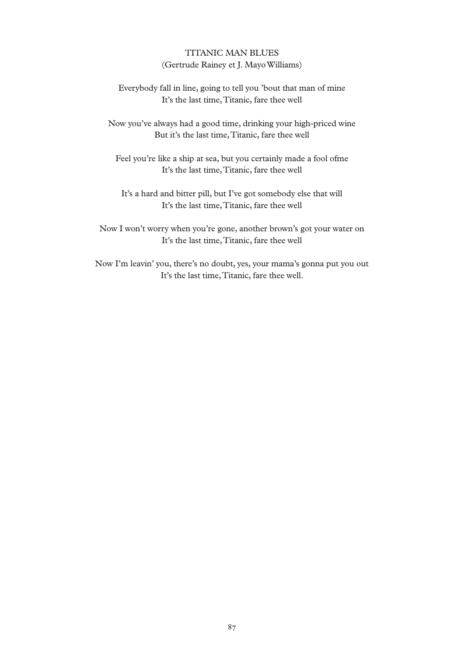### TITANIC MAN BLUES (Gertrude Rainey et J. Mayo Williams)

Everybody fall in line, going to tell you 'bout that man of mine It's the last time, Titanic, fare thee well

Now you've always had a good time, drinking your high-priced wine But it's the last time, Titanic, fare thee well

Feel you're like a ship at sea, but you certainly made a fool ofme It's the last time, Titanic, fare thee well

It's a hard and bitter pill, but I've got somebody else that will It's the last time, Titanic, fare thee well

Now I won't worry when you're gone, another brown's got your water on It's the last time, Titanic, fare thee well

Now I'm leavin' you, there's no doubt, yes, your mama's gonna put you out It's the last time, Titanic, fare thee well.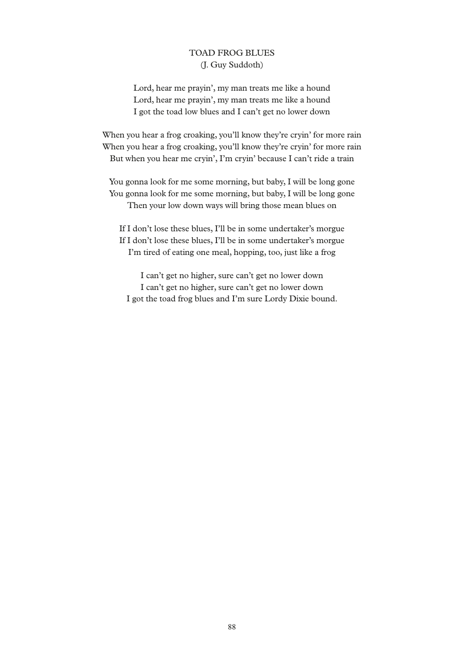## TOAD FROG BLUES (J. Guy Suddoth)

Lord, hear me prayin', my man treats me like a hound Lord, hear me prayin', my man treats me like a hound I got the toad low blues and I can't get no lower down

When you hear a frog croaking, you'll know they're cryin' for more rain When you hear a frog croaking, you'll know they're cryin' for more rain But when you hear me cryin', I'm cryin' because I can't ride a train

You gonna look for me some morning, but baby, I will be long gone You gonna look for me some morning, but baby, I will be long gone Then your low down ways will bring those mean blues on

If I don't lose these blues, I'll be in some undertaker's morgue If I don't lose these blues, I'll be in some undertaker's morgue I'm tired of eating one meal, hopping, too, just like a frog

I can't get no higher, sure can't get no lower down I can't get no higher, sure can't get no lower down I got the toad frog blues and I'm sure Lordy Dixie bound.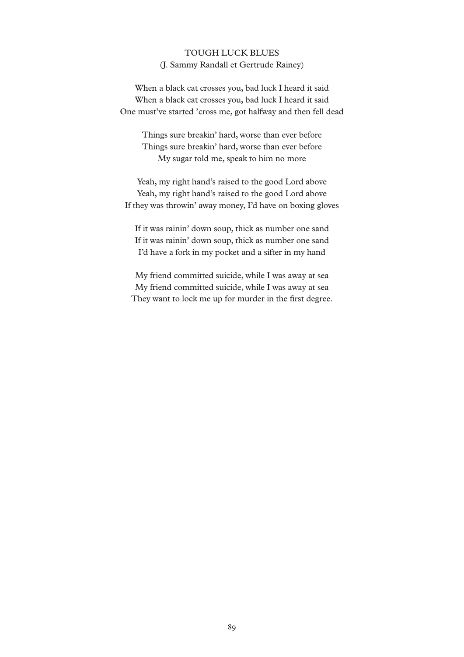### TOUGH LUCK BLUES (J. Sammy Randall et Gertrude Rainey)

When a black cat crosses you, bad luck I heard it said When a black cat crosses you, bad luck I heard it said One must've started 'cross me, got halfway and then fell dead

Things sure breakin' hard, worse than ever before Things sure breakin' hard, worse than ever before My sugar told me, speak to him no more

Yeah, my right hand's raised to the good Lord above Yeah, my right hand's raised to the good Lord above If they was throwin' away money, I'd have on boxing gloves

If it was rainin' down soup, thick as number one sand If it was rainin' down soup, thick as number one sand I'd have a fork in my pocket and a sifter in my hand

My friend committed suicide, while I was away at sea My friend committed suicide, while I was away at sea They want to lock me up for murder in the first degree.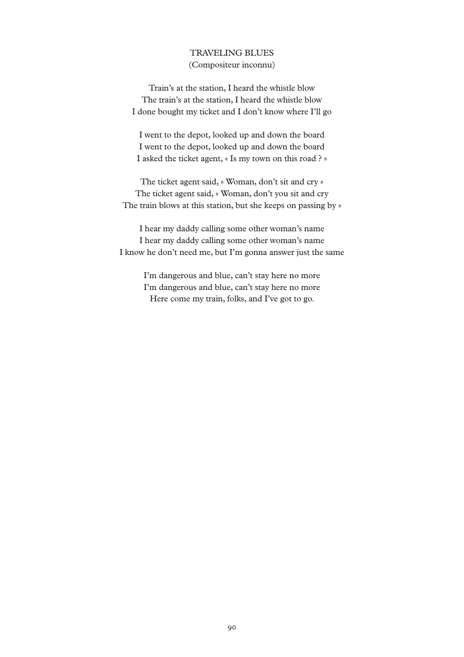### TRAVELING BLUES

#### (Compositeur inconnu)

Train's at the station, I heard the whistle blow The train's at the station, I heard the whistle blow I done bought my ticket and I don't know where I'll go

I went to the depot, looked up and down the board I went to the depot, looked up and down the board I asked the ticket agent, « Is my town on this road ? »

The ticket agent said, « Woman, don't sit and cry » The ticket agent said, « Woman, don't you sit and cry The train blows at this station, but she keeps on passing by »

I hear my daddy calling some other woman's name I hear my daddy calling some other woman's name I know he don't need me, but I'm gonna answer just the same

> I'm dangerous and blue, can't stay here no more I'm dangerous and blue, can't stay here no more Here come my train, folks, and I've got to go.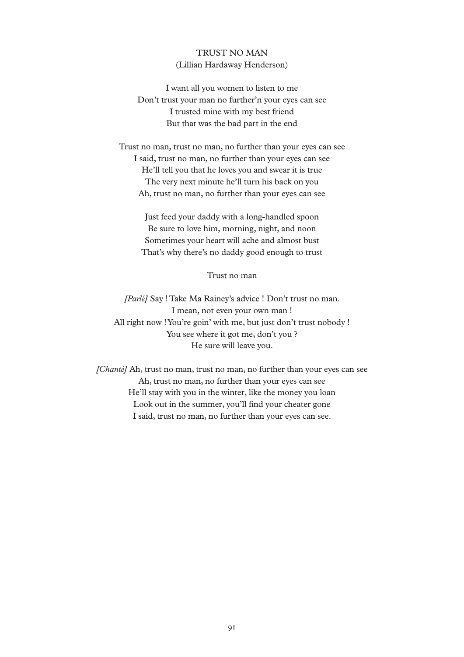### TRUST NO MAN (Lillian Hardaway Henderson)

I want all you women to listen to me Don't trust your man no further'n your eyes can see I trusted mine with my best friend But that was the bad part in the end

Trust no man, trust no man, no further than your eyes can see I said, trust no man, no further than your eyes can see He'll tell you that he loves you and swear it is true The very next minute he'll turn his back on you Ah, trust no man, no further than your eyes can see

Just feed your daddy with a long-handled spoon Be sure to love him, morning, night, and noon Sometimes your heart will ache and almost bust That's why there's no daddy good enough to trust

#### Trust no man

*[Parlé]* Say ! Take Ma Rainey's advice ! Don't trust no man. I mean, not even your own man ! All right now ! You're goin' with me, but just don't trust nobody ! You see where it got me, don't you? He sure will leave you.

*[Chanté]* Ah, trust no man, trust no man, no further than your eyes can see Ah, trust no man, no further than your eyes can see He'll stay with you in the winter, like the money you loan Look out in the summer, you'll find your cheater gone I said, trust no man, no further than your eyes can see.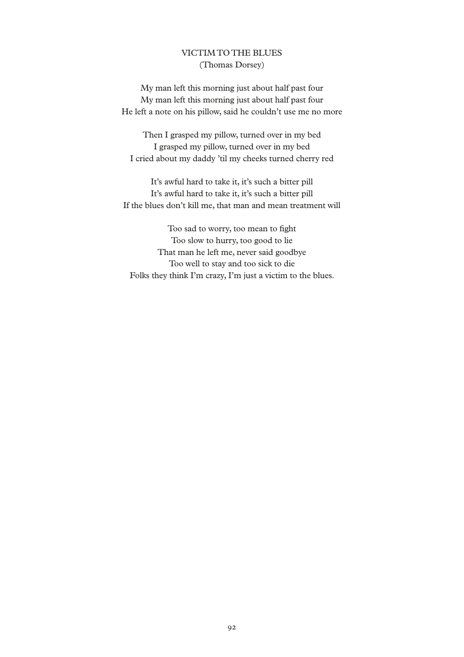## VICTIM TO THE BLUES (Thomas Dorsey)

My man left this morning just about half past four My man left this morning just about half past four He left a note on his pillow, said he couldn't use me no more

Then I grasped my pillow, turned over in my bed I grasped my pillow, turned over in my bed I cried about my daddy 'til my cheeks turned cherry red

It's awful hard to take it, it's such a bitter pill It's awful hard to take it, it's such a bitter pill If the blues don't kill me, that man and mean treatment will

Too sad to worry, too mean to fight Too slow to hurry, too good to lie That man he left me, never said goodbye Too well to stay and too sick to die Folks they think I'm crazy, I'm just a victim to the blues.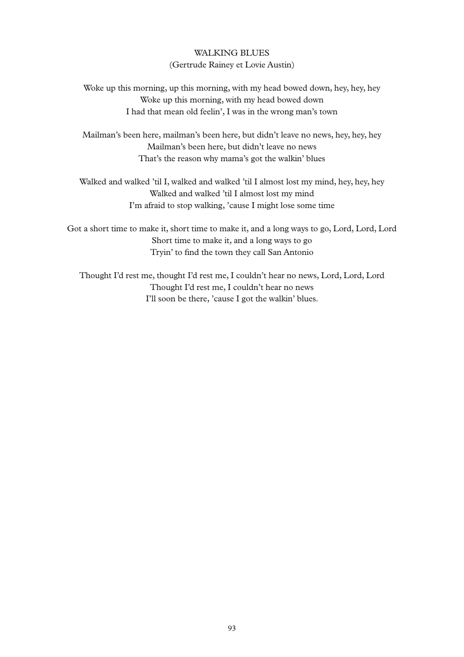### WALKING BLUES (Gertrude Rainey et Lovie Austin)

Woke up this morning, up this morning, with my head bowed down, hey, hey, hey Woke up this morning, with my head bowed down I had that mean old feelin', I was in the wrong man's town

Mailman's been here, mailman's been here, but didn't leave no news, hey, hey, hey Mailman's been here, but didn't leave no news That's the reason why mama's got the walkin' blues

Walked and walked 'til I, walked and walked 'til I almost lost my mind, hey, hey, hey Walked and walked 'til I almost lost my mind I'm afraid to stop walking, 'cause I might lose some time

Got a short time to make it, short time to make it, and a long ways to go, Lord, Lord, Lord Short time to make it, and a long ways to go Tryin' to find the town they call San Antonio

Thought I'd rest me, thought I'd rest me, I couldn't hear no news, Lord, Lord, Lord Thought I'd rest me, I couldn't hear no news I'll soon be there, 'cause I got the walkin' blues.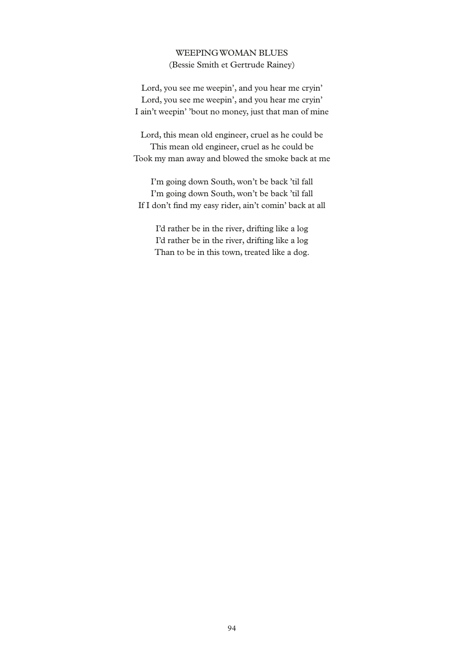### WEEPING WOMAN BLUES (Bessie Smith et Gertrude Rainey)

Lord, you see me weepin', and you hear me cryin' Lord, you see me weepin', and you hear me cryin' I ain't weepin' 'bout no money, just that man of mine

Lord, this mean old engineer, cruel as he could be This mean old engineer, cruel as he could be Took my man away and blowed the smoke back at me

I'm going down South, won't be back 'til fall I'm going down South, won't be back 'til fall If I don't find my easy rider, ain't comin' back at all

I'd rather be in the river, drifting like a log I'd rather be in the river, drifting like a log Than to be in this town, treated like a dog.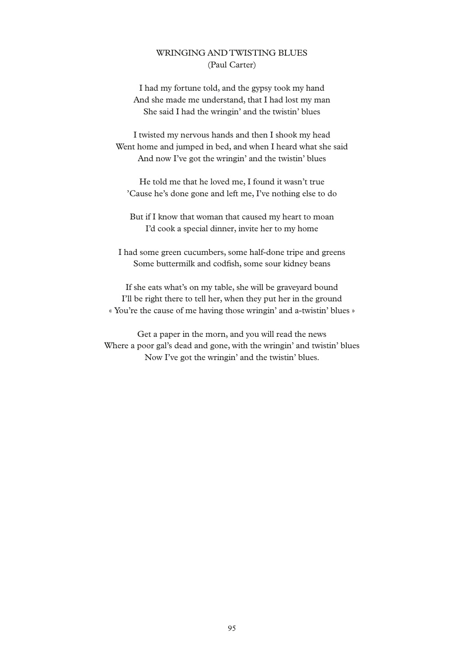### WRINGING AND TWISTING BLUES (Paul Carter)

I had my fortune told, and the gypsy took my hand And she made me understand, that I had lost my man She said I had the wringin' and the twistin' blues

I twisted my nervous hands and then I shook my head Went home and jumped in bed, and when I heard what she said And now I've got the wringin' and the twistin' blues

He told me that he loved me, I found it wasn't true 'Cause he's done gone and left me, I've nothing else to do

But if I know that woman that caused my heart to moan I'd cook a special dinner, invite her to my home

I had some green cucumbers, some half-done tripe and greens Some buttermilk and codfish, some sour kidney beans

If she eats what's on my table, she will be graveyard bound I'll be right there to tell her, when they put her in the ground « You're the cause of me having those wringin' and a-twistin' blues »

Get a paper in the morn, and you will read the news Where a poor gal's dead and gone, with the wringin' and twistin' blues Now I've got the wringin' and the twistin' blues.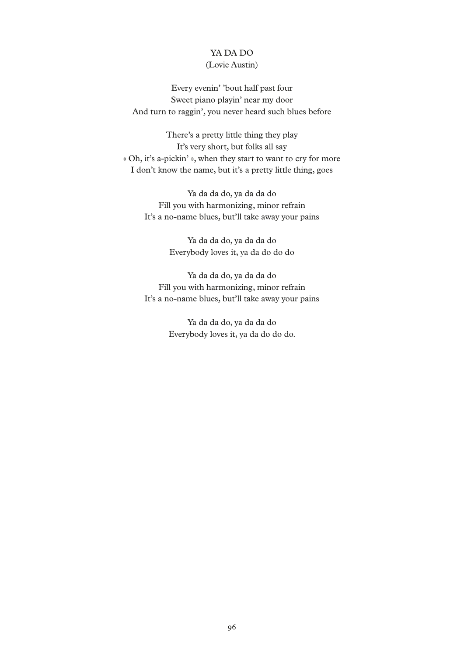### YA DA DO

### (Lovie Austin)

Every evenin' 'bout half past four Sweet piano playin' near my door And turn to raggin', you never heard such blues before

There's a pretty little thing they play It's very short, but folks all say « Oh, it's a-pickin' », when they start to want to cry for more I don't know the name, but it's a pretty little thing, goes

Ya da da do, ya da da do Fill you with harmonizing, minor refrain It's a no-name blues, but'll take away your pains

> Ya da da do, ya da da do Everybody loves it, ya da do do do

Ya da da do, ya da da do Fill you with harmonizing, minor refrain It's a no-name blues, but'll take away your pains

> Ya da da do, ya da da do Everybody loves it, ya da do do do.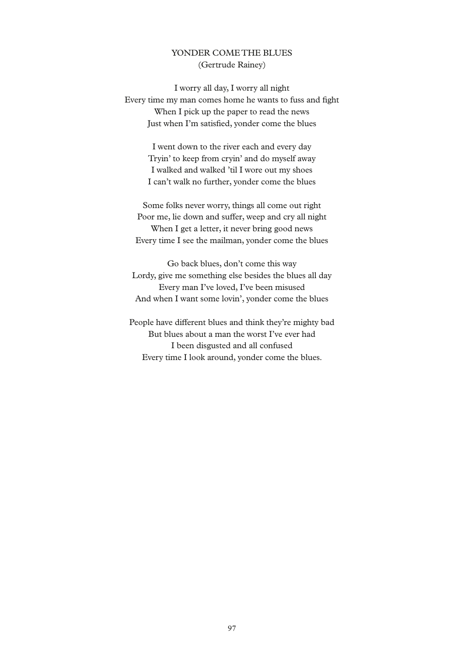## YONDER COME THE BLUES (Gertrude Rainey)

I worry all day, I worry all night Every time my man comes home he wants to fuss and fight When I pick up the paper to read the news Just when I'm satisfied, yonder come the blues

> I went down to the river each and every day Tryin' to keep from cryin' and do myself away I walked and walked 'til I wore out my shoes I can't walk no further, yonder come the blues

Some folks never worry, things all come out right Poor me, lie down and suffer, weep and cry all night When I get a letter, it never bring good news Every time I see the mailman, yonder come the blues

Go back blues, don't come this way Lordy, give me something else besides the blues all day Every man I've loved, I've been misused And when I want some lovin', yonder come the blues

People have different blues and think they're mighty bad But blues about a man the worst I've ever had I been disgusted and all confused Every time I look around, yonder come the blues.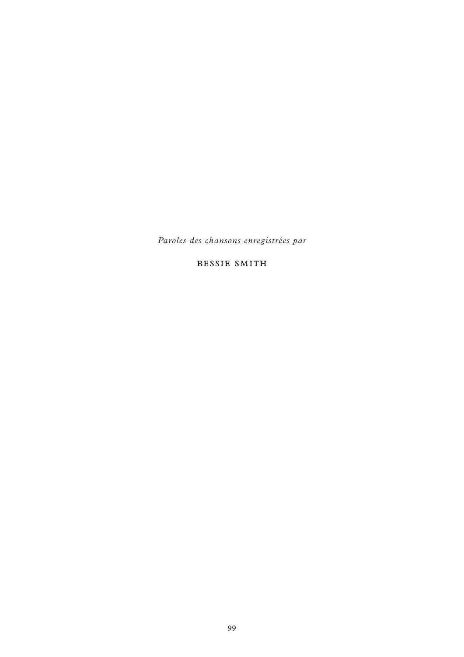*Paroles des chansons enregistrées par*

## Bessie Smith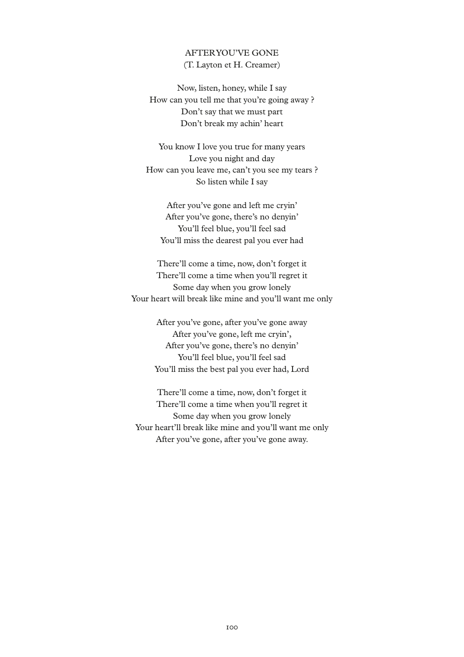## AFTER YOU'VE GONE (T. Layton et H. Creamer)

Now, listen, honey, while I say How can you tell me that you're going away ? Don't say that we must part Don't break my achin' heart

You know I love you true for many years Love you night and day How can you leave me, can't you see my tears ? So listen while I say

After you've gone and left me cryin' After you've gone, there's no denyin' You'll feel blue, you'll feel sad You'll miss the dearest pal you ever had

There'll come a time, now, don't forget it There'll come a time when you'll regret it Some day when you grow lonely Your heart will break like mine and you'll want me only

> After you've gone, after you've gone away After you've gone, left me cryin', After you've gone, there's no denyin' You'll feel blue, you'll feel sad You'll miss the best pal you ever had, Lord

There'll come a time, now, don't forget it There'll come a time when you'll regret it Some day when you grow lonely Your heart'll break like mine and you'll want me only After you've gone, after you've gone away.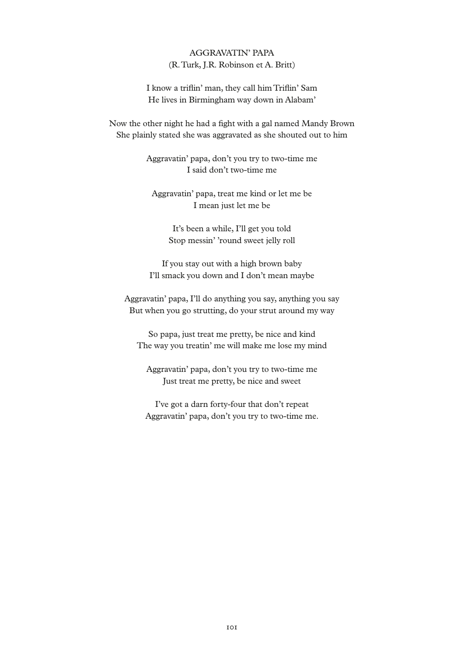## AGGRAVATIN' PAPA (R. Turk, J.R. Robinson et A. Britt)

I know a triflin' man, they call him Triflin' Sam He lives in Birmingham way down in Alabam'

Now the other night he had a fight with a gal named Mandy Brown She plainly stated she was aggravated as she shouted out to him

> Aggravatin' papa, don't you try to two-time me I said don't two-time me

Aggravatin' papa, treat me kind or let me be I mean just let me be

> It's been a while, I'll get you told Stop messin' 'round sweet jelly roll

If you stay out with a high brown baby I'll smack you down and I don't mean maybe

Aggravatin' papa, I'll do anything you say, anything you say But when you go strutting, do your strut around my way

So papa, just treat me pretty, be nice and kind The way you treatin' me will make me lose my mind

Aggravatin' papa, don't you try to two-time me Just treat me pretty, be nice and sweet

I've got a darn forty-four that don't repeat Aggravatin' papa, don't you try to two-time me.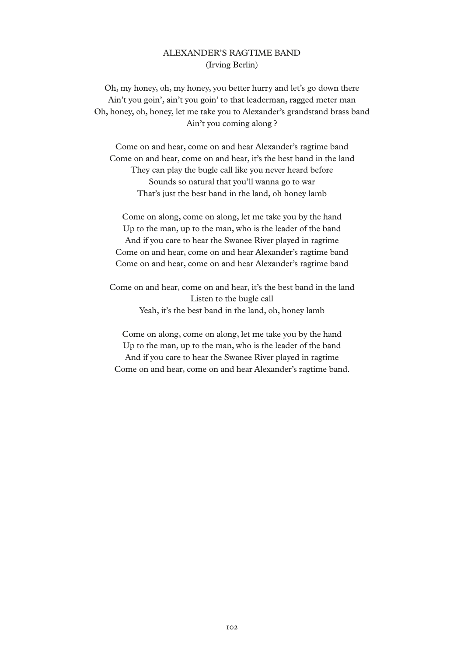### ALEXANDER'S RAGTIME BAND (Irving Berlin)

Oh, my honey, oh, my honey, you better hurry and let's go down there Ain't you goin', ain't you goin' to that leaderman, ragged meter man Oh, honey, oh, honey, let me take you to Alexander's grandstand brass band Ain't you coming along ?

Come on and hear, come on and hear Alexander's ragtime band Come on and hear, come on and hear, it's the best band in the land They can play the bugle call like you never heard before Sounds so natural that you'll wanna go to war That's just the best band in the land, oh honey lamb

Come on along, come on along, let me take you by the hand Up to the man, up to the man, who is the leader of the band And if you care to hear the Swanee River played in ragtime Come on and hear, come on and hear Alexander's ragtime band Come on and hear, come on and hear Alexander's ragtime band

Come on and hear, come on and hear, it's the best band in the land Listen to the bugle call Yeah, it's the best band in the land, oh, honey lamb

Come on along, come on along, let me take you by the hand Up to the man, up to the man, who is the leader of the band And if you care to hear the Swanee River played in ragtime Come on and hear, come on and hear Alexander's ragtime band.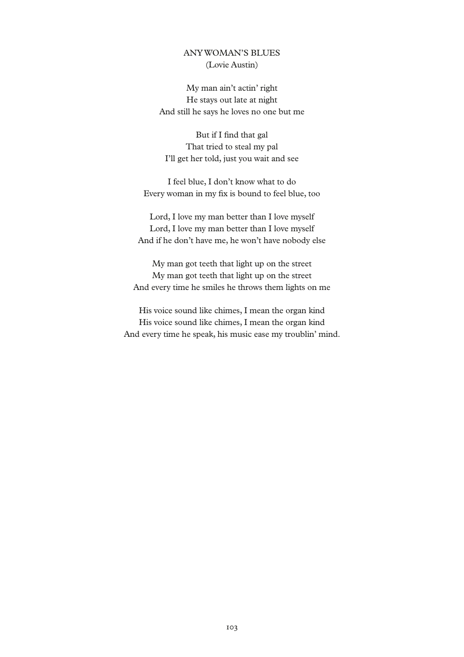## ANY WOMAN'S BLUES (Lovie Austin)

My man ain't actin' right He stays out late at night And still he says he loves no one but me

But if I find that gal That tried to steal my pal I'll get her told, just you wait and see

I feel blue, I don't know what to do Every woman in my fix is bound to feel blue, too

Lord, I love my man better than I love myself Lord, I love my man better than I love myself And if he don't have me, he won't have nobody else

My man got teeth that light up on the street My man got teeth that light up on the street And every time he smiles he throws them lights on me

His voice sound like chimes, I mean the organ kind His voice sound like chimes, I mean the organ kind And every time he speak, his music ease my troublin' mind.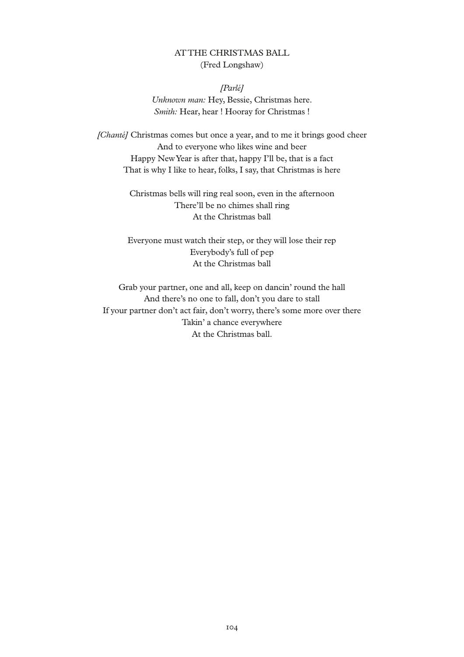## AT THE CHRISTMAS BALL (Fred Longshaw)

*[Parlé] Unknown man:* Hey, Bessie, Christmas here. *Smith:* Hear, hear ! Hooray for Christmas !

*[Chanté]* Christmas comes but once a year, and to me it brings good cheer And to everyone who likes wine and beer Happy New Year is after that, happy I'll be, that is a fact That is why I like to hear, folks, I say, that Christmas is here

> Christmas bells will ring real soon, even in the afternoon There'll be no chimes shall ring At the Christmas ball

Everyone must watch their step, or they will lose their rep Everybody's full of pep At the Christmas ball

Grab your partner, one and all, keep on dancin' round the hall And there's no one to fall, don't you dare to stall If your partner don't act fair, don't worry, there's some more over there Takin' a chance everywhere At the Christmas ball.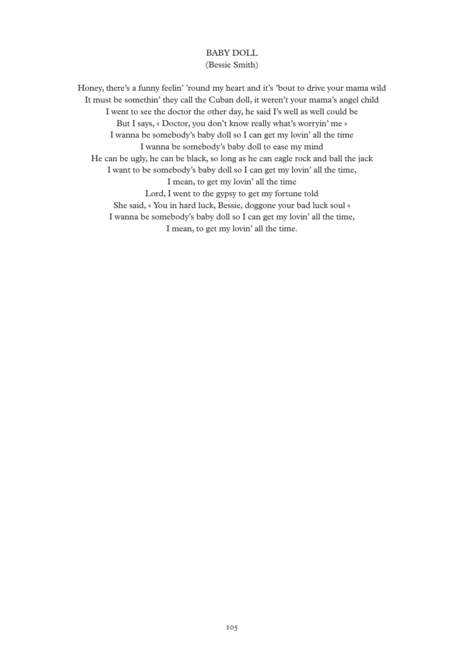## BABY DOLL

(Bessie Smith)

Honey, there's a funny feelin' 'round my heart and it's 'bout to drive your mama wild It must be somethin' they call the Cuban doll, it weren't your mama's angel child I went to see the doctor the other day, he said I's well as well could be But I says, « Doctor, you don't know really what's worryin' me » I wanna be somebody's baby doll so I can get my lovin' all the time I wanna be somebody's baby doll to ease my mind He can be ugly, he can be black, so long as he can eagle rock and ball the jack I want to be somebody's baby doll so I can get my lovin' all the time, I mean, to get my lovin' all the time Lord, I went to the gypsy to get my fortune told She said, « You in hard luck, Bessie, doggone your bad luck soul » I wanna be somebody's baby doll so I can get my lovin' all the time, I mean, to get my lovin' all the time.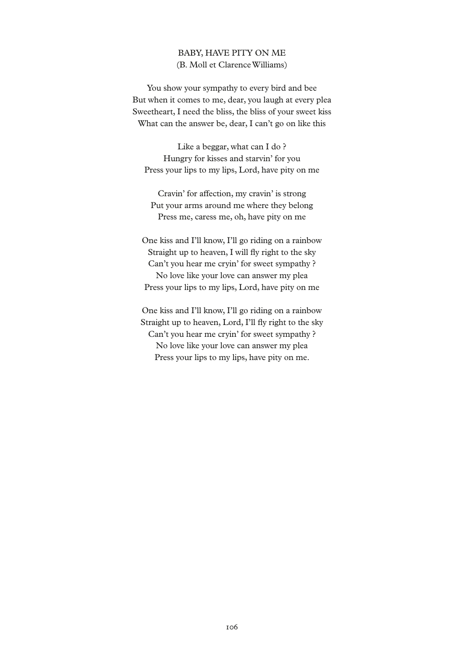### BABY, HAVE PITY ON ME (B. Moll et Clarence Williams)

You show your sympathy to every bird and bee But when it comes to me, dear, you laugh at every plea Sweetheart, I need the bliss, the bliss of your sweet kiss What can the answer be, dear, I can't go on like this

Like a beggar, what can I do ? Hungry for kisses and starvin' for you Press your lips to my lips, Lord, have pity on me

Cravin' for affection, my cravin' is strong Put your arms around me where they belong Press me, caress me, oh, have pity on me

One kiss and I'll know, I'll go riding on a rainbow Straight up to heaven, I will fly right to the sky Can't you hear me cryin' for sweet sympathy ? No love like your love can answer my plea Press your lips to my lips, Lord, have pity on me

One kiss and I'll know, I'll go riding on a rainbow Straight up to heaven, Lord, I'll fly right to the sky Can't you hear me cryin' for sweet sympathy ? No love like your love can answer my plea Press your lips to my lips, have pity on me.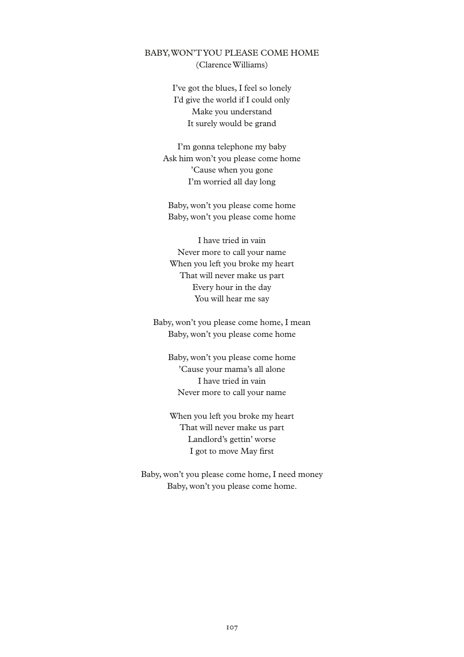# BABY, WON'T YOU PLEASE COME HOME (Clarence Williams)

I've got the blues, I feel so lonely I'd give the world if I could only Make you understand It surely would be grand

I'm gonna telephone my baby Ask him won't you please come home 'Cause when you gone I'm worried all day long

Baby, won't you please come home Baby, won't you please come home

I have tried in vain Never more to call your name When you left you broke my heart That will never make us part Every hour in the day You will hear me say

Baby, won't you please come home, I mean Baby, won't you please come home

Baby, won't you please come home 'Cause your mama's all alone I have tried in vain Never more to call your name

When you left you broke my heart That will never make us part Landlord's gettin' worse I got to move May first

Baby, won't you please come home, I need money Baby, won't you please come home.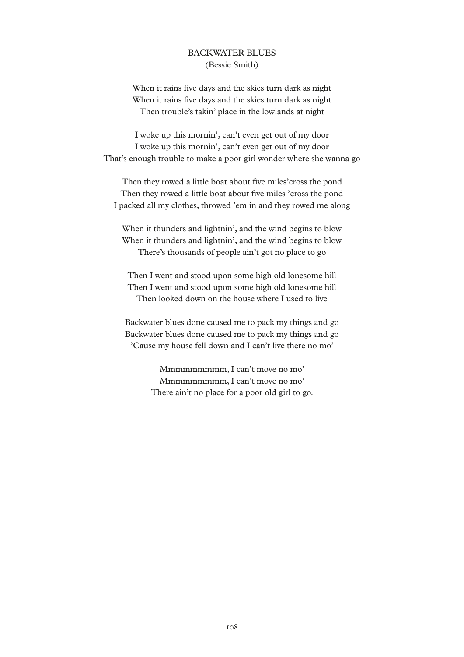### BACKWATER BLUES (Bessie Smith)

When it rains five days and the skies turn dark as night When it rains five days and the skies turn dark as night Then trouble's takin' place in the lowlands at night

I woke up this mornin', can't even get out of my door I woke up this mornin', can't even get out of my door That's enough trouble to make a poor girl wonder where she wanna go

Then they rowed a little boat about five miles'cross the pond Then they rowed a little boat about five miles 'cross the pond I packed all my clothes, throwed 'em in and they rowed me along

When it thunders and lightnin', and the wind begins to blow When it thunders and lightnin', and the wind begins to blow There's thousands of people ain't got no place to go

Then I went and stood upon some high old lonesome hill Then I went and stood upon some high old lonesome hill Then looked down on the house where I used to live

Backwater blues done caused me to pack my things and go Backwater blues done caused me to pack my things and go 'Cause my house fell down and I can't live there no mo'

> Mmmmmmmmm, I can't move no mo' Mmmmmmmmm, I can't move no mo' There ain't no place for a poor old girl to go.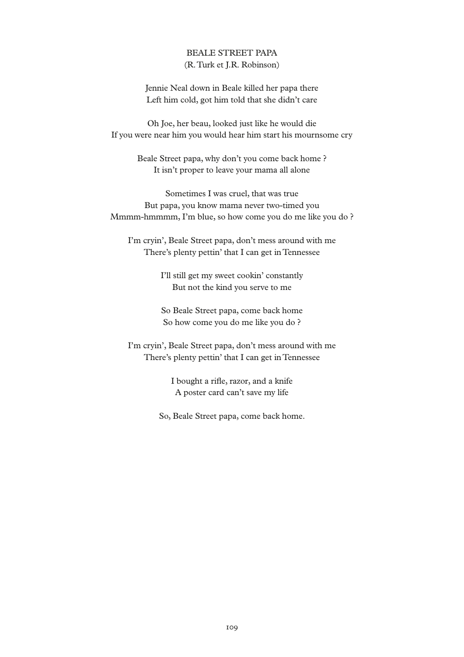### BEALE STREET PAPA (R. Turk et J.R. Robinson)

Jennie Neal down in Beale killed her papa there Left him cold, got him told that she didn't care

Oh Joe, her beau, looked just like he would die If you were near him you would hear him start his mournsome cry

> Beale Street papa, why don't you come back home ? It isn't proper to leave your mama all alone

Sometimes I was cruel, that was true But papa, you know mama never two-timed you Mmmm-hmmmm, I'm blue, so how come you do me like you do?

I'm cryin', Beale Street papa, don't mess around with me There's plenty pettin' that I can get in Tennessee

> I'll still get my sweet cookin' constantly But not the kind you serve to me

> So Beale Street papa, come back home So how come you do me like you do ?

I'm cryin', Beale Street papa, don't mess around with me There's plenty pettin' that I can get in Tennessee

> I bought a rifle, razor, and a knife A poster card can't save my life

So, Beale Street papa, come back home.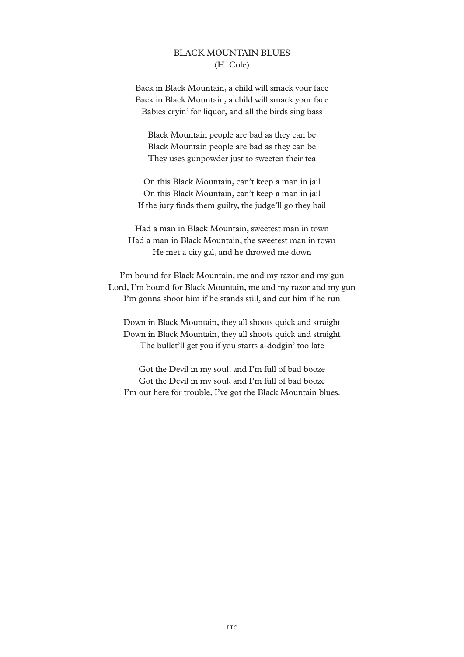### BLACK MOUNTAIN BLUES (H. Cole)

Back in Black Mountain, a child will smack your face Back in Black Mountain, a child will smack your face Babies cryin' for liquor, and all the birds sing bass

Black Mountain people are bad as they can be Black Mountain people are bad as they can be They uses gunpowder just to sweeten their tea

On this Black Mountain, can't keep a man in jail On this Black Mountain, can't keep a man in jail If the jury finds them guilty, the judge'll go they bail

Had a man in Black Mountain, sweetest man in town Had a man in Black Mountain, the sweetest man in town He met a city gal, and he throwed me down

I'm bound for Black Mountain, me and my razor and my gun Lord, I'm bound for Black Mountain, me and my razor and my gun I'm gonna shoot him if he stands still, and cut him if he run

Down in Black Mountain, they all shoots quick and straight Down in Black Mountain, they all shoots quick and straight The bullet'll get you if you starts a-dodgin' too late

Got the Devil in my soul, and I'm full of bad booze Got the Devil in my soul, and I'm full of bad booze I'm out here for trouble, I've got the Black Mountain blues.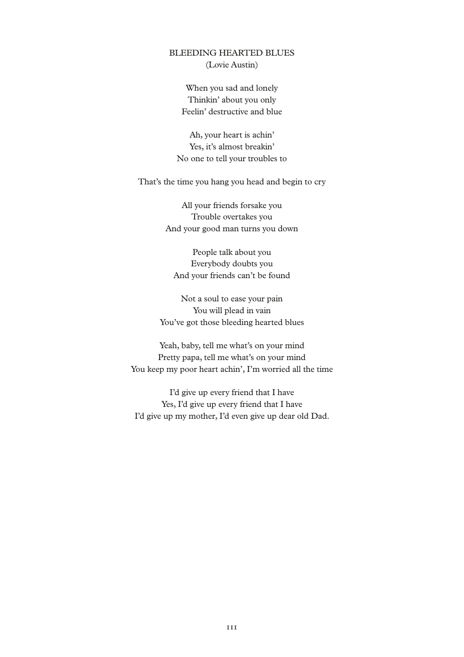# BLEEDING HEARTED BLUES

(Lovie Austin)

When you sad and lonely Thinkin' about you only Feelin' destructive and blue

Ah, your heart is achin' Yes, it's almost breakin' No one to tell your troubles to

That's the time you hang you head and begin to cry

All your friends forsake you Trouble overtakes you And your good man turns you down

People talk about you Everybody doubts you And your friends can't be found

Not a soul to ease your pain You will plead in vain You've got those bleeding hearted blues

Yeah, baby, tell me what's on your mind Pretty papa, tell me what's on your mind You keep my poor heart achin', I'm worried all the time

I'd give up every friend that I have Yes, I'd give up every friend that I have I'd give up my mother, I'd even give up dear old Dad.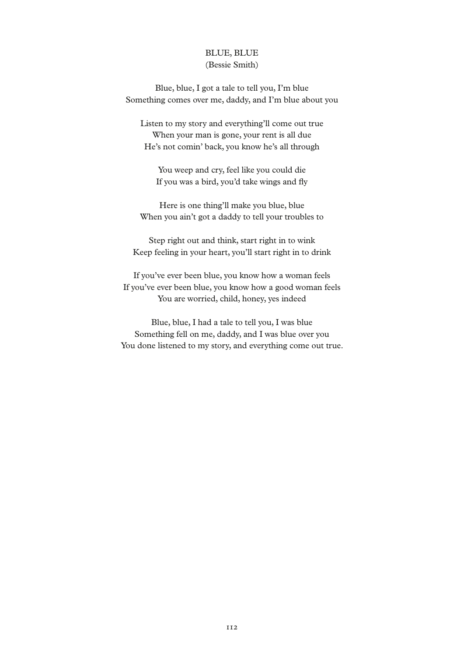# BLUE, BLUE

### (Bessie Smith)

Blue, blue, I got a tale to tell you, I'm blue Something comes over me, daddy, and I'm blue about you

Listen to my story and everything'll come out true When your man is gone, your rent is all due He's not comin' back, you know he's all through

You weep and cry, feel like you could die If you was a bird, you'd take wings and fly

Here is one thing'll make you blue, blue When you ain't got a daddy to tell your troubles to

Step right out and think, start right in to wink Keep feeling in your heart, you'll start right in to drink

If you've ever been blue, you know how a woman feels If you've ever been blue, you know how a good woman feels You are worried, child, honey, yes indeed

Blue, blue, I had a tale to tell you, I was blue Something fell on me, daddy, and I was blue over you You done listened to my story, and everything come out true.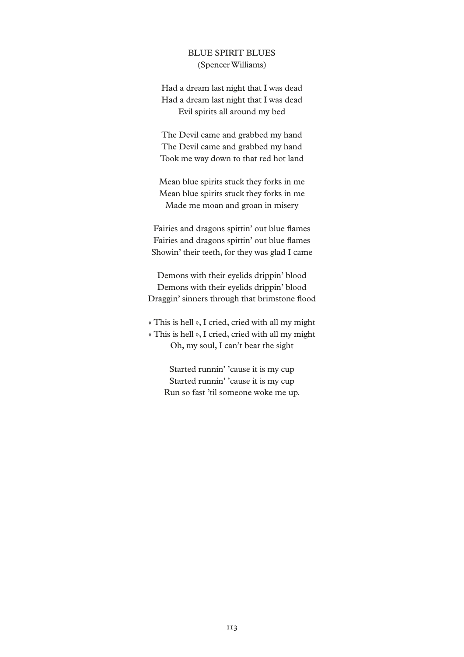# BLUE SPIRIT BLUES (Spencer Williams)

Had a dream last night that I was dead Had a dream last night that I was dead Evil spirits all around my bed

The Devil came and grabbed my hand The Devil came and grabbed my hand Took me way down to that red hot land

Mean blue spirits stuck they forks in me Mean blue spirits stuck they forks in me Made me moan and groan in misery

Fairies and dragons spittin' out blue flames Fairies and dragons spittin' out blue flames Showin' their teeth, for they was glad I came

Demons with their eyelids drippin' blood Demons with their eyelids drippin' blood Draggin' sinners through that brimstone flood

« This is hell », I cried, cried with all my might

« This is hell », I cried, cried with all my might Oh, my soul, I can't bear the sight

Started runnin' 'cause it is my cup Started runnin' 'cause it is my cup Run so fast 'til someone woke me up.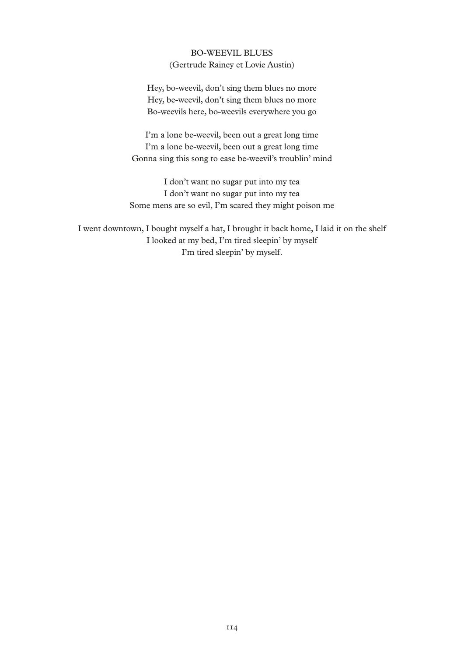# BO-WEEVIL BLUES (Gertrude Rainey et Lovie Austin)

Hey, bo-weevil, don't sing them blues no more Hey, be-weevil, don't sing them blues no more Bo-weevils here, bo-weevils everywhere you go

I'm a lone be-weevil, been out a great long time I'm a lone be-weevil, been out a great long time Gonna sing this song to ease be-weevil's troublin' mind

I don't want no sugar put into my tea I don't want no sugar put into my tea Some mens are so evil, I'm scared they might poison me

I went downtown, I bought myself a hat, I brought it back home, I laid it on the shelf I looked at my bed, I'm tired sleepin' by myself I'm tired sleepin' by myself.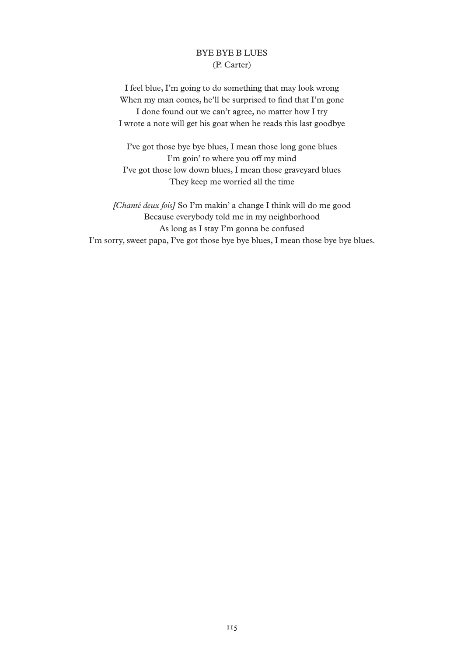# BYE BYE B LUES (P. Carter)

I feel blue, I'm going to do something that may look wrong When my man comes, he'll be surprised to find that I'm gone I done found out we can't agree, no matter how I try I wrote a note will get his goat when he reads this last goodbye

I've got those bye bye blues, I mean those long gone blues I'm goin' to where you off my mind I've got those low down blues, I mean those graveyard blues They keep me worried all the time

*[Chanté deux fois]* So I'm makin' a change I think will do me good Because everybody told me in my neighborhood As long as I stay I'm gonna be confused I'm sorry, sweet papa, I've got those bye bye blues, I mean those bye bye blues.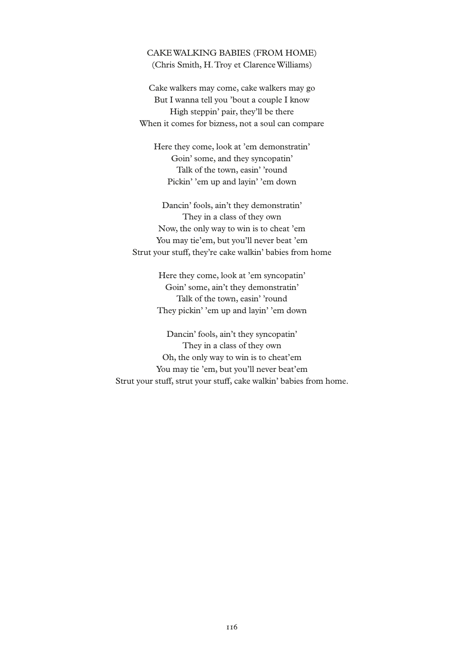#### CAKE WALKING BABIES (FROM HOME) (Chris Smith, H. Troy et Clarence Williams)

Cake walkers may come, cake walkers may go But I wanna tell you 'bout a couple I know High steppin' pair, they'll be there When it comes for bizness, not a soul can compare

Here they come, look at 'em demonstratin' Goin' some, and they syncopatin' Talk of the town, easin' 'round Pickin' 'em up and layin' 'em down

Dancin' fools, ain't they demonstratin' They in a class of they own Now, the only way to win is to cheat 'em You may tie'em, but you'll never beat 'em Strut your stuff, they're cake walkin' babies from home

> Here they come, look at 'em syncopatin' Goin' some, ain't they demonstratin' Talk of the town, easin' 'round They pickin' 'em up and layin' 'em down

Dancin' fools, ain't they syncopatin' They in a class of they own Oh, the only way to win is to cheat'em You may tie 'em, but you'll never beat'em Strut your stuff, strut your stuff, cake walkin' babies from home.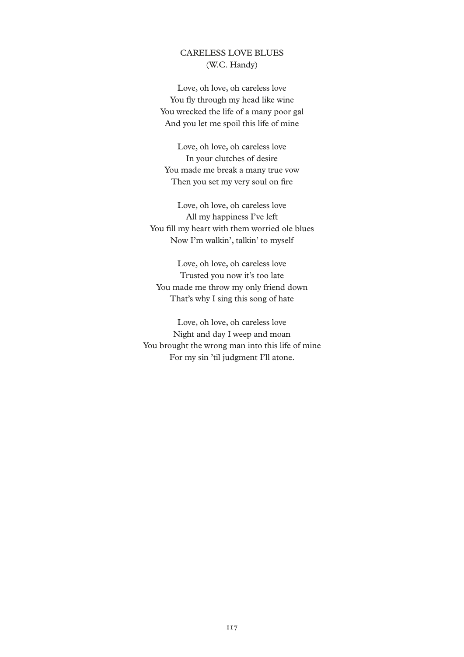# CARELESS LOVE BLUES (W.C. Handy)

Love, oh love, oh careless love You fly through my head like wine You wrecked the life of a many poor gal And you let me spoil this life of mine

Love, oh love, oh careless love In your clutches of desire You made me break a many true vow Then you set my very soul on fire

Love, oh love, oh careless love All my happiness I've left You fill my heart with them worried ole blues Now I'm walkin', talkin' to myself

Love, oh love, oh careless love Trusted you now it's too late You made me throw my only friend down That's why I sing this song of hate

Love, oh love, oh careless love Night and day I weep and moan You brought the wrong man into this life of mine For my sin 'til judgment I'll atone.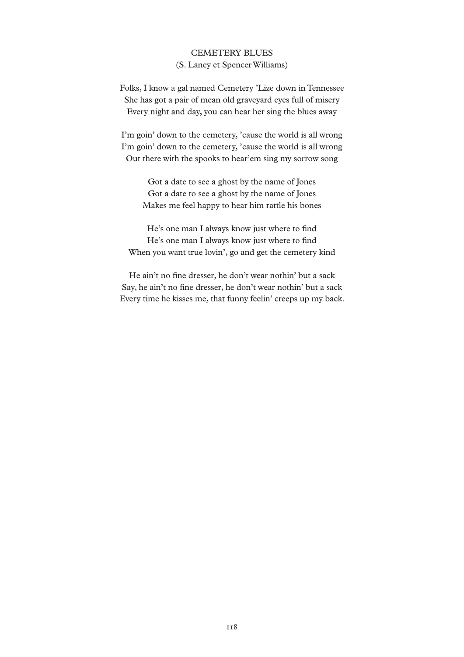#### CEMETERY BLUES

(S. Laney et Spencer Williams)

Folks, I know a gal named Cemetery 'Lize down in Tennessee She has got a pair of mean old graveyard eyes full of misery Every night and day, you can hear her sing the blues away

I'm goin' down to the cemetery, 'cause the world is all wrong I'm goin' down to the cemetery, 'cause the world is all wrong Out there with the spooks to hear'em sing my sorrow song

Got a date to see a ghost by the name of Jones Got a date to see a ghost by the name of Jones Makes me feel happy to hear him rattle his bones

He's one man I always know just where to find He's one man I always know just where to find When you want true lovin', go and get the cemetery kind

He ain't no fine dresser, he don't wear nothin' but a sack Say, he ain't no fine dresser, he don't wear nothin' but a sack Every time he kisses me, that funny feelin' creeps up my back.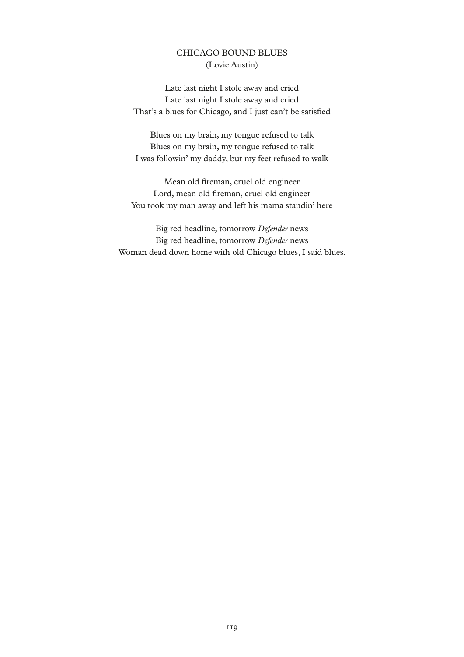# CHICAGO BOUND BLUES (Lovie Austin)

Late last night I stole away and cried Late last night I stole away and cried That's a blues for Chicago, and I just can't be satisfied

Blues on my brain, my tongue refused to talk Blues on my brain, my tongue refused to talk I was followin' my daddy, but my feet refused to walk

Mean old fireman, cruel old engineer Lord, mean old fireman, cruel old engineer You took my man away and left his mama standin' here

Big red headline, tomorrow *Defender* news Big red headline, tomorrow *Defender* news Woman dead down home with old Chicago blues, I said blues.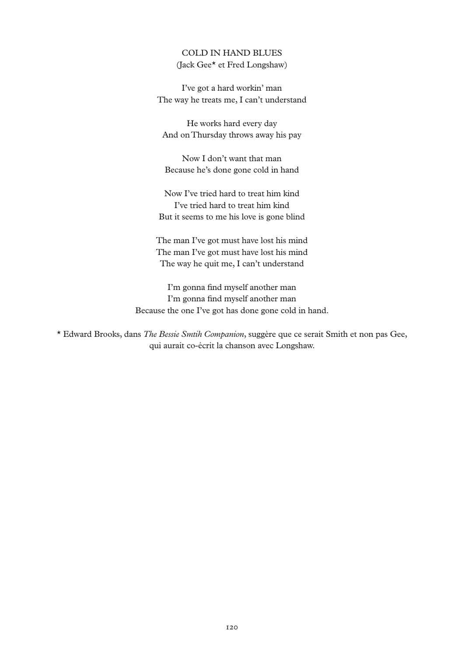### COLD IN HAND BLUES

### (Jack Gee\* et Fred Longshaw)

I've got a hard workin' man The way he treats me, I can't understand

He works hard every day And on Thursday throws away his pay

Now I don't want that man Because he's done gone cold in hand

Now I've tried hard to treat him kind I've tried hard to treat him kind But it seems to me his love is gone blind

The man I've got must have lost his mind The man I've got must have lost his mind The way he quit me, I can't understand

I'm gonna find myself another man I'm gonna find myself another man Because the one I've got has done gone cold in hand.

\* Edward Brooks, dans *The Bessie Smtih Companion*, suggère que ce serait Smith et non pas Gee, qui aurait co-écrit la chanson avec Longshaw.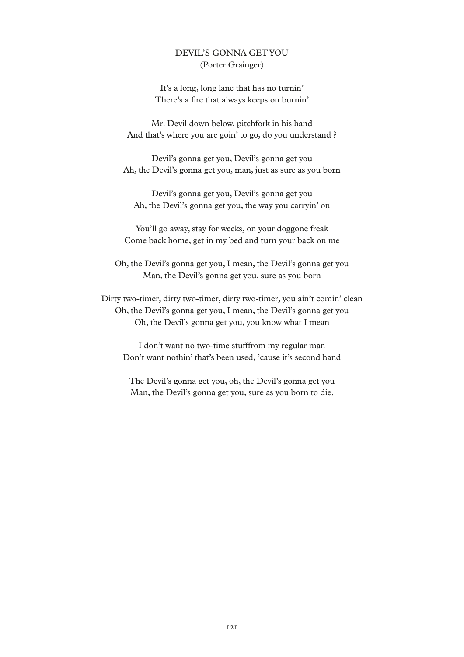# DEVIL'S GONNA GET YOU (Porter Grainger)

It's a long, long lane that has no turnin' There's a fire that always keeps on burnin'

Mr. Devil down below, pitchfork in his hand And that's where you are goin' to go, do you understand ?

Devil's gonna get you, Devil's gonna get you Ah, the Devil's gonna get you, man, just as sure as you born

Devil's gonna get you, Devil's gonna get you Ah, the Devil's gonna get you, the way you carryin' on

You'll go away, stay for weeks, on your doggone freak Come back home, get in my bed and turn your back on me

Oh, the Devil's gonna get you, I mean, the Devil's gonna get you Man, the Devil's gonna get you, sure as you born

Dirty two-timer, dirty two-timer, dirty two-timer, you ain't comin' clean Oh, the Devil's gonna get you, I mean, the Devil's gonna get you Oh, the Devil's gonna get you, you know what I mean

I don't want no two-time stufffrom my regular man Don't want nothin' that's been used, 'cause it's second hand

The Devil's gonna get you, oh, the Devil's gonna get you Man, the Devil's gonna get you, sure as you born to die.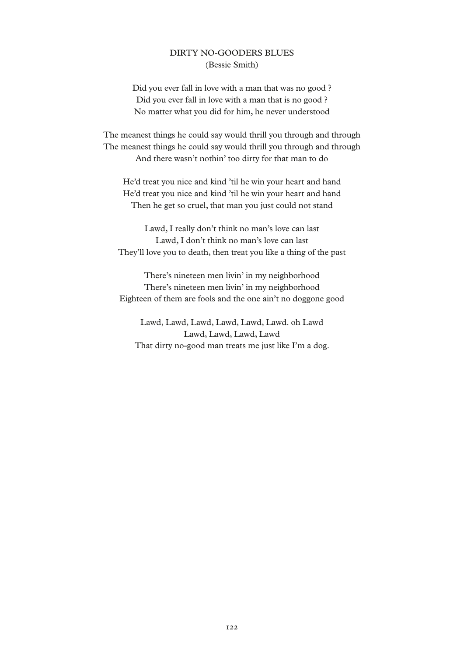# DIRTY NO-GOODERS BLUES (Bessie Smith)

Did you ever fall in love with a man that was no good ? Did you ever fall in love with a man that is no good ? No matter what you did for him, he never understood

The meanest things he could say would thrill you through and through The meanest things he could say would thrill you through and through And there wasn't nothin' too dirty for that man to do

He'd treat you nice and kind 'til he win your heart and hand He'd treat you nice and kind 'til he win your heart and hand Then he get so cruel, that man you just could not stand

Lawd, I really don't think no man's love can last Lawd, I don't think no man's love can last They'll love you to death, then treat you like a thing of the past

There's nineteen men livin' in my neighborhood There's nineteen men livin' in my neighborhood Eighteen of them are fools and the one ain't no doggone good

Lawd, Lawd, Lawd, Lawd, Lawd, Lawd. oh Lawd Lawd, Lawd, Lawd, Lawd That dirty no-good man treats me just like I'm a dog.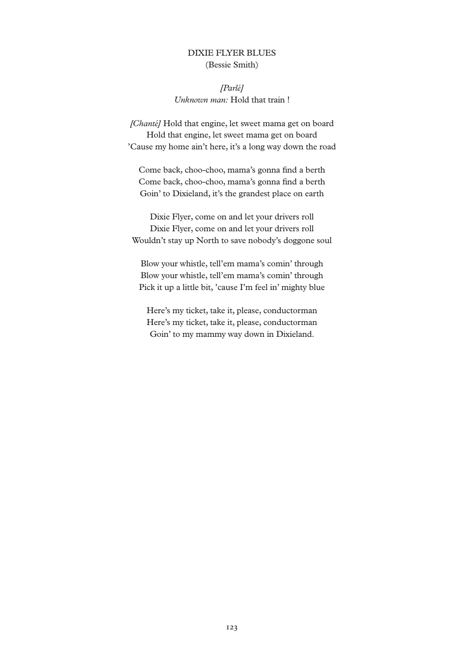### DIXIE FLYER BLUES (Bessie Smith)

### *[Parlé] Unknown man:* Hold that train !

*[Chanté]* Hold that engine, let sweet mama get on board Hold that engine, let sweet mama get on board 'Cause my home ain't here, it's a long way down the road

Come back, choo-choo, mama's gonna find a berth Come back, choo-choo, mama's gonna find a berth Goin' to Dixieland, it's the grandest place on earth

Dixie Flyer, come on and let your drivers roll Dixie Flyer, come on and let your drivers roll Wouldn't stay up North to save nobody's doggone soul

Blow your whistle, tell'em mama's comin' through Blow your whistle, tell'em mama's comin' through Pick it up a little bit, 'cause I'm feel in' mighty blue

Here's my ticket, take it, please, conductorman Here's my ticket, take it, please, conductorman Goin' to my mammy way down in Dixieland.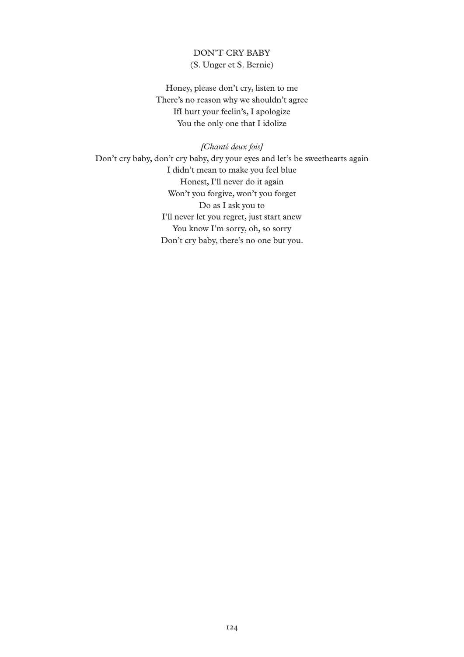### DON'T CRY BABY

(S. Unger et S. Bernie)

Honey, please don't cry, listen to me There's no reason why we shouldn't agree IfI hurt your feelin's, I apologize You the only one that I idolize

#### *[Chanté deux fois]*

Don't cry baby, don't cry baby, dry your eyes and let's be sweethearts again I didn't mean to make you feel blue Honest, I'll never do it again Won't you forgive, won't you forget Do as I ask you to I'll never let you regret, just start anew You know I'm sorry, oh, so sorry Don't cry baby, there's no one but you.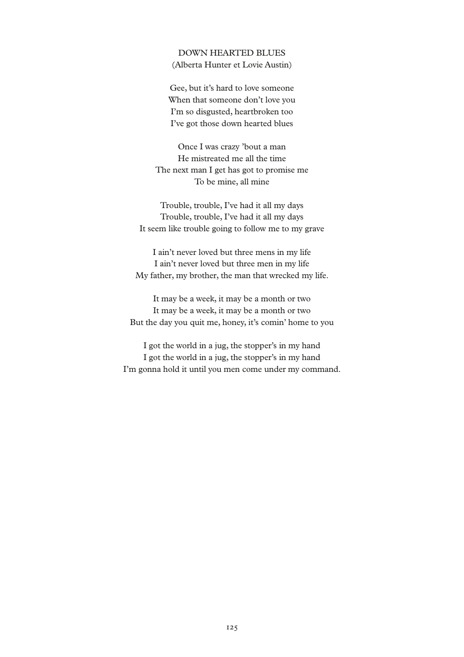# DOWN HEARTED BLUES (Alberta Hunter et Lovie Austin)

Gee, but it's hard to love someone When that someone don't love you I'm so disgusted, heartbroken too I've got those down hearted blues

Once I was crazy 'bout a man He mistreated me all the time The next man I get has got to promise me To be mine, all mine

Trouble, trouble, I've had it all my days Trouble, trouble, I've had it all my days It seem like trouble going to follow me to my grave

I ain't never loved but three mens in my life I ain't never loved but three men in my life My father, my brother, the man that wrecked my life.

It may be a week, it may be a month or two It may be a week, it may be a month or two But the day you quit me, honey, it's comin' home to you

I got the world in a jug, the stopper's in my hand I got the world in a jug, the stopper's in my hand I'm gonna hold it until you men come under my command.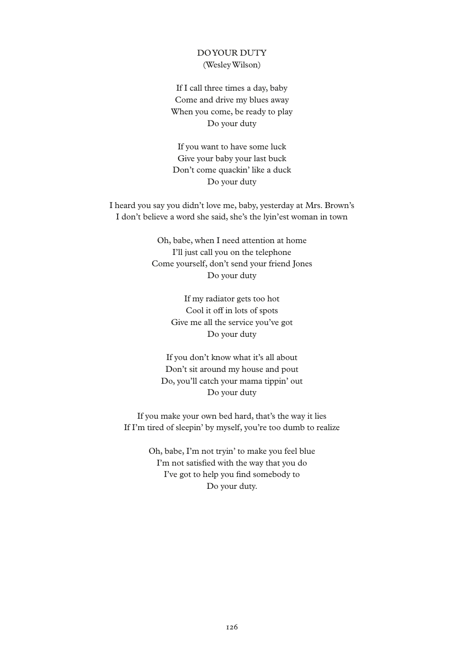# DO YOUR DUTY (Wesley Wilson)

If I call three times a day, baby Come and drive my blues away When you come, be ready to play Do your duty

If you want to have some luck Give your baby your last buck Don't come quackin' like a duck Do your duty

I heard you say you didn't love me, baby, yesterday at Mrs. Brown's I don't believe a word she said, she's the lyin'est woman in town

> Oh, babe, when I need attention at home I'll just call you on the telephone Come yourself, don't send your friend Jones Do your duty

> > If my radiator gets too hot Cool it off in lots of spots Give me all the service you've got Do your duty

If you don't know what it's all about Don't sit around my house and pout Do, you'll catch your mama tippin' out Do your duty

If you make your own bed hard, that's the way it lies If I'm tired of sleepin' by myself, you're too dumb to realize

> Oh, babe, I'm not tryin' to make you feel blue I'm not satisfied with the way that you do I've got to help you find somebody to Do your duty.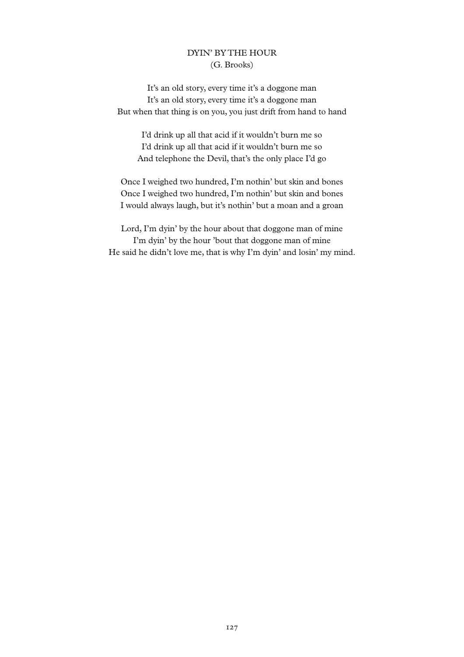# DYIN' BY THE HOUR (G. Brooks)

It's an old story, every time it's a doggone man It's an old story, every time it's a doggone man But when that thing is on you, you just drift from hand to hand

I'd drink up all that acid if it wouldn't burn me so I'd drink up all that acid if it wouldn't burn me so And telephone the Devil, that's the only place I'd go

Once I weighed two hundred, I'm nothin' but skin and bones Once I weighed two hundred, I'm nothin' but skin and bones I would always laugh, but it's nothin' but a moan and a groan

Lord, I'm dyin' by the hour about that doggone man of mine I'm dyin' by the hour 'bout that doggone man of mine He said he didn't love me, that is why I'm dyin' and losin' my mind.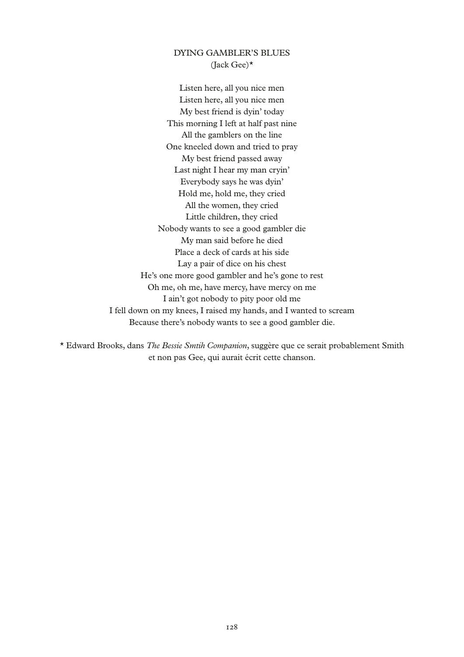# DYING GAMBLER'S BLUES (Jack Gee) $\star$

Listen here, all you nice men Listen here, all you nice men My best friend is dyin' today This morning I left at half past nine All the gamblers on the line One kneeled down and tried to pray My best friend passed away Last night I hear my man cryin' Everybody says he was dyin' Hold me, hold me, they cried All the women, they cried Little children, they cried Nobody wants to see a good gambler die My man said before he died Place a deck of cards at his side Lay a pair of dice on his chest He's one more good gambler and he's gone to rest Oh me, oh me, have mercy, have mercy on me I ain't got nobody to pity poor old me I fell down on my knees, I raised my hands, and I wanted to scream Because there's nobody wants to see a good gambler die.

\* Edward Brooks, dans *The Bessie Smtih Companion*, suggère que ce serait probablement Smith et non pas Gee, qui aurait écrit cette chanson.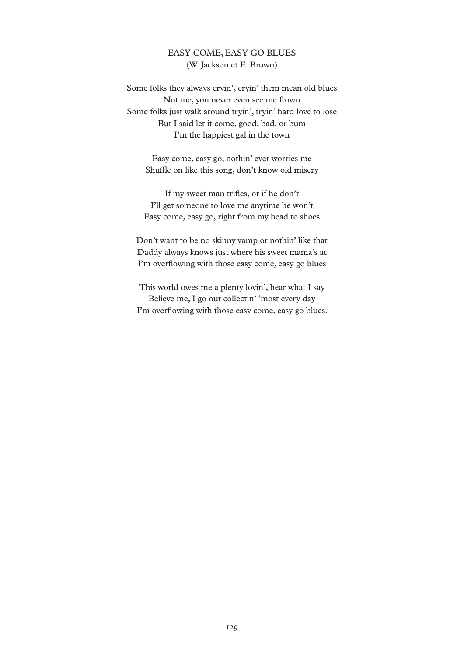# EASY COME, EASY GO BLUES (W. Jackson et E. Brown)

Some folks they always cryin', cryin' them mean old blues Not me, you never even see me frown Some folks just walk around tryin', tryin' hard love to lose But I said let it come, good, bad, or bum I'm the happiest gal in the town

Easy come, easy go, nothin' ever worries me Shuffle on like this song, don't know old misery

If my sweet man trifles, or if he don't I'll get someone to love me anytime he won't Easy come, easy go, right from my head to shoes

Don't want to be no skinny vamp or nothin' like that Daddy always knows just where his sweet mama's at I'm overflowing with those easy come, easy go blues

This world owes me a plenty lovin', hear what I say Believe me, I go out collectin' 'most every day I'm overflowing with those easy come, easy go blues.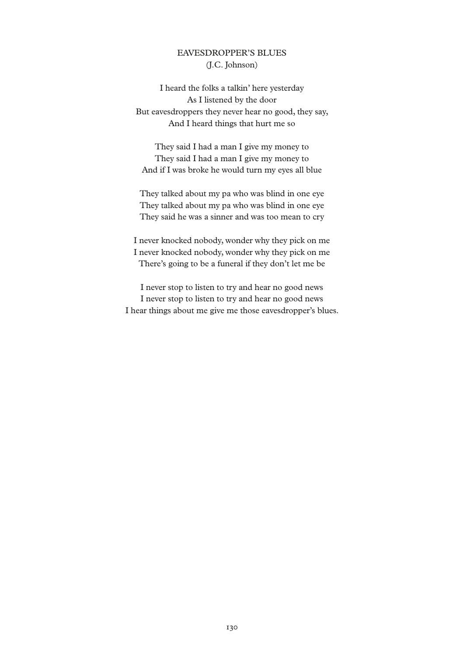# EAVESDROPPER'S BLUES (J.C. Johnson)

I heard the folks a talkin' here yesterday As I listened by the door But eavesdroppers they never hear no good, they say, And I heard things that hurt me so

They said I had a man I give my money to They said I had a man I give my money to And if I was broke he would turn my eyes all blue

They talked about my pa who was blind in one eye They talked about my pa who was blind in one eye They said he was a sinner and was too mean to cry

I never knocked nobody, wonder why they pick on me I never knocked nobody, wonder why they pick on me There's going to be a funeral if they don't let me be

I never stop to listen to try and hear no good news I never stop to listen to try and hear no good news I hear things about me give me those eavesdropper's blues.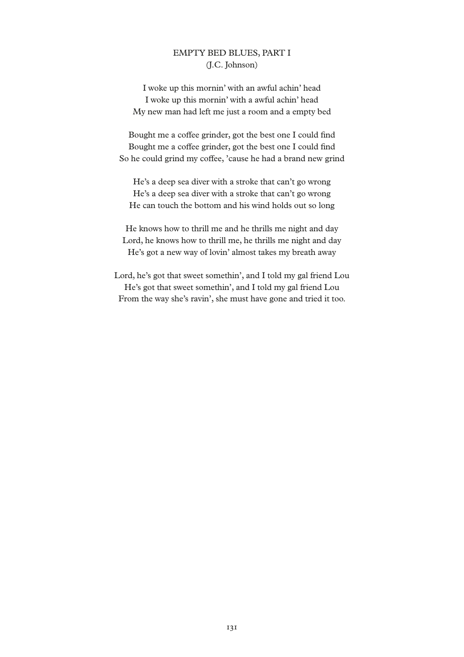# EMPTY BED BLUES, PART I (J.C. Johnson)

I woke up this mornin' with an awful achin' head I woke up this mornin' with a awful achin' head My new man had left me just a room and a empty bed

Bought me a coffee grinder, got the best one I could find Bought me a coffee grinder, got the best one I could find So he could grind my coffee, 'cause he had a brand new grind

He's a deep sea diver with a stroke that can't go wrong He's a deep sea diver with a stroke that can't go wrong He can touch the bottom and his wind holds out so long

He knows how to thrill me and he thrills me night and day Lord, he knows how to thrill me, he thrills me night and day He's got a new way of lovin' almost takes my breath away

Lord, he's got that sweet somethin', and I told my gal friend Lou He's got that sweet somethin', and I told my gal friend Lou From the way she's ravin', she must have gone and tried it too.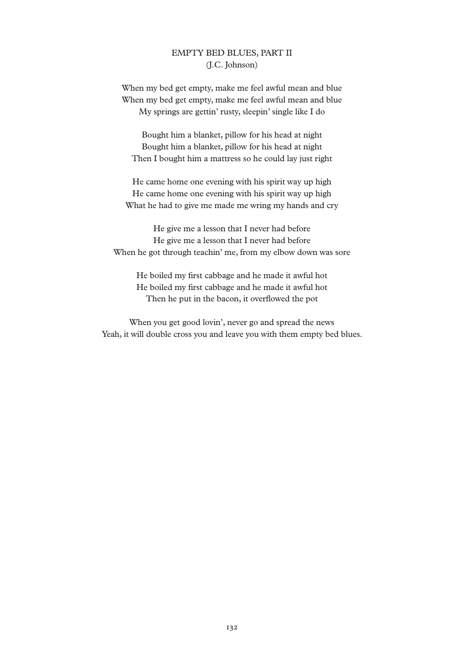# EMPTY BED BLUES, PART II (J.C. Johnson)

When my bed get empty, make me feel awful mean and blue When my bed get empty, make me feel awful mean and blue My springs are gettin' rusty, sleepin' single like I do

Bought him a blanket, pillow for his head at night Bought him a blanket, pillow for his head at night Then I bought him a mattress so he could lay just right

He came home one evening with his spirit way up high He came home one evening with his spirit way up high What he had to give me made me wring my hands and cry

He give me a lesson that I never had before He give me a lesson that I never had before When he got through teachin' me, from my elbow down was sore

He boiled my first cabbage and he made it awful hot He boiled my first cabbage and he made it awful hot Then he put in the bacon, it overflowed the pot

When you get good lovin', never go and spread the news Yeah, it will double cross you and leave you with them empty bed blues.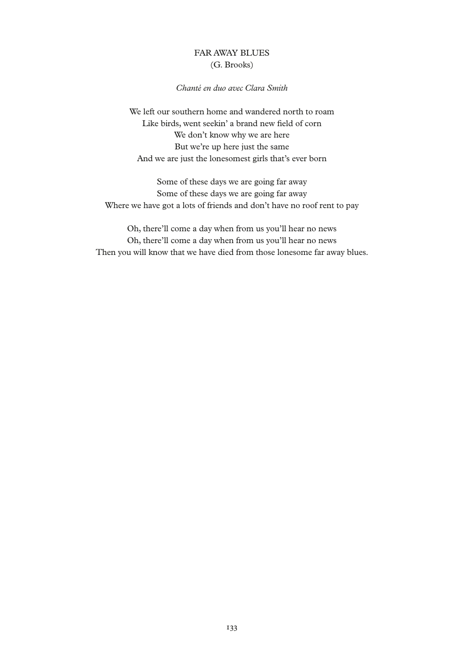# FAR AWAY BLUES (G. Brooks)

#### *Chanté en duo avec Clara Smith*

We left our southern home and wandered north to roam Like birds, went seekin' a brand new field of corn We don't know why we are here But we're up here just the same And we are just the lonesomest girls that's ever born

Some of these days we are going far away Some of these days we are going far away Where we have got a lots of friends and don't have no roof rent to pay

Oh, there'll come a day when from us you'll hear no news Oh, there'll come a day when from us you'll hear no news Then you will know that we have died from those lonesome far away blues.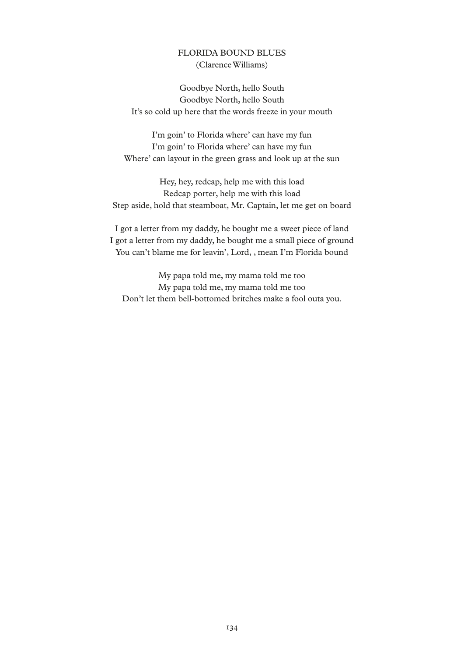# FLORIDA BOUND BLUES (Clarence Williams)

Goodbye North, hello South Goodbye North, hello South It's so cold up here that the words freeze in your mouth

I'm goin' to Florida where' can have my fun I'm goin' to Florida where' can have my fun Where' can layout in the green grass and look up at the sun

Hey, hey, redcap, help me with this load Redcap porter, help me with this load Step aside, hold that steamboat, Mr. Captain, let me get on board

I got a letter from my daddy, he bought me a sweet piece of land I got a letter from my daddy, he bought me a small piece of ground You can't blame me for leavin', Lord, , mean I'm Florida bound

My papa told me, my mama told me too My papa told me, my mama told me too Don't let them bell-bottomed britches make a fool outa you.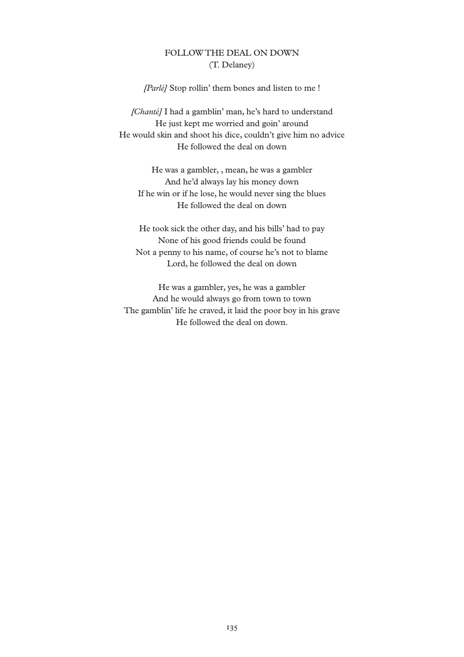# FOLLOW THE DEAL ON DOWN (T. Delaney)

*[Parlé]* Stop rollin' them bones and listen to me !

*[Chanté]* I had a gamblin' man, he's hard to understand He just kept me worried and goin' around He would skin and shoot his dice, couldn't give him no advice He followed the deal on down

He was a gambler, , mean, he was a gambler And he'd always lay his money down If he win or if he lose, he would never sing the blues He followed the deal on down

He took sick the other day, and his bills' had to pay None of his good friends could be found Not a penny to his name, of course he's not to blame Lord, he followed the deal on down

He was a gambler, yes, he was a gambler And he would always go from town to town The gamblin' life he craved, it laid the poor boy in his grave He followed the deal on down.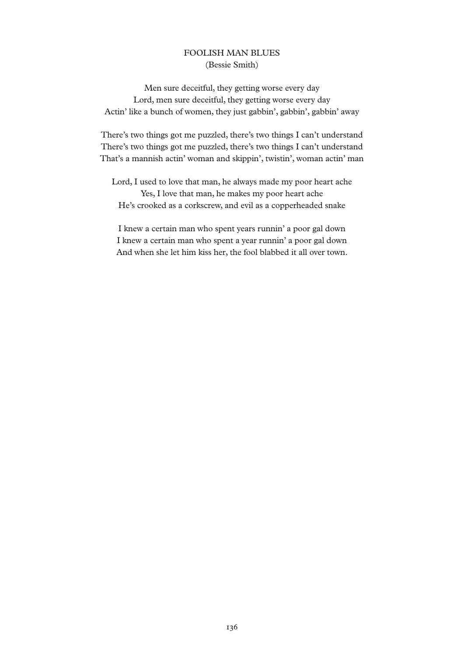# FOOLISH MAN BLUES (Bessie Smith)

Men sure deceitful, they getting worse every day Lord, men sure deceitful, they getting worse every day Actin' like a bunch of women, they just gabbin', gabbin', gabbin' away

There's two things got me puzzled, there's two things I can't understand There's two things got me puzzled, there's two things I can't understand That's a mannish actin' woman and skippin', twistin', woman actin' man

Lord, I used to love that man, he always made my poor heart ache Yes, I love that man, he makes my poor heart ache He's crooked as a corkscrew, and evil as a copperheaded snake

I knew a certain man who spent years runnin' a poor gal down I knew a certain man who spent a year runnin' a poor gal down And when she let him kiss her, the fool blabbed it all over town.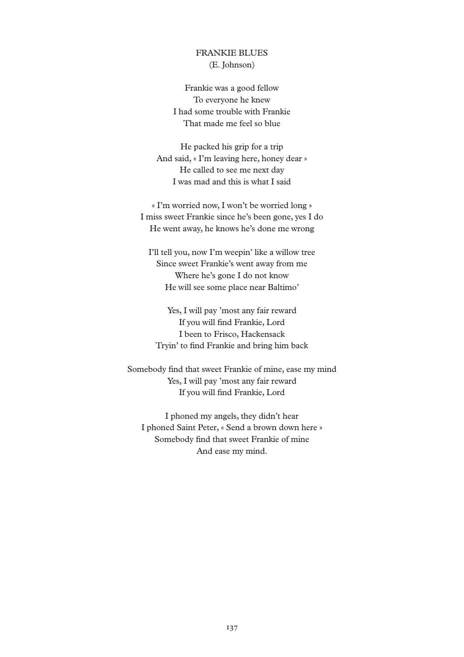# FRANKIE BLUES (E. Johnson)

Frankie was a good fellow To everyone he knew I had some trouble with Frankie That made me feel so blue

He packed his grip for a trip And said, « I'm leaving here, honey dear » He called to see me next day I was mad and this is what I said

« I'm worried now, I won't be worried long » I miss sweet Frankie since he's been gone, yes I do He went away, he knows he's done me wrong

I'll tell you, now I'm weepin' like a willow tree Since sweet Frankie's went away from me Where he's gone I do not know He will see some place near Baltimo'

Yes, I will pay 'most any fair reward If you will find Frankie, Lord I been to Frisco, Hackensack Tryin' to find Frankie and bring him back

Somebody find that sweet Frankie of mine, ease my mind Yes, I will pay 'most any fair reward If you will find Frankie, Lord

I phoned my angels, they didn't hear I phoned Saint Peter, « Send a brown down here » Somebody find that sweet Frankie of mine And ease my mind.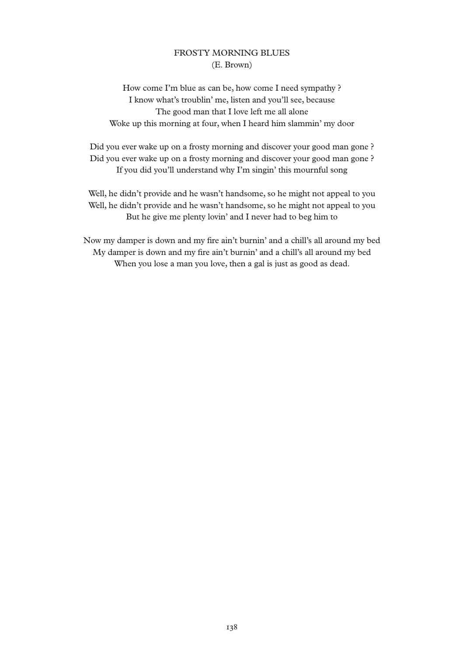# FROSTY MORNING BLUES (E. Brown)

How come I'm blue as can be, how come I need sympathy ? I know what's troublin' me, listen and you'll see, because The good man that I love left me all alone Woke up this morning at four, when I heard him slammin' my door

Did you ever wake up on a frosty morning and discover your good man gone ? Did you ever wake up on a frosty morning and discover your good man gone ? If you did you'll understand why I'm singin' this mournful song

Well, he didn't provide and he wasn't handsome, so he might not appeal to you Well, he didn't provide and he wasn't handsome, so he might not appeal to you But he give me plenty lovin' and I never had to beg him to

Now my damper is down and my fire ain't burnin' and a chill's all around my bed My damper is down and my fire ain't burnin' and a chill's all around my bed When you lose a man you love, then a gal is just as good as dead.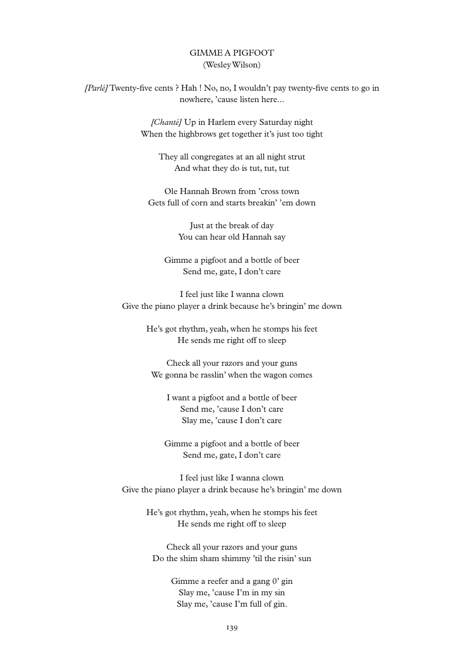### GIMME A PIGFOOT (Wesley Wilson)

*[Parlé]* Twenty-five cents ? Hah ! No, no, I wouldn't pay twenty-five cents to go in nowhere, 'cause listen here...

> *[Chanté]* Up in Harlem every Saturday night When the highbrows get together it's just too tight

They all congregates at an all night strut And what they do is tut, tut, tut

Ole Hannah Brown from 'cross town Gets full of corn and starts breakin' 'em down

> Just at the break of day You can hear old Hannah say

Gimme a pigfoot and a bottle of beer Send me, gate, I don't care

I feel just like I wanna clown Give the piano player a drink because he's bringin' me down

> He's got rhythm, yeah, when he stomps his feet He sends me right off to sleep

Check all your razors and your guns We gonna be rasslin' when the wagon comes

I want a pigfoot and a bottle of beer Send me, 'cause I don't care Slay me, 'cause I don't care

Gimme a pigfoot and a bottle of beer Send me, gate, I don't care

I feel just like I wanna clown Give the piano player a drink because he's bringin' me down

> He's got rhythm, yeah, when he stomps his feet He sends me right off to sleep

Check all your razors and your guns Do the shim sham shimmy 'til the risin' sun

> Gimme a reefer and a gang 0' gin Slay me, 'cause I'm in my sin Slay me, 'cause I'm full of gin.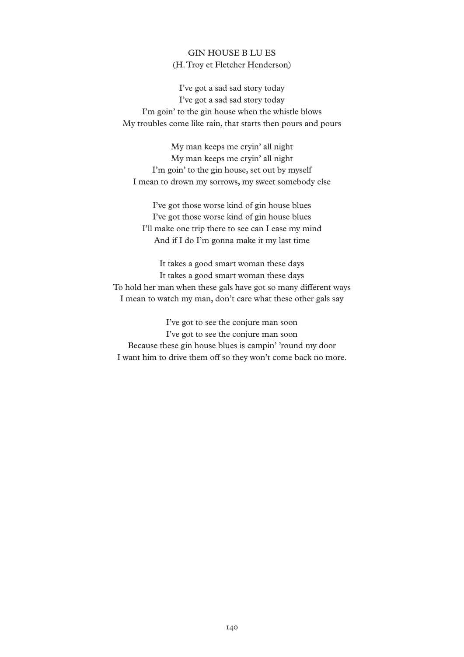# GIN HOUSE B LU ES (H. Troy et Fletcher Henderson)

I've got a sad sad story today I've got a sad sad story today I'm goin' to the gin house when the whistle blows My troubles come like rain, that starts then pours and pours

My man keeps me cryin' all night My man keeps me cryin' all night I'm goin' to the gin house, set out by myself I mean to drown my sorrows, my sweet somebody else

I've got those worse kind of gin house blues I've got those worse kind of gin house blues I'll make one trip there to see can I ease my mind And if I do I'm gonna make it my last time

It takes a good smart woman these days It takes a good smart woman these days To hold her man when these gals have got so many different ways I mean to watch my man, don't care what these other gals say

I've got to see the conjure man soon I've got to see the conjure man soon Because these gin house blues is campin' 'round my door I want him to drive them off so they won't come back no more.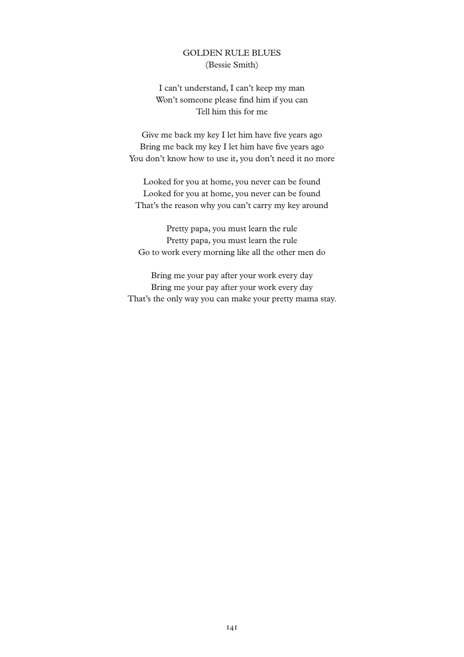# GOLDEN RULE BLUES (Bessie Smith)

I can't understand, I can't keep my man Won't someone please find him if you can Tell him this for me

Give me back my key I let him have five years ago Bring me back my key I let him have five years ago You don't know how to use it, you don't need it no more

Looked for you at home, you never can be found Looked for you at home, you never can be found That's the reason why you can't carry my key around

Pretty papa, you must learn the rule Pretty papa, you must learn the rule Go to work every morning like all the other men do

Bring me your pay after your work every day Bring me your pay after your work every day That's the only way you can make your pretty mama stay.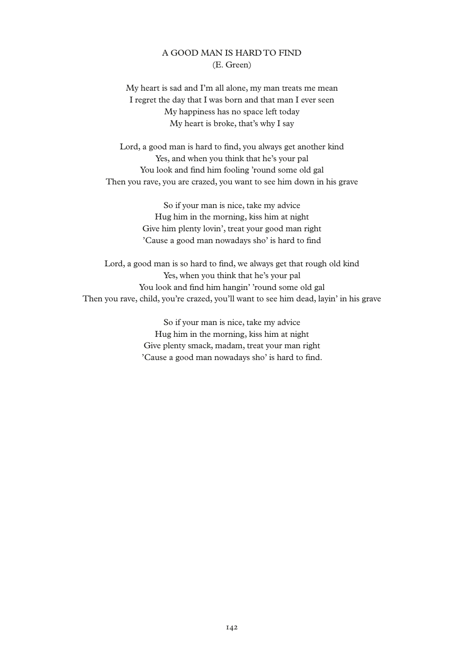# A GOOD MAN IS HARD TO FIND (E. Green)

My heart is sad and I'm all alone, my man treats me mean I regret the day that I was born and that man I ever seen My happiness has no space left today My heart is broke, that's why I say

Lord, a good man is hard to find, you always get another kind Yes, and when you think that he's your pal You look and find him fooling 'round some old gal Then you rave, you are crazed, you want to see him down in his grave

> So if your man is nice, take my advice Hug him in the morning, kiss him at night Give him plenty lovin', treat your good man right 'Cause a good man nowadays sho' is hard to find

Lord, a good man is so hard to find, we always get that rough old kind Yes, when you think that he's your pal You look and find him hangin' 'round some old gal Then you rave, child, you're crazed, you'll want to see him dead, layin' in his grave

> So if your man is nice, take my advice Hug him in the morning, kiss him at night Give plenty smack, madam, treat your man right 'Cause a good man nowadays sho' is hard to find.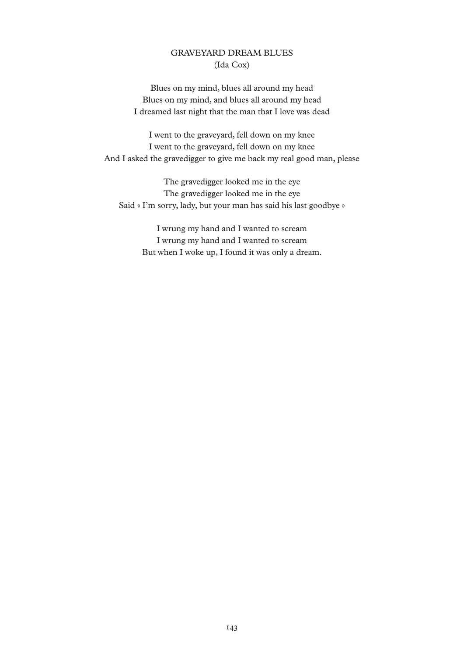#### GRAVEYARD DREAM BLUES (Ida Cox)

Blues on my mind, blues all around my head Blues on my mind, and blues all around my head I dreamed last night that the man that I love was dead

I went to the graveyard, fell down on my knee I went to the graveyard, fell down on my knee And I asked the gravedigger to give me back my real good man, please

The gravedigger looked me in the eye The gravedigger looked me in the eye Said « I'm sorry, lady, but your man has said his last goodbye »

I wrung my hand and I wanted to scream I wrung my hand and I wanted to scream But when I woke up, I found it was only a dream.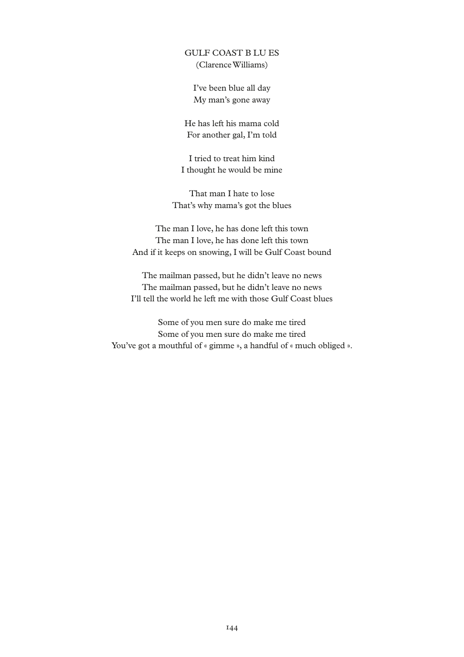GULF COAST B LU ES (Clarence Williams)

I've been blue all day My man's gone away

He has left his mama cold For another gal, I'm told

I tried to treat him kind I thought he would be mine

That man I hate to lose That's why mama's got the blues

The man I love, he has done left this town The man I love, he has done left this town And if it keeps on snowing, I will be Gulf Coast bound

The mailman passed, but he didn't leave no news The mailman passed, but he didn't leave no news I'll tell the world he left me with those Gulf Coast blues

Some of you men sure do make me tired Some of you men sure do make me tired You've got a mouthful of « gimme », a handful of « much obliged ».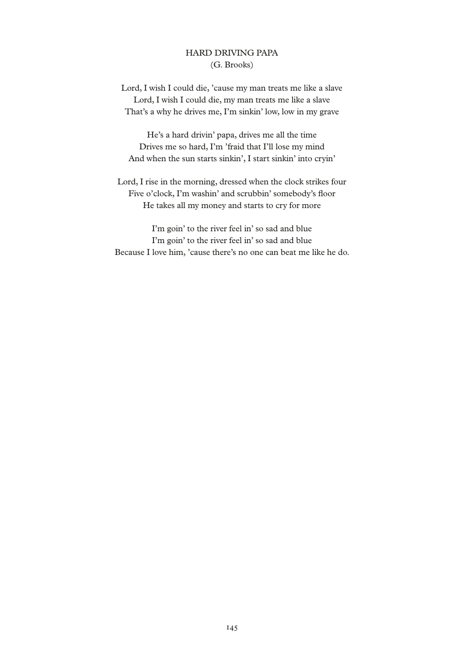# HARD DRIVING PAPA (G. Brooks)

Lord, I wish I could die, 'cause my man treats me like a slave Lord, I wish I could die, my man treats me like a slave That's a why he drives me, I'm sinkin' low, low in my grave

He's a hard drivin' papa, drives me all the time Drives me so hard, I'm 'fraid that I'll lose my mind And when the sun starts sinkin', I start sinkin' into cryin'

Lord, I rise in the morning, dressed when the clock strikes four Five o'clock, I'm washin' and scrubbin' somebody's floor He takes all my money and starts to cry for more

I'm goin' to the river feel in' so sad and blue I'm goin' to the river feel in' so sad and blue Because I love him, 'cause there's no one can beat me like he do.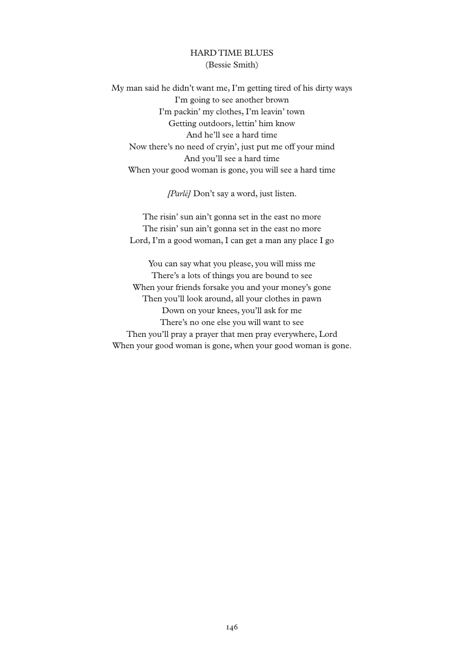#### HARD TIME BLUES (Bessie Smith)

My man said he didn't want me, I'm getting tired of his dirty ways I'm going to see another brown I'm packin' my clothes, I'm leavin' town Getting outdoors, lettin' him know And he'll see a hard time Now there's no need of cryin', just put me off your mind And you'll see a hard time When your good woman is gone, you will see a hard time

*[Parlé]* Don't say a word, just listen.

The risin' sun ain't gonna set in the east no more The risin' sun ain't gonna set in the east no more Lord, I'm a good woman, I can get a man any place I go

You can say what you please, you will miss me There's a lots of things you are bound to see When your friends forsake you and your money's gone Then you'll look around, all your clothes in pawn Down on your knees, you'll ask for me There's no one else you will want to see Then you'll pray a prayer that men pray everywhere, Lord When your good woman is gone, when your good woman is gone.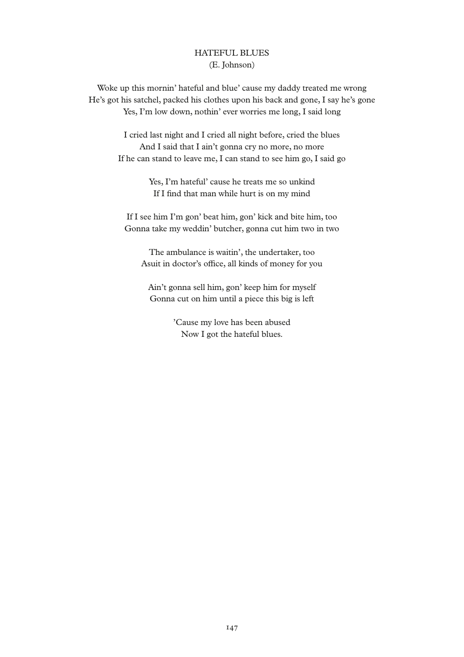# HATEFUL BLUES (E. Johnson)

Woke up this mornin' hateful and blue' cause my daddy treated me wrong He's got his satchel, packed his clothes upon his back and gone, I say he's gone Yes, I'm low down, nothin' ever worries me long, I said long

> I cried last night and I cried all night before, cried the blues And I said that I ain't gonna cry no more, no more If he can stand to leave me, I can stand to see him go, I said go

> > Yes, I'm hateful' cause he treats me so unkind If I find that man while hurt is on my mind

If I see him I'm gon' beat him, gon' kick and bite him, too Gonna take my weddin' butcher, gonna cut him two in two

The ambulance is waitin', the undertaker, too Asuit in doctor's office, all kinds of money for you

Ain't gonna sell him, gon' keep him for myself Gonna cut on him until a piece this big is left

> 'Cause my love has been abused Now I got the hateful blues.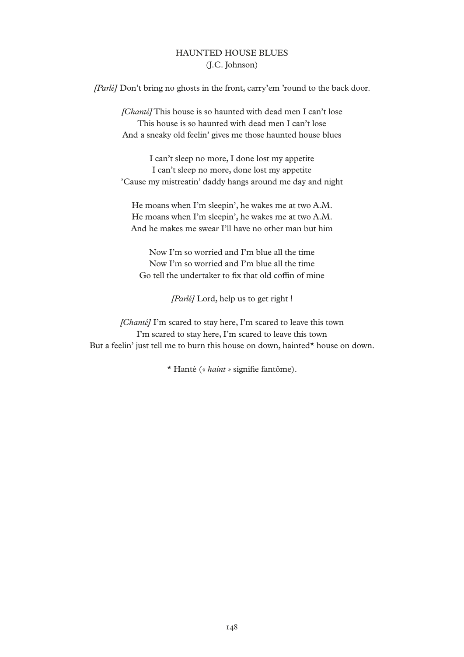# HAUNTED HOUSE BLUES (J.C. Johnson)

*[Parlé]* Don't bring no ghosts in the front, carry'em 'round to the back door.

*[Chanté]* This house is so haunted with dead men I can't lose This house is so haunted with dead men I can't lose And a sneaky old feelin' gives me those haunted house blues

I can't sleep no more, I done lost my appetite I can't sleep no more, done lost my appetite 'Cause my mistreatin' daddy hangs around me day and night

He moans when I'm sleepin', he wakes me at two A.M. He moans when I'm sleepin', he wakes me at two A.M. And he makes me swear I'll have no other man but him

Now I'm so worried and I'm blue all the time Now I'm so worried and I'm blue all the time Go tell the undertaker to fix that old coffin of mine

*[Parlé]* Lord, help us to get right !

*[Chanté]* I'm scared to stay here, I'm scared to leave this town I'm scared to stay here, I'm scared to leave this town But a feelin' just tell me to burn this house on down, hainted\* house on down.

\* Hanté (*« haint »* signifie fantôme).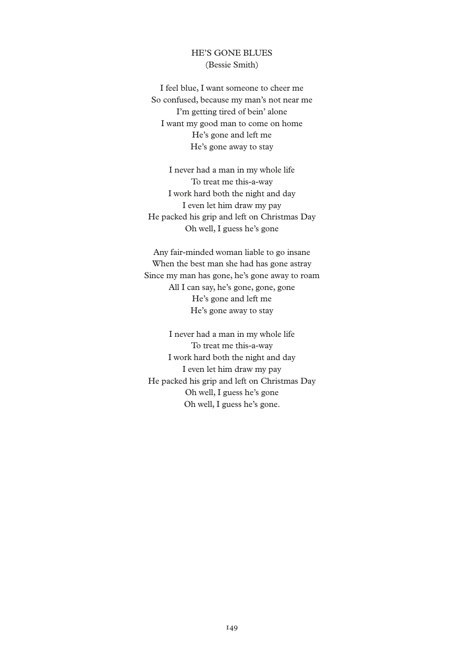# HE'S GONE BLUES (Bessie Smith)

I feel blue, I want someone to cheer me So confused, because my man's not near me I'm getting tired of bein' alone I want my good man to come on home He's gone and left me He's gone away to stay

I never had a man in my whole life To treat me this-a-way I work hard both the night and day I even let him draw my pay He packed his grip and left on Christmas Day Oh well, I guess he's gone

Any fair-minded woman liable to go insane When the best man she had has gone astray Since my man has gone, he's gone away to roam All I can say, he's gone, gone, gone He's gone and left me He's gone away to stay

I never had a man in my whole life To treat me this-a-way I work hard both the night and day I even let him draw my pay He packed his grip and left on Christmas Day Oh well, I guess he's gone Oh well, I guess he's gone.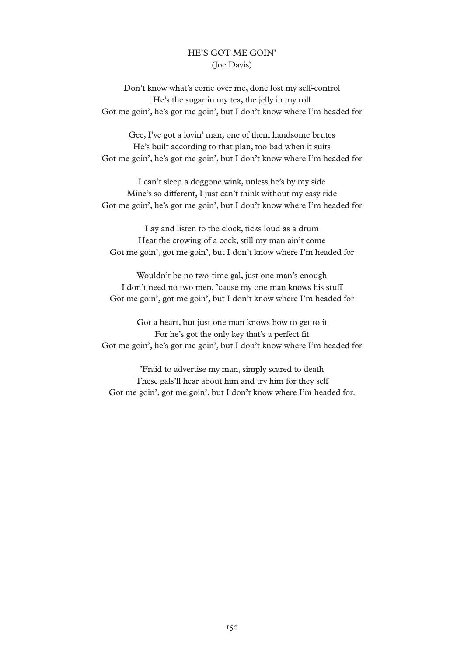#### HE'S GOT ME GOIN' (Joe Davis)

Don't know what's come over me, done lost my self-control He's the sugar in my tea, the jelly in my roll Got me goin', he's got me goin', but I don't know where I'm headed for

Gee, I've got a lovin' man, one of them handsome brutes He's built according to that plan, too bad when it suits Got me goin', he's got me goin', but I don't know where I'm headed for

I can't sleep a doggone wink, unless he's by my side Mine's so different, I just can't think without my easy ride Got me goin', he's got me goin', but I don't know where I'm headed for

Lay and listen to the clock, ticks loud as a drum Hear the crowing of a cock, still my man ain't come Got me goin', got me goin', but I don't know where I'm headed for

Wouldn't be no two-time gal, just one man's enough I don't need no two men, 'cause my one man knows his stuff Got me goin', got me goin', but I don't know where I'm headed for

Got a heart, but just one man knows how to get to it For he's got the only key that's a perfect fit Got me goin', he's got me goin', but I don't know where I'm headed for

'Fraid to advertise my man, simply scared to death These gals'll hear about him and try him for they self Got me goin', got me goin', but I don't know where I'm headed for.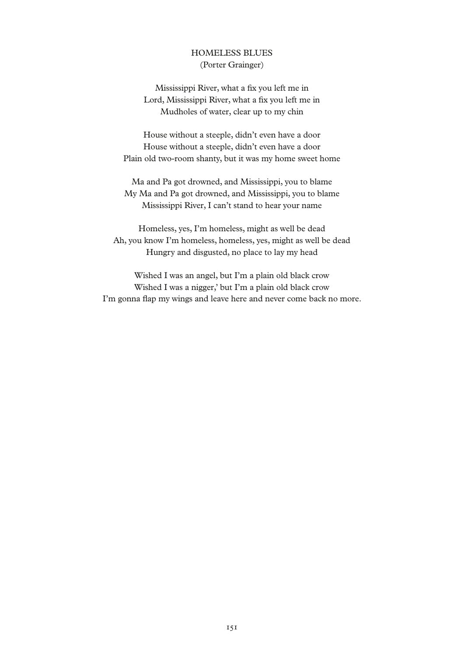# HOMELESS BLUES (Porter Grainger)

Mississippi River, what a fix you left me in Lord, Mississippi River, what a fix you left me in Mudholes of water, clear up to my chin

House without a steeple, didn't even have a door House without a steeple, didn't even have a door Plain old two-room shanty, but it was my home sweet home

Ma and Pa got drowned, and Mississippi, you to blame My Ma and Pa got drowned, and Mississippi, you to blame Mississippi River, I can't stand to hear your name

Homeless, yes, I'm homeless, might as well be dead Ah, you know I'm homeless, homeless, yes, might as well be dead Hungry and disgusted, no place to lay my head

Wished I was an angel, but I'm a plain old black crow Wished I was a nigger,' but I'm a plain old black crow I'm gonna flap my wings and leave here and never come back no more.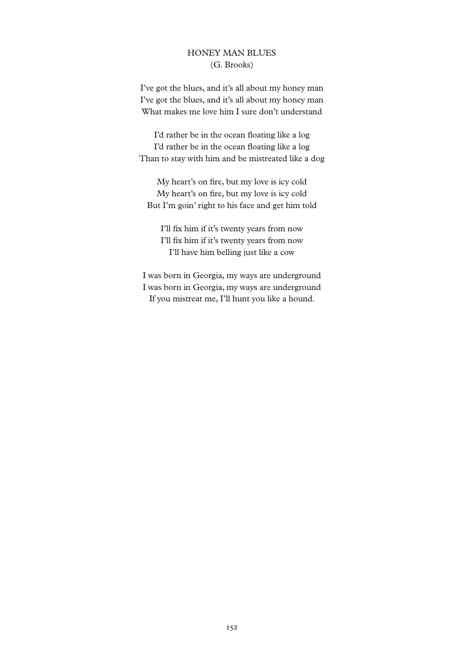# HONEY MAN BLUES (G. Brooks)

I've got the blues, and it's all about my honey man I've got the blues, and it's all about my honey man What makes me love him I sure don't understand

I'd rather be in the ocean floating like a log I'd rather be in the ocean floating like a log Than to stay with him and be mistreated like a dog

My heart's on fire, but my love is icy cold My heart's on fire, but my love is icy cold But I'm goin' right to his face and get him told

I'll fix him if it's twenty years from now I'll fix him if it's twenty years from now I'll have him belling just like a cow

I was born in Georgia, my ways are underground I was born in Georgia, my ways are underground If you mistreat me, I'll hunt you like a hound.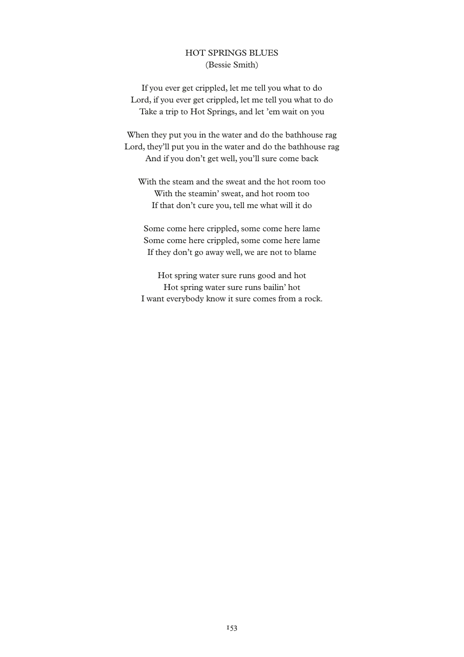#### HOT SPRINGS BLUES (Bessie Smith)

If you ever get crippled, let me tell you what to do Lord, if you ever get crippled, let me tell you what to do Take a trip to Hot Springs, and let 'em wait on you

When they put you in the water and do the bathhouse rag Lord, they'll put you in the water and do the bathhouse rag And if you don't get well, you'll sure come back

With the steam and the sweat and the hot room too With the steamin' sweat, and hot room too If that don't cure you, tell me what will it do

Some come here crippled, some come here lame Some come here crippled, some come here lame If they don't go away well, we are not to blame

Hot spring water sure runs good and hot Hot spring water sure runs bailin' hot I want everybody know it sure comes from a rock.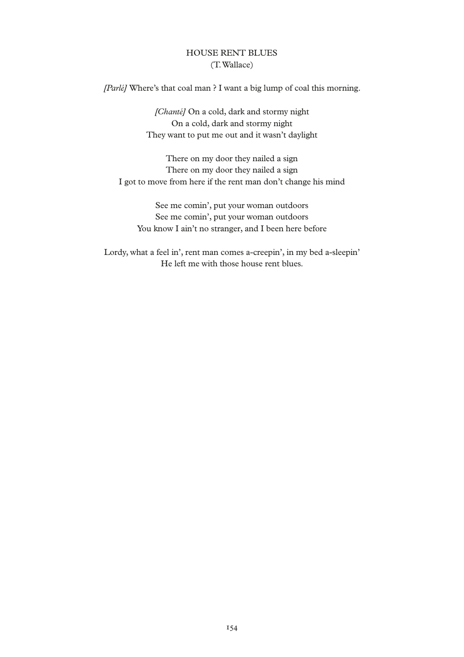#### HOUSE RENT BLUES (T. Wallace)

*[Parlé]* Where's that coal man ? I want a big lump of coal this morning.

*[Chanté]* On a cold, dark and stormy night On a cold, dark and stormy night They want to put me out and it wasn't daylight

There on my door they nailed a sign There on my door they nailed a sign I got to move from here if the rent man don't change his mind

See me comin', put your woman outdoors See me comin', put your woman outdoors You know I ain't no stranger, and I been here before

Lordy, what a feel in', rent man comes a-creepin', in my bed a-sleepin' He left me with those house rent blues.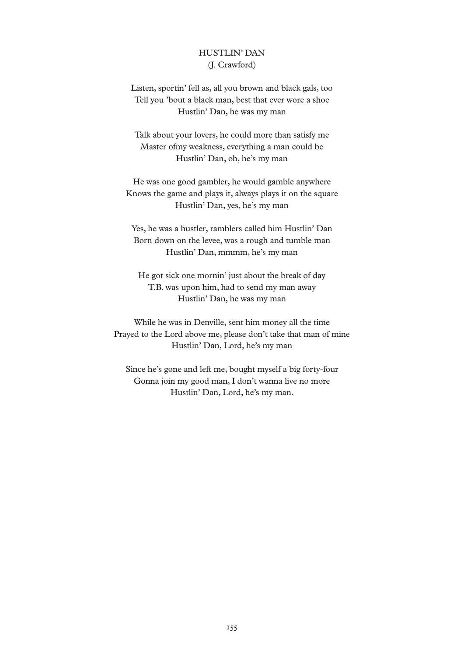# HUSTLIN' DAN (J. Crawford)

Listen, sportin' fell as, all you brown and black gals, too Tell you 'bout a black man, best that ever wore a shoe Hustlin' Dan, he was my man

Talk about your lovers, he could more than satisfy me Master ofmy weakness, everything a man could be Hustlin' Dan, oh, he's my man

He was one good gambler, he would gamble anywhere Knows the game and plays it, always plays it on the square Hustlin' Dan, yes, he's my man

Yes, he was a hustler, ramblers called him Hustlin' Dan Born down on the levee, was a rough and tumble man Hustlin' Dan, mmmm, he's my man

He got sick one mornin' just about the break of day T.B. was upon him, had to send my man away Hustlin' Dan, he was my man

While he was in Denville, sent him money all the time Prayed to the Lord above me, please don't take that man of mine Hustlin' Dan, Lord, he's my man

Since he's gone and left me, bought myself a big forty-four Gonna join my good man, I don't wanna live no more Hustlin' Dan, Lord, he's my man.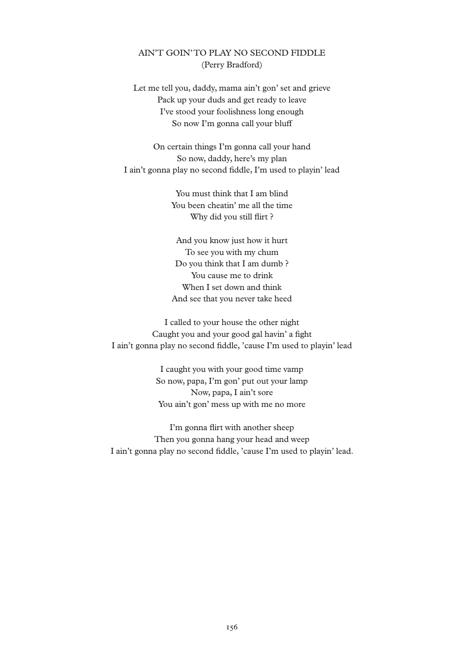# AIN'T GOIN' TO PLAY NO SECOND FIDDLE (Perry Bradford)

Let me tell you, daddy, mama ain't gon' set and grieve Pack up your duds and get ready to leave I've stood your foolishness long enough So now I'm gonna call your bluff

On certain things I'm gonna call your hand So now, daddy, here's my plan I ain't gonna play no second fiddle, I'm used to playin' lead

> You must think that I am blind You been cheatin' me all the time Why did you still flirt ?

> And you know just how it hurt To see you with my chum Do you think that I am dumb ? You cause me to drink When I set down and think And see that you never take heed

I called to your house the other night Caught you and your good gal havin' a fight I ain't gonna play no second fiddle, 'cause I'm used to playin' lead

> I caught you with your good time vamp So now, papa, I'm gon' put out your lamp Now, papa, I ain't sore You ain't gon' mess up with me no more

I'm gonna flirt with another sheep Then you gonna hang your head and weep I ain't gonna play no second fiddle, 'cause I'm used to playin' lead.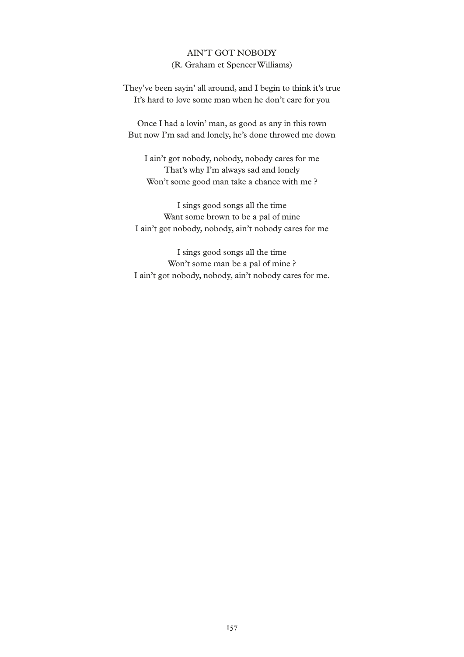# AIN'T GOT NOBODY

(R. Graham et Spencer Williams)

They've been sayin' all around, and I begin to think it's true It's hard to love some man when he don't care for you

Once I had a lovin' man, as good as any in this town But now I'm sad and lonely, he's done throwed me down

I ain't got nobody, nobody, nobody cares for me That's why I'm always sad and lonely Won't some good man take a chance with me ?

I sings good songs all the time Want some brown to be a pal of mine I ain't got nobody, nobody, ain't nobody cares for me

I sings good songs all the time Won't some man be a pal of mine ? I ain't got nobody, nobody, ain't nobody cares for me.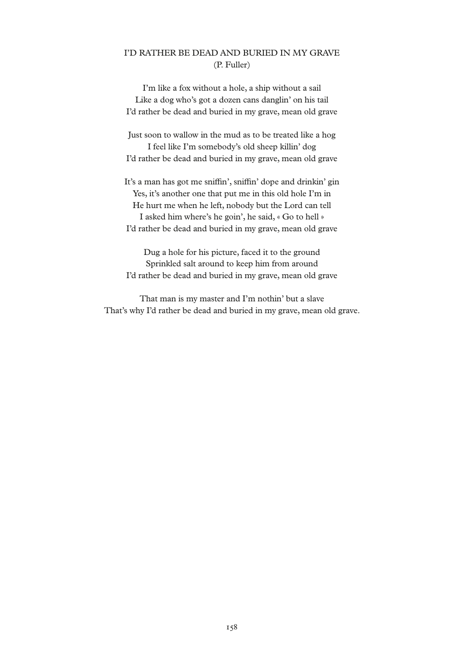# I'D RATHER BE DEAD AND BURIED IN MY GRAVE (P. Fuller)

I'm like a fox without a hole, a ship without a sail Like a dog who's got a dozen cans danglin' on his tail I'd rather be dead and buried in my grave, mean old grave

Just soon to wallow in the mud as to be treated like a hog I feel like I'm somebody's old sheep killin' dog I'd rather be dead and buried in my grave, mean old grave

It's a man has got me sniffin', sniffin' dope and drinkin' gin Yes, it's another one that put me in this old hole I'm in He hurt me when he left, nobody but the Lord can tell I asked him where's he goin', he said, « Go to hell » I'd rather be dead and buried in my grave, mean old grave

Dug a hole for his picture, faced it to the ground Sprinkled salt around to keep him from around I'd rather be dead and buried in my grave, mean old grave

That man is my master and I'm nothin' but a slave That's why I'd rather be dead and buried in my grave, mean old grave.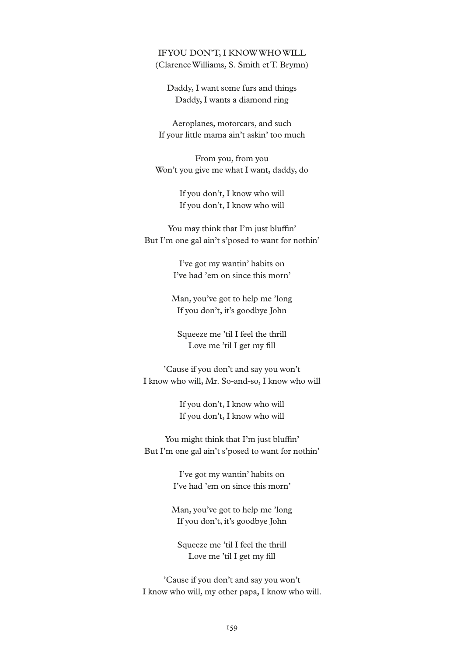#### IF YOU DON'T, I KNOW WHO WILL (Clarence Williams, S. Smith et T. Brymn)

Daddy, I want some furs and things Daddy, I wants a diamond ring

Aeroplanes, motorcars, and such If your little mama ain't askin' too much

From you, from you Won't you give me what I want, daddy, do

> If you don't, I know who will If you don't, I know who will

You may think that I'm just bluffin' But I'm one gal ain't s'posed to want for nothin'

> I've got my wantin' habits on I've had 'em on since this morn'

Man, you've got to help me 'long If you don't, it's goodbye John

Squeeze me 'til I feel the thrill Love me 'til I get my fill

'Cause if you don't and say you won't I know who will, Mr. So-and-so, I know who will

> If you don't, I know who will If you don't, I know who will

You might think that I'm just bluffin' But I'm one gal ain't s'posed to want for nothin'

> I've got my wantin' habits on I've had 'em on since this morn'

Man, you've got to help me 'long If you don't, it's goodbye John

Squeeze me 'til I feel the thrill Love me 'til I get my fill

'Cause if you don't and say you won't I know who will, my other papa, I know who will.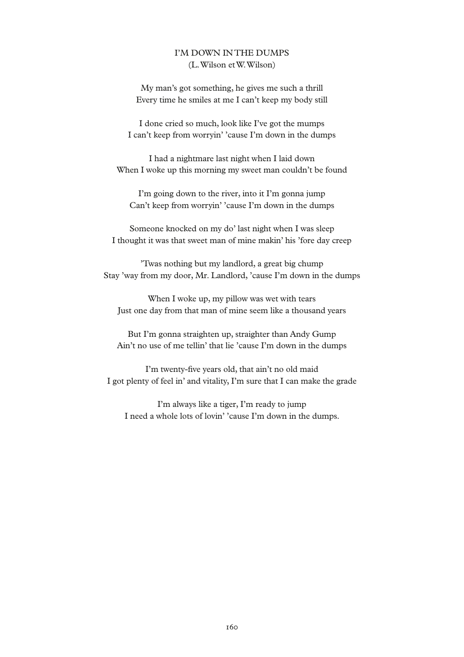#### I'M DOWN IN THE DUMPS (L. Wilson et W. Wilson)

My man's got something, he gives me such a thrill Every time he smiles at me I can't keep my body still

I done cried so much, look like I've got the mumps I can't keep from worryin' 'cause I'm down in the dumps

I had a nightmare last night when I laid down When I woke up this morning my sweet man couldn't be found

I'm going down to the river, into it I'm gonna jump Can't keep from worryin' 'cause I'm down in the dumps

Someone knocked on my do' last night when I was sleep I thought it was that sweet man of mine makin' his 'fore day creep

'Twas nothing but my landlord, a great big chump Stay 'way from my door, Mr. Landlord, 'cause I'm down in the dumps

When I woke up, my pillow was wet with tears Just one day from that man of mine seem like a thousand years

But I'm gonna straighten up, straighter than Andy Gump Ain't no use of me tellin' that lie 'cause I'm down in the dumps

I'm twenty-five years old, that ain't no old maid I got plenty of feel in' and vitality, I'm sure that I can make the grade

I'm always like a tiger, I'm ready to jump I need a whole lots of lovin' 'cause I'm down in the dumps.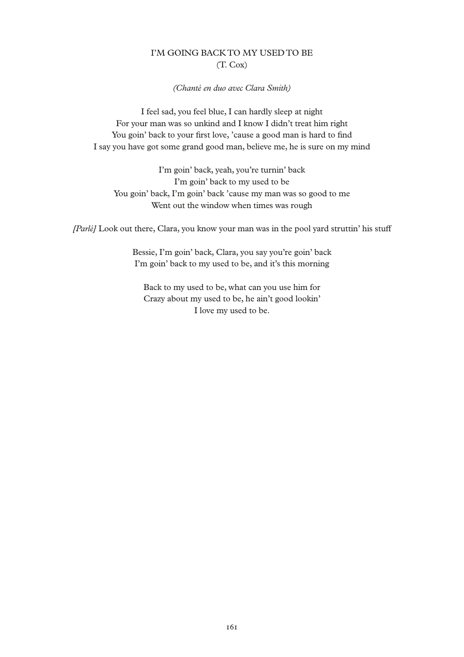# I'M GOING BACK TO MY USED TO BE (T. Cox)

*(Chanté en duo avec Clara Smith)*

I feel sad, you feel blue, I can hardly sleep at night For your man was so unkind and I know I didn't treat him right You goin' back to your first love, 'cause a good man is hard to find I say you have got some grand good man, believe me, he is sure on my mind

I'm goin' back, yeah, you're turnin' back I'm goin' back to my used to be You goin' back, I'm goin' back 'cause my man was so good to me Went out the window when times was rough

*[Parlé]* Look out there, Clara, you know your man was in the pool yard struttin' his stuff

Bessie, I'm goin' back, Clara, you say you're goin' back I'm goin' back to my used to be, and it's this morning

Back to my used to be, what can you use him for Crazy about my used to be, he ain't good lookin' I love my used to be.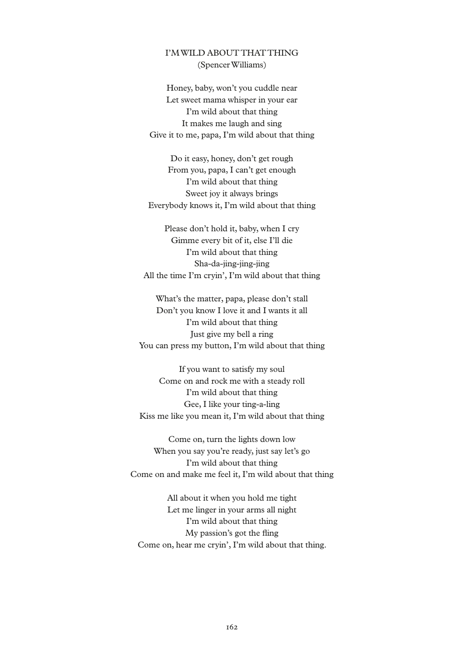#### I'M WILD ABOUT THAT THING (Spencer Williams)

Honey, baby, won't you cuddle near Let sweet mama whisper in your ear I'm wild about that thing It makes me laugh and sing Give it to me, papa, I'm wild about that thing

Do it easy, honey, don't get rough From you, papa, I can't get enough I'm wild about that thing Sweet joy it always brings Everybody knows it, I'm wild about that thing

Please don't hold it, baby, when I cry Gimme every bit of it, else I'll die I'm wild about that thing Sha-da-jing-jing-jing All the time I'm cryin', I'm wild about that thing

What's the matter, papa, please don't stall Don't you know I love it and I wants it all I'm wild about that thing Just give my bell a ring You can press my button, I'm wild about that thing

If you want to satisfy my soul Come on and rock me with a steady roll I'm wild about that thing Gee, I like your ting-a-ling Kiss me like you mean it, I'm wild about that thing

Come on, turn the lights down low When you say you're ready, just say let's go I'm wild about that thing Come on and make me feel it, I'm wild about that thing

All about it when you hold me tight Let me linger in your arms all night I'm wild about that thing My passion's got the fling Come on, hear me cryin', I'm wild about that thing.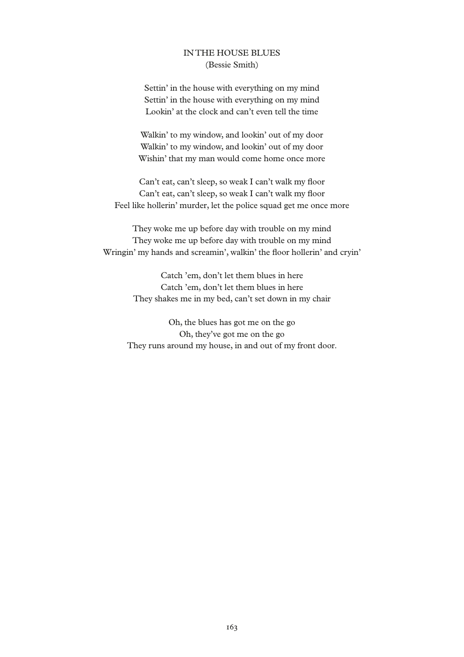#### IN THE HOUSE BLUES (Bessie Smith)

Settin' in the house with everything on my mind Settin' in the house with everything on my mind Lookin' at the clock and can't even tell the time

Walkin' to my window, and lookin' out of my door Walkin' to my window, and lookin' out of my door Wishin' that my man would come home once more

Can't eat, can't sleep, so weak I can't walk my floor Can't eat, can't sleep, so weak I can't walk my floor Feel like hollerin' murder, let the police squad get me once more

They woke me up before day with trouble on my mind They woke me up before day with trouble on my mind Wringin' my hands and screamin', walkin' the floor hollerin' and cryin'

> Catch 'em, don't let them blues in here Catch 'em, don't let them blues in here They shakes me in my bed, can't set down in my chair

Oh, the blues has got me on the go Oh, they've got me on the go They runs around my house, in and out of my front door.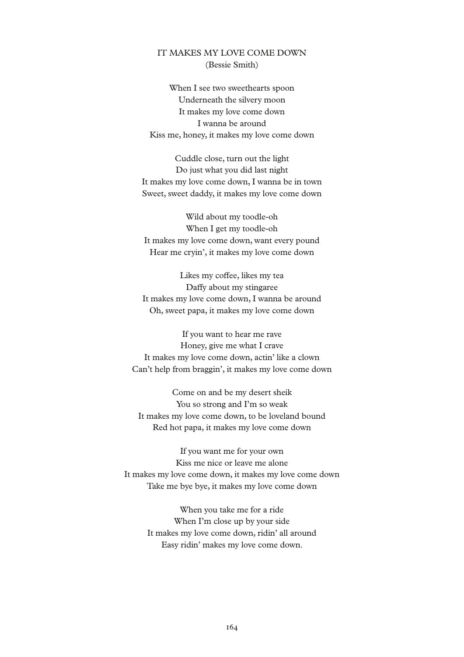# IT MAKES MY LOVE COME DOWN (Bessie Smith)

When I see two sweethearts spoon Underneath the silvery moon It makes my love come down I wanna be around Kiss me, honey, it makes my love come down

Cuddle close, turn out the light Do just what you did last night It makes my love come down, I wanna be in town Sweet, sweet daddy, it makes my love come down

Wild about my toodle-oh When I get my toodle-oh It makes my love come down, want every pound Hear me cryin', it makes my love come down

Likes my coffee, likes my tea Daffy about my stingaree It makes my love come down, I wanna be around Oh, sweet papa, it makes my love come down

If you want to hear me rave Honey, give me what I crave It makes my love come down, actin' like a clown Can't help from braggin', it makes my love come down

Come on and be my desert sheik You so strong and I'm so weak It makes my love come down, to be loveland bound Red hot papa, it makes my love come down

If you want me for your own Kiss me nice or leave me alone It makes my love come down, it makes my love come down Take me bye bye, it makes my love come down

> When you take me for a ride When I'm close up by your side It makes my love come down, ridin' all around Easy ridin' makes my love come down.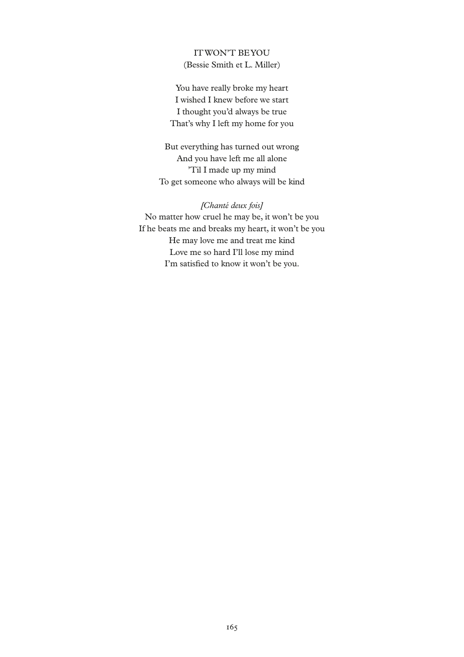# IT WON'T BE YOU (Bessie Smith et L. Miller)

You have really broke my heart I wished I knew before we start I thought you'd always be true That's why I left my home for you

But everything has turned out wrong And you have left me all alone 'Til I made up my mind To get someone who always will be kind

*[Chanté deux fois]* No matter how cruel he may be, it won't be you If he beats me and breaks my heart, it won't be you He may love me and treat me kind Love me so hard I'll lose my mind I'm satisfied to know it won't be you.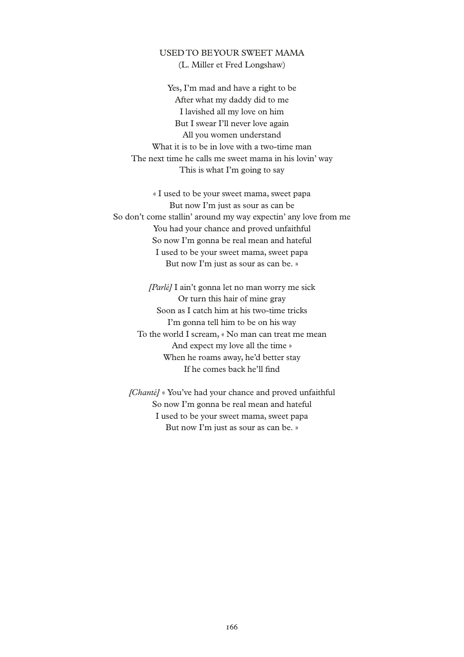#### USED TO BE YOUR SWEET MAMA (L. Miller et Fred Longshaw)

Yes, I'm mad and have a right to be After what my daddy did to me I lavished all my love on him But I swear I'll never love again All you women understand What it is to be in love with a two-time man The next time he calls me sweet mama in his lovin' way This is what I'm going to say

« I used to be your sweet mama, sweet papa But now I'm just as sour as can be So don't come stallin' around my way expectin' any love from me You had your chance and proved unfaithful So now I'm gonna be real mean and hateful I used to be your sweet mama, sweet papa But now I'm just as sour as can be. »

*[Parlé]* I ain't gonna let no man worry me sick Or turn this hair of mine gray Soon as I catch him at his two-time tricks I'm gonna tell him to be on his way To the world I scream, « No man can treat me mean And expect my love all the time » When he roams away, he'd better stay If he comes back he'll find

*[Chanté]* « You've had your chance and proved unfaithful So now I'm gonna be real mean and hateful I used to be your sweet mama, sweet papa But now I'm just as sour as can be. »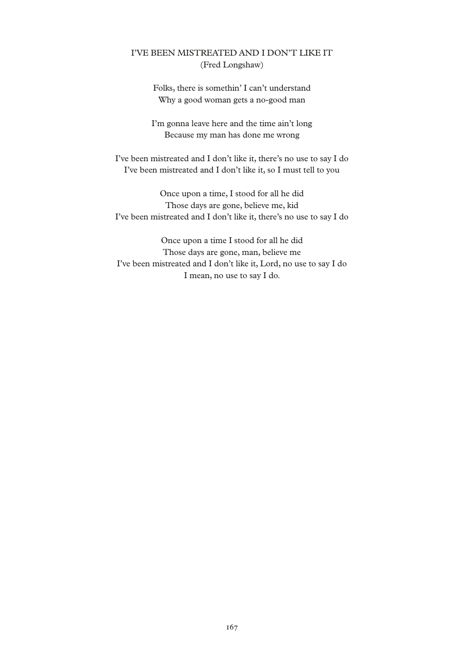# I'VE BEEN MISTREATED AND I DON'T LIKE IT (Fred Longshaw)

Folks, there is somethin' I can't understand Why a good woman gets a no-good man

I'm gonna leave here and the time ain't long Because my man has done me wrong

I've been mistreated and I don't like it, there's no use to say I do I've been mistreated and I don't like it, so I must tell to you

Once upon a time, I stood for all he did Those days are gone, believe me, kid I've been mistreated and I don't like it, there's no use to say I do

Once upon a time I stood for all he did Those days are gone, man, believe me I've been mistreated and I don't like it, Lord, no use to say I do I mean, no use to say I do.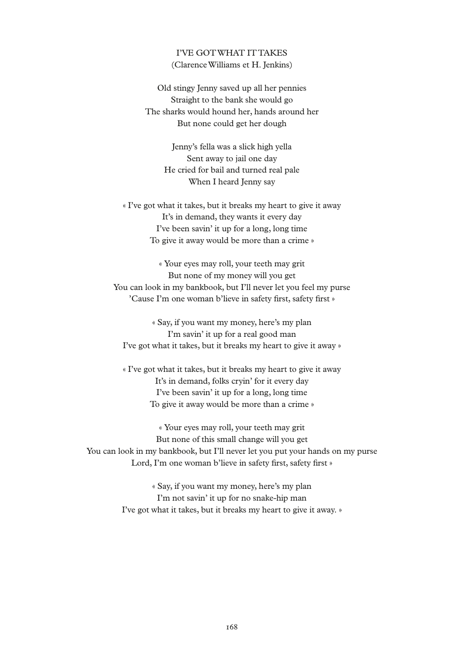#### I'VE GOT WHAT IT TAKES (Clarence Williams et H. Jenkins)

Old stingy Jenny saved up all her pennies Straight to the bank she would go The sharks would hound her, hands around her But none could get her dough

> Jenny's fella was a slick high yella Sent away to jail one day He cried for bail and turned real pale When I heard Jenny say

« I've got what it takes, but it breaks my heart to give it away It's in demand, they wants it every day I've been savin' it up for a long, long time To give it away would be more than a crime »

« Your eyes may roll, your teeth may grit But none of my money will you get You can look in my bankbook, but I'll never let you feel my purse 'Cause I'm one woman b'lieve in safety first, safety first »

« Say, if you want my money, here's my plan I'm savin' it up for a real good man I've got what it takes, but it breaks my heart to give it away »

« I've got what it takes, but it breaks my heart to give it away It's in demand, folks cryin' for it every day I've been savin' it up for a long, long time To give it away would be more than a crime »

« Your eyes may roll, your teeth may grit But none of this small change will you get You can look in my bankbook, but I'll never let you put your hands on my purse Lord, I'm one woman b'lieve in safety first, safety first »

> « Say, if you want my money, here's my plan I'm not savin' it up for no snake-hip man I've got what it takes, but it breaks my heart to give it away. »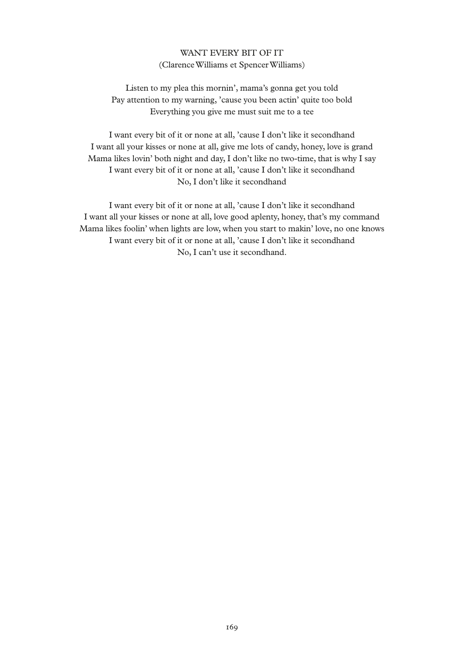#### WANT EVERY BIT OF IT

(Clarence Williams et Spencer Williams)

Listen to my plea this mornin', mama's gonna get you told Pay attention to my warning, 'cause you been actin' quite too bold Everything you give me must suit me to a tee

I want every bit of it or none at all, 'cause I don't like it secondhand I want all your kisses or none at all, give me lots of candy, honey, love is grand Mama likes lovin' both night and day, I don't like no two-time, that is why I say I want every bit of it or none at all, 'cause I don't like it secondhand No, I don't like it secondhand

I want every bit of it or none at all, 'cause I don't like it secondhand I want all your kisses or none at all, love good aplenty, honey, that's my command Mama likes foolin' when lights are low, when you start to makin' love, no one knows I want every bit of it or none at all, 'cause I don't like it secondhand No, I can't use it secondhand.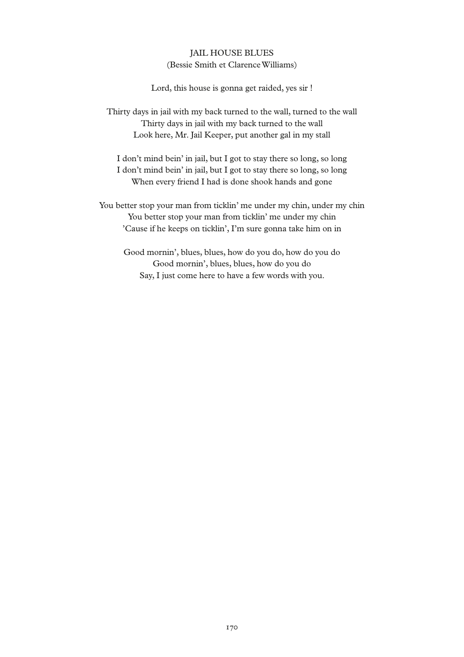# JAIL HOUSE BLUES

(Bessie Smith et Clarence Williams)

Lord, this house is gonna get raided, yes sir !

Thirty days in jail with my back turned to the wall, turned to the wall Thirty days in jail with my back turned to the wall Look here, Mr. Jail Keeper, put another gal in my stall

I don't mind bein' in jail, but I got to stay there so long, so long I don't mind bein' in jail, but I got to stay there so long, so long When every friend I had is done shook hands and gone

You better stop your man from ticklin' me under my chin, under my chin You better stop your man from ticklin' me under my chin 'Cause if he keeps on ticklin', I'm sure gonna take him on in

Good mornin', blues, blues, how do you do, how do you do Good mornin', blues, blues, how do you do Say, I just come here to have a few words with you.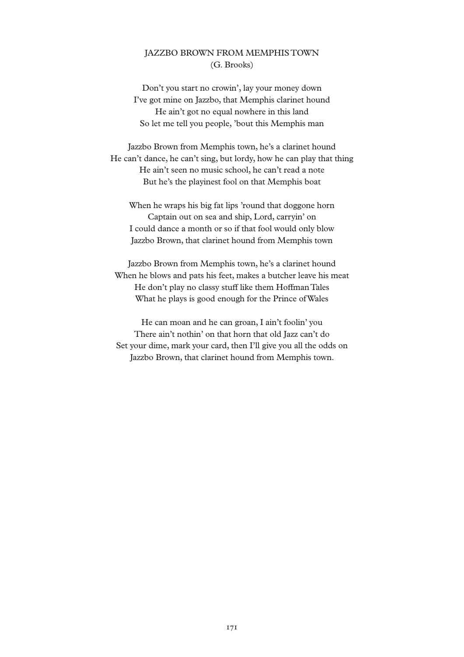### JAZZBO BROWN FROM MEMPHIS TOWN (G. Brooks)

Don't you start no crowin', lay your money down I've got mine on Jazzbo, that Memphis clarinet hound He ain't got no equal nowhere in this land So let me tell you people, 'bout this Memphis man

Jazzbo Brown from Memphis town, he's a clarinet hound He can't dance, he can't sing, but lordy, how he can play that thing He ain't seen no music school, he can't read a note But he's the playinest fool on that Memphis boat

When he wraps his big fat lips 'round that doggone horn Captain out on sea and ship, Lord, carryin' on I could dance a month or so if that fool would only blow Jazzbo Brown, that clarinet hound from Memphis town

Jazzbo Brown from Memphis town, he's a clarinet hound When he blows and pats his feet, makes a butcher leave his meat He don't play no classy stuff like them Hoffman Tales What he plays is good enough for the Prince of Wales

He can moan and he can groan, I ain't foolin' you There ain't nothin' on that horn that old Jazz can't do Set your dime, mark your card, then I'll give you all the odds on Jazzbo Brown, that clarinet hound from Memphis town.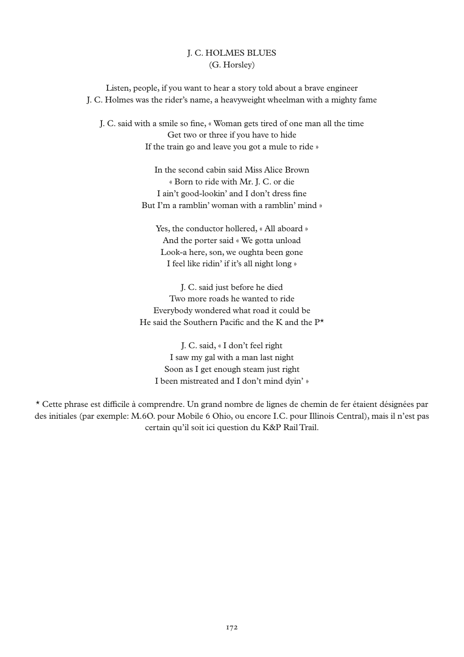# J. C. HOLMES BLUES (G. Horsley)

Listen, people, if you want to hear a story told about a brave engineer J. C. Holmes was the rider's name, a heavyweight wheelman with a mighty fame

J. C. said with a smile so fine, « Woman gets tired of one man all the time Get two or three if you have to hide If the train go and leave you got a mule to ride »

> In the second cabin said Miss Alice Brown « Born to ride with Mr. J. C. or die I ain't good-lookin' and I don't dress fine But I'm a ramblin' woman with a ramblin' mind »

Yes, the conductor hollered, « All aboard » And the porter said « We gotta unload Look-a here, son, we oughta been gone I feel like ridin' if it's all night long »

J. C. said just before he died Two more roads he wanted to ride Everybody wondered what road it could be He said the Southern Pacific and the K and the  $P^{\star}$ 

J. C. said, « I don't feel right I saw my gal with a man last night Soon as I get enough steam just right I been mistreated and I don't mind dyin' »

\* Cette phrase est difficile à comprendre. Un grand nombre de lignes de chemin de fer étaient désignées par des initiales (par exemple: M.6O. pour Mobile 6 Ohio, ou encore I.C. pour Illinois Central), mais il n'est pas certain qu'il soit ici question du K&P Rail Trail.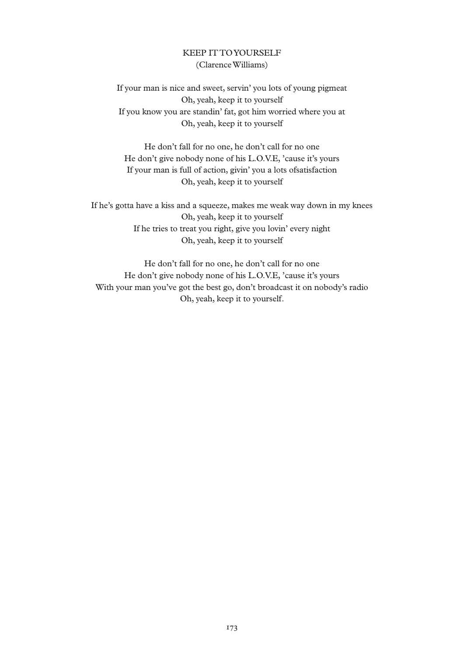#### KEEP IT TO YOURSELF (Clarence Williams)

If your man is nice and sweet, servin' you lots of young pigmeat Oh, yeah, keep it to yourself If you know you are standin' fat, got him worried where you at Oh, yeah, keep it to yourself

He don't fall for no one, he don't call for no one He don't give nobody none of his L.O.V.E, 'cause it's yours If your man is full of action, givin' you a lots ofsatisfaction Oh, yeah, keep it to yourself

If he's gotta have a kiss and a squeeze, makes me weak way down in my knees Oh, yeah, keep it to yourself If he tries to treat you right, give you lovin' every night Oh, yeah, keep it to yourself

He don't fall for no one, he don't call for no one He don't give nobody none of his L.O.V.E, 'cause it's yours With your man you've got the best go, don't broadcast it on nobody's radio Oh, yeah, keep it to yourself.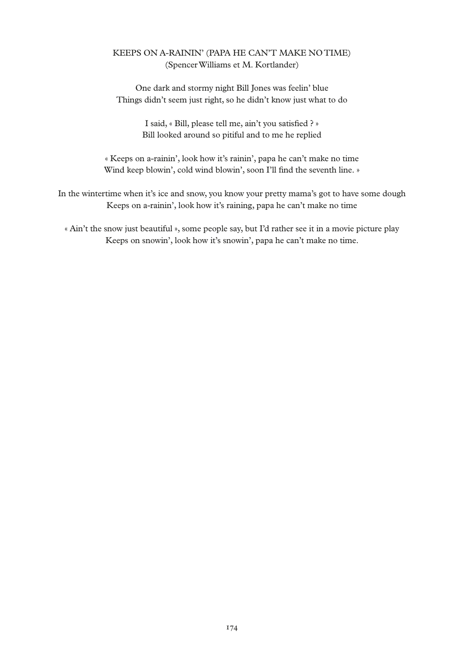# KEEPS ON A-RAININ' (PAPA HE CAN'T MAKE NO TIME) (Spencer Williams et M. Kortlander)

One dark and stormy night Bill Jones was feelin' blue Things didn't seem just right, so he didn't know just what to do

> I said, « Bill, please tell me, ain't you satisfied ? » Bill looked around so pitiful and to me he replied

« Keeps on a-rainin', look how it's rainin', papa he can't make no time Wind keep blowin', cold wind blowin', soon I'll find the seventh line. »

In the wintertime when it's ice and snow, you know your pretty mama's got to have some dough Keeps on a-rainin', look how it's raining, papa he can't make no time

« Ain't the snow just beautiful », some people say, but I'd rather see it in a movie picture play Keeps on snowin', look how it's snowin', papa he can't make no time.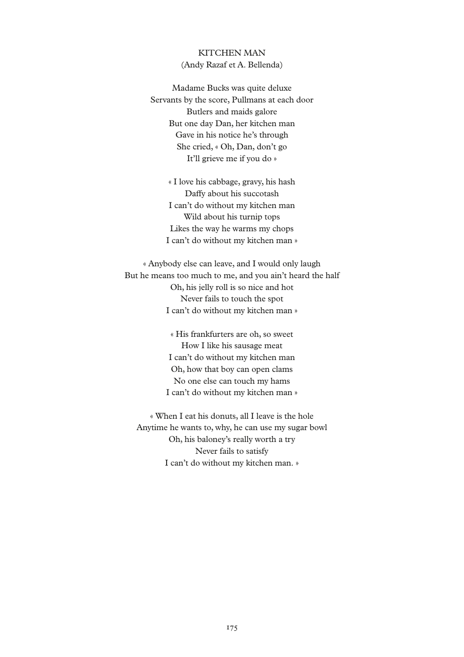#### KITCHEN MAN (Andy Razaf et A. Bellenda)

Madame Bucks was quite deluxe Servants by the score, Pullmans at each door Butlers and maids galore But one day Dan, her kitchen man Gave in his notice he's through She cried, « Oh, Dan, don't go It'll grieve me if you do »

« I love his cabbage, gravy, his hash Daffy about his succotash I can't do without my kitchen man Wild about his turnip tops Likes the way he warms my chops I can't do without my kitchen man »

« Anybody else can leave, and I would only laugh But he means too much to me, and you ain't heard the half Oh, his jelly roll is so nice and hot Never fails to touch the spot I can't do without my kitchen man »

> « His frankfurters are oh, so sweet How I like his sausage meat I can't do without my kitchen man Oh, how that boy can open clams No one else can touch my hams I can't do without my kitchen man »

« When I eat his donuts, all I leave is the hole Anytime he wants to, why, he can use my sugar bowl Oh, his baloney's really worth a try Never fails to satisfy I can't do without my kitchen man. »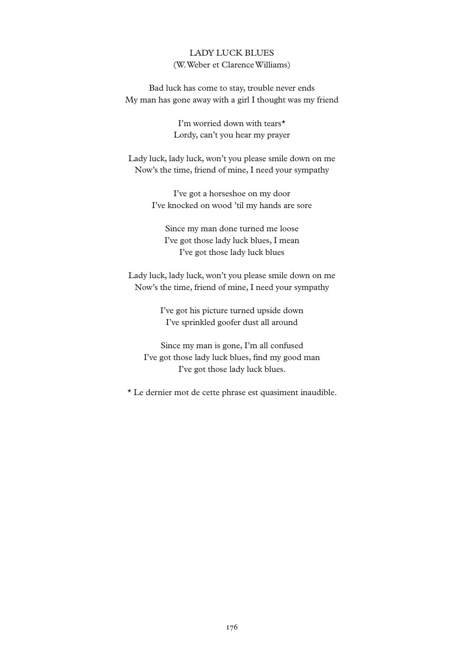#### LADY LUCK BLUES (W. Weber et Clarence Williams)

Bad luck has come to stay, trouble never ends My man has gone away with a girl I thought was my friend

> I'm worried down with tears\* Lordy, can't you hear my prayer

Lady luck, lady luck, won't you please smile down on me Now's the time, friend of mine, I need your sympathy

> I've got a horseshoe on my door I've knocked on wood 'til my hands are sore

Since my man done turned me loose I've got those lady luck blues, I mean I've got those lady luck blues

Lady luck, lady luck, won't you please smile down on me Now's the time, friend of mine, I need your sympathy

> I've got his picture turned upside down I've sprinkled goofer dust all around

Since my man is gone, I'm all confused I've got those lady luck blues, find my good man I've got those lady luck blues.

\* Le dernier mot de cette phrase est quasiment inaudible.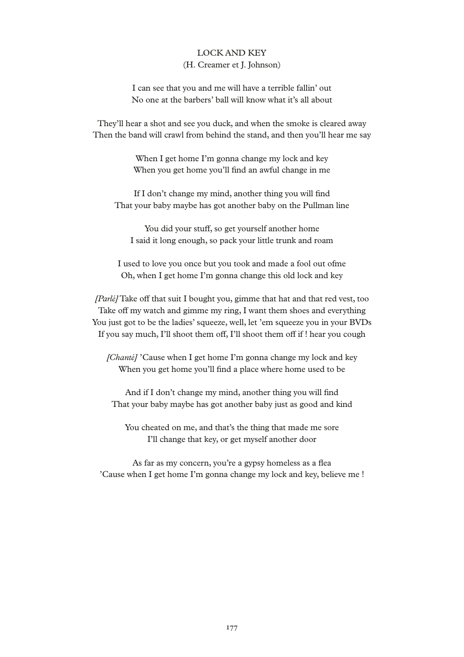# LOCK AND KEY

#### (H. Creamer et J. Johnson)

I can see that you and me will have a terrible fallin' out No one at the barbers' ball will know what it's all about

They'll hear a shot and see you duck, and when the smoke is cleared away Then the band will crawl from behind the stand, and then you'll hear me say

> When I get home I'm gonna change my lock and key When you get home you'll find an awful change in me

If I don't change my mind, another thing you will find That your baby maybe has got another baby on the Pullman line

You did your stuff, so get yourself another home I said it long enough, so pack your little trunk and roam

I used to love you once but you took and made a fool out ofme Oh, when I get home I'm gonna change this old lock and key

*[Parlé]* Take off that suit I bought you, gimme that hat and that red vest, too Take off my watch and gimme my ring, I want them shoes and everything You just got to be the ladies' squeeze, well, let 'em squeeze you in your BVDs If you say much, I'll shoot them off, I'll shoot them off if ! hear you cough

*[Chanté]* 'Cause when I get home I'm gonna change my lock and key When you get home you'll find a place where home used to be

And if I don't change my mind, another thing you will find That your baby maybe has got another baby just as good and kind

You cheated on me, and that's the thing that made me sore I'll change that key, or get myself another door

As far as my concern, you're a gypsy homeless as a flea 'Cause when I get home I'm gonna change my lock and key, believe me !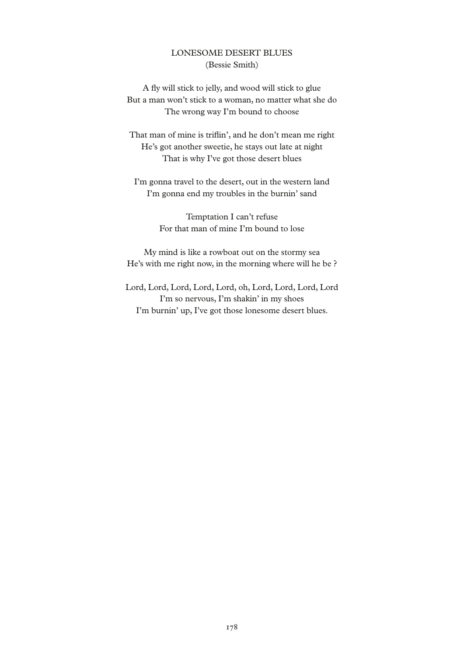# LONESOME DESERT BLUES (Bessie Smith)

A fly will stick to jelly, and wood will stick to glue But a man won't stick to a woman, no matter what she do The wrong way I'm bound to choose

That man of mine is triflin', and he don't mean me right He's got another sweetie, he stays out late at night That is why I've got those desert blues

I'm gonna travel to the desert, out in the western land I'm gonna end my troubles in the burnin' sand

> Temptation I can't refuse For that man of mine I'm bound to lose

My mind is like a rowboat out on the stormy sea He's with me right now, in the morning where will he be ?

Lord, Lord, Lord, Lord, Lord, Lord, Lord, Lord, Lord I'm so nervous, I'm shakin' in my shoes I'm burnin' up, I've got those lonesome desert blues.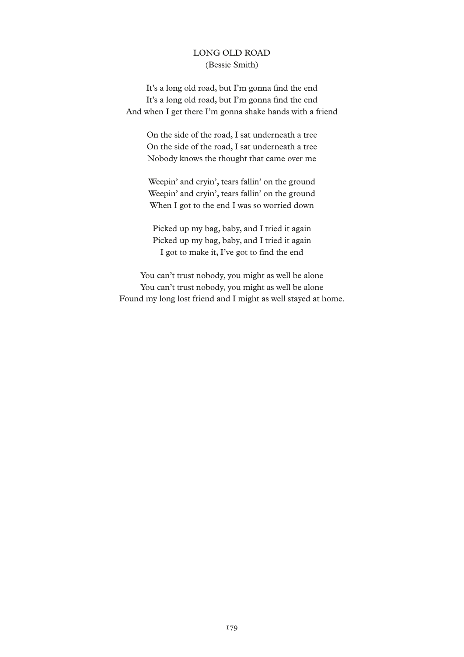# LONG OLD ROAD (Bessie Smith)

It's a long old road, but I'm gonna find the end It's a long old road, but I'm gonna find the end And when I get there I'm gonna shake hands with a friend

> On the side of the road, I sat underneath a tree On the side of the road, I sat underneath a tree Nobody knows the thought that came over me

Weepin' and cryin', tears fallin' on the ground Weepin' and cryin', tears fallin' on the ground When I got to the end I was so worried down

Picked up my bag, baby, and I tried it again Picked up my bag, baby, and I tried it again I got to make it, I've got to find the end

You can't trust nobody, you might as well be alone You can't trust nobody, you might as well be alone Found my long lost friend and I might as well stayed at home.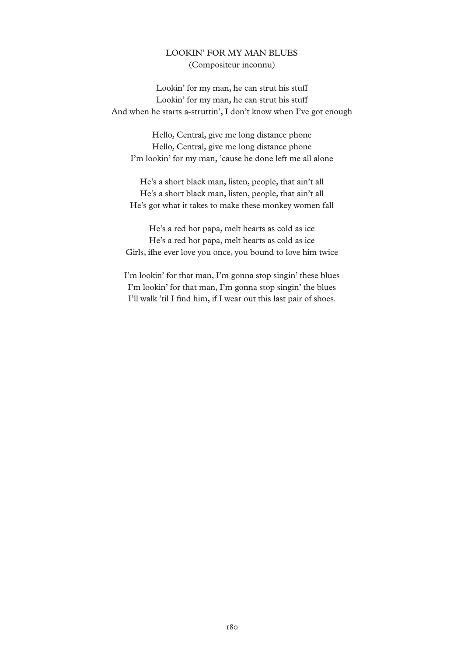# LOOKIN' FOR MY MAN BLUES

(Compositeur inconnu)

Lookin' for my man, he can strut his stuff Lookin' for my man, he can strut his stuff And when he starts a-struttin', I don't know when I've got enough

Hello, Central, give me long distance phone Hello, Central, give me long distance phone I'm lookin' for my man, 'cause he done left me all alone

He's a short black man, listen, people, that ain't all He's a short black man, listen, people, that ain't all He's got what it takes to make these monkey women fall

He's a red hot papa, melt hearts as cold as ice He's a red hot papa, melt hearts as cold as ice Girls, ifhe ever love you once, you bound to love him twice

I'm lookin' for that man, I'm gonna stop singin' these blues I'm lookin' for that man, I'm gonna stop singin' the blues I'll walk 'til I find him, if I wear out this last pair of shoes.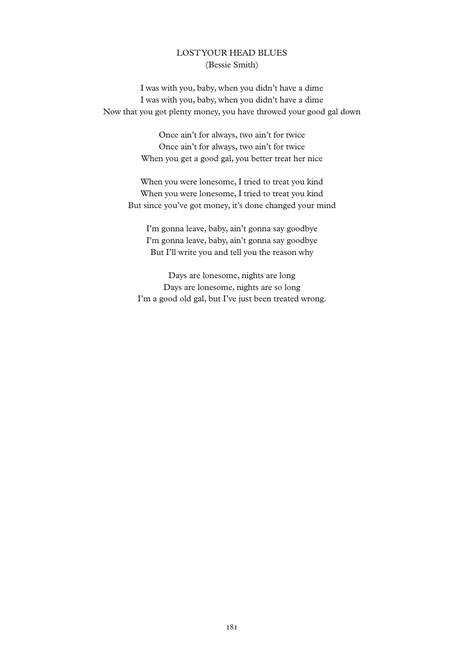## LOST YOUR HEAD BLUES (Bessie Smith)

I was with you, baby, when you didn't have a dime I was with you, baby, when you didn't have a dime Now that you got plenty money, you have throwed your good gal down

> Once ain't for always, two ain't for twice Once ain't for always, two ain't for twice When you get a good gal, you better treat her nice

When you were lonesome, I tried to treat you kind When you were lonesome, I tried to treat you kind But since you've got money, it's done changed your mind

I'm gonna leave, baby, ain't gonna say goodbye I'm gonna leave, baby, ain't gonna say goodbye But I'll write you and tell you the reason why

Days are lonesome, nights are long Days are lonesome, nights are so long I'm a good old gal, but I've just been treated wrong.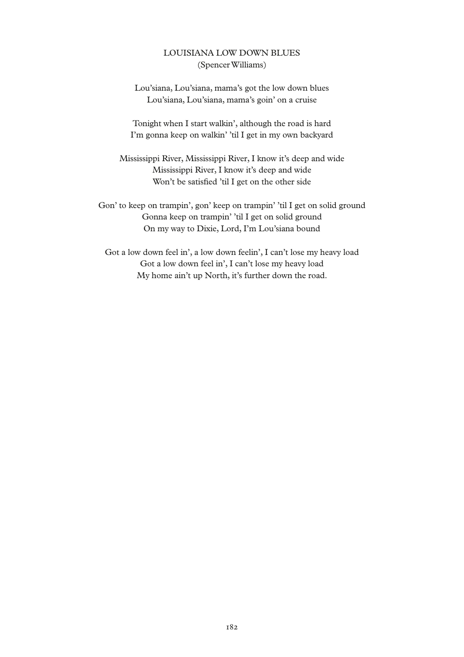# LOUISIANA LOW DOWN BLUES (Spencer Williams)

Lou'siana, Lou'siana, mama's got the low down blues Lou'siana, Lou'siana, mama's goin' on a cruise

Tonight when I start walkin', although the road is hard I'm gonna keep on walkin' 'til I get in my own backyard

Mississippi River, Mississippi River, I know it's deep and wide Mississippi River, I know it's deep and wide Won't be satisfied 'til I get on the other side

Gon' to keep on trampin', gon' keep on trampin' 'til I get on solid ground Gonna keep on trampin' 'til I get on solid ground On my way to Dixie, Lord, I'm Lou'siana bound

Got a low down feel in', a low down feelin', I can't lose my heavy load Got a low down feel in', I can't lose my heavy load My home ain't up North, it's further down the road.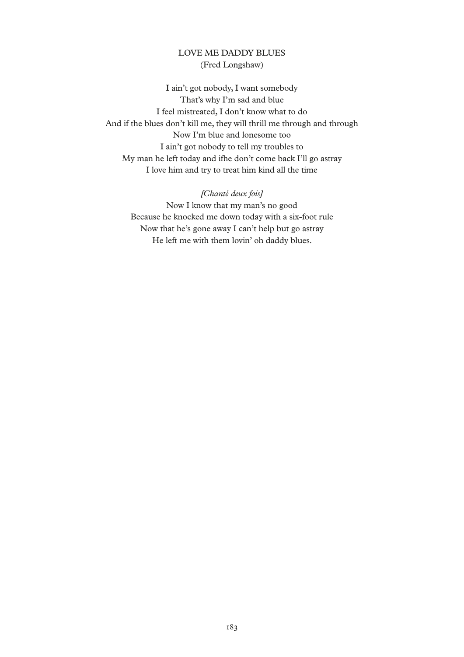# LOVE ME DADDY BLUES (Fred Longshaw)

I ain't got nobody, I want somebody That's why I'm sad and blue I feel mistreated, I don't know what to do And if the blues don't kill me, they will thrill me through and through Now I'm blue and lonesome too I ain't got nobody to tell my troubles to My man he left today and ifhe don't come back I'll go astray I love him and try to treat him kind all the time

#### *[Chanté deux fois]*

Now I know that my man's no good Because he knocked me down today with a six-foot rule Now that he's gone away I can't help but go astray He left me with them lovin' oh daddy blues.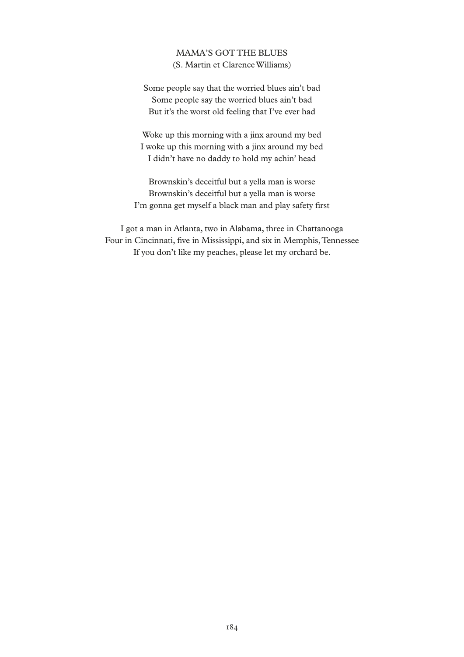#### MAMA'S GOT THE BLUES (S. Martin et Clarence Williams)

Some people say that the worried blues ain't bad Some people say the worried blues ain't bad But it's the worst old feeling that I've ever had

Woke up this morning with a jinx around my bed I woke up this morning with a jinx around my bed I didn't have no daddy to hold my achin' head

Brownskin's deceitful but a yella man is worse Brownskin's deceitful but a yella man is worse I'm gonna get myself a black man and play safety first

I got a man in Atlanta, two in Alabama, three in Chattanooga Four in Cincinnati, five in Mississippi, and six in Memphis, Tennessee If you don't like my peaches, please let my orchard be.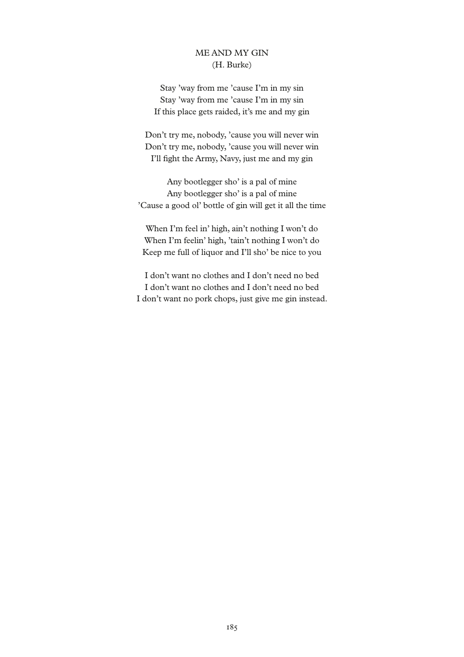# ME AND MY GIN (H. Burke)

Stay 'way from me 'cause I'm in my sin Stay 'way from me 'cause I'm in my sin If this place gets raided, it's me and my gin

Don't try me, nobody, 'cause you will never win Don't try me, nobody, 'cause you will never win I'll fight the Army, Navy, just me and my gin

Any bootlegger sho' is a pal of mine Any bootlegger sho' is a pal of mine 'Cause a good ol' bottle of gin will get it all the time

When I'm feel in' high, ain't nothing I won't do When I'm feelin' high, 'tain't nothing I won't do Keep me full of liquor and I'll sho' be nice to you

I don't want no clothes and I don't need no bed I don't want no clothes and I don't need no bed I don't want no pork chops, just give me gin instead.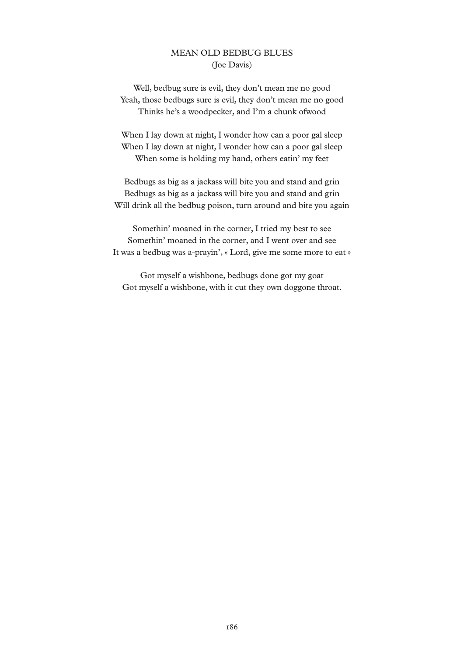# MEAN OLD BEDBUG BLUES (Joe Davis)

Well, bedbug sure is evil, they don't mean me no good Yeah, those bedbugs sure is evil, they don't mean me no good Thinks he's a woodpecker, and I'm a chunk ofwood

When I lay down at night, I wonder how can a poor gal sleep When I lay down at night, I wonder how can a poor gal sleep When some is holding my hand, others eatin' my feet

Bedbugs as big as a jackass will bite you and stand and grin Bedbugs as big as a jackass will bite you and stand and grin Will drink all the bedbug poison, turn around and bite you again

Somethin' moaned in the corner, I tried my best to see Somethin' moaned in the corner, and I went over and see It was a bedbug was a-prayin', « Lord, give me some more to eat »

Got myself a wishbone, bedbugs done got my goat Got myself a wishbone, with it cut they own doggone throat.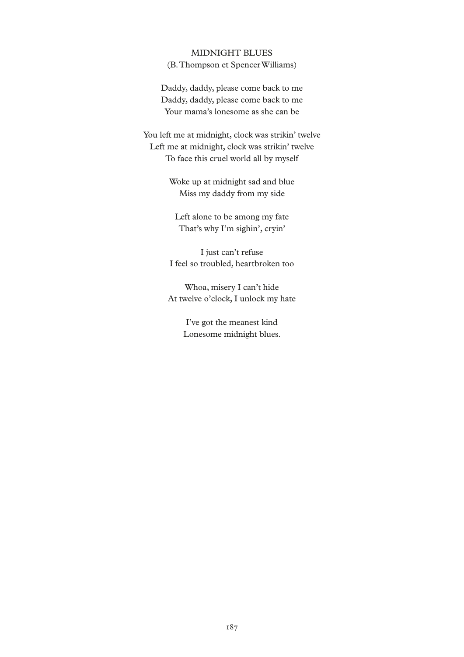# MIDNIGHT BLUES

(B. Thompson et Spencer Williams)

Daddy, daddy, please come back to me Daddy, daddy, please come back to me Your mama's lonesome as she can be

You left me at midnight, clock was strikin' twelve Left me at midnight, clock was strikin' twelve To face this cruel world all by myself

> Woke up at midnight sad and blue Miss my daddy from my side

Left alone to be among my fate That's why I'm sighin', cryin'

I just can't refuse I feel so troubled, heartbroken too

Whoa, misery I can't hide At twelve o'clock, I unlock my hate

> I've got the meanest kind Lonesome midnight blues.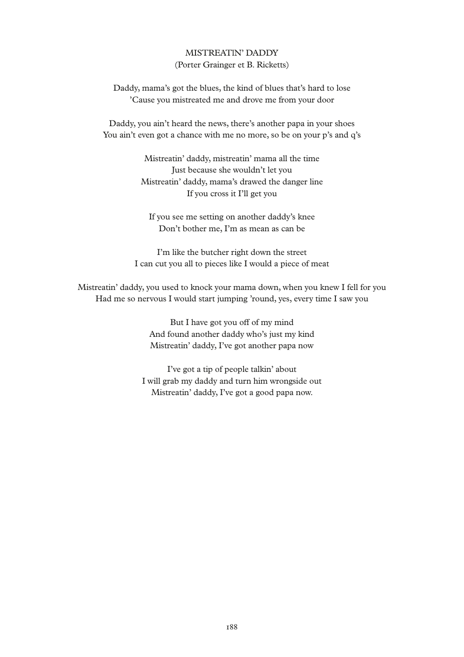# MISTREATlN' DADDY (Porter Grainger et B. Ricketts)

Daddy, mama's got the blues, the kind of blues that's hard to lose 'Cause you mistreated me and drove me from your door

Daddy, you ain't heard the news, there's another papa in your shoes You ain't even got a chance with me no more, so be on your p's and q's

> Mistreatin' daddy, mistreatin' mama all the time Just because she wouldn't let you Mistreatin' daddy, mama's drawed the danger line If you cross it I'll get you

If you see me setting on another daddy's knee Don't bother me, I'm as mean as can be

I'm like the butcher right down the street I can cut you all to pieces like I would a piece of meat

Mistreatin' daddy, you used to knock your mama down, when you knew I fell for you Had me so nervous I would start jumping 'round, yes, every time I saw you

> But I have got you off of my mind And found another daddy who's just my kind Mistreatin' daddy, I've got another papa now

I've got a tip of people talkin' about I will grab my daddy and turn him wrongside out Mistreatin' daddy, I've got a good papa now.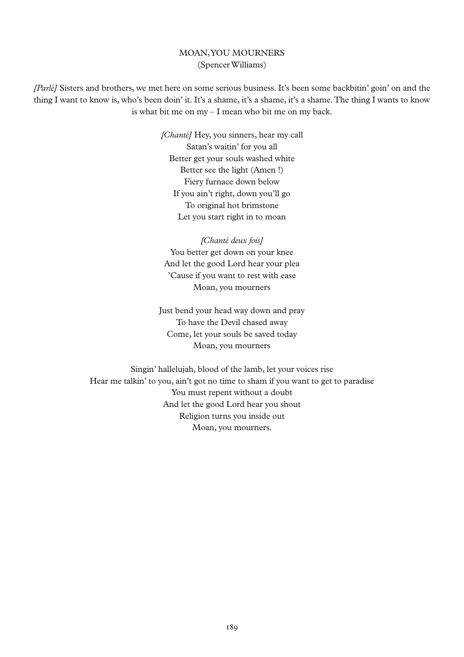# MOAN, YOU MOURNERS (Spencer Williams)

*[Parlé]* Sisters and brothers, we met here on some serious business. It's been some backbitin' goin' on and the thing I want to know is, who's been doin' it. It's a shame, it's a shame, it's a shame. The thing I wants to know is what bit me on my – I mean who bit me on my back.

> *[Chanté]* Hey, you sinners, hear my call Satan's waitin' for you all Better get your souls washed white Better see the light (Amen !) Fiery furnace down below If you ain't right, down you'll go To original hot brimstone Let you start right in to moan

*[Chanté deux fois]* You better get down on your knee And let the good Lord hear your plea 'Cause if you want to rest with ease Moan, you mourners

Just bend your head way down and pray To have the Devil chased away Come, let your souls be saved today Moan, you mourners

Singin' hallelujah, blood of the lamb, let your voices rise Hear me talkin' to you, ain't got no time to sham if you want to get to paradise You must repent without a doubt And let the good Lord hear you shout Religion turns you inside out Moan, you mourners.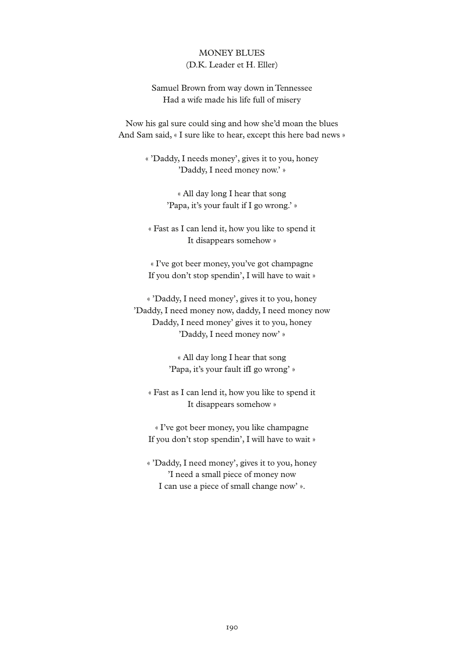## MONEY BLUES (D.K. Leader et H. Eller)

#### Samuel Brown from way down in Tennessee Had a wife made his life full of misery

Now his gal sure could sing and how she'd moan the blues And Sam said, « I sure like to hear, except this here bad news »

> « 'Daddy, I needs money', gives it to you, honey 'Daddy, I need money now.' »

> > « All day long I hear that song 'Papa, it's your fault if I go wrong.' »

« Fast as I can lend it, how you like to spend it It disappears somehow »

« I've got beer money, you've got champagne If you don't stop spendin', I will have to wait »

« 'Daddy, I need money', gives it to you, honey 'Daddy, I need money now, daddy, I need money now Daddy, I need money' gives it to you, honey 'Daddy, I need money now' »

> « All day long I hear that song 'Papa, it's your fault ifI go wrong' »

« Fast as I can lend it, how you like to spend it It disappears somehow »

« I've got beer money, you like champagne If you don't stop spendin', I will have to wait »

« 'Daddy, I need money', gives it to you, honey 'I need a small piece of money now I can use a piece of small change now' ».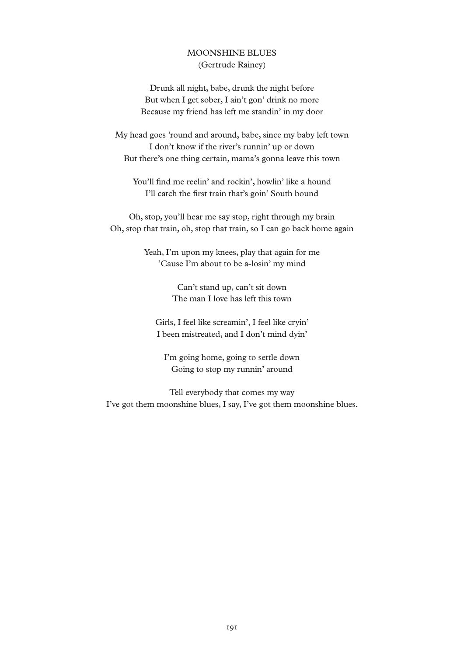# MOONSHINE BLUES (Gertrude Rainey)

Drunk all night, babe, drunk the night before But when I get sober, I ain't gon' drink no more Because my friend has left me standin' in my door

My head goes 'round and around, babe, since my baby left town I don't know if the river's runnin' up or down But there's one thing certain, mama's gonna leave this town

You'll find me reelin' and rockin', howlin' like a hound I'll catch the first train that's goin' South bound

Oh, stop, you'll hear me say stop, right through my brain Oh, stop that train, oh, stop that train, so I can go back home again

> Yeah, I'm upon my knees, play that again for me 'Cause I'm about to be a-losin' my mind

> > Can't stand up, can't sit down The man I love has left this town

Girls, I feel like screamin', I feel like cryin' I been mistreated, and I don't mind dyin'

I'm going home, going to settle down Going to stop my runnin' around

Tell everybody that comes my way I've got them moonshine blues, I say, I've got them moonshine blues.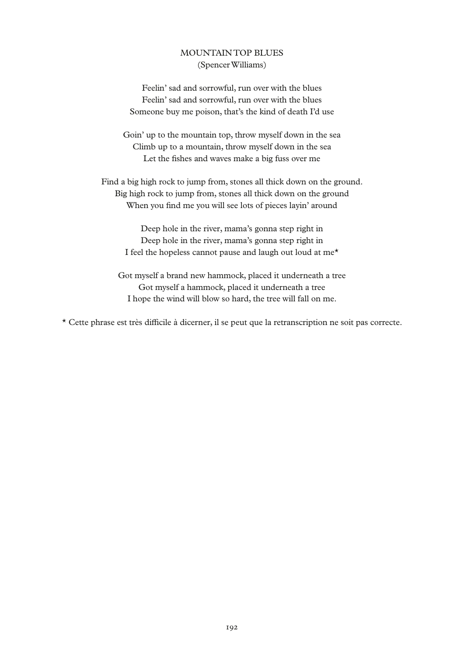# MOUNTAIN TOP BLUES (Spencer Williams)

Feelin' sad and sorrowful, run over with the blues Feelin' sad and sorrowful, run over with the blues Someone buy me poison, that's the kind of death I'd use

Goin' up to the mountain top, throw myself down in the sea Climb up to a mountain, throw myself down in the sea Let the fishes and waves make a big fuss over me

Find a big high rock to jump from, stones all thick down on the ground. Big high rock to jump from, stones all thick down on the ground When you find me you will see lots of pieces layin' around

Deep hole in the river, mama's gonna step right in Deep hole in the river, mama's gonna step right in I feel the hopeless cannot pause and laugh out loud at me\*

Got myself a brand new hammock, placed it underneath a tree Got myself a hammock, placed it underneath a tree I hope the wind will blow so hard, the tree will fall on me.

\* Cette phrase est très difficile à dicerner, il se peut que la retranscription ne soit pas correcte.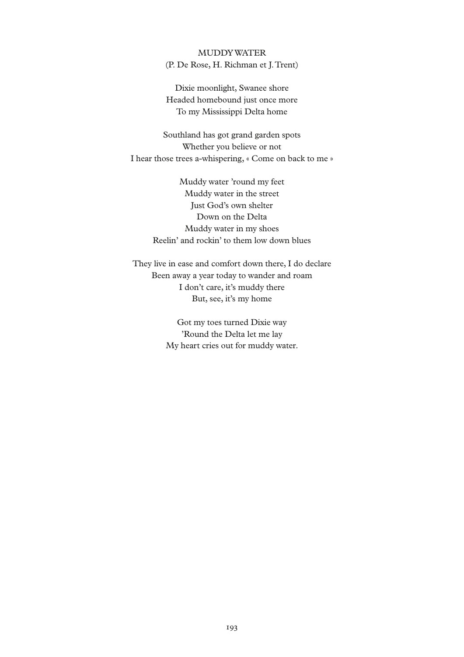# MUDDY WATER (P. De Rose, H. Richman et J. Trent)

Dixie moonlight, Swanee shore Headed homebound just once more To my Mississippi Delta home

Southland has got grand garden spots Whether you believe or not I hear those trees a-whispering, « Come on back to me »

> Muddy water 'round my feet Muddy water in the street Just God's own shelter Down on the Delta Muddy water in my shoes Reelin' and rockin' to them low down blues

They live in ease and comfort down there, I do declare Been away a year today to wander and roam I don't care, it's muddy there But, see, it's my home

> Got my toes turned Dixie way 'Round the Delta let me lay My heart cries out for muddy water.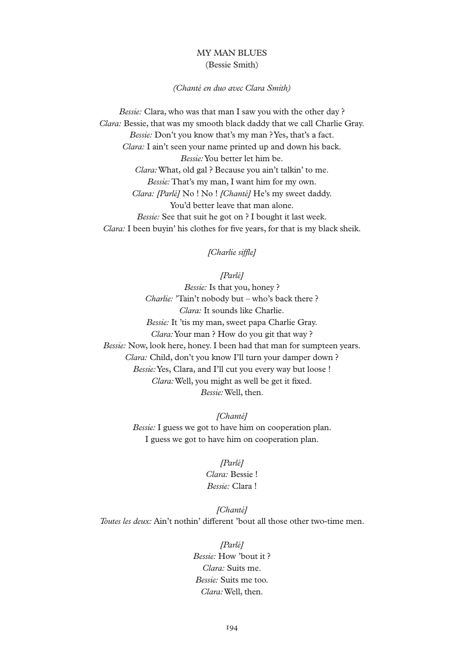#### MY MAN BLUES (Bessie Smith)

#### *(Chanté en duo avec Clara Smith)*

*Bessie:* Clara, who was that man I saw you with the other day ? *Clara:* Bessie, that was my smooth black daddy that we call Charlie Gray. *Bessie:* Don't you know that's my man ? Yes, that's a fact. *Clara:* I ain't seen your name printed up and down his back. *Bessie:* You better let him be. *Clara:* What, old gal ? Because you ain't talkin' to me. *Bessie:* That's my man, I want him for my own. *Clara: [Parlé]* No ! No ! *[Chanté]* He's my sweet daddy. You'd better leave that man alone. *Bessie:* See that suit he got on ? I bought it last week. *Clara:* I been buyin' his clothes for five years, for that is my black sheik.

*[Charlie siffle]*

*[Parlé]*

*Bessie:* Is that you, honey ? *Charlie:* 'Tain't nobody but – who's back there ? *Clara:* It sounds like Charlie. *Bessie:* It 'tis my man, sweet papa Charlie Gray. *Clara:* Your man ? How do you git that way ? *Bessie:* Now, look here, honey. I been had that man for sumpteen years. *Clara:* Child, don't you know I'll turn your damper down ? *Bessie:* Yes, Clara, and I'll cut you every way but loose ! *Clara:* Well, you might as well be get it fixed. *Bessie:* Well, then.

> *[Chanté] Bessie:* I guess we got to have him on cooperation plan. I guess we got to have him on cooperation plan.

> > *[Parlé] Clara:* Bessie ! *Bessie:* Clara !

*[Chanté] Toutes les deux:* Ain't nothin' different 'bout all those other two-time men.

> *[Parlé] Bessie:* How 'bout it ? *Clara:* Suits me. *Bessie:* Suits me too. *Clara:* Well, then.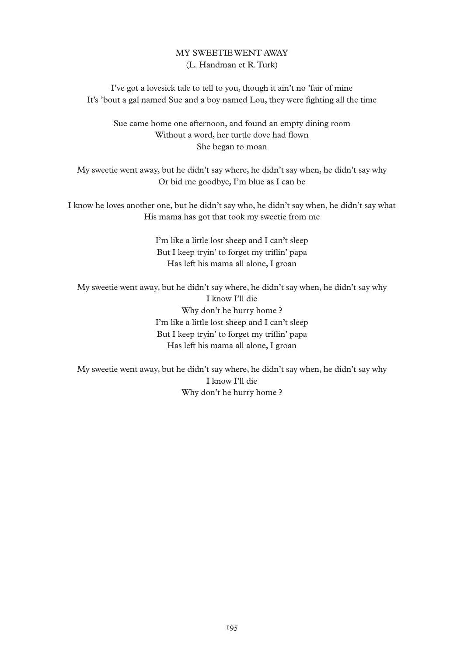# MY SWEETIE WENT AWAY (L. Handman et R. Turk)

I've got a lovesick tale to tell to you, though it ain't no 'fair of mine It's 'bout a gal named Sue and a boy named Lou, they were fighting all the time

Sue came home one afternoon, and found an empty dining room Without a word, her turtle dove had flown She began to moan

My sweetie went away, but he didn't say where, he didn't say when, he didn't say why Or bid me goodbye, I'm blue as I can be

I know he loves another one, but he didn't say who, he didn't say when, he didn't say what His mama has got that took my sweetie from me

> I'm like a little lost sheep and I can't sleep But I keep tryin' to forget my triflin' papa Has left his mama all alone, I groan

My sweetie went away, but he didn't say where, he didn't say when, he didn't say why I know I'll die Why don't he hurry home ? I'm like a little lost sheep and I can't sleep But I keep tryin' to forget my triflin' papa Has left his mama all alone, I groan

My sweetie went away, but he didn't say where, he didn't say when, he didn't say why I know I'll die Why don't he hurry home ?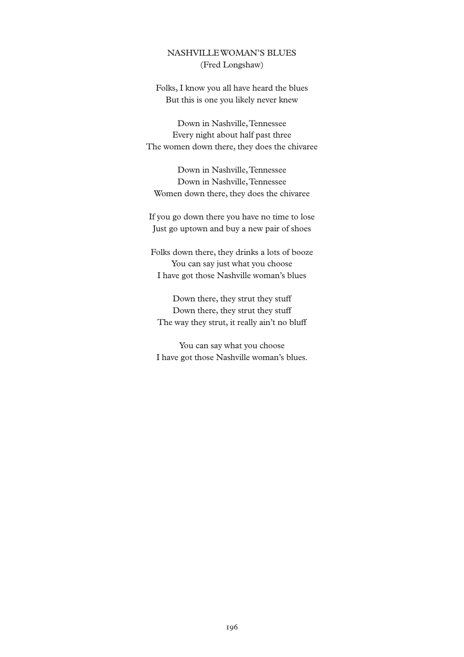# NASHVILLE WOMAN'S BLUES (Fred Longshaw)

Folks, I know you all have heard the blues But this is one you likely never knew

Down in Nashville, Tennessee Every night about half past three The women down there, they does the chivaree

Down in Nashville, Tennessee Down in Nashville, Tennessee Women down there, they does the chivaree

If you go down there you have no time to lose Just go uptown and buy a new pair of shoes

Folks down there, they drinks a lots of booze You can say just what you choose I have got those Nashville woman's blues

Down there, they strut they stuff Down there, they strut they stuff The way they strut, it really ain't no bluff

You can say what you choose I have got those Nashville woman's blues.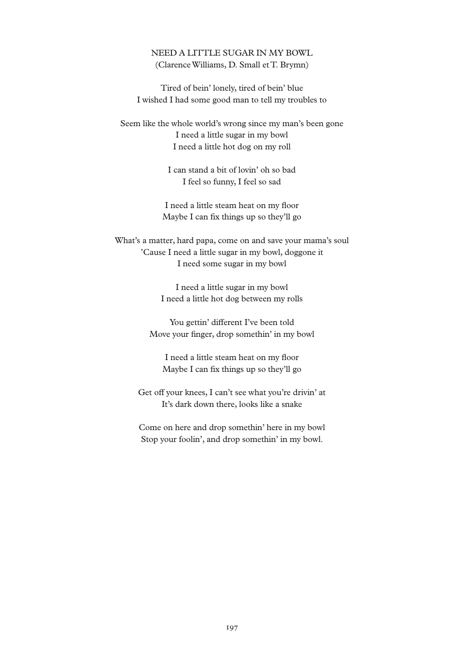#### NEED A LITTLE SUGAR IN MY BOWL (Clarence Williams, D. Small et T. Brymn)

Tired of bein' lonely, tired of bein' blue I wished I had some good man to tell my troubles to

Seem like the whole world's wrong since my man's been gone I need a little sugar in my bowl I need a little hot dog on my roll

> I can stand a bit of lovin' oh so bad I feel so funny, I feel so sad

I need a little steam heat on my floor Maybe I can fix things up so they'll go

What's a matter, hard papa, come on and save your mama's soul 'Cause I need a little sugar in my bowl, doggone it I need some sugar in my bowl

> I need a little sugar in my bowl I need a little hot dog between my rolls

You gettin' different I've been told Move your finger, drop somethin' in my bowl

I need a little steam heat on my floor Maybe I can fix things up so they'll go

Get off your knees, I can't see what you're drivin' at It's dark down there, looks like a snake

Come on here and drop somethin' here in my bowl Stop your foolin', and drop somethin' in my bowl.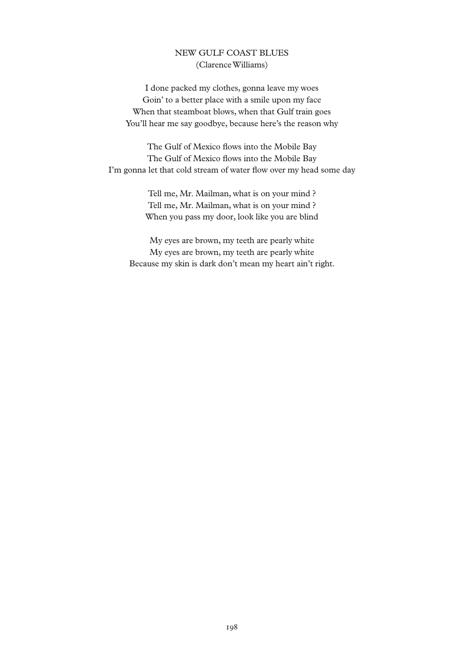# NEW GULF COAST BLUES (Clarence Williams)

I done packed my clothes, gonna leave my woes Goin' to a better place with a smile upon my face When that steamboat blows, when that Gulf train goes You'll hear me say goodbye, because here's the reason why

The Gulf of Mexico flows into the Mobile Bay The Gulf of Mexico flows into the Mobile Bay I'm gonna let that cold stream of water flow over my head some day

> Tell me, Mr. Mailman, what is on your mind ? Tell me, Mr. Mailman, what is on your mind ? When you pass my door, look like you are blind

My eyes are brown, my teeth are pearly white My eyes are brown, my teeth are pearly white Because my skin is dark don't mean my heart ain't right.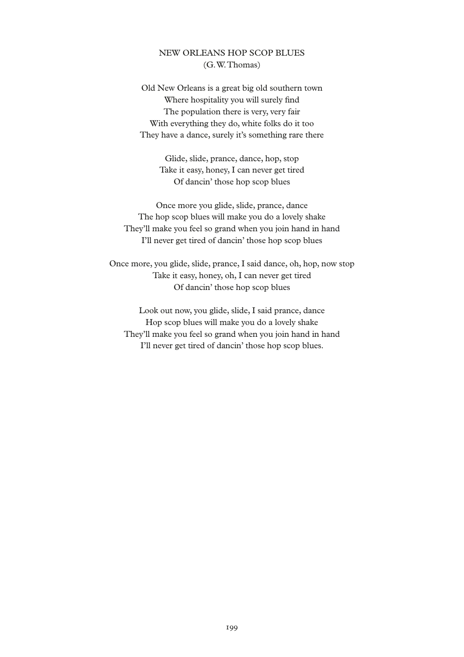# NEW ORLEANS HOP SCOP BLUES (G. W. Thomas)

Old New Orleans is a great big old southern town Where hospitality you will surely find The population there is very, very fair With everything they do, white folks do it too They have a dance, surely it's something rare there

> Glide, slide, prance, dance, hop, stop Take it easy, honey, I can never get tired Of dancin' those hop scop blues

Once more you glide, slide, prance, dance The hop scop blues will make you do a lovely shake They'll make you feel so grand when you join hand in hand I'll never get tired of dancin' those hop scop blues

Once more, you glide, slide, prance, I said dance, oh, hop, now stop Take it easy, honey, oh, I can never get tired Of dancin' those hop scop blues

Look out now, you glide, slide, I said prance, dance Hop scop blues will make you do a lovely shake They'll make you feel so grand when you join hand in hand I'll never get tired of dancin' those hop scop blues.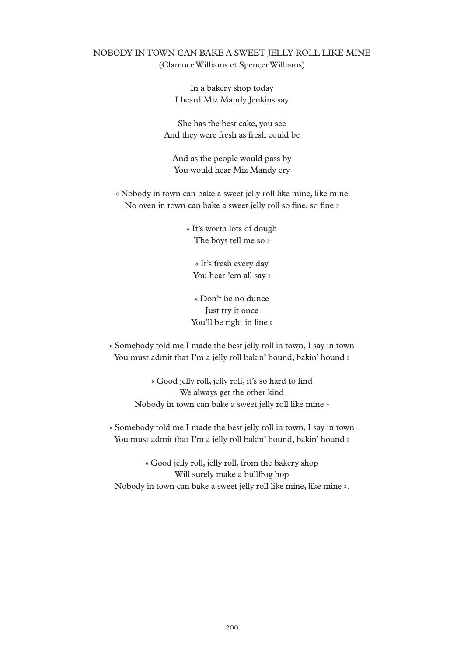#### NOBODY IN TOWN CAN BAKE A SWEET JELLY ROLL LIKE MINE (Clarence Williams et Spencer Williams)

In a bakery shop today I heard Miz Mandy Jenkins say

She has the best cake, you see And they were fresh as fresh could be

And as the people would pass by You would hear Miz Mandy cry

« Nobody in town can bake a sweet jelly roll like mine, like mine No oven in town can bake a sweet jelly roll so fine, so fine »

> « It's worth lots of dough The boys tell me so »

« It's fresh every day You hear 'em all say »

« Don't be no dunce Just try it once You'll be right in line »

« Somebody told me I made the best jelly roll in town, I say in town You must admit that I'm a jelly roll bakin' hound, bakin' hound »

« Good jelly roll, jelly roll, it's so hard to find We always get the other kind Nobody in town can bake a sweet jelly roll like mine »

« Somebody told me I made the best jelly roll in town, I say in town You must admit that I'm a jelly roll bakin' hound, bakin' hound »

« Good jelly roll, jelly roll, from the bakery shop Will surely make a bullfrog hop Nobody in town can bake a sweet jelly roll like mine, like mine ».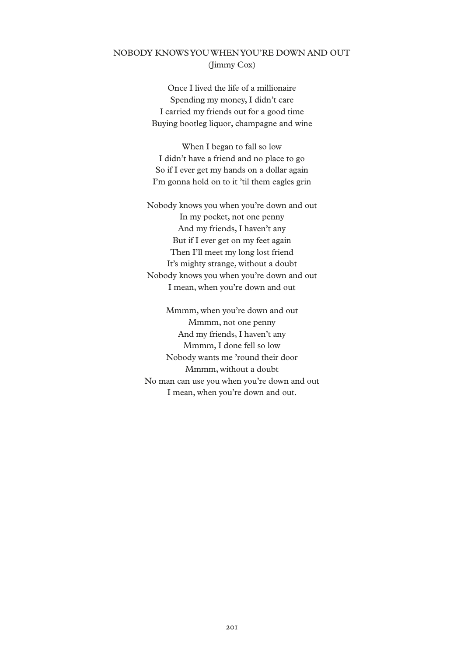# NOBODY KNOWS YOU WHEN YOU'RE DOWN AND OUT (Jimmy Cox)

Once I lived the life of a millionaire Spending my money, I didn't care I carried my friends out for a good time Buying bootleg liquor, champagne and wine

When I began to fall so low I didn't have a friend and no place to go So if I ever get my hands on a dollar again I'm gonna hold on to it 'til them eagles grin

Nobody knows you when you're down and out In my pocket, not one penny And my friends, I haven't any But if I ever get on my feet again Then I'll meet my long lost friend It's mighty strange, without a doubt Nobody knows you when you're down and out I mean, when you're down and out

Mmmm, when you're down and out Mmmm, not one penny And my friends, I haven't any Mmmm, I done fell so low Nobody wants me 'round their door Mmmm, without a doubt No man can use you when you're down and out I mean, when you're down and out.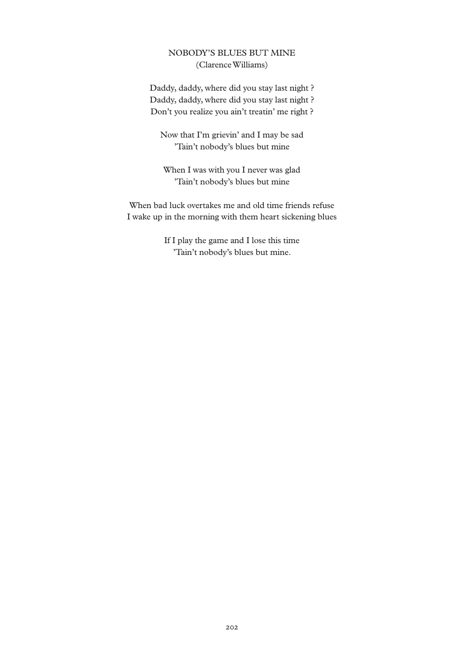# NOBODY'S BLUES BUT MINE (Clarence Williams)

Daddy, daddy, where did you stay last night ? Daddy, daddy, where did you stay last night ? Don't you realize you ain't treatin' me right ?

Now that I'm grievin' and I may be sad 'Tain't nobody's blues but mine

When I was with you I never was glad 'Tain't nobody's blues but mine

When bad luck overtakes me and old time friends refuse I wake up in the morning with them heart sickening blues

> If I play the game and I lose this time 'Tain't nobody's blues but mine.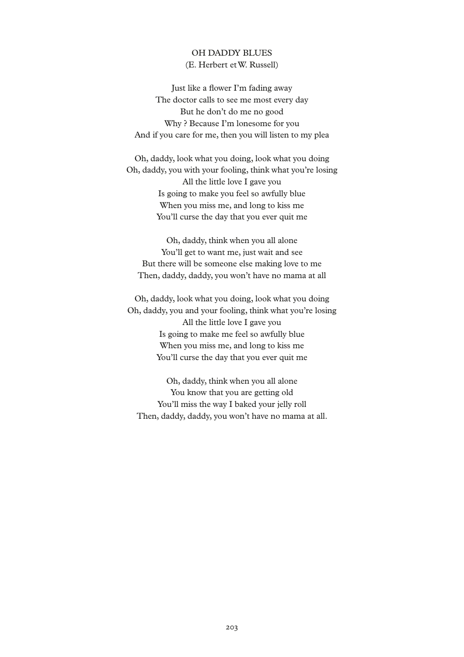#### OH DADDY BLUES (E. Herbert et W. Russell)

Just like a flower I'm fading away The doctor calls to see me most every day But he don't do me no good Why ? Because I'm lonesome for you And if you care for me, then you will listen to my plea

Oh, daddy, look what you doing, look what you doing Oh, daddy, you with your fooling, think what you're losing All the little love I gave you Is going to make you feel so awfully blue When you miss me, and long to kiss me You'll curse the day that you ever quit me

Oh, daddy, think when you all alone You'll get to want me, just wait and see But there will be someone else making love to me Then, daddy, daddy, you won't have no mama at all

Oh, daddy, look what you doing, look what you doing Oh, daddy, you and your fooling, think what you're losing All the little love I gave you Is going to make me feel so awfully blue When you miss me, and long to kiss me You'll curse the day that you ever quit me

Oh, daddy, think when you all alone You know that you are getting old You'll miss the way I baked your jelly roll Then, daddy, daddy, you won't have no mama at all.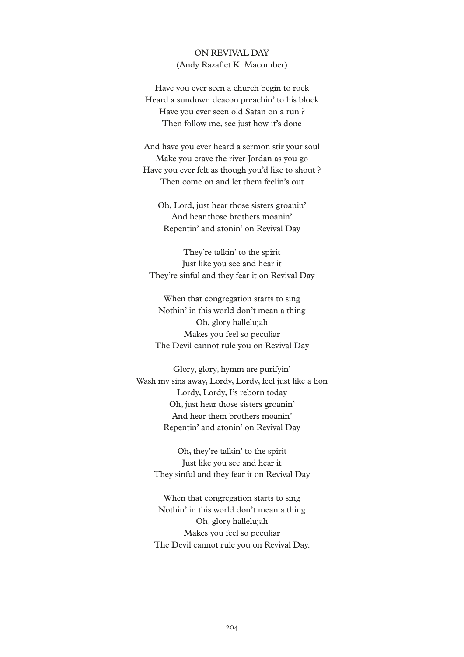#### ON REVIVAL DAY (Andy Razaf et K. Macomber)

Have you ever seen a church begin to rock Heard a sundown deacon preachin' to his block Have you ever seen old Satan on a run ? Then follow me, see just how it's done

And have you ever heard a sermon stir your soul Make you crave the river Jordan as you go Have you ever felt as though you'd like to shout ? Then come on and let them feelin's out

Oh, Lord, just hear those sisters groanin' And hear those brothers moanin' Repentin' and atonin' on Revival Day

They're talkin' to the spirit Just like you see and hear it They're sinful and they fear it on Revival Day

When that congregation starts to sing Nothin' in this world don't mean a thing Oh, glory hallelujah Makes you feel so peculiar The Devil cannot rule you on Revival Day

Glory, glory, hymm are purifyin' Wash my sins away, Lordy, Lordy, feel just like a lion Lordy, Lordy, I's reborn today Oh, just hear those sisters groanin' And hear them brothers moanin' Repentin' and atonin' on Revival Day

Oh, they're talkin' to the spirit Just like you see and hear it They sinful and they fear it on Revival Day

When that congregation starts to sing Nothin' in this world don't mean a thing Oh, glory hallelujah Makes you feel so peculiar The Devil cannot rule you on Revival Day.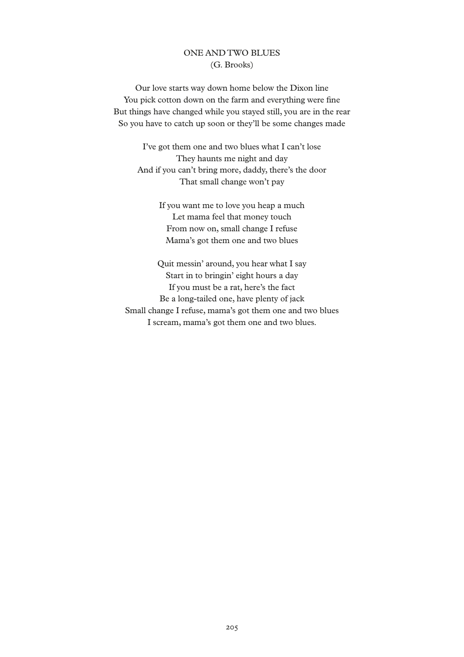# ONE AND TWO BLUES (G. Brooks)

Our love starts way down home below the Dixon line You pick cotton down on the farm and everything were fine But things have changed while you stayed still, you are in the rear So you have to catch up soon or they'll be some changes made

I've got them one and two blues what I can't lose They haunts me night and day And if you can't bring more, daddy, there's the door That small change won't pay

> If you want me to love you heap a much Let mama feel that money touch From now on, small change I refuse Mama's got them one and two blues

Quit messin' around, you hear what I say Start in to bringin' eight hours a day If you must be a rat, here's the fact Be a long-tailed one, have plenty of jack Small change I refuse, mama's got them one and two blues I scream, mama's got them one and two blues.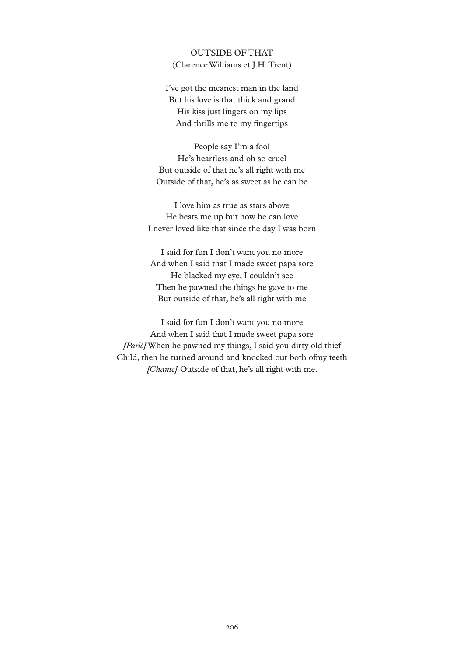# OUTSIDE OF THAT (Clarence Williams et J.H. Trent)

I've got the meanest man in the land But his love is that thick and grand His kiss just lingers on my lips And thrills me to my fingertips

People say I'm a fool He's heartless and oh so cruel But outside of that he's all right with me Outside of that, he's as sweet as he can be

I love him as true as stars above He beats me up but how he can love I never loved like that since the day I was born

I said for fun I don't want you no more And when I said that I made sweet papa sore He blacked my eye, I couldn't see Then he pawned the things he gave to me But outside of that, he's all right with me

I said for fun I don't want you no more And when I said that I made sweet papa sore *[Parlé]* When he pawned my things, I said you dirty old thief Child, then he turned around and knocked out both ofmy teeth *[Chanté]* Outside of that, he's all right with me.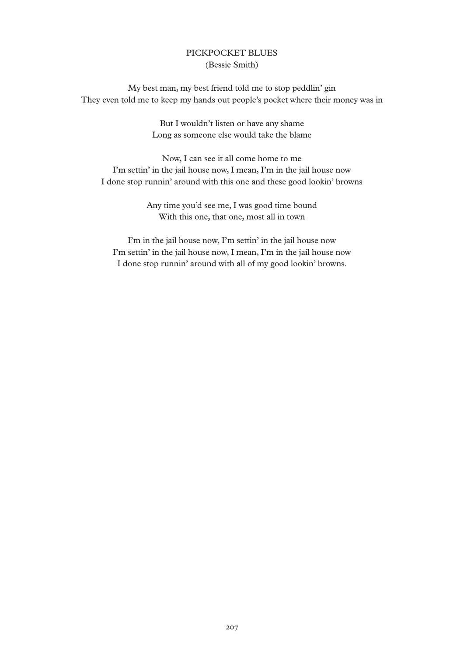## PICKPOCKET BLUES (Bessie Smith)

My best man, my best friend told me to stop peddlin' gin They even told me to keep my hands out people's pocket where their money was in

> But I wouldn't listen or have any shame Long as someone else would take the blame

Now, I can see it all come home to me I'm settin' in the jail house now, I mean, I'm in the jail house now I done stop runnin' around with this one and these good lookin' browns

> Any time you'd see me, I was good time bound With this one, that one, most all in town

I'm in the jail house now, I'm settin' in the jail house now I'm settin' in the jail house now, I mean, I'm in the jail house now I done stop runnin' around with all of my good lookin' browns.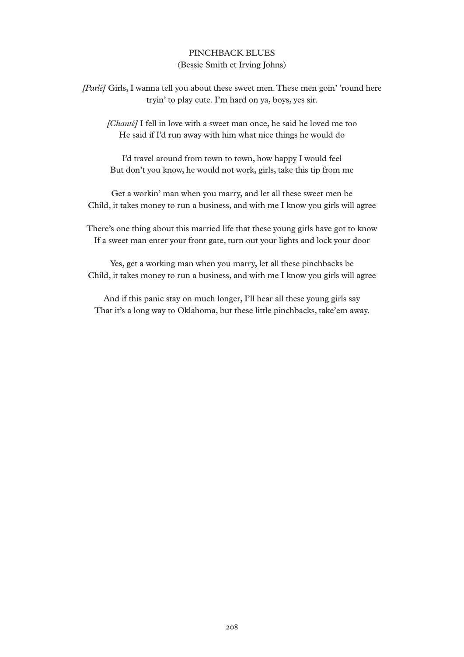#### PINCHBACK BLUES

#### (Bessie Smith et Irving Johns)

*[Parlé]* Girls, I wanna tell you about these sweet men. These men goin' 'round here tryin' to play cute. I'm hard on ya, boys, yes sir.

*[Chanté]* I fell in love with a sweet man once, he said he loved me too He said if I'd run away with him what nice things he would do

I'd travel around from town to town, how happy I would feel But don't you know, he would not work, girls, take this tip from me

Get a workin' man when you marry, and let all these sweet men be Child, it takes money to run a business, and with me I know you girls will agree

There's one thing about this married life that these young girls have got to know If a sweet man enter your front gate, turn out your lights and lock your door

Yes, get a working man when you marry, let all these pinchbacks be Child, it takes money to run a business, and with me I know you girls will agree

And if this panic stay on much longer, I'll hear all these young girls say That it's a long way to Oklahoma, but these little pinchbacks, take'em away.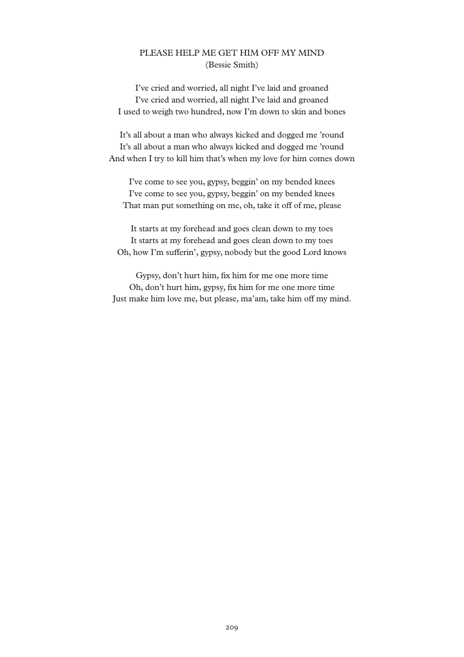# PLEASE HELP ME GET HIM OFF MY MIND (Bessie Smith)

I've cried and worried, all night I've laid and groaned I've cried and worried, all night I've laid and groaned I used to weigh two hundred, now I'm down to skin and bones

It's all about a man who always kicked and dogged me 'round It's all about a man who always kicked and dogged me 'round And when I try to kill him that's when my love for him comes down

I've come to see you, gypsy, beggin' on my bended knees I've come to see you, gypsy, beggin' on my bended knees That man put something on me, oh, take it off of me, please

It starts at my forehead and goes clean down to my toes It starts at my forehead and goes clean down to my toes Oh, how I'm sufferin', gypsy, nobody but the good Lord knows

Gypsy, don't hurt him, fix him for me one more time Oh, don't hurt him, gypsy, fix him for me one more time Just make him love me, but please, ma'am, take him off my mind.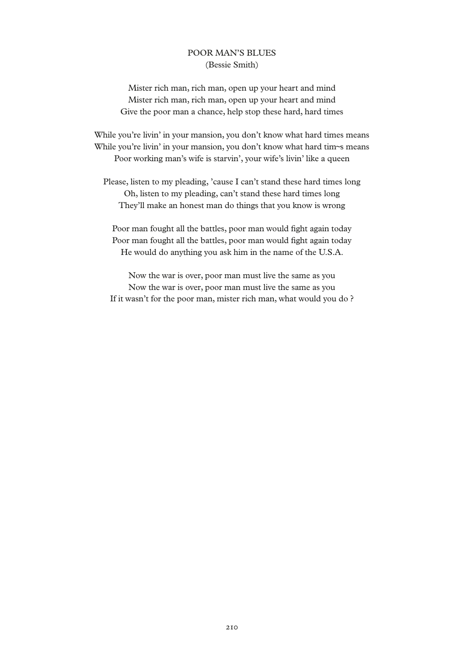## POOR MAN'S BLUES (Bessie Smith)

Mister rich man, rich man, open up your heart and mind Mister rich man, rich man, open up your heart and mind Give the poor man a chance, help stop these hard, hard times

While you're livin' in your mansion, you don't know what hard times means While you're livin' in your mansion, you don't know what hard tim~s means Poor working man's wife is starvin', your wife's livin' like a queen

Please, listen to my pleading, 'cause I can't stand these hard times long Oh, listen to my pleading, can't stand these hard times long They'll make an honest man do things that you know is wrong

Poor man fought all the battles, poor man would fight again today Poor man fought all the battles, poor man would fight again today He would do anything you ask him in the name of the U.S.A.

Now the war is over, poor man must live the same as you Now the war is over, poor man must live the same as you If it wasn't for the poor man, mister rich man, what would you do ?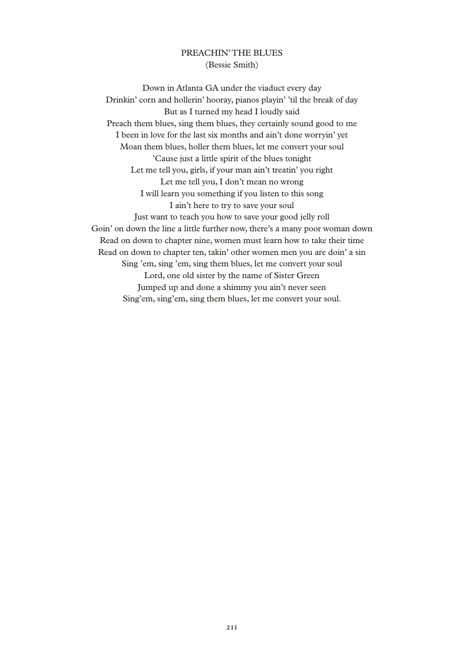# PREACHIN' THE BLUES (Bessie Smith)

Down in Atlanta GA under the viaduct every day Drinkin' corn and hollerin' hooray, pianos playin' 'til the break of day But as I turned my head I loudly said Preach them blues, sing them blues, they certainly sound good to me I been in love for the last six months and ain't done worryin' yet Moan them blues, holler them blues, let me convert your soul 'Cause just a little spirit of the blues tonight Let me tell you, girls, if your man ain't treatin' you right Let me tell you, I don't mean no wrong I will learn you something if you listen to this song I ain't here to try to save your soul Just want to teach you how to save your good jelly roll Goin' on down the line a little further now, there's a many poor woman down Read on down to chapter nine, women must learn how to take their time Read on down to chapter ten, takin' other women men you are doin' a sin Sing 'em, sing 'em, sing them blues, let me convert your soul Lord, one old sister by the name of Sister Green Jumped up and done a shimmy you ain't never seen Sing'em, sing'em, sing them blues, let me convert your soul.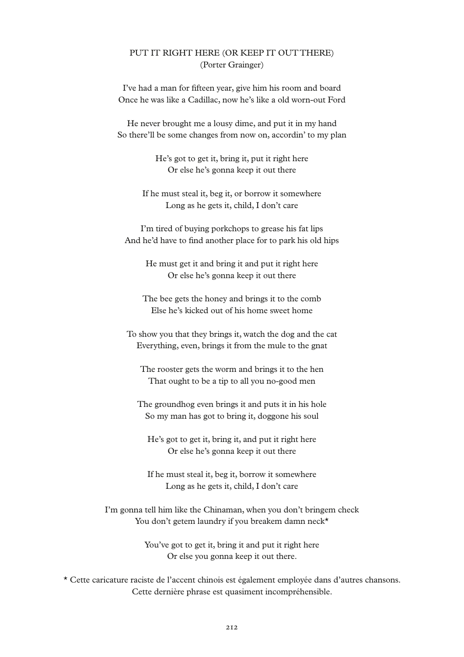# PUT IT RIGHT HERE (OR KEEP IT OUT THERE) (Porter Grainger)

I've had a man for fifteen year, give him his room and board Once he was like a Cadillac, now he's like a old worn-out Ford

He never brought me a lousy dime, and put it in my hand So there'll be some changes from now on, accordin' to my plan

> He's got to get it, bring it, put it right here Or else he's gonna keep it out there

If he must steal it, beg it, or borrow it somewhere Long as he gets it, child, I don't care

I'm tired of buying porkchops to grease his fat lips And he'd have to find another place for to park his old hips

He must get it and bring it and put it right here Or else he's gonna keep it out there

The bee gets the honey and brings it to the comb Else he's kicked out of his home sweet home

To show you that they brings it, watch the dog and the cat Everything, even, brings it from the mule to the gnat

The rooster gets the worm and brings it to the hen That ought to be a tip to all you no-good men

The groundhog even brings it and puts it in his hole So my man has got to bring it, doggone his soul

He's got to get it, bring it, and put it right here Or else he's gonna keep it out there

If he must steal it, beg it, borrow it somewhere Long as he gets it, child, I don't care

I'm gonna tell him like the Chinaman, when you don't bringem check You don't getem laundry if you breakem damn neck<sup>\*</sup>

> You've got to get it, bring it and put it right here Or else you gonna keep it out there.

\* Cette caricature raciste de l'accent chinois est également employée dans d'autres chansons. Cette dernière phrase est quasiment incompréhensible.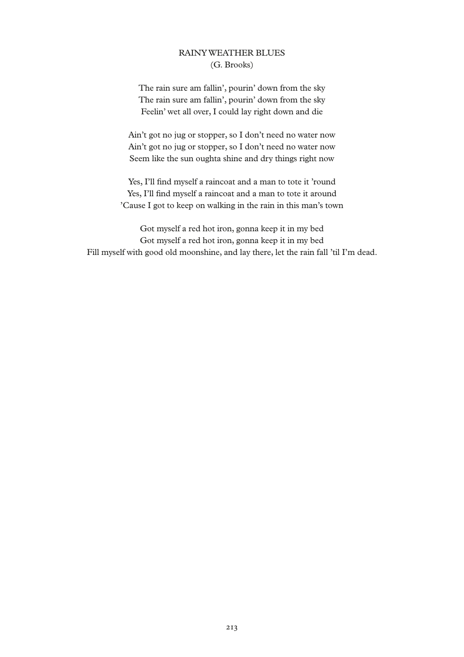# RAINY WEATHER BLUES (G. Brooks)

The rain sure am fallin', pourin' down from the sky The rain sure am fallin', pourin' down from the sky Feelin' wet all over, I could lay right down and die

Ain't got no jug or stopper, so I don't need no water now Ain't got no jug or stopper, so I don't need no water now Seem like the sun oughta shine and dry things right now

Yes, I'll find myself a raincoat and a man to tote it 'round Yes, I'll find myself a raincoat and a man to tote it around 'Cause I got to keep on walking in the rain in this man's town

Got myself a red hot iron, gonna keep it in my bed Got myself a red hot iron, gonna keep it in my bed Fill myself with good old moonshine, and lay there, let the rain fall 'til I'm dead.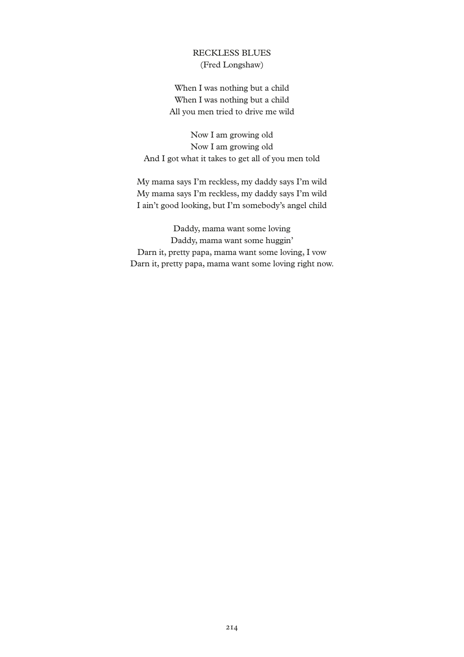# RECKLESS BLUES (Fred Longshaw)

When I was nothing but a child When I was nothing but a child All you men tried to drive me wild

Now I am growing old Now I am growing old And I got what it takes to get all of you men told

My mama says I'm reckless, my daddy says I'm wild My mama says I'm reckless, my daddy says I'm wild I ain't good looking, but I'm somebody's angel child

Daddy, mama want some loving Daddy, mama want some huggin' Darn it, pretty papa, mama want some loving, I vow Darn it, pretty papa, mama want some loving right now.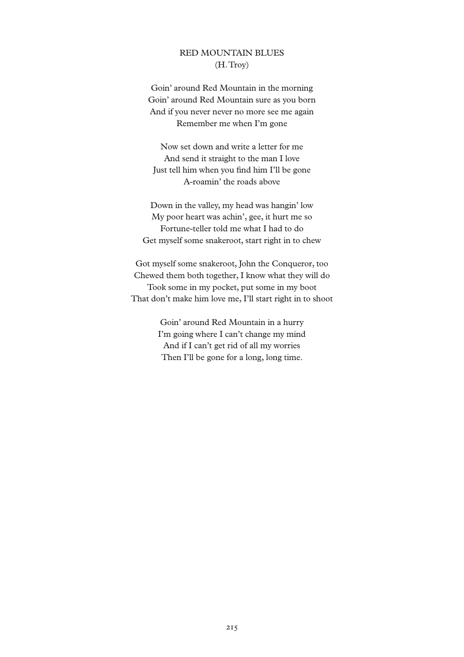## RED MOUNTAIN BLUES (H. Troy)

Goin' around Red Mountain in the morning Goin' around Red Mountain sure as you born And if you never never no more see me again Remember me when I'm gone

Now set down and write a letter for me And send it straight to the man I love Just tell him when you find him I'll be gone A-roamin' the roads above

Down in the valley, my head was hangin' low My poor heart was achin', gee, it hurt me so Fortune-teller told me what I had to do Get myself some snakeroot, start right in to chew

Got myself some snakeroot, John the Conqueror, too Chewed them both together, I know what they will do Took some in my pocket, put some in my boot That don't make him love me, I'll start right in to shoot

> Goin' around Red Mountain in a hurry I'm going where I can't change my mind And if I can't get rid of all my worries Then I'll be gone for a long, long time.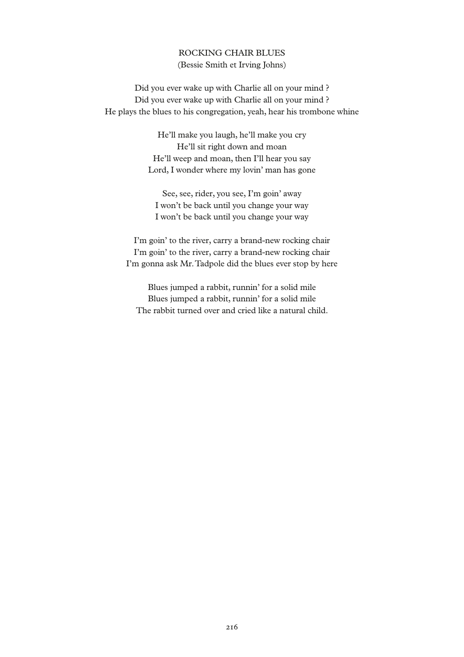#### ROCKING CHAIR BLUES (Bessie Smith et Irving Johns)

Did you ever wake up with Charlie all on your mind ? Did you ever wake up with Charlie all on your mind ? He plays the blues to his congregation, yeah, hear his trombone whine

> He'll make you laugh, he'll make you cry He'll sit right down and moan He'll weep and moan, then I'll hear you say Lord, I wonder where my lovin' man has gone

See, see, rider, you see, I'm goin' away I won't be back until you change your way I won't be back until you change your way

I'm goin' to the river, carry a brand-new rocking chair I'm goin' to the river, carry a brand-new rocking chair I'm gonna ask Mr. Tadpole did the blues ever stop by here

Blues jumped a rabbit, runnin' for a solid mile Blues jumped a rabbit, runnin' for a solid mile The rabbit turned over and cried like a natural child.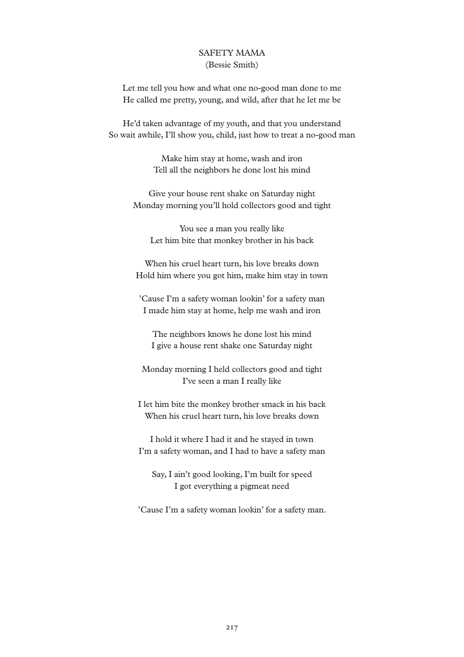#### SAFETY MAMA (Bessie Smith)

Let me tell you how and what one no-good man done to me He called me pretty, young, and wild, after that he let me be

He'd taken advantage of my youth, and that you understand So wait awhile, I'll show you, child, just how to treat a no-good man

> Make him stay at home, wash and iron Tell all the neighbors he done lost his mind

Give your house rent shake on Saturday night Monday morning you'll hold collectors good and tight

You see a man you really like Let him bite that monkey brother in his back

When his cruel heart turn, his love breaks down Hold him where you got him, make him stay in town

'Cause I'm a safety woman lookin' for a safety man I made him stay at home, help me wash and iron

The neighbors knows he done lost his mind I give a house rent shake one Saturday night

Monday morning I held collectors good and tight I've seen a man I really like

I let him bite the monkey brother smack in his back When his cruel heart turn, his love breaks down

I hold it where I had it and he stayed in town I'm a safety woman, and I had to have a safety man

Say, I ain't good looking, I'm built for speed I got everything a pigmeat need

'Cause I'm a safety woman lookin' for a safety man.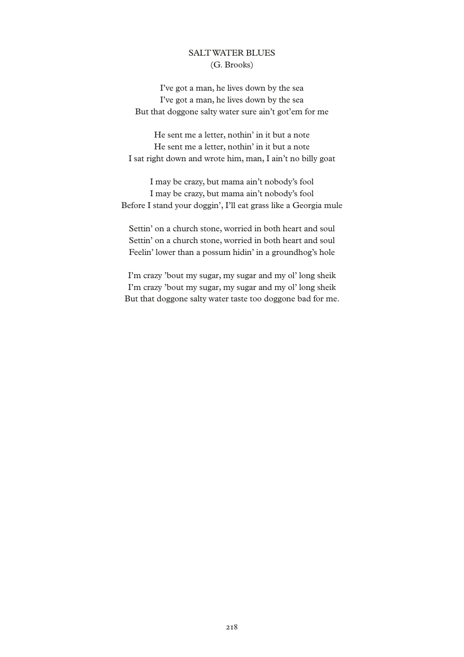# SALT WATER BLUES (G. Brooks)

I've got a man, he lives down by the sea I've got a man, he lives down by the sea But that doggone salty water sure ain't got'em for me

He sent me a letter, nothin' in it but a note He sent me a letter, nothin' in it but a note I sat right down and wrote him, man, I ain't no billy goat

I may be crazy, but mama ain't nobody's fool I may be crazy, but mama ain't nobody's fool Before I stand your doggin', I'll eat grass like a Georgia mule

Settin' on a church stone, worried in both heart and soul Settin' on a church stone, worried in both heart and soul Feelin' lower than a possum hidin' in a groundhog's hole

I'm crazy 'bout my sugar, my sugar and my ol' long sheik I'm crazy 'bout my sugar, my sugar and my ol' long sheik But that doggone salty water taste too doggone bad for me.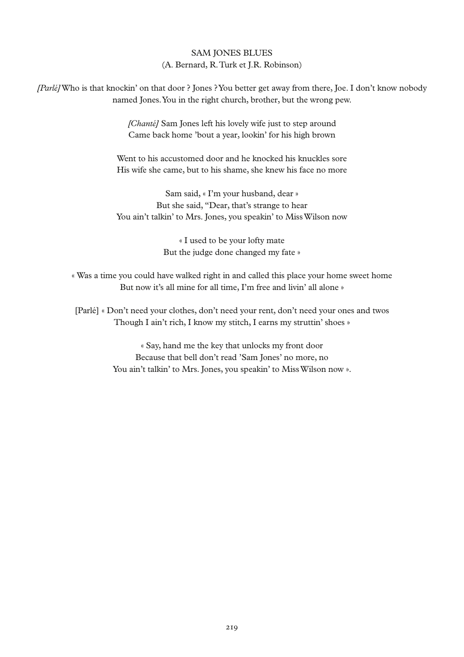# SAM JONES BLUES (A. Bernard, R. Turk et J.R. Robinson)

*[Parlé]* Who is that knockin' on that door ? Jones ? You better get away from there, Joe. I don't know nobody named Jones. You in the right church, brother, but the wrong pew.

> *[Chanté]* Sam Jones left his lovely wife just to step around Came back home 'bout a year, lookin' for his high brown

Went to his accustomed door and he knocked his knuckles sore His wife she came, but to his shame, she knew his face no more

Sam said, « I'm your husband, dear » But she said, "Dear, that's strange to hear You ain't talkin' to Mrs. Jones, you speakin' to Miss Wilson now

> « I used to be your lofty mate But the judge done changed my fate »

« Was a time you could have walked right in and called this place your home sweet home But now it's all mine for all time, I'm free and livin' all alone »

[Parlé] « Don't need your clothes, don't need your rent, don't need your ones and twos Though I ain't rich, I know my stitch, I earns my struttin' shoes »

> « Say, hand me the key that unlocks my front door Because that bell don't read 'Sam Jones' no more, no You ain't talkin' to Mrs. Jones, you speakin' to Miss Wilson now ».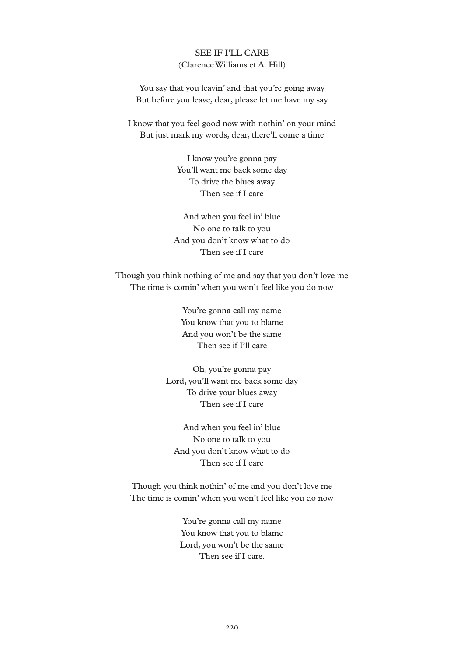#### SEE IF I'LL CARE (Clarence Williams et A. Hill)

You say that you leavin' and that you're going away But before you leave, dear, please let me have my say

I know that you feel good now with nothin' on your mind But just mark my words, dear, there'll come a time

> I know you're gonna pay You'll want me back some day To drive the blues away Then see if I care

And when you feel in' blue No one to talk to you And you don't know what to do Then see if I care

Though you think nothing of me and say that you don't love me The time is comin' when you won't feel like you do now

> You're gonna call my name You know that you to blame And you won't be the same Then see if I'll care

Oh, you're gonna pay Lord, you'll want me back some day To drive your blues away Then see if I care

And when you feel in' blue No one to talk to you And you don't know what to do Then see if I care

Though you think nothin' of me and you don't love me The time is comin' when you won't feel like you do now

> You're gonna call my name You know that you to blame Lord, you won't be the same Then see if I care.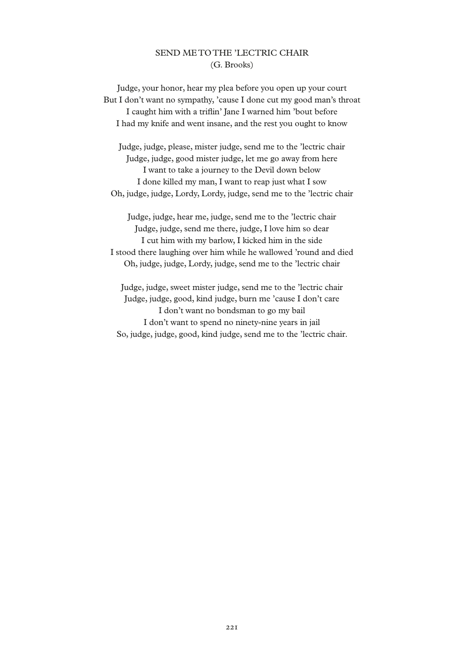## SEND ME TO THE 'LECTRIC CHAIR (G. Brooks)

Judge, your honor, hear my plea before you open up your court But I don't want no sympathy, 'cause I done cut my good man's throat I caught him with a triflin' Jane I warned him 'bout before I had my knife and went insane, and the rest you ought to know

Judge, judge, please, mister judge, send me to the 'lectric chair Judge, judge, good mister judge, let me go away from here I want to take a journey to the Devil down below I done killed my man, I want to reap just what I sow Oh, judge, judge, Lordy, Lordy, judge, send me to the 'lectric chair

Judge, judge, hear me, judge, send me to the 'lectric chair Judge, judge, send me there, judge, I love him so dear I cut him with my barlow, I kicked him in the side I stood there laughing over him while he wallowed 'round and died Oh, judge, judge, Lordy, judge, send me to the 'lectric chair

Judge, judge, sweet mister judge, send me to the 'lectric chair Judge, judge, good, kind judge, burn me 'cause I don't care I don't want no bondsman to go my bail I don't want to spend no ninety-nine years in jail So, judge, judge, good, kind judge, send me to the 'lectric chair.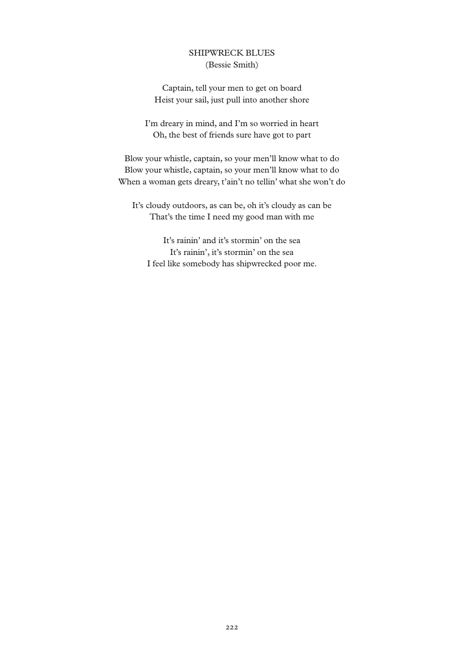## SHIPWRECK BLUES (Bessie Smith)

Captain, tell your men to get on board Heist your sail, just pull into another shore

I'm dreary in mind, and I'm so worried in heart Oh, the best of friends sure have got to part

Blow your whistle, captain, so your men'll know what to do Blow your whistle, captain, so your men'll know what to do When a woman gets dreary, t'ain't no tellin' what she won't do

It's cloudy outdoors, as can be, oh it's cloudy as can be That's the time I need my good man with me

It's rainin' and it's stormin' on the sea It's rainin', it's stormin' on the sea I feel like somebody has shipwrecked poor me.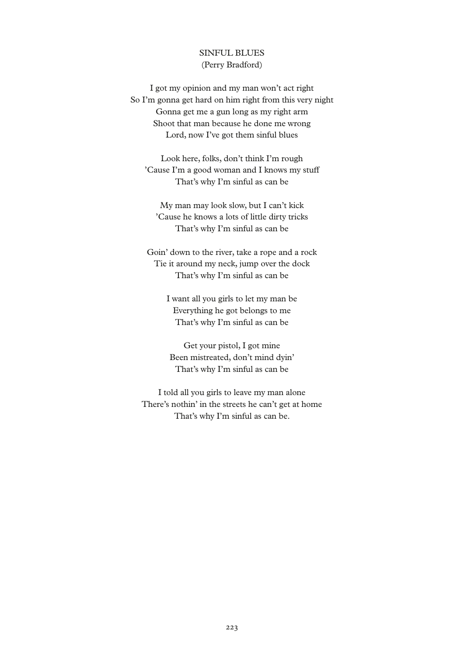# SINFUL BLUES (Perry Bradford)

I got my opinion and my man won't act right So I'm gonna get hard on him right from this very night Gonna get me a gun long as my right arm Shoot that man because he done me wrong Lord, now I've got them sinful blues

Look here, folks, don't think I'm rough 'Cause I'm a good woman and I knows my stuff That's why I'm sinful as can be

My man may look slow, but I can't kick 'Cause he knows a lots of little dirty tricks That's why I'm sinful as can be

Goin' down to the river, take a rope and a rock Tie it around my neck, jump over the dock That's why I'm sinful as can be

> I want all you girls to let my man be Everything he got belongs to me That's why I'm sinful as can be

Get your pistol, I got mine Been mistreated, don't mind dyin' That's why I'm sinful as can be

I told all you girls to leave my man alone There's nothin' in the streets he can't get at home That's why I'm sinful as can be.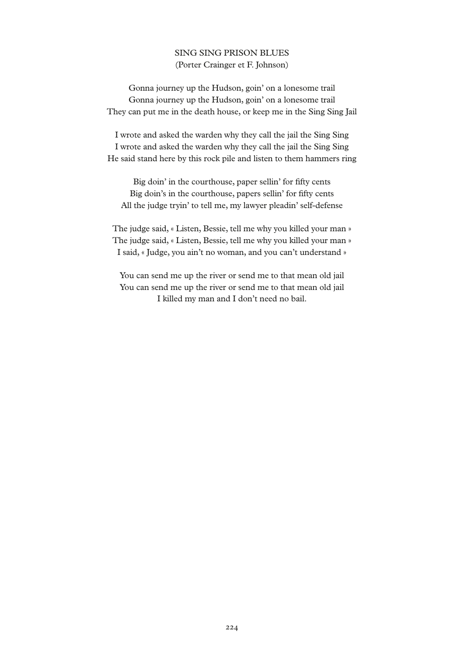# SING SING PRISON BLUES (Porter Crainger et F. Johnson)

Gonna journey up the Hudson, goin' on a lonesome trail Gonna journey up the Hudson, goin' on a lonesome trail They can put me in the death house, or keep me in the Sing Sing Jail

I wrote and asked the warden why they call the jail the Sing Sing I wrote and asked the warden why they call the jail the Sing Sing He said stand here by this rock pile and listen to them hammers ring

Big doin' in the courthouse, paper sellin' for fifty cents Big doin's in the courthouse, papers sellin' for fifty cents All the judge tryin' to tell me, my lawyer pleadin' self-defense

The judge said, « Listen, Bessie, tell me why you killed your man » The judge said, « Listen, Bessie, tell me why you killed your man » I said, « Judge, you ain't no woman, and you can't understand »

You can send me up the river or send me to that mean old jail You can send me up the river or send me to that mean old jail I killed my man and I don't need no bail.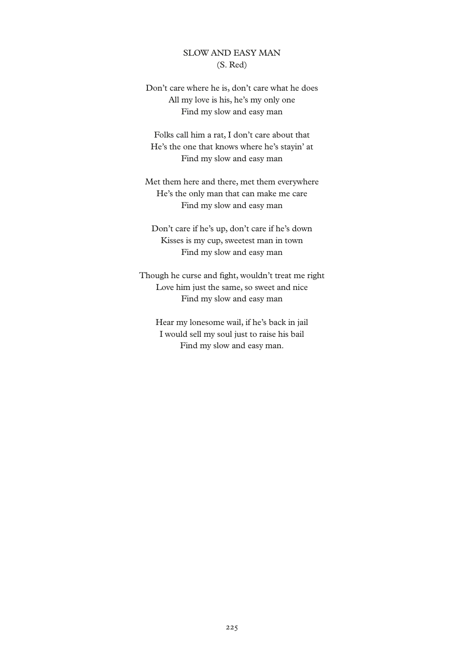# SLOW AND EASY MAN (S. Red)

Don't care where he is, don't care what he does All my love is his, he's my only one Find my slow and easy man

Folks call him a rat, I don't care about that He's the one that knows where he's stayin' at Find my slow and easy man

Met them here and there, met them everywhere He's the only man that can make me care Find my slow and easy man

Don't care if he's up, don't care if he's down Kisses is my cup, sweetest man in town Find my slow and easy man

Though he curse and fight, wouldn't treat me right Love him just the same, so sweet and nice Find my slow and easy man

Hear my lonesome wail, if he's back in jail I would sell my soul just to raise his bail Find my slow and easy man.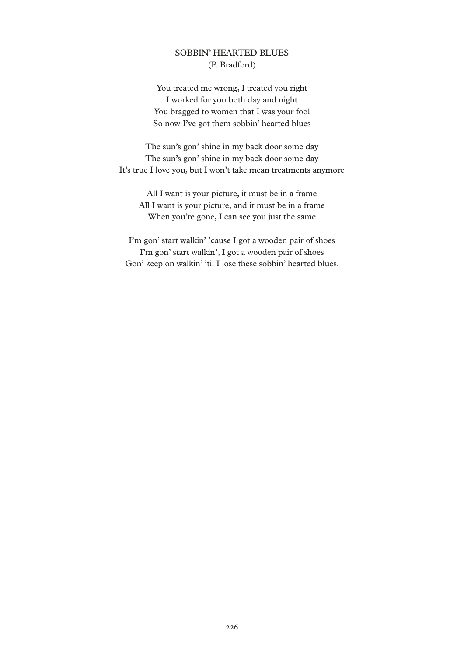# SOBBIN' HEARTED BLUES (P. Bradford)

You treated me wrong, I treated you right I worked for you both day and night You bragged to women that I was your fool So now I've got them sobbin' hearted blues

The sun's gon' shine in my back door some day The sun's gon' shine in my back door some day It's true I love you, but I won't take mean treatments anymore

All I want is your picture, it must be in a frame All I want is your picture, and it must be in a frame When you're gone, I can see you just the same

I'm gon' start walkin' 'cause I got a wooden pair of shoes I'm gon' start walkin', I got a wooden pair of shoes Gon' keep on walkin' 'til I lose these sobbin' hearted blues.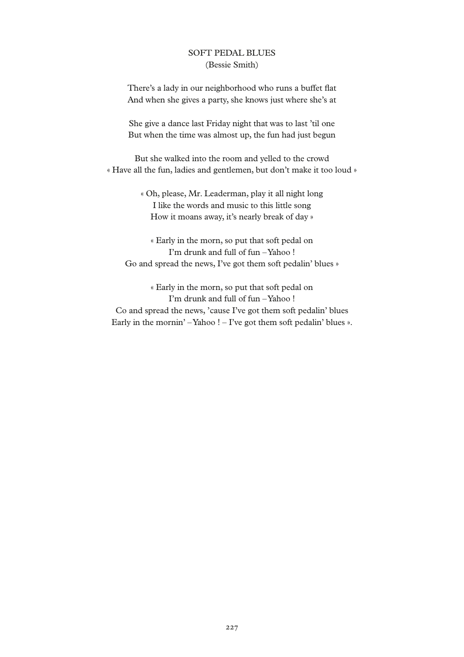#### SOFT PEDAL BLUES (Bessie Smith)

There's a lady in our neighborhood who runs a buffet flat And when she gives a party, she knows just where she's at

She give a dance last Friday night that was to last 'til one But when the time was almost up, the fun had just begun

But she walked into the room and yelled to the crowd « Have all the fun, ladies and gentlemen, but don't make it too loud »

> « Oh, please, Mr. Leaderman, play it all night long I like the words and music to this little song How it moans away, it's nearly break of day »

« Early in the morn, so put that soft pedal on I'm drunk and full of fun – Yahoo ! Go and spread the news, I've got them soft pedalin' blues »

« Early in the morn, so put that soft pedal on I'm drunk and full of fun – Yahoo ! Co and spread the news, 'cause I've got them soft pedalin' blues Early in the mornin' – Yahoo  $!$  – I've got them soft pedalin' blues ».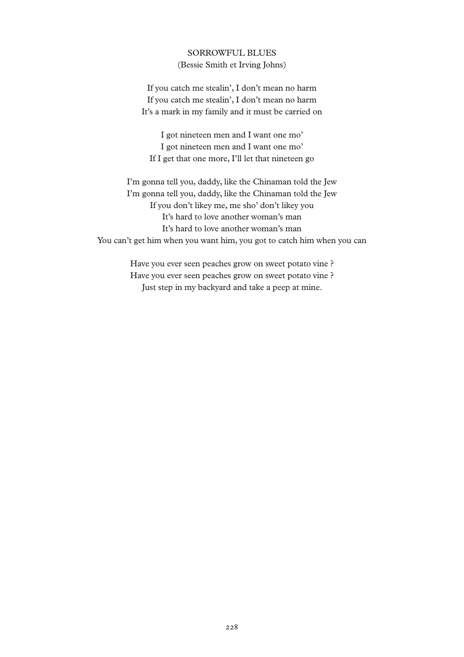#### SORROWFUL BLUES

(Bessie Smith et Irving Johns)

If you catch me stealin', I don't mean no harm If you catch me stealin', I don't mean no harm It's a mark in my family and it must be carried on

I got nineteen men and I want one mo' I got nineteen men and I want one mo' If I get that one more, I'll let that nineteen go

I'm gonna tell you, daddy, like the Chinaman told the Jew I'm gonna tell you, daddy, like the Chinaman told the Jew If you don't likey me, me sho' don't likey you It's hard to love another woman's man It's hard to love another woman's man You can't get him when you want him, you got to catch him when you can

> Have you ever seen peaches grow on sweet potato vine ? Have you ever seen peaches grow on sweet potato vine ? Just step in my backyard and take a peep at mine.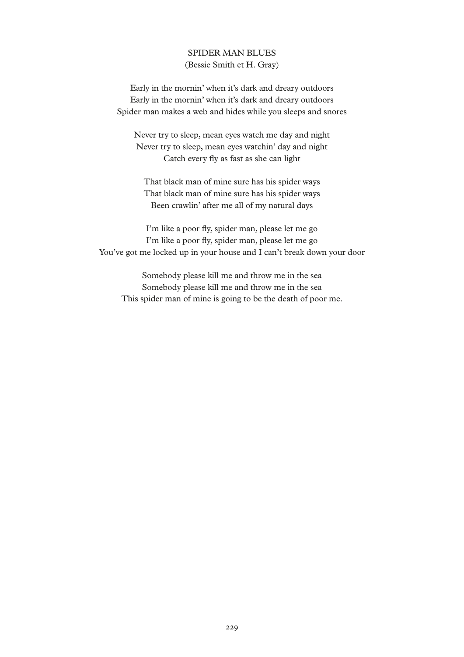#### SPIDER MAN BLUES (Bessie Smith et H. Gray)

Early in the mornin' when it's dark and dreary outdoors Early in the mornin' when it's dark and dreary outdoors Spider man makes a web and hides while you sleeps and snores

Never try to sleep, mean eyes watch me day and night Never try to sleep, mean eyes watchin' day and night Catch every fly as fast as she can light

That black man of mine sure has his spider ways That black man of mine sure has his spider ways Been crawlin' after me all of my natural days

I'm like a poor fly, spider man, please let me go I'm like a poor fly, spider man, please let me go You've got me locked up in your house and I can't break down your door

Somebody please kill me and throw me in the sea Somebody please kill me and throw me in the sea This spider man of mine is going to be the death of poor me.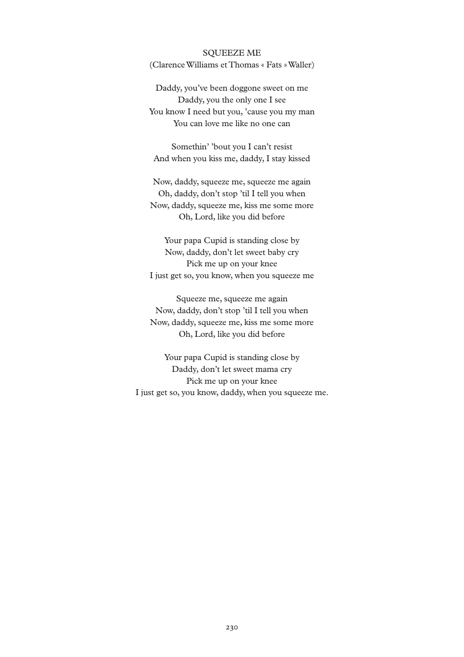#### SQUEEZE ME

(Clarence Williams et Thomas « Fats » Waller)

Daddy, you've been doggone sweet on me Daddy, you the only one I see You know I need but you, 'cause you my man You can love me like no one can

Somethin' 'bout you I can't resist And when you kiss me, daddy, I stay kissed

Now, daddy, squeeze me, squeeze me again Oh, daddy, don't stop 'til I tell you when Now, daddy, squeeze me, kiss me some more Oh, Lord, like you did before

Your papa Cupid is standing close by Now, daddy, don't let sweet baby cry Pick me up on your knee I just get so, you know, when you squeeze me

Squeeze me, squeeze me again Now, daddy, don't stop 'til I tell you when Now, daddy, squeeze me, kiss me some more Oh, Lord, like you did before

Your papa Cupid is standing close by Daddy, don't let sweet mama cry Pick me up on your knee I just get so, you know, daddy, when you squeeze me.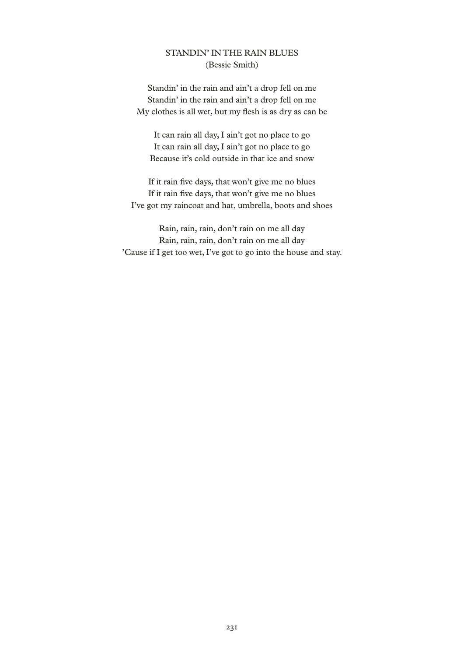# STANDIN' IN THE RAIN BLUES (Bessie Smith)

Standin' in the rain and ain't a drop fell on me Standin' in the rain and ain't a drop fell on me My clothes is all wet, but my flesh is as dry as can be

It can rain all day, I ain't got no place to go It can rain all day, I ain't got no place to go Because it's cold outside in that ice and snow

If it rain five days, that won't give me no blues If it rain five days, that won't give me no blues I've got my raincoat and hat, umbrella, boots and shoes

Rain, rain, rain, don't rain on me all day Rain, rain, rain, don't rain on me all day 'Cause if I get too wet, I've got to go into the house and stay.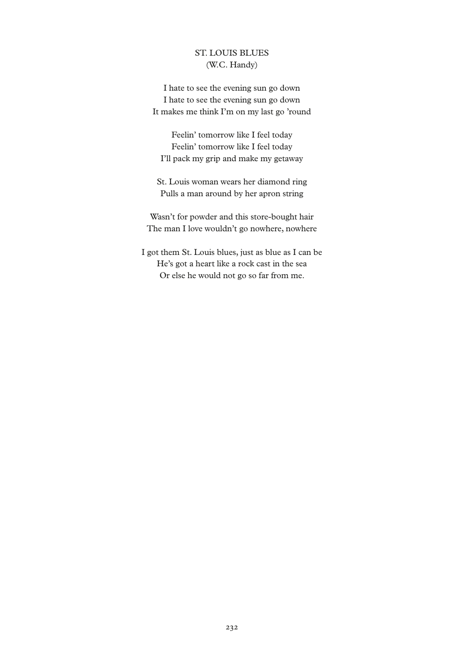# ST. LOUIS BLUES (W.C. Handy)

I hate to see the evening sun go down I hate to see the evening sun go down It makes me think I'm on my last go 'round

Feelin' tomorrow like I feel today Feelin' tomorrow like I feel today I'll pack my grip and make my getaway

St. Louis woman wears her diamond ring Pulls a man around by her apron string

Wasn't for powder and this store-bought hair The man I love wouldn't go nowhere, nowhere

I got them St. Louis blues, just as blue as I can be He's got a heart like a rock cast in the sea Or else he would not go so far from me.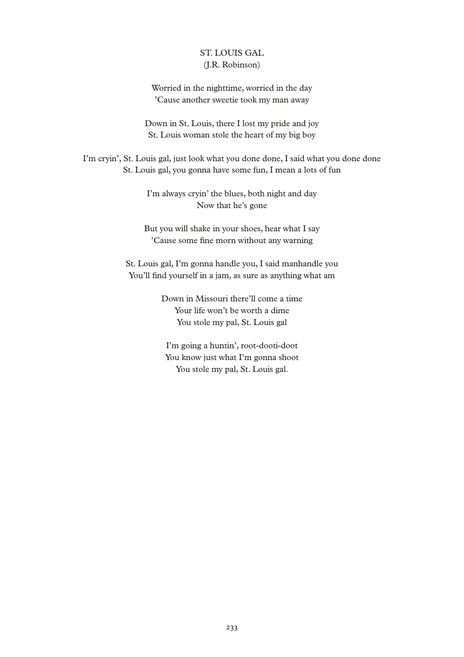#### ST. LOUIS GAL (J.R. Robinson)

Worried in the nighttime, worried in the day 'Cause another sweetie took my man away

Down in St. Louis, there I lost my pride and joy St. Louis woman stole the heart of my big boy

I'm cryin', St. Louis gal, just look what you done done, I said what you done done St. Louis gal, you gonna have some fun, I mean a lots of fun

> I'm always cryin' the blues, both night and day Now that he's gone

But you will shake in your shoes, hear what I say 'Cause some fine morn without any warning

St. Louis gal, I'm gonna handle you, I said manhandle you You'll find yourself in a jam, as sure as anything what am

> Down in Missouri there'll come a time Your life won't be worth a dime You stole my pal, St. Louis gal

I'm going a huntin', root-dooti-doot You know just what I'm gonna shoot You stole my pal, St. Louis gal.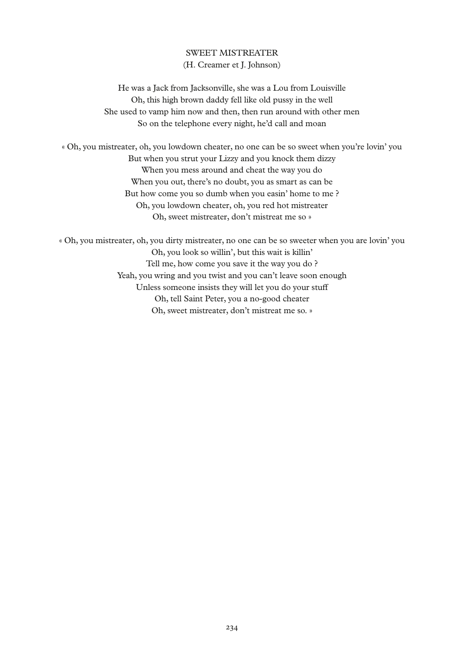## SWEET MISTREATER

(H. Creamer et J. Johnson)

He was a Jack from Jacksonville, she was a Lou from Louisville Oh, this high brown daddy fell like old pussy in the well She used to vamp him now and then, then run around with other men So on the telephone every night, he'd call and moan

« Oh, you mistreater, oh, you lowdown cheater, no one can be so sweet when you're lovin' you But when you strut your Lizzy and you knock them dizzy When you mess around and cheat the way you do When you out, there's no doubt, you as smart as can be But how come you so dumb when you easin' home to me ? Oh, you lowdown cheater, oh, you red hot mistreater Oh, sweet mistreater, don't mistreat me so »

« Oh, you mistreater, oh, you dirty mistreater, no one can be so sweeter when you are lovin' you Oh, you look so willin', but this wait is killin' Tell me, how come you save it the way you do ? Yeah, you wring and you twist and you can't leave soon enough Unless someone insists they will let you do your stuff Oh, tell Saint Peter, you a no-good cheater Oh, sweet mistreater, don't mistreat me so. »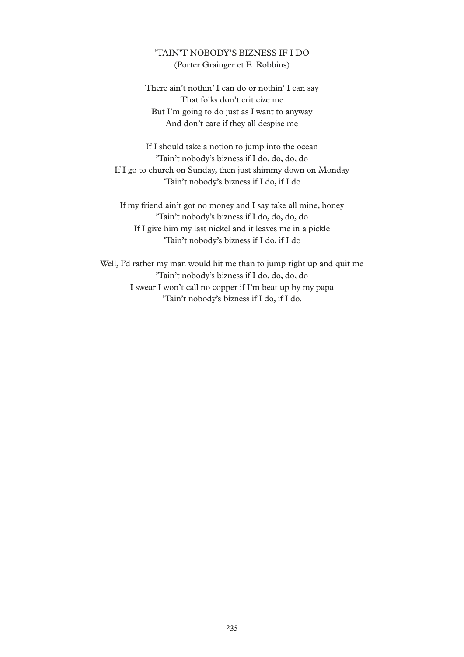# 'TAIN'T NOBODY'S BIZNESS IF I DO (Porter Grainger et E. Robbins)

There ain't nothin' I can do or nothin' I can say That folks don't criticize me But I'm going to do just as I want to anyway And don't care if they all despise me

If I should take a notion to jump into the ocean 'Tain't nobody's bizness if I do, do, do, do If I go to church on Sunday, then just shimmy down on Monday 'Tain't nobody's bizness if I do, if I do

If my friend ain't got no money and I say take all mine, honey 'Tain't nobody's bizness if I do, do, do, do If I give him my last nickel and it leaves me in a pickle 'Tain't nobody's bizness if I do, if I do

Well, I'd rather my man would hit me than to jump right up and quit me 'Tain't nobody's bizness if I do, do, do, do I swear I won't call no copper if I'm beat up by my papa 'Tain't nobody's bizness if I do, if I do.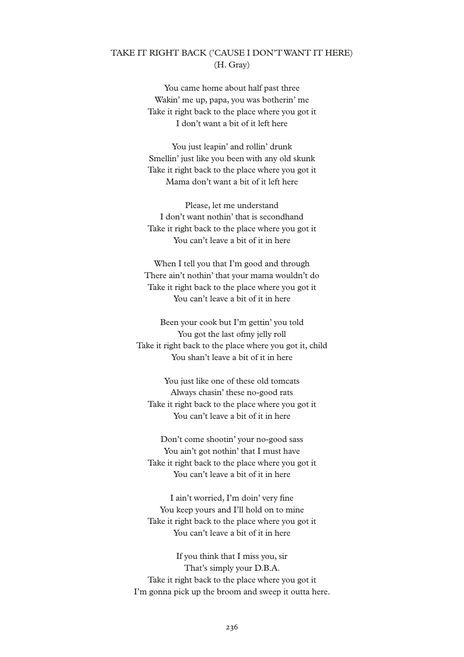# TAKE IT RIGHT BACK ('CAUSE I DON'T WANT IT HERE) (H. Gray)

You came home about half past three Wakin' me up, papa, you was botherin' me Take it right back to the place where you got it I don't want a bit of it left here

You just leapin' and rollin' drunk Smellin' just like you been with any old skunk Take it right back to the place where you got it Mama don't want a bit of it left here

Please, let me understand I don't want nothin' that is secondhand Take it right back to the place where you got it You can't leave a bit of it in here

When I tell you that I'm good and through There ain't nothin' that your mama wouldn't do Take it right back to the place where you got it You can't leave a bit of it in here

Been your cook but I'm gettin' you told You got the last ofmy jelly roll Take it right back to the place where you got it, child You shan't leave a bit of it in here

You just like one of these old tomcats Always chasin' these no-good rats Take it right back to the place where you got it You can't leave a bit of it in here

Don't come shootin' your no-good sass You ain't got nothin' that I must have Take it right back to the place where you got it You can't leave a bit of it in here

I ain't worried, I'm doin' very fine You keep yours and I'll hold on to mine Take it right back to the place where you got it You can't leave a bit of it in here

If you think that I miss you, sir That's simply your D.B.A. Take it right back to the place where you got it I'm gonna pick up the broom and sweep it outta here.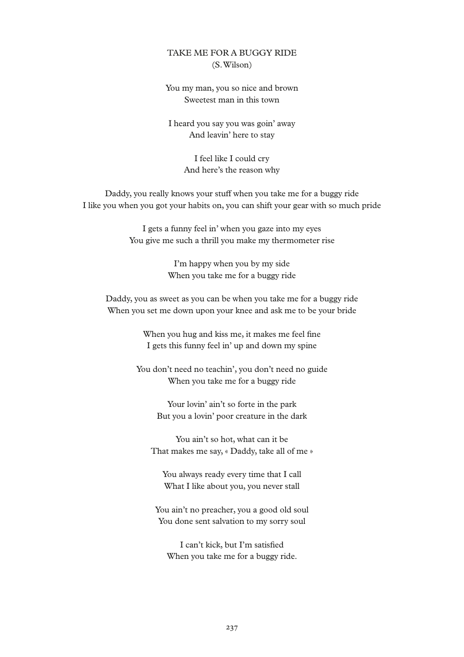## TAKE ME FOR A BUGGY RIDE (S. Wilson)

You my man, you so nice and brown Sweetest man in this town

I heard you say you was goin' away And leavin' here to stay

> I feel like I could cry And here's the reason why

Daddy, you really knows your stuff when you take me for a buggy ride I like you when you got your habits on, you can shift your gear with so much pride

> I gets a funny feel in' when you gaze into my eyes You give me such a thrill you make my thermometer rise

> > I'm happy when you by my side When you take me for a buggy ride

Daddy, you as sweet as you can be when you take me for a buggy ride When you set me down upon your knee and ask me to be your bride

> When you hug and kiss me, it makes me feel fine I gets this funny feel in' up and down my spine

You don't need no teachin', you don't need no guide When you take me for a buggy ride

> Your lovin' ain't so forte in the park But you a lovin' poor creature in the dark

You ain't so hot, what can it be That makes me say, « Daddy, take all of me »

You always ready every time that I call What I like about you, you never stall

You ain't no preacher, you a good old soul You done sent salvation to my sorry soul

I can't kick, but I'm satisfied When you take me for a buggy ride.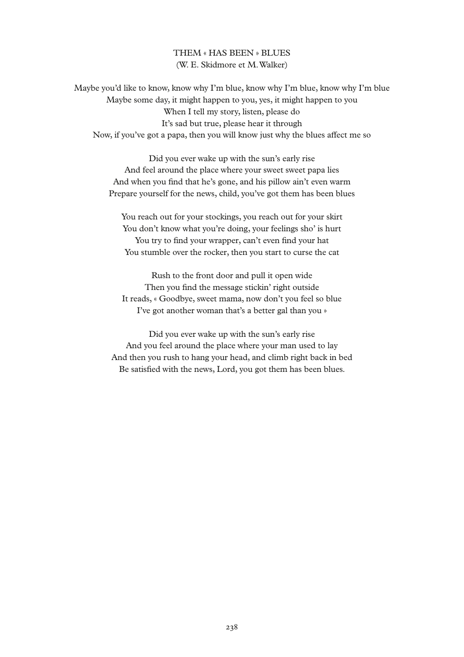#### THEM « HAS BEEN » BLUES (W. E. Skidmore et M. Walker)

Maybe you'd like to know, know why I'm blue, know why I'm blue, know why I'm blue Maybe some day, it might happen to you, yes, it might happen to you When I tell my story, listen, please do It's sad but true, please hear it through Now, if you've got a papa, then you will know just why the blues affect me so

> Did you ever wake up with the sun's early rise And feel around the place where your sweet sweet papa lies And when you find that he's gone, and his pillow ain't even warm Prepare yourself for the news, child, you've got them has been blues

You reach out for your stockings, you reach out for your skirt You don't know what you're doing, your feelings sho' is hurt You try to find your wrapper, can't even find your hat You stumble over the rocker, then you start to curse the cat

Rush to the front door and pull it open wide Then you find the message stickin' right outside It reads, « Goodbye, sweet mama, now don't you feel so blue I've got another woman that's a better gal than you »

Did you ever wake up with the sun's early rise And you feel around the place where your man used to lay And then you rush to hang your head, and climb right back in bed Be satisfied with the news, Lord, you got them has been blues.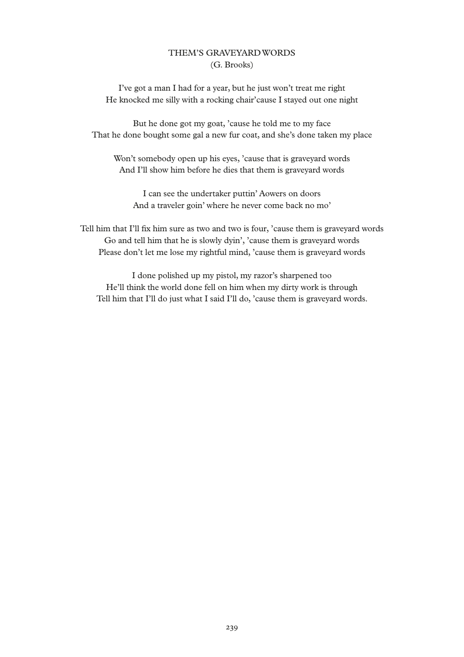## THEM'S GRAVEYARD WORDS (G. Brooks)

I've got a man I had for a year, but he just won't treat me right He knocked me silly with a rocking chair'cause I stayed out one night

But he done got my goat, 'cause he told me to my face That he done bought some gal a new fur coat, and she's done taken my place

Won't somebody open up his eyes, 'cause that is graveyard words And I'll show him before he dies that them is graveyard words

I can see the undertaker puttin' Aowers on doors And a traveler goin' where he never come back no mo'

Tell him that I'll fix him sure as two and two is four, 'cause them is graveyard words Go and tell him that he is slowly dyin', 'cause them is graveyard words Please don't let me lose my rightful mind, 'cause them is graveyard words

I done polished up my pistol, my razor's sharpened too He'll think the world done fell on him when my dirty work is through Tell him that I'll do just what I said I'll do, 'cause them is graveyard words.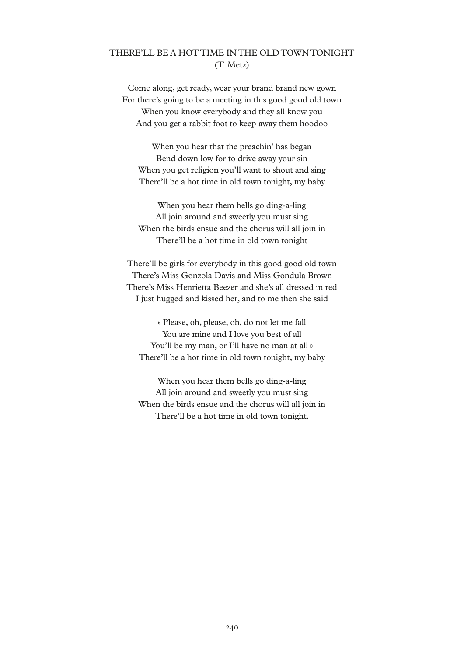# THERE'LL BE A HOT TIME IN THE OLD TOWN TONIGHT (T. Metz)

Come along, get ready, wear your brand brand new gown For there's going to be a meeting in this good good old town When you know everybody and they all know you And you get a rabbit foot to keep away them hoodoo

When you hear that the preachin' has began Bend down low for to drive away your sin When you get religion you'll want to shout and sing There'll be a hot time in old town tonight, my baby

When you hear them bells go ding-a-ling All join around and sweetly you must sing When the birds ensue and the chorus will all join in There'll be a hot time in old town tonight

There'll be girls for everybody in this good good old town There's Miss Gonzola Davis and Miss Gondula Brown There's Miss Henrietta Beezer and she's all dressed in red I just hugged and kissed her, and to me then she said

« Please, oh, please, oh, do not let me fall You are mine and I love you best of all You'll be my man, or I'll have no man at all » There'll be a hot time in old town tonight, my baby

When you hear them bells go ding-a-ling All join around and sweetly you must sing When the birds ensue and the chorus will all join in There'll be a hot time in old town tonight.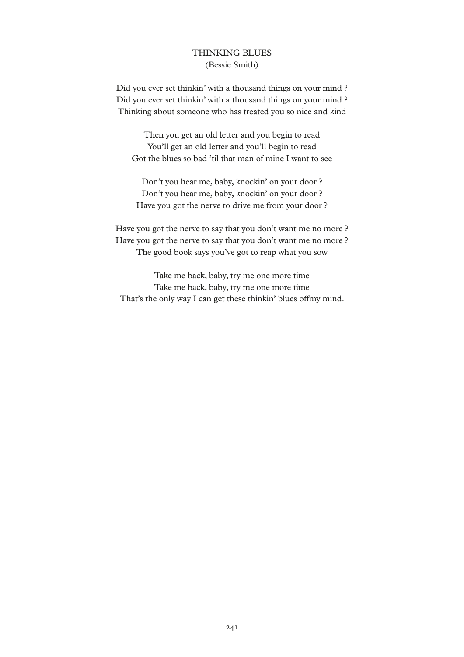# THINKING BLUES (Bessie Smith)

Did you ever set thinkin' with a thousand things on your mind ? Did you ever set thinkin' with a thousand things on your mind ? Thinking about someone who has treated you so nice and kind

Then you get an old letter and you begin to read You'll get an old letter and you'll begin to read Got the blues so bad 'til that man of mine I want to see

Don't you hear me, baby, knockin' on your door ? Don't you hear me, baby, knockin' on your door ? Have you got the nerve to drive me from your door ?

Have you got the nerve to say that you don't want me no more ? Have you got the nerve to say that you don't want me no more ? The good book says you've got to reap what you sow

Take me back, baby, try me one more time Take me back, baby, try me one more time That's the only way I can get these thinkin' blues offmy mind.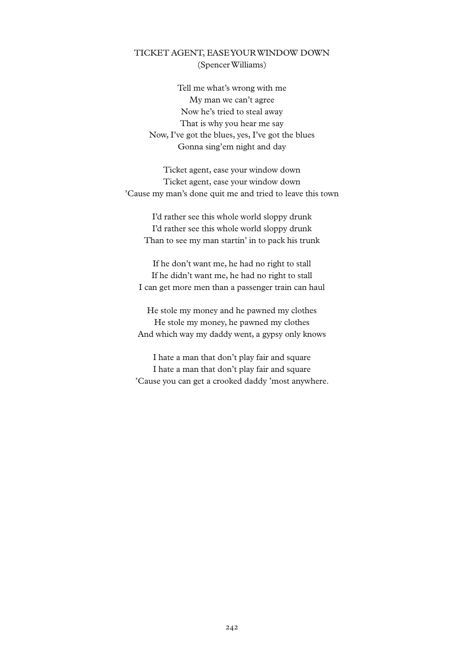# TICKET AGENT, EASE YOUR WINDOW DOWN (Spencer Williams)

Tell me what's wrong with me My man we can't agree Now he's tried to steal away That is why you hear me say Now, I've got the blues, yes, I've got the blues Gonna sing'em night and day

Ticket agent, ease your window down Ticket agent, ease your window down 'Cause my man's done quit me and tried to leave this town

I'd rather see this whole world sloppy drunk I'd rather see this whole world sloppy drunk Than to see my man startin' in to pack his trunk

If he don't want me, he had no right to stall If he didn't want me, he had no right to stall I can get more men than a passenger train can haul

He stole my money and he pawned my clothes He stole my money, he pawned my clothes And which way my daddy went, a gypsy only knows

I hate a man that don't play fair and square I hate a man that don't play fair and square 'Cause you can get a crooked daddy 'most anywhere.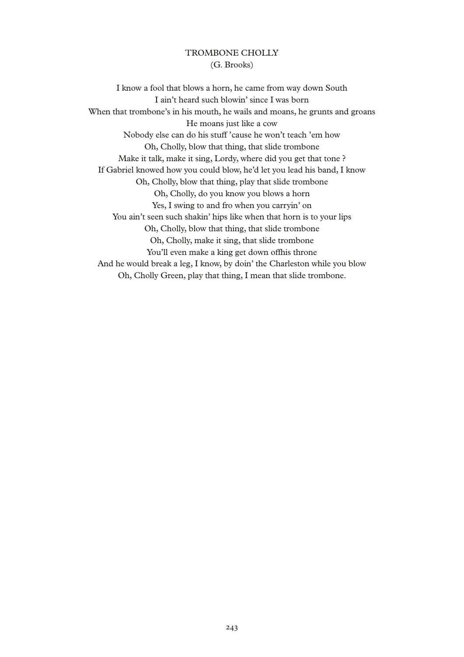# TROMBONE CHOLLY (G. Brooks)

I know a fool that blows a horn, he came from way down South I ain't heard such blowin' since I was born When that trombone's in his mouth, he wails and moans, he grunts and groans He moans just like a cow Nobody else can do his stuff 'cause he won't teach 'em how Oh, Cholly, blow that thing, that slide trombone Make it talk, make it sing, Lordy, where did you get that tone ? If Gabriel knowed how you could blow, he'd let you lead his band, I know Oh, Cholly, blow that thing, play that slide trombone Oh, Cholly, do you know you blows a horn Yes, I swing to and fro when you carryin' on You ain't seen such shakin' hips like when that horn is to your lips Oh, Cholly, blow that thing, that slide trombone Oh, Cholly, make it sing, that slide trombone You'll even make a king get down offhis throne And he would break a leg, I know, by doin' the Charleston while you blow Oh, Cholly Green, play that thing, I mean that slide trombone.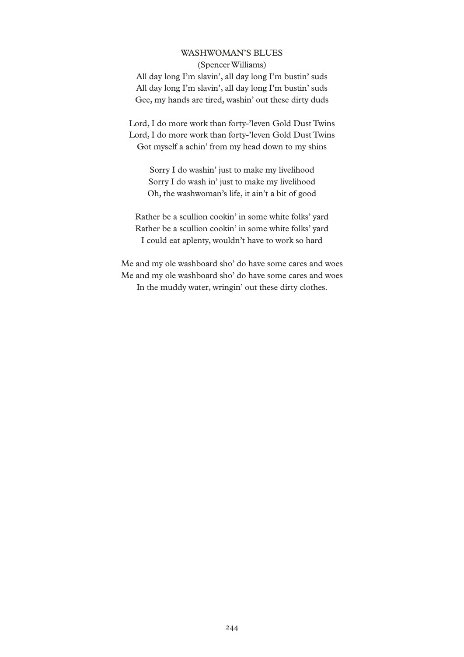# WASHWOMAN'S BLUES (Spencer Williams) All day long I'm slavin', all day long I'm bustin' suds All day long I'm slavin', all day long I'm bustin' suds Gee, my hands are tired, washin' out these dirty duds

Lord, I do more work than forty-'leven Gold Dust Twins Lord, I do more work than forty-'leven Gold Dust Twins Got myself a achin' from my head down to my shins

Sorry I do washin' just to make my livelihood Sorry I do wash in' just to make my livelihood Oh, the washwoman's life, it ain't a bit of good

Rather be a scullion cookin' in some white folks' yard Rather be a scullion cookin' in some white folks' yard I could eat aplenty, wouldn't have to work so hard

Me and my ole washboard sho' do have some cares and woes Me and my ole washboard sho' do have some cares and woes In the muddy water, wringin' out these dirty clothes.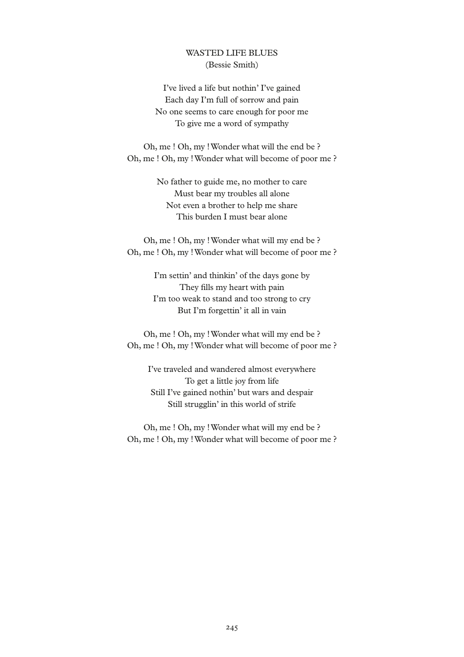#### WASTED LIFE BLUES (Bessie Smith)

I've lived a life but nothin' I've gained Each day I'm full of sorrow and pain No one seems to care enough for poor me To give me a word of sympathy

Oh, me ! Oh, my ! Wonder what will the end be ? Oh, me ! Oh, my ! Wonder what will become of poor me ?

> No father to guide me, no mother to care Must bear my troubles all alone Not even a brother to help me share This burden I must bear alone

Oh, me ! Oh, my ! Wonder what will my end be ? Oh, me ! Oh, my ! Wonder what will become of poor me ?

> I'm settin' and thinkin' of the days gone by They fills my heart with pain I'm too weak to stand and too strong to cry But I'm forgettin' it all in vain

Oh, me ! Oh, my ! Wonder what will my end be ? Oh, me ! Oh, my ! Wonder what will become of poor me ?

I've traveled and wandered almost everywhere To get a little joy from life Still I've gained nothin' but wars and despair Still strugglin' in this world of strife

Oh, me ! Oh, my ! Wonder what will my end be ? Oh, me ! Oh, my ! Wonder what will become of poor me ?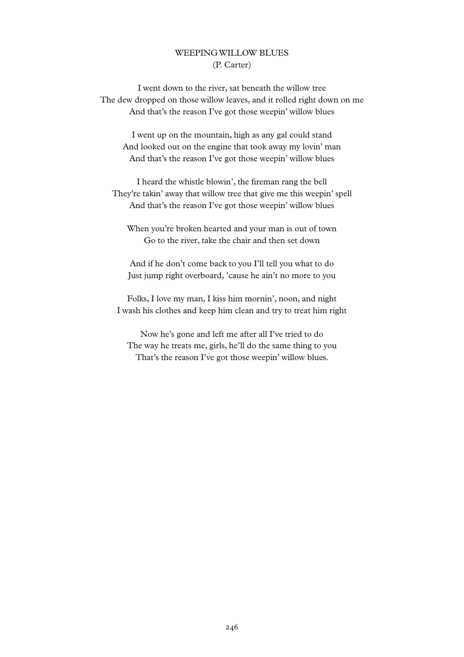#### WEEPING WILLOW BLUES (P. Carter)

I went down to the river, sat beneath the willow tree The dew dropped on those willow leaves, and it rolled right down on me And that's the reason I've got those weepin' willow blues

I went up on the mountain, high as any gal could stand And looked out on the engine that took away my lovin' man And that's the reason I've got those weepin' willow blues

I heard the whistle blowin', the fireman rang the bell They're takin' away that willow tree that give me this weepin' spell And that's the reason I've got those weepin' willow blues

When you're broken hearted and your man is out of town Go to the river, take the chair and then set down

And if he don't come back to you I'll tell you what to do Just jump right overboard, 'cause he ain't no more to you

Folks, I love my man, I kiss him mornin', noon, and night I wash his clothes and keep him clean and try to treat him right

Now he's gone and left me after all I've tried to do The way he treats me, girls, he'll do the same thing to you That's the reason I've got those weepin' willow blues.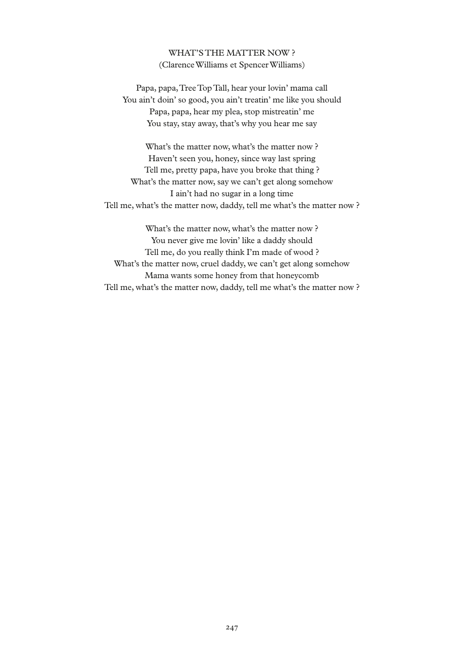## WHAT'S THE MATTER NOW ? (Clarence Williams et Spencer Williams)

Papa, papa, Tree Top Tall, hear your lovin' mama call You ain't doin' so good, you ain't treatin' me like you should Papa, papa, hear my plea, stop mistreatin' me You stay, stay away, that's why you hear me say

What's the matter now, what's the matter now ? Haven't seen you, honey, since way last spring Tell me, pretty papa, have you broke that thing ? What's the matter now, say we can't get along somehow I ain't had no sugar in a long time Tell me, what's the matter now, daddy, tell me what's the matter now ?

What's the matter now, what's the matter now ? You never give me lovin' like a daddy should Tell me, do you really think I'm made of wood ? What's the matter now, cruel daddy, we can't get along somehow Mama wants some honey from that honeycomb Tell me, what's the matter now, daddy, tell me what's the matter now ?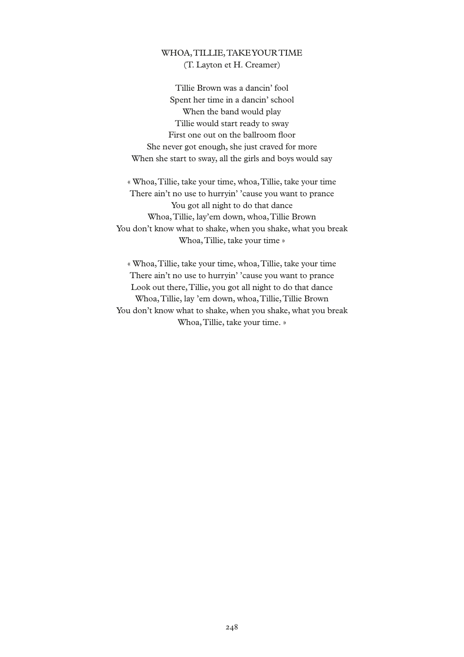#### WHOA, TILLIE, TAKE YOUR TIME (T. Layton et H. Creamer)

Tillie Brown was a dancin' fool Spent her time in a dancin' school When the band would play Tillie would start ready to sway First one out on the ballroom floor She never got enough, she just craved for more When she start to sway, all the girls and boys would say

« Whoa, Tillie, take your time, whoa, Tillie, take your time There ain't no use to hurryin' 'cause you want to prance You got all night to do that dance Whoa, Tillie, lay'em down, whoa, Tillie Brown You don't know what to shake, when you shake, what you break Whoa, Tillie, take your time »

« Whoa, Tillie, take your time, whoa, Tillie, take your time There ain't no use to hurryin' 'cause you want to prance Look out there, Tillie, you got all night to do that dance Whoa, Tillie, lay 'em down, whoa, Tillie, Tillie Brown You don't know what to shake, when you shake, what you break Whoa, Tillie, take your time. »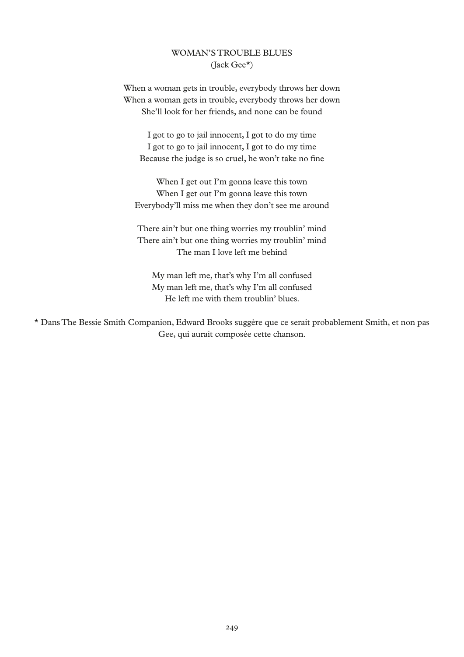# WOMAN'S TROUBLE BLUES (Jack Gee\*)

When a woman gets in trouble, everybody throws her down When a woman gets in trouble, everybody throws her down She'll look for her friends, and none can be found

I got to go to jail innocent, I got to do my time I got to go to jail innocent, I got to do my time Because the judge is so cruel, he won't take no fine

When I get out I'm gonna leave this town When I get out I'm gonna leave this town Everybody'll miss me when they don't see me around

There ain't but one thing worries my troublin' mind There ain't but one thing worries my troublin' mind The man I love left me behind

My man left me, that's why I'm all confused My man left me, that's why I'm all confused He left me with them troublin' blues.

\* Dans The Bessie Smith Companion, Edward Brooks suggère que ce serait probablement Smith, et non pas Gee, qui aurait composée cette chanson.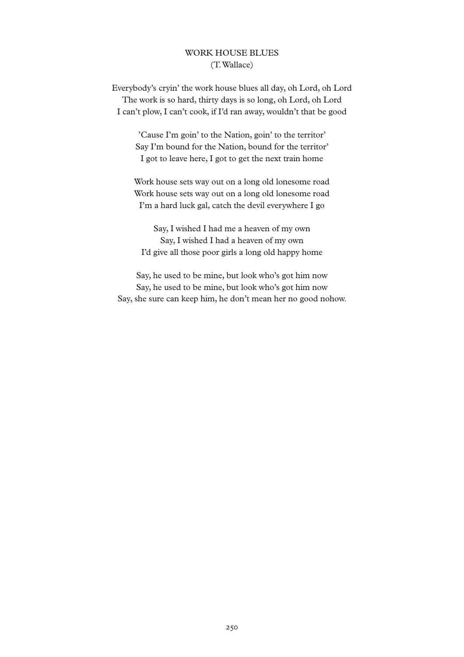## WORK HOUSE BLUES (T. Wallace)

Everybody's cryin' the work house blues all day, oh Lord, oh Lord The work is so hard, thirty days is so long, oh Lord, oh Lord I can't plow, I can't cook, if I'd ran away, wouldn't that be good

'Cause I'm goin' to the Nation, goin' to the territor' Say I'm bound for the Nation, bound for the territor' I got to leave here, I got to get the next train home

Work house sets way out on a long old lonesome road Work house sets way out on a long old lonesome road I'm a hard luck gal, catch the devil everywhere I go

Say, I wished I had me a heaven of my own Say, I wished I had a heaven of my own I'd give all those poor girls a long old happy home

Say, he used to be mine, but look who's got him now Say, he used to be mine, but look who's got him now Say, she sure can keep him, he don't mean her no good nohow.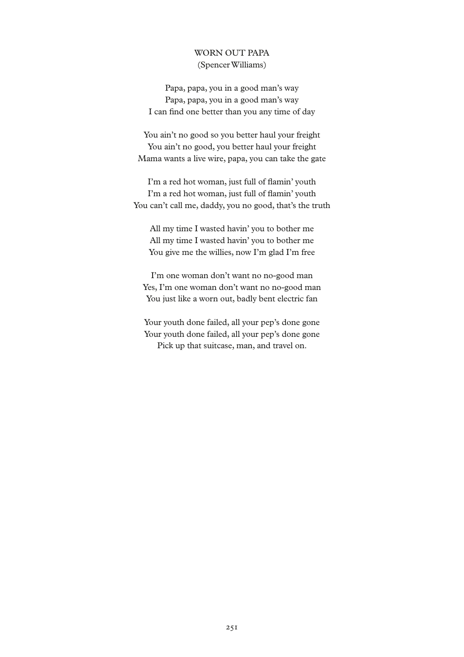## WORN OUT PAPA (Spencer Williams)

Papa, papa, you in a good man's way Papa, papa, you in a good man's way I can find one better than you any time of day

You ain't no good so you better haul your freight You ain't no good, you better haul your freight Mama wants a live wire, papa, you can take the gate

I'm a red hot woman, just full of flamin' youth I'm a red hot woman, just full of flamin' youth You can't call me, daddy, you no good, that's the truth

All my time I wasted havin' you to bother me All my time I wasted havin' you to bother me You give me the willies, now I'm glad I'm free

I'm one woman don't want no no-good man Yes, I'm one woman don't want no no-good man You just like a worn out, badly bent electric fan

Your youth done failed, all your pep's done gone Your youth done failed, all your pep's done gone Pick up that suitcase, man, and travel on.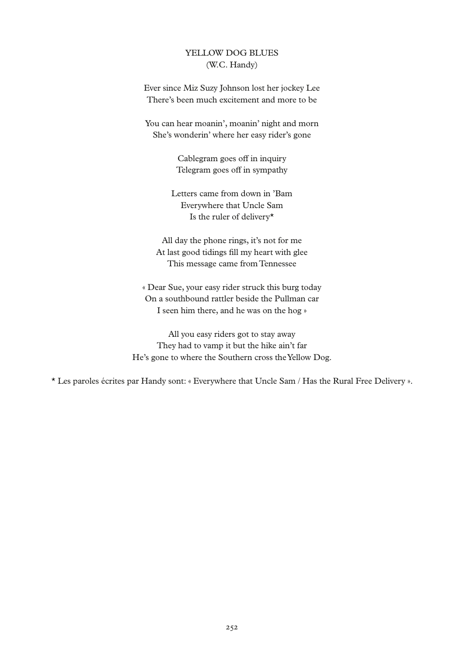# YELLOW DOG BLUES (W.C. Handy)

Ever since Miz Suzy Johnson lost her jockey Lee There's been much excitement and more to be

You can hear moanin', moanin' night and morn She's wonderin' where her easy rider's gone

> Cablegram goes off in inquiry Telegram goes off in sympathy

Letters came from down in 'Bam Everywhere that Uncle Sam Is the ruler of delivery\*

All day the phone rings, it's not for me At last good tidings fill my heart with glee This message came from Tennessee

« Dear Sue, your easy rider struck this burg today On a southbound rattler beside the Pullman car I seen him there, and he was on the hog »

All you easy riders got to stay away They had to vamp it but the hike ain't far He's gone to where the Southern cross the Yellow Dog.

\* Les paroles écrites par Handy sont: « Everywhere that Uncle Sam / Has the Rural Free Delivery ».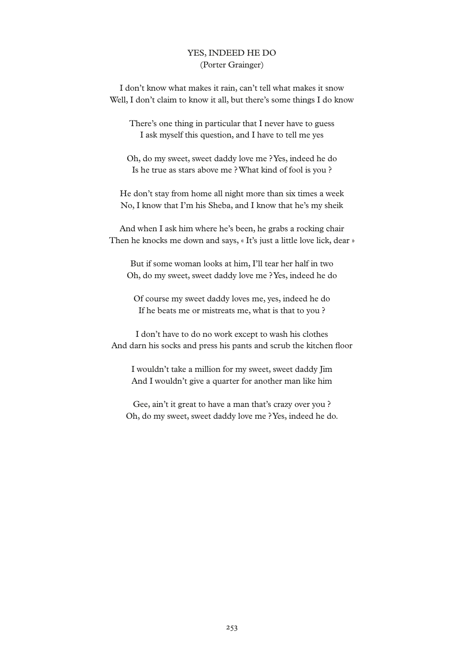# YES, INDEED HE DO (Porter Grainger)

I don't know what makes it rain, can't tell what makes it snow Well, I don't claim to know it all, but there's some things I do know

There's one thing in particular that I never have to guess I ask myself this question, and I have to tell me yes

Oh, do my sweet, sweet daddy love me ? Yes, indeed he do Is he true as stars above me ? What kind of fool is you ?

He don't stay from home all night more than six times a week No, I know that I'm his Sheba, and I know that he's my sheik

And when I ask him where he's been, he grabs a rocking chair Then he knocks me down and says, « It's just a little love lick, dear »

But if some woman looks at him, I'll tear her half in two Oh, do my sweet, sweet daddy love me ? Yes, indeed he do

Of course my sweet daddy loves me, yes, indeed he do If he beats me or mistreats me, what is that to you ?

I don't have to do no work except to wash his clothes And darn his socks and press his pants and scrub the kitchen floor

I wouldn't take a million for my sweet, sweet daddy Jim And I wouldn't give a quarter for another man like him

Gee, ain't it great to have a man that's crazy over you ? Oh, do my sweet, sweet daddy love me ? Yes, indeed he do.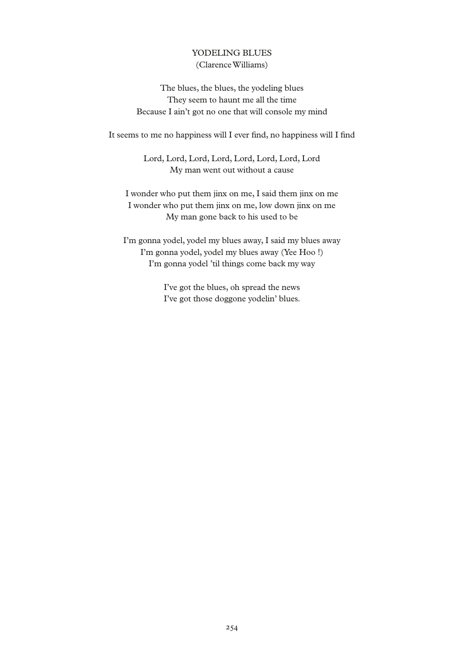### YODELING BLUES (Clarence Williams)

The blues, the blues, the yodeling blues They seem to haunt me all the time Because I ain't got no one that will console my mind

It seems to me no happiness will I ever find, no happiness will I find

Lord, Lord, Lord, Lord, Lord, Lord, Lord, Lord My man went out without a cause

I wonder who put them jinx on me, I said them jinx on me I wonder who put them jinx on me, low down jinx on me My man gone back to his used to be

I'm gonna yodel, yodel my blues away, I said my blues away I'm gonna yodel, yodel my blues away (Yee Hoo !) I'm gonna yodel 'til things come back my way

> I've got the blues, oh spread the news I've got those doggone yodelin' blues.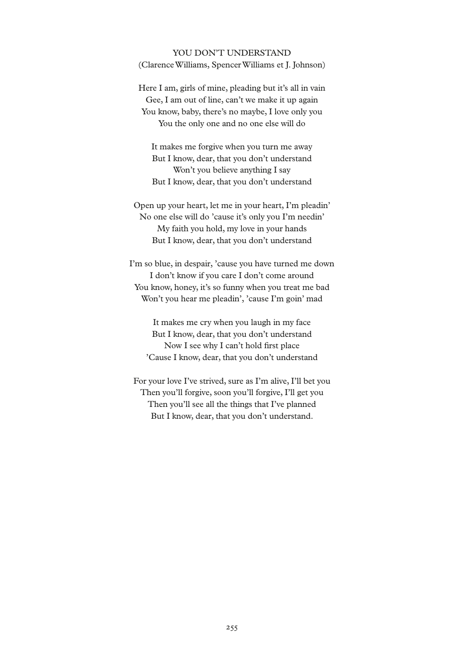#### YOU DON'T UNDERSTAND

(Clarence Williams, Spencer Williams et J. Johnson)

Here I am, girls of mine, pleading but it's all in vain Gee, I am out of line, can't we make it up again You know, baby, there's no maybe, I love only you You the only one and no one else will do

It makes me forgive when you turn me away But I know, dear, that you don't understand Won't you believe anything I say But I know, dear, that you don't understand

Open up your heart, let me in your heart, I'm pleadin' No one else will do 'cause it's only you I'm needin' My faith you hold, my love in your hands But I know, dear, that you don't understand

I'm so blue, in despair, 'cause you have turned me down I don't know if you care I don't come around You know, honey, it's so funny when you treat me bad Won't you hear me pleadin', 'cause I'm goin' mad

It makes me cry when you laugh in my face But I know, dear, that you don't understand Now I see why I can't hold first place 'Cause I know, dear, that you don't understand

For your love I've strived, sure as I'm alive, I'll bet you Then you'll forgive, soon you'll forgive, I'll get you Then you'll see all the things that I've planned But I know, dear, that you don't understand.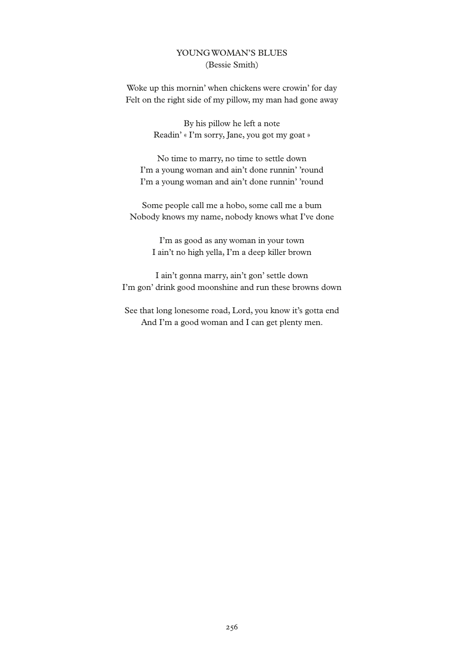# YOUNG WOMAN'S BLUES (Bessie Smith)

Woke up this mornin' when chickens were crowin' for day Felt on the right side of my pillow, my man had gone away

> By his pillow he left a note Readin' « I'm sorry, Jane, you got my goat »

No time to marry, no time to settle down I'm a young woman and ain't done runnin' 'round I'm a young woman and ain't done runnin' 'round

Some people call me a hobo, some call me a bum Nobody knows my name, nobody knows what I've done

> I'm as good as any woman in your town I ain't no high yella, I'm a deep killer brown

I ain't gonna marry, ain't gon' settle down I'm gon' drink good moonshine and run these browns down

See that long lonesome road, Lord, you know it's gotta end And I'm a good woman and I can get plenty men.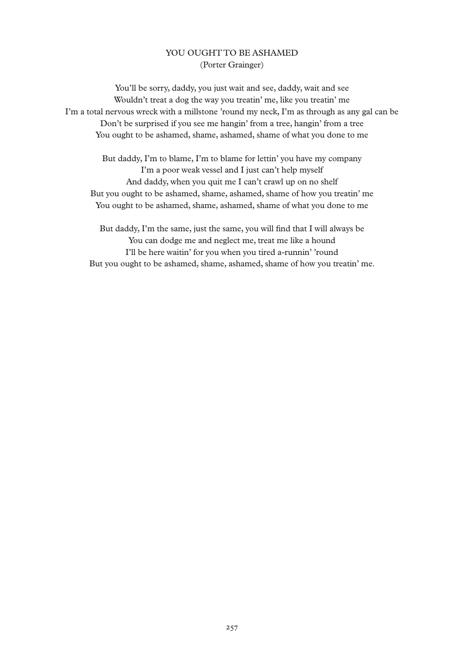# YOU OUGHT TO BE ASHAMED (Porter Grainger)

You'll be sorry, daddy, you just wait and see, daddy, wait and see Wouldn't treat a dog the way you treatin' me, like you treatin' me I'm a total nervous wreck with a millstone 'round my neck, I'm as through as any gal can be Don't be surprised if you see me hangin' from a tree, hangin' from a tree You ought to be ashamed, shame, ashamed, shame of what you done to me

But daddy, I'm to blame, I'm to blame for lettin' you have my company I'm a poor weak vessel and I just can't help myself And daddy, when you quit me I can't crawl up on no shelf But you ought to be ashamed, shame, ashamed, shame of how you treatin' me You ought to be ashamed, shame, ashamed, shame of what you done to me

But daddy, I'm the same, just the same, you will find that I will always be You can dodge me and neglect me, treat me like a hound I'll be here waitin' for you when you tired a-runnin' 'round But you ought to be ashamed, shame, ashamed, shame of how you treatin' me.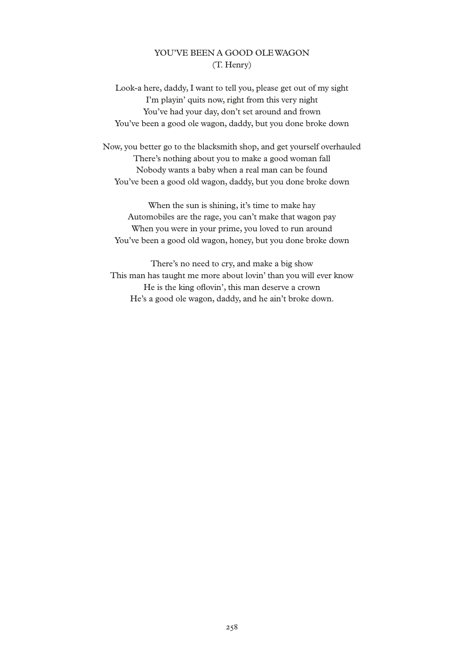# YOU'VE BEEN A GOOD OLE WAGON (T. Henry)

Look-a here, daddy, I want to tell you, please get out of my sight I'm playin' quits now, right from this very night You've had your day, don't set around and frown You've been a good ole wagon, daddy, but you done broke down

Now, you better go to the blacksmith shop, and get yourself overhauled There's nothing about you to make a good woman fall Nobody wants a baby when a real man can be found You've been a good old wagon, daddy, but you done broke down

When the sun is shining, it's time to make hay Automobiles are the rage, you can't make that wagon pay When you were in your prime, you loved to run around You've been a good old wagon, honey, but you done broke down

There's no need to cry, and make a big show This man has taught me more about lovin' than you will ever know He is the king oflovin', this man deserve a crown He's a good ole wagon, daddy, and he ain't broke down.